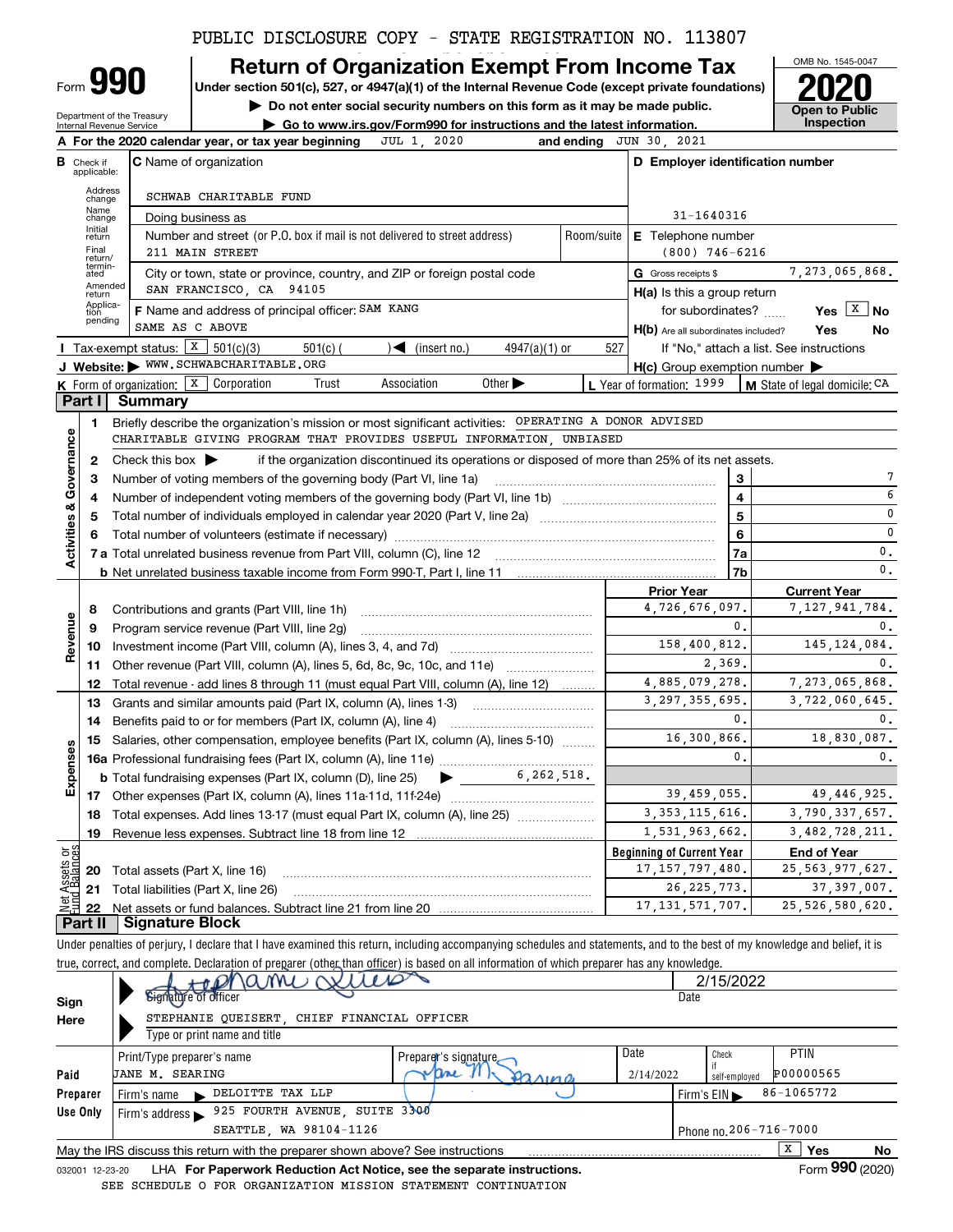# PUBLIC DISCLOSURE COPY - STATE REGISTRATION NO. 113807

# **Return of Organization Exempt From Income Tax**

**Under section 501(c), 527, or 4947(a)(1) of the Internal Revenue Code (except private foundations) 2020**

**| Do not enter social security numbers on this form as it may be made public.**

Department of the Treasury Internal Revenue Service

Form **990**

**A**

|                                              | $\blacktriangleright$ Go to www.irs.gov/Form990 for instructions and the latest information. | Inspection |
|----------------------------------------------|----------------------------------------------------------------------------------------------|------------|
| r year, or tax year beginning to JUL 1, 2020 | and ending $JUN$ 30, 2021                                                                    |            |

| OMB No. 1545-0047                   |
|-------------------------------------|
| 2020                                |
| <b>Open to Public</b><br>Inspection |

|                    |                                  | 2020<br>A For the 2020 calendar year, or tax year beginning<br>JUL 1,                                                                   | and ending                       | JUN 30, 2021                                        |                                          |  |  |
|--------------------|----------------------------------|-----------------------------------------------------------------------------------------------------------------------------------------|----------------------------------|-----------------------------------------------------|------------------------------------------|--|--|
|                    | <b>B</b> Check if<br>applicable: | <b>C</b> Name of organization                                                                                                           | D Employer identification number |                                                     |                                          |  |  |
|                    | Address<br>change                | SCHWAB CHARITABLE FUND                                                                                                                  |                                  |                                                     |                                          |  |  |
|                    | Name<br>change                   | Doing business as                                                                                                                       |                                  | 31-1640316                                          |                                          |  |  |
|                    | Initial<br>return                | Number and street (or P.O. box if mail is not delivered to street address)                                                              | Room/suite                       | <b>E</b> Telephone number                           |                                          |  |  |
|                    | Final<br>return/                 | 211 MAIN STREET                                                                                                                         |                                  | $(800)$ 746-6216                                    |                                          |  |  |
|                    | termin-<br>ated                  | City or town, state or province, country, and ZIP or foreign postal code                                                                |                                  | G Gross receipts \$                                 | 7,273,065,868.                           |  |  |
|                    | Amended<br>return                | SAN FRANCISCO, CA 94105                                                                                                                 |                                  | $H(a)$ is this a group return                       |                                          |  |  |
|                    | Applica-<br>tion<br>pending      | F Name and address of principal officer: SAM KANG                                                                                       |                                  | for subordinates?                                   | Yes $ X $<br><b>No</b>                   |  |  |
|                    |                                  | SAME AS C ABOVE                                                                                                                         |                                  | H(b) Are all subordinates included?                 | Yes<br>No                                |  |  |
|                    |                                  | <b>I</b> Tax-exempt status: $X \overline{3}$ 501(c)(3)<br>$\sqrt{\bullet}$ (insert no.)<br>$501(c)$ (<br>$4947(a)(1)$ or                | 527                              |                                                     | If "No," attach a list. See instructions |  |  |
|                    |                                  | J Website: WWW.SCHWABCHARITABLE.ORG                                                                                                     |                                  | $H(c)$ Group exemption number $\blacktriangleright$ |                                          |  |  |
|                    |                                  | K Form of organization: $X$ Corporation<br>Other $\blacktriangleright$<br>Trust<br>Association                                          |                                  | L Year of formation: 1999                           | M State of legal domicile: CA            |  |  |
|                    | Part I                           | <b>Summary</b>                                                                                                                          |                                  |                                                     |                                          |  |  |
|                    | 1                                | Briefly describe the organization's mission or most significant activities: OPERATING A DONOR ADVISED                                   |                                  |                                                     |                                          |  |  |
|                    |                                  | CHARITABLE GIVING PROGRAM THAT PROVIDES USEFUL INFORMATION, UNBIASED                                                                    |                                  |                                                     |                                          |  |  |
| Governance         | $\mathbf{2}$                     | if the organization discontinued its operations or disposed of more than 25% of its net assets.<br>Check this box $\blacktriangleright$ |                                  |                                                     |                                          |  |  |
|                    | з                                | Number of voting members of the governing body (Part VI, line 1a)                                                                       |                                  | 3                                                   | 7                                        |  |  |
|                    | 4                                |                                                                                                                                         |                                  | $\overline{\mathbf{4}}$                             | 6                                        |  |  |
| Activities &       | 5                                |                                                                                                                                         | 5                                | 0                                                   |                                          |  |  |
|                    | 6                                |                                                                                                                                         |                                  | 6                                                   | $\mathbf 0$                              |  |  |
|                    |                                  |                                                                                                                                         |                                  | 7a                                                  | $\mathbf{0}$ .                           |  |  |
|                    |                                  |                                                                                                                                         |                                  | 7b                                                  | $\mathbf{0}$ .                           |  |  |
|                    |                                  |                                                                                                                                         |                                  | <b>Prior Year</b>                                   | <b>Current Year</b>                      |  |  |
|                    | 8                                | Contributions and grants (Part VIII, line 1h)                                                                                           |                                  | 4,726,676,097.                                      | 7,127,941,784.                           |  |  |
| Revenue            | 9                                | Program service revenue (Part VIII, line 2g)                                                                                            |                                  | 0.                                                  | 0.                                       |  |  |
|                    | 10                               |                                                                                                                                         |                                  | 158,400,812.                                        | 145, 124, 084.                           |  |  |
|                    | 11                               | Other revenue (Part VIII, column (A), lines 5, 6d, 8c, 9c, 10c, and 11e)                                                                |                                  | 2,369.                                              | 0.                                       |  |  |
|                    | 12                               | Total revenue - add lines 8 through 11 (must equal Part VIII, column (A), line 12)                                                      |                                  | 4,885,079,278.                                      | 7,273,065,868.                           |  |  |
|                    | 13                               | Grants and similar amounts paid (Part IX, column (A), lines 1-3)                                                                        |                                  | 3.297.355.695.<br>0.                                | 3,722,060,645.                           |  |  |
|                    | 14                               | Benefits paid to or for members (Part IX, column (A), line 4)                                                                           |                                  |                                                     | 0.                                       |  |  |
|                    | 15                               | Salaries, other compensation, employee benefits (Part IX, column (A), lines 5-10)                                                       |                                  | 16,300,866.<br>$\mathbf{0}$ .                       | 18,830,087.<br>0.                        |  |  |
| Expenses           |                                  |                                                                                                                                         |                                  |                                                     |                                          |  |  |
|                    |                                  | 6, 262, 518.<br><b>b</b> Total fundraising expenses (Part IX, column (D), line 25)<br>$\blacktriangleright$ and $\blacktriangleright$   |                                  |                                                     |                                          |  |  |
|                    |                                  |                                                                                                                                         |                                  | 39,459,055.                                         | 49,446,925.                              |  |  |
|                    |                                  | 18 Total expenses. Add lines 13-17 (must equal Part IX, column (A), line 25) <i>marronomics</i>                                         |                                  | 3, 353, 115, 616.                                   | 3,790,337,657.                           |  |  |
|                    | 19                               |                                                                                                                                         |                                  | 1,531,963,662.                                      | 3,482,728,211.                           |  |  |
| គង្គ               |                                  |                                                                                                                                         |                                  | <b>Beginning of Current Year</b>                    | <b>End of Year</b>                       |  |  |
| Assets<br>1 Balanc |                                  | 20 Total assets (Part X, line 16)                                                                                                       |                                  | 17, 157, 797, 480.                                  | 25, 563, 977, 627.                       |  |  |
|                    | 21                               | Total liabilities (Part X, line 26)                                                                                                     |                                  | 26, 225, 773.                                       | 37, 397, 007.                            |  |  |
|                    | 22                               | <b>Signature Block</b>                                                                                                                  |                                  | 17, 131, 571, 707.                                  | 25, 526, 580, 620.                       |  |  |
|                    | Part II                          |                                                                                                                                         |                                  |                                                     |                                          |  |  |

Under penalties of perjury, I declare that I have examined this return, including accompanying schedules and statements, and to the best of my knowledge and belief, it is true, correct, and complete. Declaration of preparer (other than officer) is based on all information of which preparer has any knowledge.

|          |                                                                                                              |                                     |           | 2/15/2022                  |  |  |
|----------|--------------------------------------------------------------------------------------------------------------|-------------------------------------|-----------|----------------------------|--|--|
| Sign     | Start Hours Of Willes                                                                                        |                                     | Date      |                            |  |  |
| Here     | STEPHANIE QUEISERT, CHIEF FINANCIAL OFFICER                                                                  |                                     |           |                            |  |  |
|          | Type or print name and title                                                                                 |                                     |           |                            |  |  |
|          | Print/Type preparer's name                                                                                   | Preparer's signature                | Date      | <b>PTIN</b><br>Check       |  |  |
| Paid     | <b>JANE M. SEARING</b>                                                                                       | $n_{\mathcal{U}}$<br>$90 \triangle$ | 2/14/2022 | P00000565<br>self-emploved |  |  |
| Preparer | DELOITTE TAX LLP<br>Firm's name<br>$\sim$                                                                    |                                     |           | 86-1065772<br>Firm's $EIN$ |  |  |
| Use Only | 925 FOURTH AVENUE, SUITE 3300<br>Firm's address                                                              |                                     |           |                            |  |  |
|          | SEATTLE, WA 98104-1126<br>Phone no. 206-716-7000                                                             |                                     |           |                            |  |  |
|          | x<br>Yes<br>No<br>May the IRS discuss this return with the preparer shown above? See instructions            |                                     |           |                            |  |  |
|          | Form 990 (2020)<br>LHA For Paperwork Reduction Act Notice, see the separate instructions.<br>032001 12-23-20 |                                     |           |                            |  |  |

LHA **For Paperwork Reduction Act Notice, see the separate instructions.**<br>EDIILE O FOR ORGANIZATION MISSION STATEMENT CONTINUATION SEE SCHEDULE O FOR ORGANIZATION MISSION STATEMENT CONTINUATION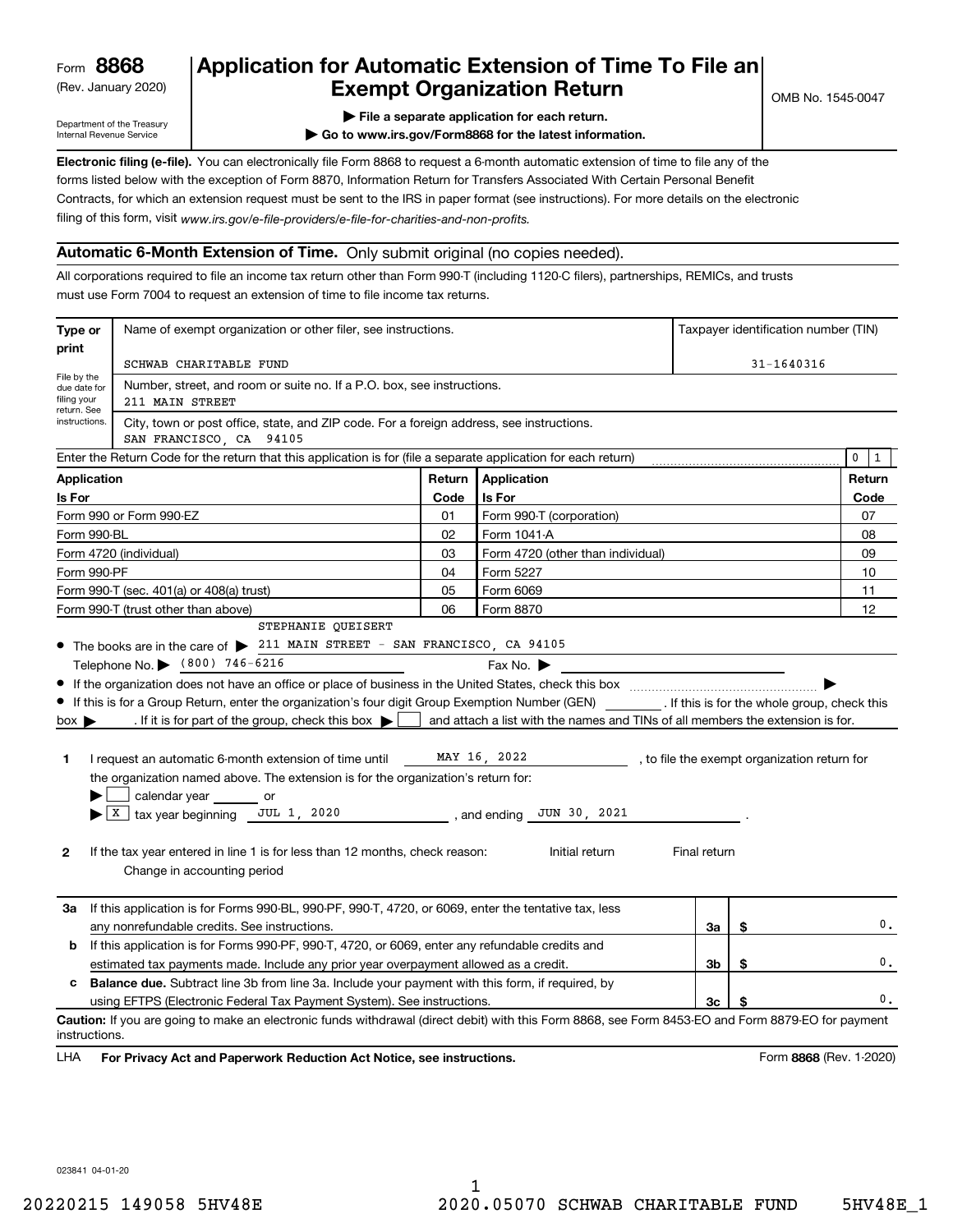(Rev. January 2020)

# **Application for Automatic Extension of Time To File an Exempt Organization Return**

Department of the Treasury Internal Revenue Service

**| File a separate application for each return.**

**| Go to www.irs.gov/Form8868 for the latest information.**

**Electronic filing (e-file).**  You can electronically file Form 8868 to request a 6-month automatic extension of time to file any of the filing of this form, visit www.irs.gov/e-file-providers/e-file-for-charities-and-non-profits. forms listed below with the exception of Form 8870, Information Return for Transfers Associated With Certain Personal Benefit Contracts, for which an extension request must be sent to the IRS in paper format (see instructions). For more details on the electronic

### **Automatic 6-Month Extension of Time.** Only submit original (no copies needed).

All corporations required to file an income tax return other than Form 990-T (including 1120-C filers), partnerships, REMICs, and trusts must use Form 7004 to request an extension of time to file income tax returns.

| Type or                                    | Name of exempt organization or other filer, see instructions.                                                                                                                                                                                                                                                                                               |        |                                                                                |              | Taxpayer identification number (TIN) |                                              |
|--------------------------------------------|-------------------------------------------------------------------------------------------------------------------------------------------------------------------------------------------------------------------------------------------------------------------------------------------------------------------------------------------------------------|--------|--------------------------------------------------------------------------------|--------------|--------------------------------------|----------------------------------------------|
| print                                      | SCHWAB CHARITABLE FUND                                                                                                                                                                                                                                                                                                                                      |        |                                                                                |              | $31 - 1640316$                       |                                              |
| File by the<br>due date for<br>filing your | Number, street, and room or suite no. If a P.O. box, see instructions.<br>211 MAIN STREET                                                                                                                                                                                                                                                                   |        |                                                                                |              |                                      |                                              |
| return. See<br>instructions.               | City, town or post office, state, and ZIP code. For a foreign address, see instructions.<br>SAN FRANCISCO, CA 94105                                                                                                                                                                                                                                         |        |                                                                                |              |                                      |                                              |
|                                            | Enter the Return Code for the return that this application is for (file a separate application for each return)                                                                                                                                                                                                                                             |        |                                                                                |              |                                      | 0<br>$\mathbf{1}$                            |
| <b>Application</b>                         |                                                                                                                                                                                                                                                                                                                                                             | Return | <b>Application</b>                                                             |              |                                      | Return                                       |
| Is For                                     |                                                                                                                                                                                                                                                                                                                                                             | Code   | <b>Is For</b>                                                                  |              |                                      | Code                                         |
|                                            | Form 990 or Form 990-EZ                                                                                                                                                                                                                                                                                                                                     | 01     | Form 990-T (corporation)                                                       |              |                                      | 07                                           |
| Form 990-BL                                |                                                                                                                                                                                                                                                                                                                                                             | 02     | Form 1041-A                                                                    |              |                                      | 08                                           |
|                                            | Form 4720 (individual)                                                                                                                                                                                                                                                                                                                                      | 03     | Form 4720 (other than individual)                                              |              |                                      | 09                                           |
| Form 990-PF                                |                                                                                                                                                                                                                                                                                                                                                             | 04     | Form 5227                                                                      |              |                                      | 10                                           |
|                                            | Form 990-T (sec. 401(a) or 408(a) trust)                                                                                                                                                                                                                                                                                                                    | 05     | Form 6069                                                                      |              |                                      | 11                                           |
|                                            | Form 990-T (trust other than above)                                                                                                                                                                                                                                                                                                                         | 06     | Form 8870                                                                      |              |                                      | 12                                           |
|                                            | STEPHANIE QUEISERT                                                                                                                                                                                                                                                                                                                                          |        |                                                                                |              |                                      |                                              |
|                                            | • The books are in the care of > 211 MAIN STREET - SAN FRANCISCO, CA 94105<br>Telephone No. (800) 746-6216                                                                                                                                                                                                                                                  |        |                                                                                |              |                                      |                                              |
| $box \blacktriangleright$                  | If this is for a Group Return, enter the organization's four digit Group Exemption Number (GEN) [If this is for the whole group, check this<br>. If it is for part of the group, check this box $\blacktriangleright$                                                                                                                                       |        | and attach a list with the names and TINs of all members the extension is for. |              |                                      |                                              |
| 1<br>2                                     | I request an automatic 6-month extension of time until<br>the organization named above. The extension is for the organization's return for:<br>calendar year or<br>$\blacktriangleright$ $\lfloor$ X $\rfloor$ tax year beginning JUL 1, 2020<br>If the tax year entered in line 1 is for less than 12 months, check reason:<br>Change in accounting period |        | MAY 16, 2022<br>, and ending $\_$ JUN 30, 2021<br>Initial return               | Final return |                                      | , to file the exempt organization return for |
| За<br>b                                    | If this application is for Forms 990-BL, 990-PF, 990-T, 4720, or 6069, enter the tentative tax, less<br>any nonrefundable credits. See instructions.<br>If this application is for Forms 990-PF, 990-T, 4720, or 6069, enter any refundable credits and                                                                                                     |        |                                                                                | За           | \$                                   | 0.                                           |
|                                            | estimated tax payments made. Include any prior year overpayment allowed as a credit.                                                                                                                                                                                                                                                                        |        |                                                                                | 3b           | \$                                   | $\mathbf 0$ .                                |
| c                                          | <b>Balance due.</b> Subtract line 3b from line 3a. Include your payment with this form, if required, by                                                                                                                                                                                                                                                     |        |                                                                                |              |                                      |                                              |
|                                            | using EFTPS (Electronic Federal Tax Payment System). See instructions.                                                                                                                                                                                                                                                                                      |        |                                                                                | Зc           |                                      | 0.                                           |
| instructions.                              | Caution: If you are going to make an electronic funds withdrawal (direct debit) with this Form 8868, see Form 8453-EO and Form 8879-EO for payment                                                                                                                                                                                                          |        |                                                                                |              |                                      |                                              |

**HA** For Privacy Act and Paperwork Reduction Act Notice, see instructions. **But a struction of the Constantion Constant** Form 8868 (Rev. 1-2020) LHA

023841 04-01-20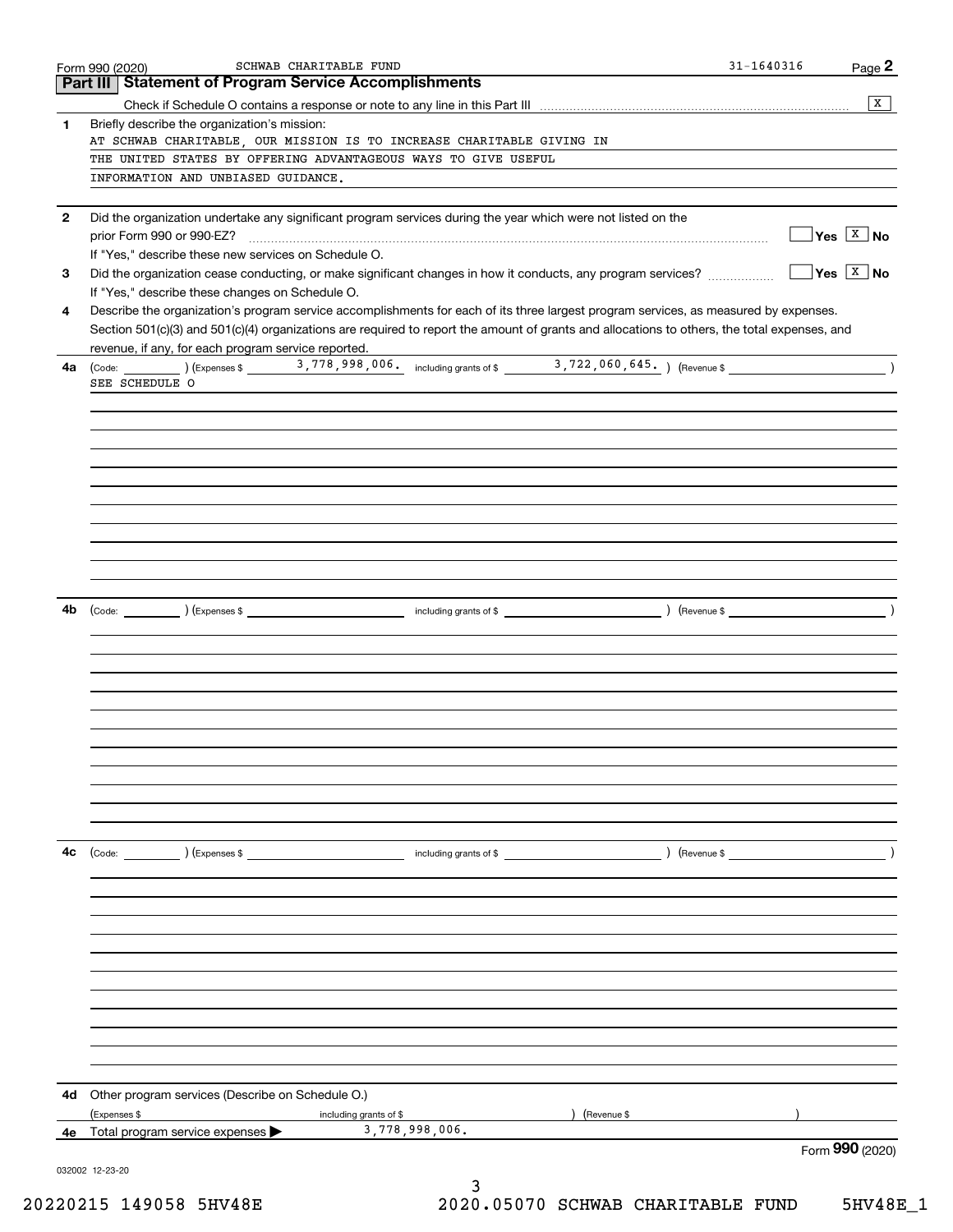|                                                                | SCHWAB CHARITABLE FUND<br>Form 990 (2020)                                                                                                                                               | 31-1640316<br>Page 2        |  |  |  |
|----------------------------------------------------------------|-----------------------------------------------------------------------------------------------------------------------------------------------------------------------------------------|-----------------------------|--|--|--|
|                                                                | <b>Part III Statement of Program Service Accomplishments</b>                                                                                                                            |                             |  |  |  |
|                                                                |                                                                                                                                                                                         | $\overline{X}$              |  |  |  |
| 1                                                              | Briefly describe the organization's mission:                                                                                                                                            |                             |  |  |  |
|                                                                | AT SCHWAB CHARITABLE, OUR MISSION IS TO INCREASE CHARITABLE GIVING IN                                                                                                                   |                             |  |  |  |
| THE UNITED STATES BY OFFERING ADVANTAGEOUS WAYS TO GIVE USEFUL |                                                                                                                                                                                         |                             |  |  |  |
|                                                                | INFORMATION AND UNBIASED GUIDANCE.                                                                                                                                                      |                             |  |  |  |
|                                                                |                                                                                                                                                                                         |                             |  |  |  |
| $\mathbf{2}$                                                   | Did the organization undertake any significant program services during the year which were not listed on the                                                                            | $\sqrt{}$ Yes $\sqrt{X}$ No |  |  |  |
|                                                                | prior Form 990 or 990-EZ?                                                                                                                                                               |                             |  |  |  |
|                                                                | If "Yes," describe these new services on Schedule O.                                                                                                                                    | $\sqrt{}$ Yes $\sqrt{X}$ No |  |  |  |
| 3                                                              |                                                                                                                                                                                         |                             |  |  |  |
| 4                                                              | If "Yes," describe these changes on Schedule O.<br>Describe the organization's program service accomplishments for each of its three largest program services, as measured by expenses. |                             |  |  |  |
|                                                                |                                                                                                                                                                                         |                             |  |  |  |
|                                                                | Section 501(c)(3) and 501(c)(4) organizations are required to report the amount of grants and allocations to others, the total expenses, and                                            |                             |  |  |  |
| 4a                                                             | revenue, if any, for each program service reported.                                                                                                                                     |                             |  |  |  |
|                                                                | SEE SCHEDULE O                                                                                                                                                                          |                             |  |  |  |
|                                                                |                                                                                                                                                                                         |                             |  |  |  |
|                                                                |                                                                                                                                                                                         |                             |  |  |  |
|                                                                |                                                                                                                                                                                         |                             |  |  |  |
|                                                                |                                                                                                                                                                                         |                             |  |  |  |
|                                                                |                                                                                                                                                                                         |                             |  |  |  |
|                                                                |                                                                                                                                                                                         |                             |  |  |  |
|                                                                |                                                                                                                                                                                         |                             |  |  |  |
|                                                                |                                                                                                                                                                                         |                             |  |  |  |
|                                                                |                                                                                                                                                                                         |                             |  |  |  |
|                                                                |                                                                                                                                                                                         |                             |  |  |  |
|                                                                |                                                                                                                                                                                         |                             |  |  |  |
|                                                                |                                                                                                                                                                                         |                             |  |  |  |
| 4b                                                             |                                                                                                                                                                                         |                             |  |  |  |
|                                                                |                                                                                                                                                                                         |                             |  |  |  |
|                                                                |                                                                                                                                                                                         |                             |  |  |  |
|                                                                |                                                                                                                                                                                         |                             |  |  |  |
|                                                                |                                                                                                                                                                                         |                             |  |  |  |
|                                                                |                                                                                                                                                                                         |                             |  |  |  |
|                                                                |                                                                                                                                                                                         |                             |  |  |  |
|                                                                |                                                                                                                                                                                         |                             |  |  |  |
|                                                                |                                                                                                                                                                                         |                             |  |  |  |
|                                                                |                                                                                                                                                                                         |                             |  |  |  |
|                                                                |                                                                                                                                                                                         |                             |  |  |  |
|                                                                |                                                                                                                                                                                         |                             |  |  |  |
|                                                                |                                                                                                                                                                                         |                             |  |  |  |
| 4с                                                             |                                                                                                                                                                                         |                             |  |  |  |
|                                                                |                                                                                                                                                                                         |                             |  |  |  |
|                                                                |                                                                                                                                                                                         |                             |  |  |  |
|                                                                |                                                                                                                                                                                         |                             |  |  |  |
|                                                                |                                                                                                                                                                                         |                             |  |  |  |
|                                                                |                                                                                                                                                                                         |                             |  |  |  |
|                                                                |                                                                                                                                                                                         |                             |  |  |  |
|                                                                |                                                                                                                                                                                         |                             |  |  |  |
|                                                                |                                                                                                                                                                                         |                             |  |  |  |
|                                                                |                                                                                                                                                                                         |                             |  |  |  |
|                                                                |                                                                                                                                                                                         |                             |  |  |  |
|                                                                |                                                                                                                                                                                         |                             |  |  |  |
|                                                                |                                                                                                                                                                                         |                             |  |  |  |
| 4d                                                             | Other program services (Describe on Schedule O.)                                                                                                                                        |                             |  |  |  |
|                                                                | (Expenses \$<br>including grants of \$<br>) (Revenue \$                                                                                                                                 |                             |  |  |  |
| 4е                                                             | 3,778,998,006.<br>Total program service expenses                                                                                                                                        |                             |  |  |  |
|                                                                |                                                                                                                                                                                         | Form 990 (2020)             |  |  |  |
|                                                                | 032002 12-23-20                                                                                                                                                                         |                             |  |  |  |
|                                                                | 3                                                                                                                                                                                       |                             |  |  |  |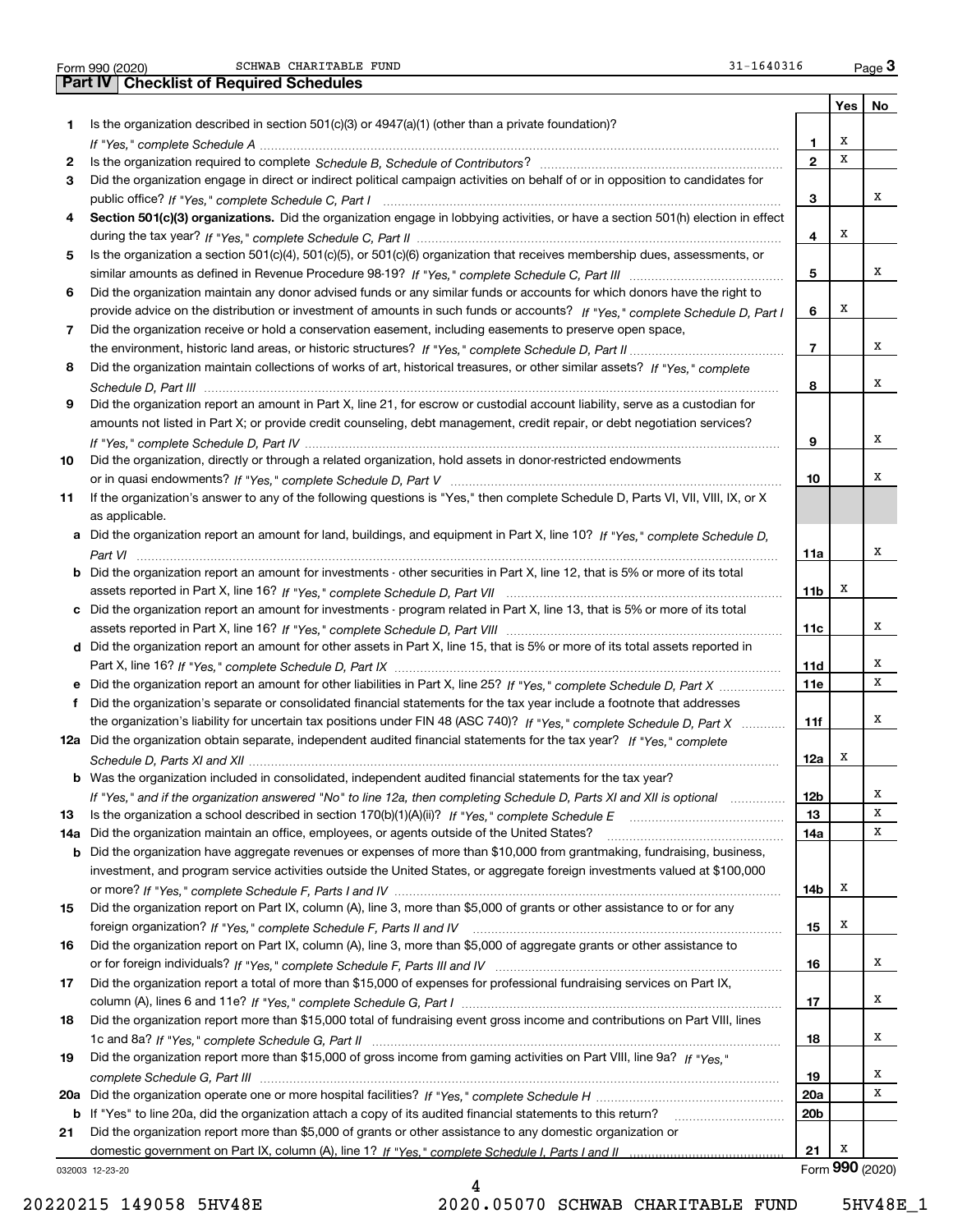|  | Form 990 (2020 |
|--|----------------|

SCHWAB CHARITABLE FUND 31-1640316

|        | SCHWAB CHARITABLE FUND<br>31-1640316<br>Form 990 (2020)                                                                               |                         |     | $_{\text{Page}}$ 3 |
|--------|---------------------------------------------------------------------------------------------------------------------------------------|-------------------------|-----|--------------------|
|        | <b>Part IV   Checklist of Required Schedules</b>                                                                                      |                         |     |                    |
|        |                                                                                                                                       |                         | Yes | No                 |
| 1      | Is the organization described in section $501(c)(3)$ or $4947(a)(1)$ (other than a private foundation)?                               |                         | х   |                    |
|        |                                                                                                                                       | 1                       | х   |                    |
| 2<br>3 | Did the organization engage in direct or indirect political campaign activities on behalf of or in opposition to candidates for       | $\mathbf{2}$            |     |                    |
|        |                                                                                                                                       | з                       |     | х                  |
| 4      | Section 501(c)(3) organizations. Did the organization engage in lobbying activities, or have a section 501(h) election in effect      |                         |     |                    |
|        |                                                                                                                                       | 4                       | X   |                    |
| 5      | Is the organization a section 501(c)(4), 501(c)(5), or 501(c)(6) organization that receives membership dues, assessments, or          |                         |     |                    |
|        |                                                                                                                                       | 5                       |     | х                  |
| 6      | Did the organization maintain any donor advised funds or any similar funds or accounts for which donors have the right to             |                         |     |                    |
|        | provide advice on the distribution or investment of amounts in such funds or accounts? If "Yes," complete Schedule D, Part I          | 6                       | X   |                    |
| 7      | Did the organization receive or hold a conservation easement, including easements to preserve open space,                             |                         |     |                    |
|        |                                                                                                                                       | $\overline{\mathbf{r}}$ |     | х                  |
| 8      | Did the organization maintain collections of works of art, historical treasures, or other similar assets? If "Yes," complete          |                         |     |                    |
|        | .                                                                                                                                     | 8                       |     | х                  |
| 9      | Did the organization report an amount in Part X, line 21, for escrow or custodial account liability, serve as a custodian for         |                         |     |                    |
|        | amounts not listed in Part X; or provide credit counseling, debt management, credit repair, or debt negotiation services?             |                         |     |                    |
|        |                                                                                                                                       | 9                       |     | х                  |
| 10     | Did the organization, directly or through a related organization, hold assets in donor-restricted endowments                          |                         |     | х                  |
| 11     | If the organization's answer to any of the following questions is "Yes," then complete Schedule D, Parts VI, VII, VIII, IX, or X      | 10                      |     |                    |
|        | as applicable.                                                                                                                        |                         |     |                    |
|        | a Did the organization report an amount for land, buildings, and equipment in Part X, line 10? If "Yes," complete Schedule D,         |                         |     |                    |
|        |                                                                                                                                       | 11a                     |     | х                  |
|        | <b>b</b> Did the organization report an amount for investments - other securities in Part X, line 12, that is 5% or more of its total |                         |     |                    |
|        |                                                                                                                                       | 11 <sub>b</sub>         | х   |                    |
|        | c Did the organization report an amount for investments - program related in Part X, line 13, that is 5% or more of its total         |                         |     |                    |
|        |                                                                                                                                       | 11c                     |     | х                  |
|        | d Did the organization report an amount for other assets in Part X, line 15, that is 5% or more of its total assets reported in       |                         |     |                    |
|        |                                                                                                                                       | 11d                     |     | х                  |
|        | e Did the organization report an amount for other liabilities in Part X, line 25? If "Yes," complete Schedule D, Part X               | 11e                     |     | х                  |
|        | f Did the organization's separate or consolidated financial statements for the tax year include a footnote that addresses             |                         |     |                    |
|        | the organization's liability for uncertain tax positions under FIN 48 (ASC 740)? If "Yes," complete Schedule D, Part X                | 11f                     |     | х                  |
|        | 12a Did the organization obtain separate, independent audited financial statements for the tax year? If "Yes," complete               |                         |     |                    |
|        |                                                                                                                                       | 12a                     | x   |                    |
| b      | Was the organization included in consolidated, independent audited financial statements for the tax year?                             |                         |     | x                  |
| 13     | If "Yes," and if the organization answered "No" to line 12a, then completing Schedule D, Parts XI and XII is optional                 | 12b<br>13               |     | х                  |
| 14a    | Did the organization maintain an office, employees, or agents outside of the United States?                                           | 14a                     |     | х                  |
| b      | Did the organization have aggregate revenues or expenses of more than \$10,000 from grantmaking, fundraising, business,               |                         |     |                    |
|        | investment, and program service activities outside the United States, or aggregate foreign investments valued at \$100,000            |                         |     |                    |
|        |                                                                                                                                       | 14b                     | x   |                    |
| 15     | Did the organization report on Part IX, column (A), line 3, more than \$5,000 of grants or other assistance to or for any             |                         |     |                    |
|        |                                                                                                                                       | 15                      | x   |                    |
| 16     | Did the organization report on Part IX, column (A), line 3, more than \$5,000 of aggregate grants or other assistance to              |                         |     |                    |
|        |                                                                                                                                       | 16                      |     | х                  |
| 17     | Did the organization report a total of more than \$15,000 of expenses for professional fundraising services on Part IX,               |                         |     |                    |
|        |                                                                                                                                       | 17                      |     | х                  |
| 18     | Did the organization report more than \$15,000 total of fundraising event gross income and contributions on Part VIII, lines          |                         |     |                    |
|        |                                                                                                                                       | 18                      |     | х                  |
| 19     | Did the organization report more than \$15,000 of gross income from gaming activities on Part VIII, line 9a? If "Yes."                |                         |     |                    |
|        |                                                                                                                                       | 19                      |     | х                  |
|        |                                                                                                                                       | 20a                     |     | х                  |
| b      | If "Yes" to line 20a, did the organization attach a copy of its audited financial statements to this return?                          | 20 <sub>b</sub>         |     |                    |
| 21     | Did the organization report more than \$5,000 of grants or other assistance to any domestic organization or                           |                         | Х   |                    |
|        |                                                                                                                                       | 21                      |     | Form 990 (2020)    |
|        | 032003 12-23-20                                                                                                                       |                         |     |                    |

20220215 149058 5HV48E 2020.05070 SCHWAB CHARITABLE FUND 5HV48E\_1

4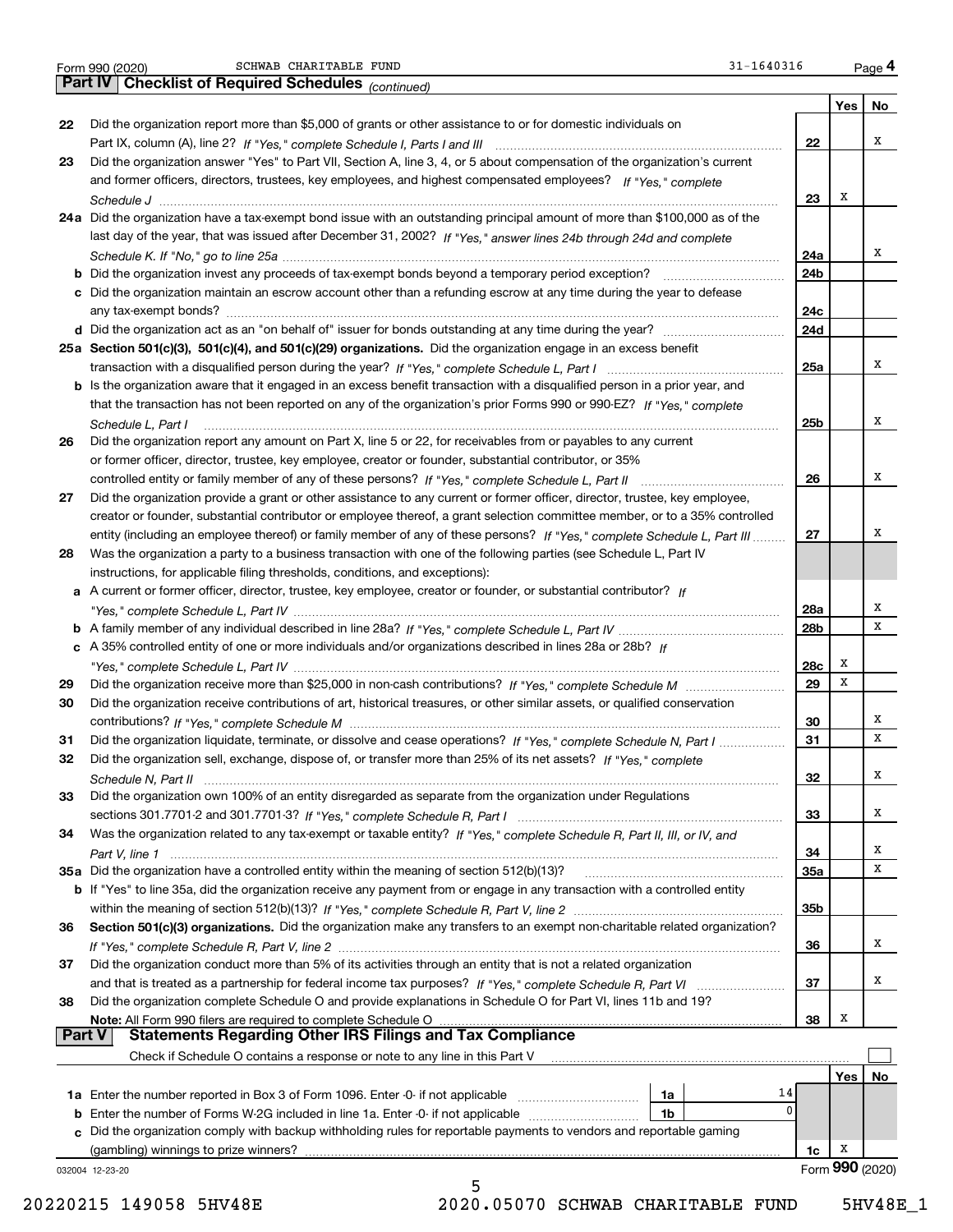|  | Form 990 (2020) |
|--|-----------------|
|  |                 |

Form 990 (2020) Page SCHWAB CHARITABLE FUND 31-1640316

|               | 31-1640316<br>SCHWAB CHARITABLE FUND<br>Form 990 (2020)                                                                      |            |     | Page 4          |
|---------------|------------------------------------------------------------------------------------------------------------------------------|------------|-----|-----------------|
|               | Part IV   Checklist of Required Schedules (continued)                                                                        |            |     |                 |
|               |                                                                                                                              |            | Yes | No              |
| 22            | Did the organization report more than \$5,000 of grants or other assistance to or for domestic individuals on                |            |     |                 |
|               |                                                                                                                              | 22         |     | х               |
| 23            | Did the organization answer "Yes" to Part VII, Section A, line 3, 4, or 5 about compensation of the organization's current   |            |     |                 |
|               | and former officers, directors, trustees, key employees, and highest compensated employees? If "Yes," complete               |            |     |                 |
|               |                                                                                                                              | 23         | х   |                 |
|               | 24a Did the organization have a tax-exempt bond issue with an outstanding principal amount of more than \$100,000 as of the  |            |     |                 |
|               | last day of the year, that was issued after December 31, 2002? If "Yes," answer lines 24b through 24d and complete           |            |     |                 |
|               |                                                                                                                              | 24a        |     | х               |
|               |                                                                                                                              | 24b        |     |                 |
|               |                                                                                                                              |            |     |                 |
|               | c Did the organization maintain an escrow account other than a refunding escrow at any time during the year to defease       |            |     |                 |
|               |                                                                                                                              | 24c        |     |                 |
|               |                                                                                                                              | 24d        |     |                 |
|               | 25a Section 501(c)(3), 501(c)(4), and 501(c)(29) organizations. Did the organization engage in an excess benefit             |            |     |                 |
|               |                                                                                                                              | 25a        |     | х               |
|               | b Is the organization aware that it engaged in an excess benefit transaction with a disqualified person in a prior year, and |            |     |                 |
|               | that the transaction has not been reported on any of the organization's prior Forms 990 or 990-EZ? If "Yes," complete        |            |     |                 |
|               | Schedule L. Part I                                                                                                           | 25b        |     | х               |
| 26            | Did the organization report any amount on Part X, line 5 or 22, for receivables from or payables to any current              |            |     |                 |
|               | or former officer, director, trustee, key employee, creator or founder, substantial contributor, or 35%                      |            |     |                 |
|               |                                                                                                                              | 26         |     | х               |
| 27            | Did the organization provide a grant or other assistance to any current or former officer, director, trustee, key employee,  |            |     |                 |
|               | creator or founder, substantial contributor or employee thereof, a grant selection committee member, or to a 35% controlled  |            |     |                 |
|               | entity (including an employee thereof) or family member of any of these persons? If "Yes," complete Schedule L, Part III     | 27         |     | х               |
| 28            | Was the organization a party to a business transaction with one of the following parties (see Schedule L, Part IV            |            |     |                 |
|               | instructions, for applicable filing thresholds, conditions, and exceptions):                                                 |            |     |                 |
|               | a A current or former officer, director, trustee, key employee, creator or founder, or substantial contributor? If           |            |     |                 |
|               |                                                                                                                              | 28a        |     | Х               |
|               |                                                                                                                              | 28b        |     | х               |
|               | c A 35% controlled entity of one or more individuals and/or organizations described in lines 28a or 28b? If                  |            |     |                 |
|               |                                                                                                                              |            | х   |                 |
|               |                                                                                                                              | 28c        | x   |                 |
| 29            |                                                                                                                              | 29         |     |                 |
| 30            | Did the organization receive contributions of art, historical treasures, or other similar assets, or qualified conservation  |            |     |                 |
|               |                                                                                                                              | 30         |     | х               |
| 31            | Did the organization liquidate, terminate, or dissolve and cease operations? If "Yes," complete Schedule N, Part I           | 31         |     | x               |
|               | Did the organization sell, exchange, dispose of, or transfer more than 25% of its net assets? If "Yes," complete             |            |     |                 |
|               |                                                                                                                              | 32         |     | X               |
| 33            | Did the organization own 100% of an entity disregarded as separate from the organization under Regulations                   |            |     |                 |
|               |                                                                                                                              | 33         |     | х               |
| 34            | Was the organization related to any tax-exempt or taxable entity? If "Yes," complete Schedule R, Part II, III, or IV, and    |            |     |                 |
|               |                                                                                                                              | 34         |     | x               |
|               | 35a Did the organization have a controlled entity within the meaning of section 512(b)(13)?                                  | <b>35a</b> |     | х               |
|               | b If "Yes" to line 35a, did the organization receive any payment from or engage in any transaction with a controlled entity  |            |     |                 |
|               |                                                                                                                              | 35b        |     |                 |
| 36            | Section 501(c)(3) organizations. Did the organization make any transfers to an exempt non-charitable related organization?   |            |     |                 |
|               |                                                                                                                              | 36         |     | х               |
| 37            | Did the organization conduct more than 5% of its activities through an entity that is not a related organization             |            |     |                 |
|               |                                                                                                                              | 37         |     | х               |
| 38            | Did the organization complete Schedule O and provide explanations in Schedule O for Part VI, lines 11b and 19?               |            |     |                 |
|               | Note: All Form 990 filers are required to complete Schedule O                                                                | 38         | x   |                 |
| <b>Part V</b> | <b>Statements Regarding Other IRS Filings and Tax Compliance</b>                                                             |            |     |                 |
|               | Check if Schedule O contains a response or note to any line in this Part V                                                   |            |     |                 |
|               |                                                                                                                              |            |     |                 |
|               |                                                                                                                              |            | Yes | No              |
|               | 14<br>1a                                                                                                                     |            |     |                 |
|               | 0<br><b>b</b> Enter the number of Forms W-2G included in line 1a. Enter -0- if not applicable<br>1b                          |            |     |                 |
|               | c Did the organization comply with backup withholding rules for reportable payments to vendors and reportable gaming         |            |     |                 |
|               | (gambling) winnings to prize winners?                                                                                        | 1c         | x   |                 |
|               | 032004 12-23-20                                                                                                              |            |     | Form 990 (2020) |
|               | 5                                                                                                                            |            |     |                 |

 <sup>20220215 149058 5</sup>HV48E 2020.05070 SCHWAB CHARITABLE FUND 5HV48E\_1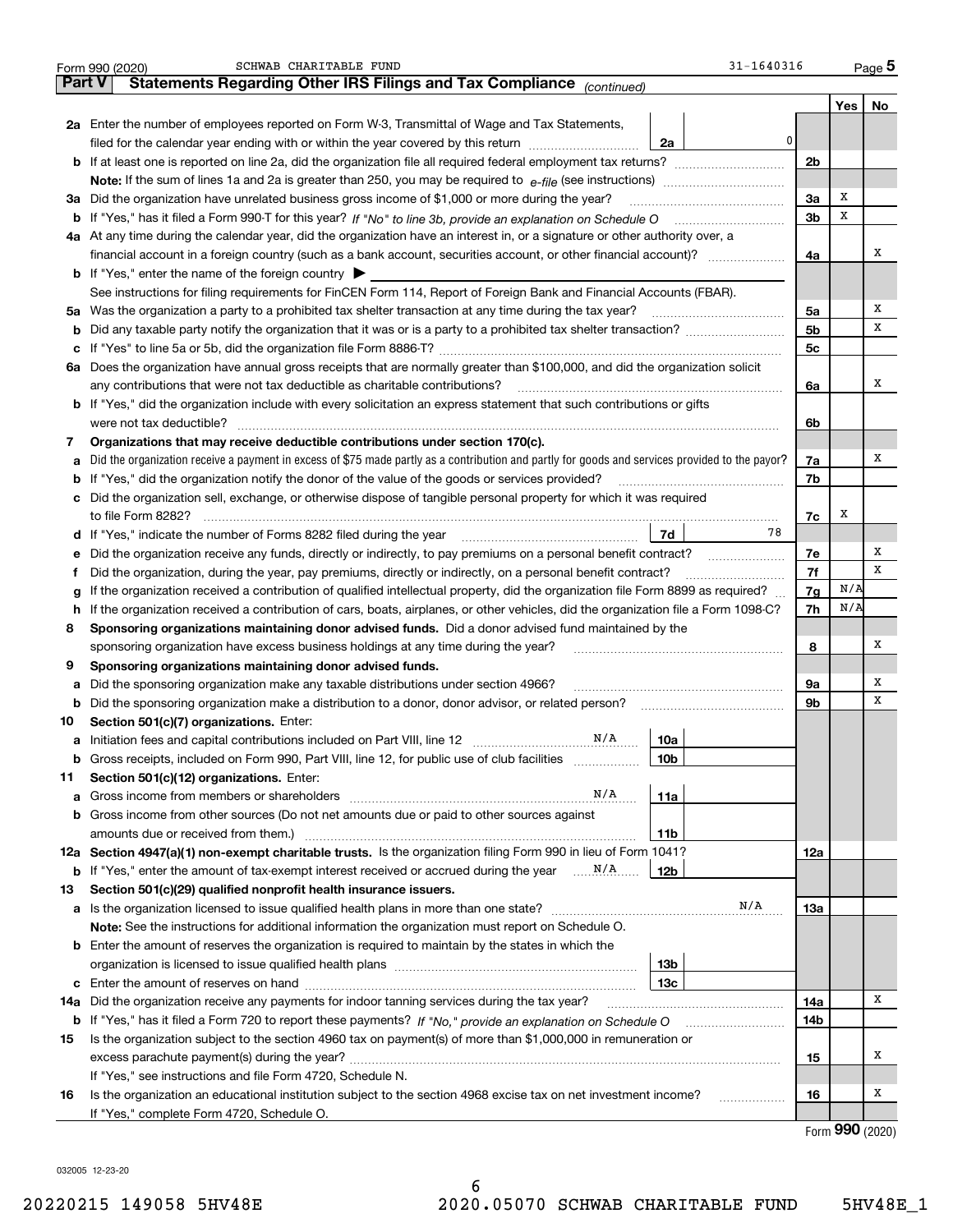|        | 31-1640316<br>SCHWAB CHARITABLE FUND<br>Form 990 (2020)                                                                                         |                |     | <u>Page</u> 5 |
|--------|-------------------------------------------------------------------------------------------------------------------------------------------------|----------------|-----|---------------|
| Part V | Statements Regarding Other IRS Filings and Tax Compliance (continued)                                                                           |                |     |               |
|        |                                                                                                                                                 |                | Yes | No            |
|        | 2a Enter the number of employees reported on Form W-3, Transmittal of Wage and Tax Statements,                                                  |                |     |               |
|        | 0<br>filed for the calendar year ending with or within the year covered by this return<br>2a                                                    |                |     |               |
|        | <b>b</b> If at least one is reported on line 2a, did the organization file all required federal employment tax returns?                         | 2b             |     |               |
|        | Note: If the sum of lines 1a and 2a is greater than 250, you may be required to $e$ -file (see instructions) $\ldots$                           |                |     |               |
|        | 3a Did the organization have unrelated business gross income of \$1,000 or more during the year?                                                | 3a             | х   |               |
|        | b If "Yes," has it filed a Form 990-T for this year? If "No" to line 3b, provide an explanation on Schedule O                                   | 3 <sub>b</sub> | х   |               |
|        | 4a At any time during the calendar year, did the organization have an interest in, or a signature or other authority over, a                    |                |     |               |
|        |                                                                                                                                                 | 4a             |     | х             |
|        | <b>b</b> If "Yes," enter the name of the foreign country $\triangleright$                                                                       |                |     |               |
|        | See instructions for filing requirements for FinCEN Form 114, Report of Foreign Bank and Financial Accounts (FBAR).                             |                |     |               |
|        | 5a Was the organization a party to a prohibited tax shelter transaction at any time during the tax year?                                        | 5a             |     | х             |
|        |                                                                                                                                                 | 5 <sub>b</sub> |     | х             |
|        |                                                                                                                                                 | 5c             |     |               |
|        | 6a Does the organization have annual gross receipts that are normally greater than \$100,000, and did the organization solicit                  |                |     |               |
|        | any contributions that were not tax deductible as charitable contributions?                                                                     | 6a             |     | х             |
|        | <b>b</b> If "Yes," did the organization include with every solicitation an express statement that such contributions or gifts                   |                |     |               |
|        | were not tax deductible?                                                                                                                        | 6b             |     |               |
| 7      | Organizations that may receive deductible contributions under section 170(c).                                                                   |                |     |               |
| а      | Did the organization receive a payment in excess of \$75 made partly as a contribution and partly for goods and services provided to the payor? | 7a             |     | х             |
|        | <b>b</b> If "Yes," did the organization notify the donor of the value of the goods or services provided?                                        | 7b             |     |               |
|        | c Did the organization sell, exchange, or otherwise dispose of tangible personal property for which it was required                             |                |     |               |
|        | to file Form 8282?                                                                                                                              | 7c             | х   |               |
|        | 78<br>7d                                                                                                                                        |                |     |               |
| е      | Did the organization receive any funds, directly or indirectly, to pay premiums on a personal benefit contract?                                 | 7e             |     | Х             |
| Ť.     | Did the organization, during the year, pay premiums, directly or indirectly, on a personal benefit contract?                                    | 7f             |     | х             |
| g      | If the organization received a contribution of qualified intellectual property, did the organization file Form 8899 as required?                | 7g             | N/A |               |
| h.     | If the organization received a contribution of cars, boats, airplanes, or other vehicles, did the organization file a Form 1098-C?              | 7h             | N/A |               |
| 8      | Sponsoring organizations maintaining donor advised funds. Did a donor advised fund maintained by the                                            |                |     |               |
|        | sponsoring organization have excess business holdings at any time during the year?                                                              | 8              |     | х             |
| 9      | Sponsoring organizations maintaining donor advised funds.                                                                                       |                |     |               |
| а      | Did the sponsoring organization make any taxable distributions under section 4966?                                                              | 9а             |     | Х             |
| b      | Did the sponsoring organization make a distribution to a donor, donor advisor, or related person?                                               | 9b             |     | х             |
| 10     | Section 501(c)(7) organizations. Enter:                                                                                                         |                |     |               |
|        | N/A<br>a Initiation fees and capital contributions included on Part VIII, line 12 [111] [11] [12] [11] [12] [11] [12<br>10a                     |                |     |               |
| b      | Gross receipts, included on Form 990, Part VIII, line 12, for public use of club facilities<br>10b                                              |                |     |               |
| 11     | Section 501(c)(12) organizations. Enter:                                                                                                        |                |     |               |
| а      | N/A<br>11a<br>Gross income from members or shareholders [1111] [111] Cross income from members or shareholders [111] [11] Th                    |                |     |               |
| b      | Gross income from other sources (Do not net amounts due or paid to other sources against                                                        |                |     |               |
|        | amounts due or received from them.)<br>11b                                                                                                      |                |     |               |
|        | 12a Section 4947(a)(1) non-exempt charitable trusts. Is the organization filing Form 990 in lieu of Form 1041?                                  | 12a            |     |               |
| b      | If "Yes," enter the amount of tax-exempt interest received or accrued during the year<br>12b                                                    |                |     |               |
| 13     | Section 501(c)(29) qualified nonprofit health insurance issuers.                                                                                |                |     |               |
|        | N/A                                                                                                                                             | 13а            |     |               |
|        | Note: See the instructions for additional information the organization must report on Schedule O.                                               |                |     |               |
|        | <b>b</b> Enter the amount of reserves the organization is required to maintain by the states in which the                                       |                |     |               |
|        | 13 <sub>b</sub>                                                                                                                                 |                |     |               |
|        | 13с                                                                                                                                             |                |     |               |
| 14a    | Did the organization receive any payments for indoor tanning services during the tax year?                                                      | 14a            |     | х             |
| b      |                                                                                                                                                 | 14b            |     |               |
| 15     | Is the organization subject to the section 4960 tax on payment(s) of more than \$1,000,000 in remuneration or                                   |                |     |               |
|        |                                                                                                                                                 | 15             |     | Х             |
|        | If "Yes," see instructions and file Form 4720, Schedule N.                                                                                      |                |     |               |
| 16     | Is the organization an educational institution subject to the section 4968 excise tax on net investment income?<br>.                            | 16             |     | х             |
|        | If "Yes," complete Form 4720, Schedule O.                                                                                                       |                |     |               |
|        |                                                                                                                                                 |                |     |               |

6

|  | Form 990 (2020) |
|--|-----------------|
|  |                 |

032005 12-23-20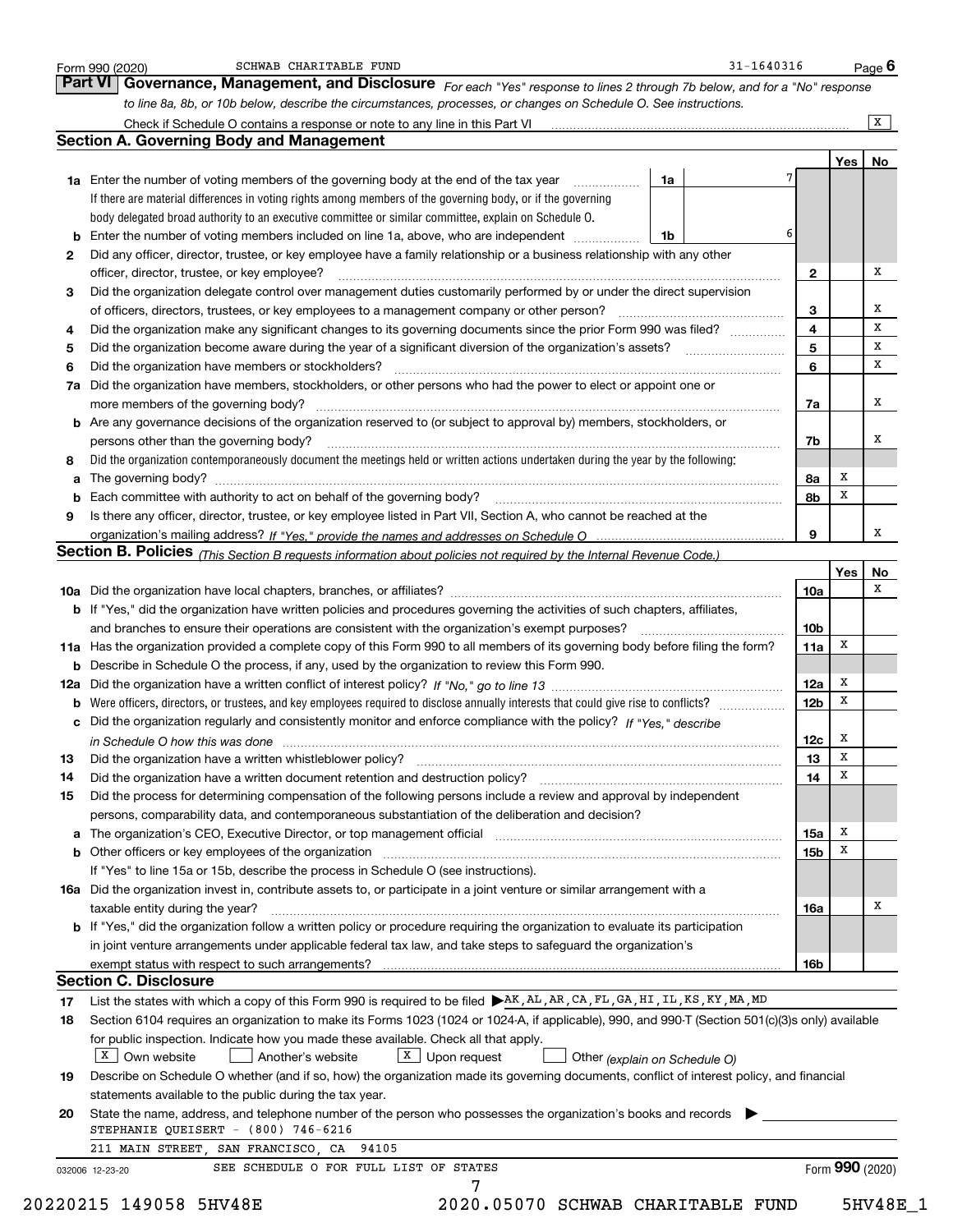|    | to line 8a, 8b, or 10b below, describe the circumstances, processes, or changes on Schedule O. See instructions.                                 |                 |     |                |
|----|--------------------------------------------------------------------------------------------------------------------------------------------------|-----------------|-----|----------------|
|    |                                                                                                                                                  |                 |     | $\overline{X}$ |
|    | <b>Section A. Governing Body and Management</b>                                                                                                  |                 |     |                |
|    |                                                                                                                                                  |                 | Yes | No             |
|    | 1a Enter the number of voting members of the governing body at the end of the tax year<br>1a                                                     |                 |     |                |
|    | If there are material differences in voting rights among members of the governing body, or if the governing                                      |                 |     |                |
|    | body delegated broad authority to an executive committee or similar committee, explain on Schedule O.                                            |                 |     |                |
|    | 6<br>1b                                                                                                                                          |                 |     |                |
| 2  | Did any officer, director, trustee, or key employee have a family relationship or a business relationship with any other                         |                 |     |                |
|    | officer, director, trustee, or key employee?                                                                                                     | $\mathbf{2}$    |     | x              |
| З  | Did the organization delegate control over management duties customarily performed by or under the direct supervision                            |                 |     |                |
|    |                                                                                                                                                  | 3               |     | х              |
| 4  | Did the organization make any significant changes to its governing documents since the prior Form 990 was filed?                                 | 4               |     | х              |
| 5  |                                                                                                                                                  | 5               |     | х              |
| 6  | Did the organization have members or stockholders?                                                                                               | 6               |     | x              |
|    | 7a Did the organization have members, stockholders, or other persons who had the power to elect or appoint one or                                |                 |     |                |
|    | more members of the governing body?                                                                                                              | 7a              |     | x              |
|    | <b>b</b> Are any governance decisions of the organization reserved to (or subject to approval by) members, stockholders, or                      |                 |     |                |
|    | persons other than the governing body?                                                                                                           | 7b              |     | х              |
| 8  | Did the organization contemporaneously document the meetings held or written actions undertaken during the year by the following:                |                 |     |                |
| a  |                                                                                                                                                  | 8а              | x   |                |
|    |                                                                                                                                                  | 8b              | x   |                |
| 9  | Is there any officer, director, trustee, or key employee listed in Part VII, Section A, who cannot be reached at the                             |                 |     |                |
|    |                                                                                                                                                  | 9               |     | x              |
|    | Section B. Policies (This Section B requests information about policies not required by the Internal Revenue Code.)                              |                 |     |                |
|    |                                                                                                                                                  |                 | Yes | No             |
|    |                                                                                                                                                  | 10a             |     | х              |
|    | <b>b</b> If "Yes," did the organization have written policies and procedures governing the activities of such chapters, affiliates,              |                 |     |                |
|    | and branches to ensure their operations are consistent with the organization's exempt purposes?                                                  | 10 <sub>b</sub> |     |                |
|    |                                                                                                                                                  |                 | х   |                |
|    | 11a Has the organization provided a complete copy of this Form 990 to all members of its governing body before filing the form?                  | 11a             |     |                |
|    | <b>b</b> Describe in Schedule O the process, if any, used by the organization to review this Form 990.                                           |                 | x   |                |
|    |                                                                                                                                                  | 12a             | x   |                |
|    | <b>b</b> Were officers, directors, or trustees, and key employees required to disclose annually interests that could give rise to conflicts?     | 12 <sub>b</sub> |     |                |
|    | c Did the organization regularly and consistently monitor and enforce compliance with the policy? If "Yes," describe                             |                 |     |                |
|    | in Schedule O how this was done manufactured and continuum control of the state of the state of the state of t                                   | 12c             | x   |                |
| 13 | Did the organization have a written whistleblower policy?                                                                                        | 13              | х   |                |
| 14 | Did the organization have a written document retention and destruction policy? [11] manufaction policy?                                          | 14              | x   |                |
| 15 | Did the process for determining compensation of the following persons include a review and approval by independent                               |                 |     |                |
|    | persons, comparability data, and contemporaneous substantiation of the deliberation and decision?                                                |                 |     |                |
|    |                                                                                                                                                  | 15a             | х   |                |
|    |                                                                                                                                                  | 15b             | x   |                |
|    | If "Yes" to line 15a or 15b, describe the process in Schedule O (see instructions).                                                              |                 |     |                |
|    | 16a Did the organization invest in, contribute assets to, or participate in a joint venture or similar arrangement with a                        |                 |     |                |
|    | taxable entity during the year?                                                                                                                  | 16a             |     | х              |
|    | <b>b</b> If "Yes," did the organization follow a written policy or procedure requiring the organization to evaluate its participation            |                 |     |                |
|    | in joint venture arrangements under applicable federal tax law, and take steps to safequard the organization's                                   |                 |     |                |
|    |                                                                                                                                                  | 16b             |     |                |
|    |                                                                                                                                                  |                 |     |                |
|    |                                                                                                                                                  |                 |     |                |
|    | <b>Section C. Disclosure</b>                                                                                                                     |                 |     |                |
| 17 | List the states with which a copy of this Form 990 is required to be filed ▶AK, AL, AR, CA, FL, GA, HI, IL, KS, KY, MA, MD                       |                 |     |                |
| 18 | Section 6104 requires an organization to make its Forms 1023 (1024 or 1024-A, if applicable), 990, and 990-T (Section 501(c)(3)s only) available |                 |     |                |
|    | for public inspection. Indicate how you made these available. Check all that apply.                                                              |                 |     |                |
|    | $X$ Own website<br>$X$ Upon request<br>Another's website<br>Other (explain on Schedule O)                                                        |                 |     |                |
| 19 | Describe on Schedule O whether (and if so, how) the organization made its governing documents, conflict of interest policy, and financial        |                 |     |                |
|    | statements available to the public during the tax year.                                                                                          |                 |     |                |
| 20 | State the name, address, and telephone number of the person who possesses the organization's books and records                                   |                 |     |                |
|    | STEPHANIE QUEISERT $-$ (800) 746-6216<br>211 MAIN STREET, SAN FRANCISCO, CA 94105                                                                |                 |     |                |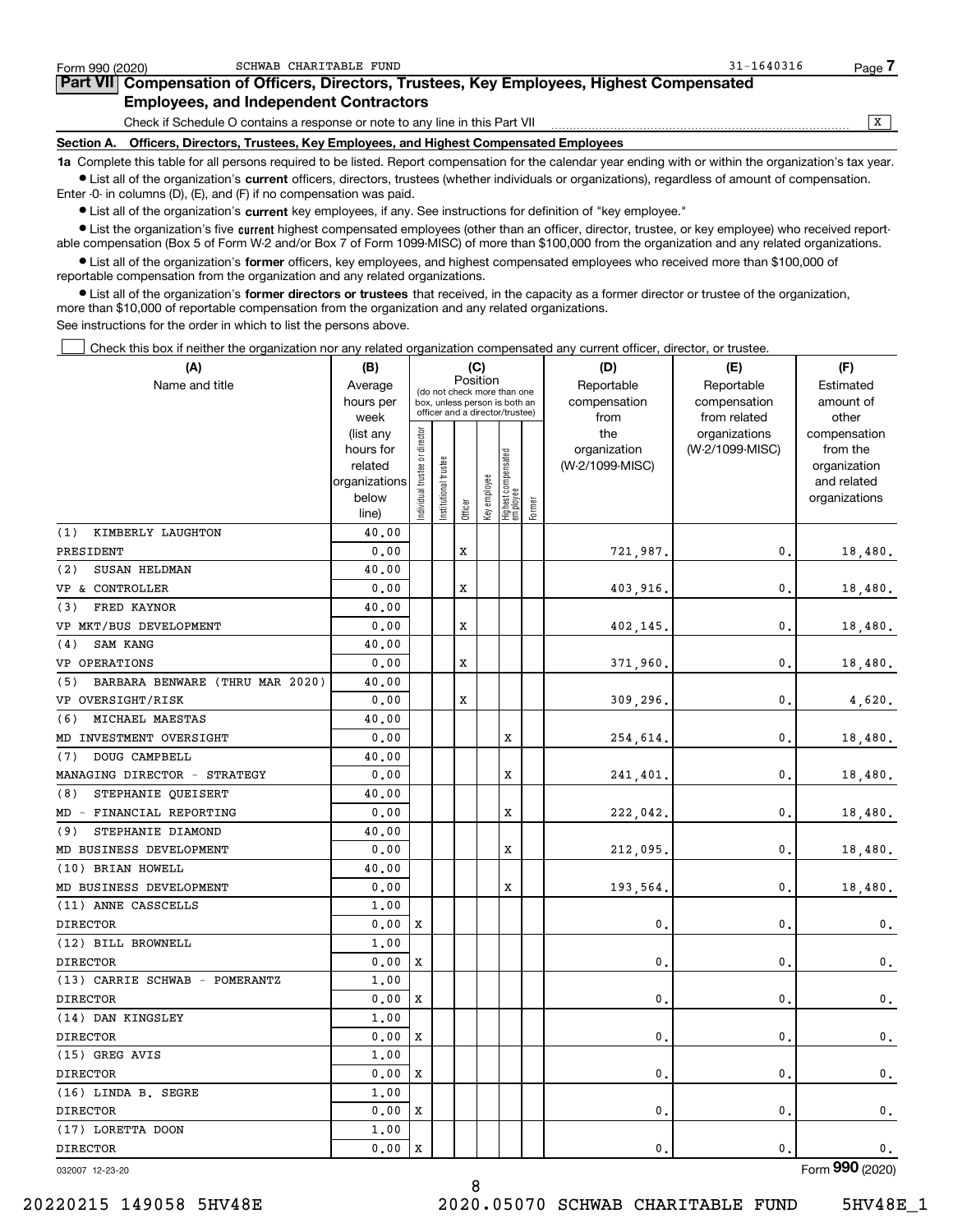| Form 990 (2020) | SCHWAB CHARITABLE FUND                                                                                                                                     | $31 - 1640316$ | Page |  |  |  |  |  |  |  |  |
|-----------------|------------------------------------------------------------------------------------------------------------------------------------------------------------|----------------|------|--|--|--|--|--|--|--|--|
|                 | <b>Part VII</b> Compensation of Officers, Directors, Trustees, Key Employees, Highest Compensated                                                          |                |      |  |  |  |  |  |  |  |  |
|                 | <b>Employees, and Independent Contractors</b>                                                                                                              |                |      |  |  |  |  |  |  |  |  |
|                 | Check if Schedule O contains a response or note to any line in this Part VII                                                                               |                |      |  |  |  |  |  |  |  |  |
|                 | Section A. Officers, Directors, Trustees, Key Employees, and Highest Compensated Employees                                                                 |                |      |  |  |  |  |  |  |  |  |
|                 | 1a Complete this table for all persons required to be listed. Report compensation for the calendar year ending with or within the organization's tax year. |                |      |  |  |  |  |  |  |  |  |

**•** List all of the organization's current officers, directors, trustees (whether individuals or organizations), regardless of amount of compensation. Enter -0- in columns (D), (E), and (F) if no compensation was paid.

 $\bullet$  List all of the organization's  $\,$ current key employees, if any. See instructions for definition of "key employee."

**·** List the organization's five current highest compensated employees (other than an officer, director, trustee, or key employee) who received report-■ List the organization's five current highest compensated employees (other than an officer, director, trustee, or key employee) who received report-<br>able compensation (Box 5 of Form W-2 and/or Box 7 of Form 1099-MISC) of

**•** List all of the organization's former officers, key employees, and highest compensated employees who received more than \$100,000 of reportable compensation from the organization and any related organizations.

**former directors or trustees**  ¥ List all of the organization's that received, in the capacity as a former director or trustee of the organization, more than \$10,000 of reportable compensation from the organization and any related organizations.

See instructions for the order in which to list the persons above.

Check this box if neither the organization nor any related organization compensated any current officer, director, or trustee.  $\mathcal{L}^{\text{max}}$ 

| (A)                                    | (B)                      |                               |                       | (C)     |              |                                                                  |        | (D)             | (E)             | (F)                         |
|----------------------------------------|--------------------------|-------------------------------|-----------------------|---------|--------------|------------------------------------------------------------------|--------|-----------------|-----------------|-----------------------------|
| Name and title                         | Average                  |                               |                       |         | Position     | (do not check more than one                                      |        | Reportable      | Reportable      | Estimated                   |
|                                        | hours per                |                               |                       |         |              | box, unless person is both an<br>officer and a director/trustee) |        | compensation    | compensation    | amount of                   |
|                                        | week                     |                               |                       |         |              |                                                                  |        | from            | from related    | other                       |
|                                        | (list any                |                               |                       |         |              |                                                                  |        | the             | organizations   | compensation                |
|                                        | hours for                |                               |                       |         |              |                                                                  |        | organization    | (W-2/1099-MISC) | from the                    |
|                                        | related<br>organizations |                               |                       |         |              |                                                                  |        | (W-2/1099-MISC) |                 | organization<br>and related |
|                                        | below                    |                               |                       |         |              |                                                                  |        |                 |                 | organizations               |
|                                        | line)                    | ndividual trustee or director | Institutional trustee | Officer | Key employee | Highest compensated<br>employee                                  | Former |                 |                 |                             |
| KIMBERLY LAUGHTON<br>(1)               | 40.00                    |                               |                       |         |              |                                                                  |        |                 |                 |                             |
| PRESIDENT                              | 0.00                     |                               |                       | x       |              |                                                                  |        | 721,987.        | 0.              | 18,480.                     |
| SUSAN HELDMAN<br>(2)                   | 40.00                    |                               |                       |         |              |                                                                  |        |                 |                 |                             |
| VP & CONTROLLER                        | 0.00                     |                               |                       | х       |              |                                                                  |        | 403,916.        | $\mathbf{0}$ .  | 18,480.                     |
| FRED KAYNOR<br>(3)                     | 40.00                    |                               |                       |         |              |                                                                  |        |                 |                 |                             |
| VP MKT/BUS DEVELOPMENT                 | 0.00                     |                               |                       | x       |              |                                                                  |        | 402,145         | $\mathbf{0}$ .  | 18,480.                     |
| SAM KANG<br>(4)                        | 40.00                    |                               |                       |         |              |                                                                  |        |                 |                 |                             |
| VP OPERATIONS                          | 0.00                     |                               |                       | X       |              |                                                                  |        | 371,960         | $\mathbf{0}$ .  | 18,480.                     |
| BARBARA BENWARE (THRU MAR 2020)<br>(5) | 40.00                    |                               |                       |         |              |                                                                  |        |                 |                 |                             |
| VP OVERSIGHT/RISK                      | 0.00                     |                               |                       | x       |              |                                                                  |        | 309,296         | $\mathbf{0}$ .  | 4,620.                      |
| MICHAEL MAESTAS<br>(6)                 | 40.00                    |                               |                       |         |              |                                                                  |        |                 |                 |                             |
| MD INVESTMENT OVERSIGHT                | 0.00                     |                               |                       |         |              | x                                                                |        | 254,614.        | $\mathbf{0}$ .  | 18,480.                     |
| DOUG CAMPBELL<br>(7)                   | 40.00                    |                               |                       |         |              |                                                                  |        |                 |                 |                             |
| MANAGING DIRECTOR - STRATEGY           | 0.00                     |                               |                       |         |              | X                                                                |        | 241,401         | $\mathbf{0}$ .  | 18,480.                     |
| STEPHANIE QUEISERT<br>(8)              | 40.00                    |                               |                       |         |              |                                                                  |        |                 |                 |                             |
| MD - FINANCIAL REPORTING               | 0.00                     |                               |                       |         |              | X                                                                |        | 222,042         | $\mathbf{0}$ .  | 18,480.                     |
| STEPHANIE DIAMOND<br>(9)               | 40.00                    |                               |                       |         |              |                                                                  |        |                 |                 |                             |
| MD BUSINESS DEVELOPMENT                | 0.00                     |                               |                       |         |              | X                                                                |        | 212,095         | $\mathbf{0}$ .  | 18,480.                     |
| (10) BRIAN HOWELL                      | 40.00                    |                               |                       |         |              |                                                                  |        |                 |                 |                             |
| MD BUSINESS DEVELOPMENT                | 0.00                     |                               |                       |         |              | X                                                                |        | 193,564.        | $\mathbf{0}$ .  | 18,480.                     |
| (11) ANNE CASSCELLS                    | 1.00                     |                               |                       |         |              |                                                                  |        |                 |                 |                             |
| <b>DIRECTOR</b>                        | 0.00                     | X                             |                       |         |              |                                                                  |        | 0.              | $\mathbf{0}$ .  | 0.                          |
| (12) BILL BROWNELL                     | 1.00                     |                               |                       |         |              |                                                                  |        |                 |                 |                             |
| <b>DIRECTOR</b>                        | 0.00                     | X                             |                       |         |              |                                                                  |        | $\mathbf{0}$    | $\mathbf{0}$    | $\mathbf 0$ .               |
| (13) CARRIE SCHWAB - POMERANTZ         | 1.00                     |                               |                       |         |              |                                                                  |        |                 |                 |                             |
| <b>DIRECTOR</b>                        | 0.00                     | X                             |                       |         |              |                                                                  |        | 0.              | $\mathbf{0}$    | $\mathbf 0$ .               |
| (14) DAN KINGSLEY                      | 1.00                     |                               |                       |         |              |                                                                  |        |                 |                 |                             |
| <b>DIRECTOR</b>                        | 0.00                     | х                             |                       |         |              |                                                                  |        | $\mathbf 0$ .   | $\mathbf 0$ .   | $\mathbf 0$ .               |
| (15) GREG AVIS                         | 1,00                     |                               |                       |         |              |                                                                  |        |                 |                 |                             |
| <b>DIRECTOR</b>                        | 0.00                     | X                             |                       |         |              |                                                                  |        | 0.              | $\mathbf{0}$ .  | $\mathbf 0$ .               |
| (16) LINDA B. SEGRE                    | 1,00                     |                               |                       |         |              |                                                                  |        |                 |                 |                             |
| <b>DIRECTOR</b>                        | 0.00                     | X                             |                       |         |              |                                                                  |        | $\mathbf 0$     | $\mathbf 0$ .   | 0.                          |
| (17) LORETTA DOON                      | 1,00                     |                               |                       |         |              |                                                                  |        |                 |                 |                             |
| <b>DIRECTOR</b>                        | 0.00                     | X                             |                       |         |              |                                                                  |        | $\mathbf{0}$    | $\mathbf{0}$ .  | 0.                          |

8

032007 12-23-20

Form (2020) **990**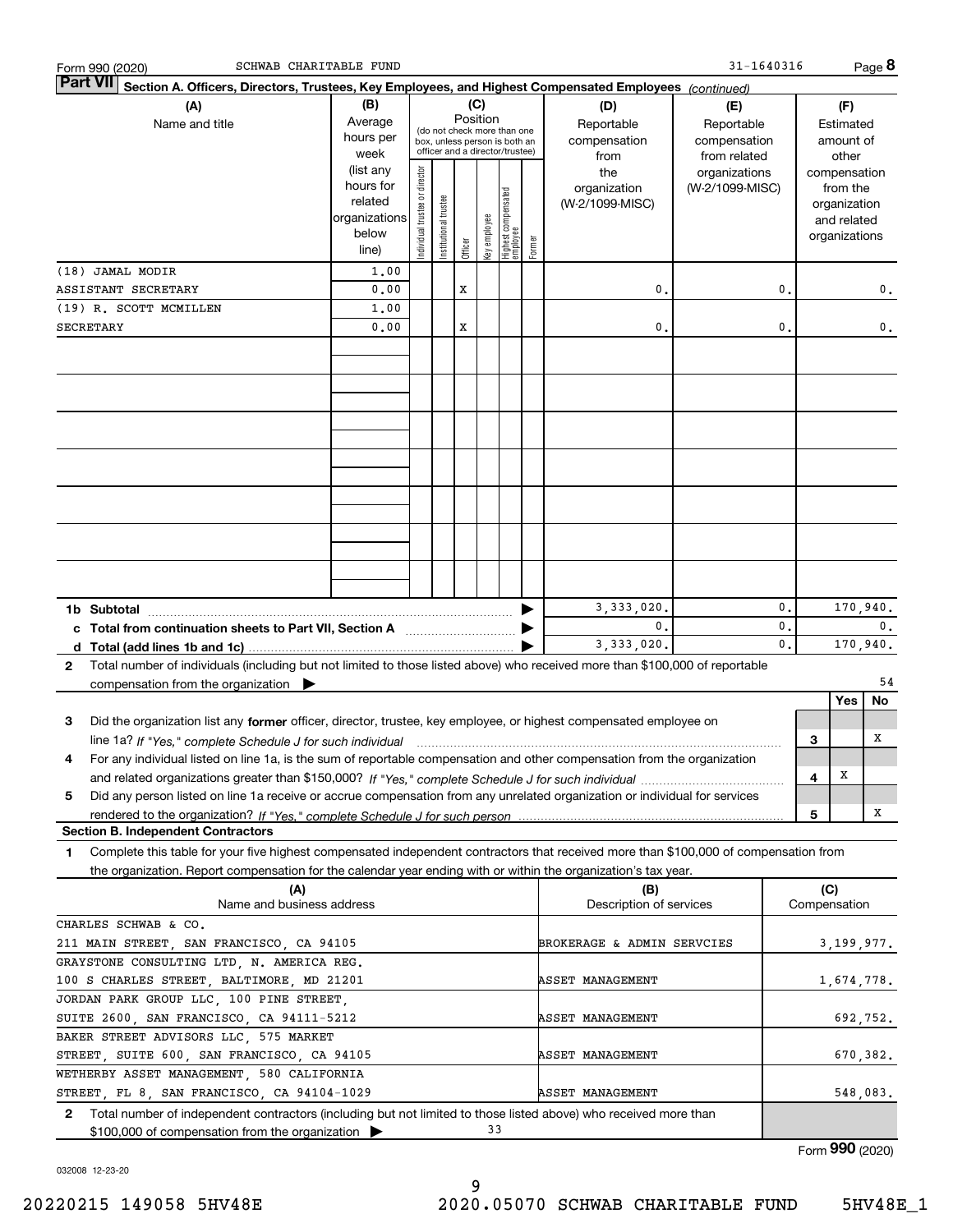| SCHWAB CHARITABLE FUND<br>Form 990 (2020)                                                                                                    |                          |                                |                       |          |              |                                 |        |                            | 31-1640316      |                |   |               | Page 8                      |
|----------------------------------------------------------------------------------------------------------------------------------------------|--------------------------|--------------------------------|-----------------------|----------|--------------|---------------------------------|--------|----------------------------|-----------------|----------------|---|---------------|-----------------------------|
| <b>Part VII</b><br>Section A. Officers, Directors, Trustees, Key Employees, and Highest Compensated Employees (continued)                    |                          |                                |                       |          |              |                                 |        |                            |                 |                |   |               |                             |
| (A)                                                                                                                                          | (B)                      |                                |                       | (C)      |              |                                 |        | (D)                        | (E)             |                |   | (F)           |                             |
| Name and title                                                                                                                               | Average                  |                                |                       | Position |              | (do not check more than one     |        | Reportable                 | Reportable      |                |   | Estimated     |                             |
|                                                                                                                                              | hours per                |                                |                       |          |              | box, unless person is both an   |        | compensation               | compensation    |                |   | amount of     |                             |
|                                                                                                                                              | week                     |                                |                       |          |              | officer and a director/trustee) |        | from                       | from related    |                |   | other         |                             |
|                                                                                                                                              | (list any                |                                |                       |          |              |                                 |        | the                        | organizations   |                |   | compensation  |                             |
|                                                                                                                                              | hours for                |                                |                       |          |              |                                 |        | organization               | (W-2/1099-MISC) |                |   | from the      |                             |
|                                                                                                                                              | related<br>organizations |                                |                       |          |              |                                 |        | (W-2/1099-MISC)            |                 |                |   | organization  |                             |
|                                                                                                                                              | below                    |                                |                       |          |              |                                 |        |                            |                 |                |   | and related   |                             |
|                                                                                                                                              | line)                    | Individual trustee or director | Institutional trustee | Officer  | key employee | Highest compensated<br>employee | Former |                            |                 |                |   | organizations |                             |
| (18) JAMAL MODIR                                                                                                                             | 1,00                     |                                |                       |          |              |                                 |        |                            |                 |                |   |               |                             |
| ASSISTANT SECRETARY                                                                                                                          | 0.00                     |                                |                       | Х        |              |                                 |        | 0                          |                 | 0.             |   |               | $\mathbf{0}$ .              |
| (19) R. SCOTT MCMILLEN                                                                                                                       | 1,00                     |                                |                       |          |              |                                 |        |                            |                 |                |   |               |                             |
| SECRETARY                                                                                                                                    | 0.00                     |                                |                       | Х        |              |                                 |        | $\mathbf 0$                |                 | 0.             |   |               | 0.                          |
|                                                                                                                                              |                          |                                |                       |          |              |                                 |        |                            |                 |                |   |               |                             |
|                                                                                                                                              |                          |                                |                       |          |              |                                 |        |                            |                 |                |   |               |                             |
|                                                                                                                                              |                          |                                |                       |          |              |                                 |        |                            |                 |                |   |               |                             |
|                                                                                                                                              |                          |                                |                       |          |              |                                 |        |                            |                 |                |   |               |                             |
|                                                                                                                                              |                          |                                |                       |          |              |                                 |        |                            |                 |                |   |               |                             |
|                                                                                                                                              |                          |                                |                       |          |              |                                 |        |                            |                 |                |   |               |                             |
|                                                                                                                                              |                          |                                |                       |          |              |                                 |        |                            |                 |                |   |               |                             |
|                                                                                                                                              |                          |                                |                       |          |              |                                 |        |                            |                 |                |   |               |                             |
|                                                                                                                                              |                          |                                |                       |          |              |                                 |        |                            |                 |                |   |               |                             |
|                                                                                                                                              |                          |                                |                       |          |              |                                 |        |                            |                 |                |   |               |                             |
|                                                                                                                                              |                          |                                |                       |          |              |                                 |        |                            |                 |                |   |               |                             |
|                                                                                                                                              |                          |                                |                       |          |              |                                 |        |                            |                 |                |   |               |                             |
|                                                                                                                                              |                          |                                |                       |          |              |                                 |        |                            |                 |                |   |               |                             |
|                                                                                                                                              |                          |                                |                       |          |              |                                 |        | 3, 333, 020.               |                 | 0.             |   |               | 170,940.                    |
| c Total from continuation sheets to Part VII, Section A [111] [12] Total from continuation sheets to Part VII, Section A                     |                          |                                |                       |          |              |                                 |        | $\mathbf{0}$ .             |                 | 0.             |   |               | 0.                          |
|                                                                                                                                              |                          |                                |                       |          |              |                                 |        | 3, 333, 020,               |                 | $\mathbf{0}$ . |   |               | 170,940.                    |
| Total number of individuals (including but not limited to those listed above) who received more than \$100,000 of reportable<br>$\mathbf{2}$ |                          |                                |                       |          |              |                                 |        |                            |                 |                |   |               |                             |
| compensation from the organization $\blacktriangleright$                                                                                     |                          |                                |                       |          |              |                                 |        |                            |                 |                |   |               | 54                          |
|                                                                                                                                              |                          |                                |                       |          |              |                                 |        |                            |                 |                |   | Yes           | No                          |
| Did the organization list any former officer, director, trustee, key employee, or highest compensated employee on<br>3                       |                          |                                |                       |          |              |                                 |        |                            |                 |                |   |               |                             |
| line 1a? If "Yes," complete Schedule J for such individual manufactured contained and the Yes," complete Schedule J for such individual      |                          |                                |                       |          |              |                                 |        |                            |                 |                | з |               | Χ                           |
| For any individual listed on line 1a, is the sum of reportable compensation and other compensation from the organization<br>4                |                          |                                |                       |          |              |                                 |        |                            |                 |                |   |               |                             |
|                                                                                                                                              |                          |                                |                       |          |              |                                 |        |                            |                 |                | 4 | x             |                             |
| Did any person listed on line 1a receive or accrue compensation from any unrelated organization or individual for services<br>5              |                          |                                |                       |          |              |                                 |        |                            |                 |                |   |               |                             |
|                                                                                                                                              |                          |                                |                       |          |              |                                 |        |                            |                 |                | 5 |               | X                           |
| <b>Section B. Independent Contractors</b>                                                                                                    |                          |                                |                       |          |              |                                 |        |                            |                 |                |   |               |                             |
| Complete this table for your five highest compensated independent contractors that received more than \$100,000 of compensation from<br>1    |                          |                                |                       |          |              |                                 |        |                            |                 |                |   |               |                             |
| the organization. Report compensation for the calendar year ending with or within the organization's tax year.                               |                          |                                |                       |          |              |                                 |        |                            |                 |                |   |               |                             |
| (A)                                                                                                                                          |                          |                                |                       |          |              |                                 |        | (B)                        |                 |                |   | (C)           |                             |
| Name and business address                                                                                                                    |                          |                                |                       |          |              |                                 |        | Description of services    |                 |                |   | Compensation  |                             |
| CHARLES SCHWAB & CO.                                                                                                                         |                          |                                |                       |          |              |                                 |        |                            |                 |                |   |               |                             |
| 211 MAIN STREET, SAN FRANCISCO, CA 94105                                                                                                     |                          |                                |                       |          |              |                                 |        | BROKERAGE & ADMIN SERVCIES |                 |                |   |               | 3,199,977.                  |
| GRAYSTONE CONSULTING LTD, N. AMERICA REG.                                                                                                    |                          |                                |                       |          |              |                                 |        |                            |                 |                |   |               |                             |
| 100 S CHARLES STREET, BALTIMORE, MD 21201                                                                                                    |                          |                                |                       |          |              |                                 |        | <b>ASSET MANAGEMENT</b>    |                 |                |   | 1,674,778.    |                             |
| JORDAN PARK GROUP LLC, 100 PINE STREET,                                                                                                      |                          |                                |                       |          |              |                                 |        |                            |                 |                |   |               |                             |
| SUITE 2600, SAN FRANCISCO, CA 94111-5212                                                                                                     |                          |                                |                       |          |              |                                 |        | <b>ASSET MANAGEMENT</b>    |                 |                |   |               | 692,752.                    |
| BAKER STREET ADVISORS LLC, 575 MARKET<br>STREET, SUITE 600, SAN FRANCISCO, CA 94105                                                          |                          |                                |                       |          |              |                                 |        | <b>ASSET MANAGEMENT</b>    |                 |                |   |               | 670,382.                    |
| WETHERBY ASSET MANAGEMENT, 580 CALIFORNIA                                                                                                    |                          |                                |                       |          |              |                                 |        |                            |                 |                |   |               |                             |
| STREET, FL 8, SAN FRANCISCO, CA 94104-1029                                                                                                   |                          |                                |                       |          |              |                                 |        | <b>ASSET MANAGEMENT</b>    |                 |                |   |               | 548,083.                    |
| Total number of independent contractors (including but not limited to those listed above) who received more than<br>$\mathbf{2}$             |                          |                                |                       |          |              |                                 |        |                            |                 |                |   |               |                             |
| \$100,000 of compensation from the organization                                                                                              |                          |                                |                       |          | 33           |                                 |        |                            |                 |                |   |               |                             |
|                                                                                                                                              |                          |                                |                       |          |              |                                 |        |                            |                 |                |   |               | $F_{\text{arm}}$ 990 (2020) |

032008 12-23-20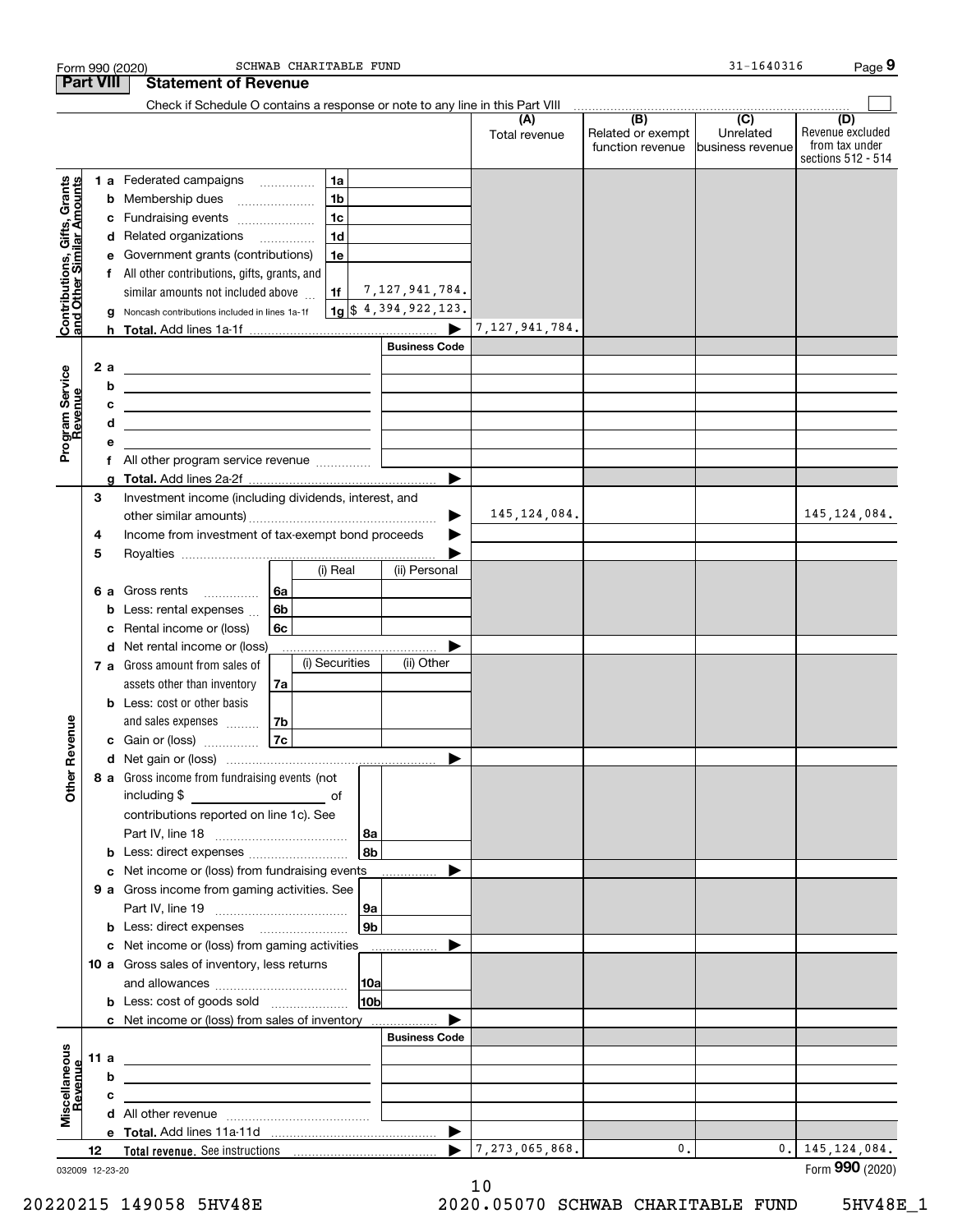|                                                           |                  |   | SCHWAB CHARITABLE FUND<br>Form 990 (2020)                                                                             |                        |                      |                                              | 31-1640316                                      | Page 9                                                          |
|-----------------------------------------------------------|------------------|---|-----------------------------------------------------------------------------------------------------------------------|------------------------|----------------------|----------------------------------------------|-------------------------------------------------|-----------------------------------------------------------------|
|                                                           | <b>Part VIII</b> |   | <b>Statement of Revenue</b>                                                                                           |                        |                      |                                              |                                                 |                                                                 |
|                                                           |                  |   | Check if Schedule O contains a response or note to any line in this Part VIII                                         |                        |                      |                                              |                                                 |                                                                 |
|                                                           |                  |   |                                                                                                                       |                        | (A)<br>Total revenue | (B)<br>Related or exempt<br>function revenue | $\overline{C}$<br>Unrelated<br>business revenue | (D)<br>Revenue excluded<br>from tax under<br>sections 512 - 514 |
|                                                           |                  |   | 1 a Federated campaigns<br>1a                                                                                         |                        |                      |                                              |                                                 |                                                                 |
| Contributions, Gifts, Grants<br>and Other Similar Amounts |                  |   | 1 <sub>b</sub><br><b>b</b> Membership dues                                                                            |                        |                      |                                              |                                                 |                                                                 |
|                                                           |                  |   | 1c<br>c Fundraising events                                                                                            |                        |                      |                                              |                                                 |                                                                 |
|                                                           |                  |   | 1 <sub>d</sub><br>d Related organizations                                                                             |                        |                      |                                              |                                                 |                                                                 |
|                                                           |                  |   | e Government grants (contributions)<br>1e                                                                             |                        |                      |                                              |                                                 |                                                                 |
|                                                           |                  |   | f All other contributions, gifts, grants, and                                                                         |                        |                      |                                              |                                                 |                                                                 |
|                                                           |                  |   | similar amounts not included above<br>1f                                                                              | 7, 127, 941, 784.      |                      |                                              |                                                 |                                                                 |
|                                                           |                  | g | Noncash contributions included in lines 1a-1f                                                                         | $1g$ \$ 4,394,922,123. |                      |                                              |                                                 |                                                                 |
|                                                           |                  |   |                                                                                                                       |                        | 7,127,941,784.       |                                              |                                                 |                                                                 |
|                                                           |                  |   |                                                                                                                       | <b>Business Code</b>   |                      |                                              |                                                 |                                                                 |
|                                                           | 2 a              |   |                                                                                                                       |                        |                      |                                              |                                                 |                                                                 |
|                                                           |                  | b | <u> 1980 - Johann Barbara, martxa alemaniar amerikan a</u>                                                            |                        |                      |                                              |                                                 |                                                                 |
|                                                           |                  | с | <u> 1989 - Johann Barn, mars ann an t-Amhain Aonaich an t-Aonaich an t-Aonaich ann an t-Aonaich ann an t-Aonaich</u>  |                        |                      |                                              |                                                 |                                                                 |
|                                                           |                  | d | <u> 1989 - Johann Barn, mars ann an t-Amhain ann an t-Amhain ann an t-Amhain ann an t-Amhain ann an t-Amhain ann </u> |                        |                      |                                              |                                                 |                                                                 |
| Program Service<br>Revenue                                |                  | е |                                                                                                                       |                        |                      |                                              |                                                 |                                                                 |
|                                                           |                  | f | All other program service revenue                                                                                     |                        |                      |                                              |                                                 |                                                                 |
|                                                           |                  | a |                                                                                                                       | ▶                      |                      |                                              |                                                 |                                                                 |
|                                                           | 3                |   | Investment income (including dividends, interest, and                                                                 |                        |                      |                                              |                                                 |                                                                 |
|                                                           |                  |   |                                                                                                                       |                        | 145, 124, 084.       |                                              |                                                 | 145, 124, 084.                                                  |
|                                                           | 4                |   | Income from investment of tax-exempt bond proceeds                                                                    |                        |                      |                                              |                                                 |                                                                 |
|                                                           | 5                |   |                                                                                                                       |                        |                      |                                              |                                                 |                                                                 |
|                                                           |                  |   | (i) Real                                                                                                              | (ii) Personal          |                      |                                              |                                                 |                                                                 |
|                                                           |                  |   | 6a<br>6 a Gross rents<br>.                                                                                            |                        |                      |                                              |                                                 |                                                                 |
|                                                           |                  | b | 6b<br>Less: rental expenses                                                                                           |                        |                      |                                              |                                                 |                                                                 |
|                                                           |                  | с | Rental income or (loss)<br>6с                                                                                         |                        |                      |                                              |                                                 |                                                                 |
|                                                           |                  |   | d Net rental income or (loss)                                                                                         |                        |                      |                                              |                                                 |                                                                 |
|                                                           |                  |   | (i) Securities<br>7 a Gross amount from sales of                                                                      | (ii) Other             |                      |                                              |                                                 |                                                                 |
|                                                           |                  |   | assets other than inventory<br>7a                                                                                     |                        |                      |                                              |                                                 |                                                                 |
|                                                           |                  |   | <b>b</b> Less: cost or other basis                                                                                    |                        |                      |                                              |                                                 |                                                                 |
| venue                                                     |                  |   | and sales expenses<br>7b                                                                                              |                        |                      |                                              |                                                 |                                                                 |
|                                                           |                  |   | 7c<br>c Gain or (loss)                                                                                                |                        |                      |                                              |                                                 |                                                                 |
|                                                           |                  |   |                                                                                                                       |                        |                      |                                              |                                                 |                                                                 |
| Other Re                                                  |                  |   | 8 a Gross income from fundraising events (not                                                                         |                        |                      |                                              |                                                 |                                                                 |
|                                                           |                  |   | including \$                                                                                                          |                        |                      |                                              |                                                 |                                                                 |
|                                                           |                  |   | contributions reported on line 1c). See                                                                               |                        |                      |                                              |                                                 |                                                                 |
|                                                           |                  |   |                                                                                                                       | 8a                     |                      |                                              |                                                 |                                                                 |
|                                                           |                  | b | Less: direct expenses                                                                                                 | 8b                     |                      |                                              |                                                 |                                                                 |
|                                                           |                  |   | Net income or (loss) from fundraising events                                                                          | .                      |                      |                                              |                                                 |                                                                 |
|                                                           |                  |   | 9 a Gross income from gaming activities. See                                                                          |                        |                      |                                              |                                                 |                                                                 |
|                                                           |                  |   |                                                                                                                       | 9a                     |                      |                                              |                                                 |                                                                 |
|                                                           |                  |   | c Net income or (loss) from gaming activities                                                                         | 9b                     |                      |                                              |                                                 |                                                                 |
|                                                           |                  |   |                                                                                                                       | ▶                      |                      |                                              |                                                 |                                                                 |
|                                                           |                  |   | 10 a Gross sales of inventory, less returns                                                                           |                        |                      |                                              |                                                 |                                                                 |
|                                                           |                  |   |                                                                                                                       | 10a                    |                      |                                              |                                                 |                                                                 |
|                                                           |                  |   | <b>b</b> Less: cost of goods sold                                                                                     | 10b                    |                      |                                              |                                                 |                                                                 |
|                                                           |                  |   | c Net income or (loss) from sales of inventory                                                                        | <b>Business Code</b>   |                      |                                              |                                                 |                                                                 |
|                                                           | 11 a             |   |                                                                                                                       |                        |                      |                                              |                                                 |                                                                 |
|                                                           |                  | b |                                                                                                                       |                        |                      |                                              |                                                 |                                                                 |
| Miscellaneous<br>Revenue                                  |                  | с |                                                                                                                       |                        |                      |                                              |                                                 |                                                                 |
|                                                           |                  |   |                                                                                                                       |                        |                      |                                              |                                                 |                                                                 |
|                                                           |                  |   |                                                                                                                       | ▶                      |                      |                                              |                                                 |                                                                 |
|                                                           | 12               |   |                                                                                                                       | $\blacktriangleright$  | 7, 273, 065, 868.    | 0.                                           |                                                 | $0.$   145, 124, 084.                                           |
|                                                           |                  |   |                                                                                                                       |                        |                      |                                              |                                                 | Form 990 (2020)                                                 |
| 032009 12-23-20                                           |                  |   |                                                                                                                       |                        | 1 ሰ                  |                                              |                                                 |                                                                 |

10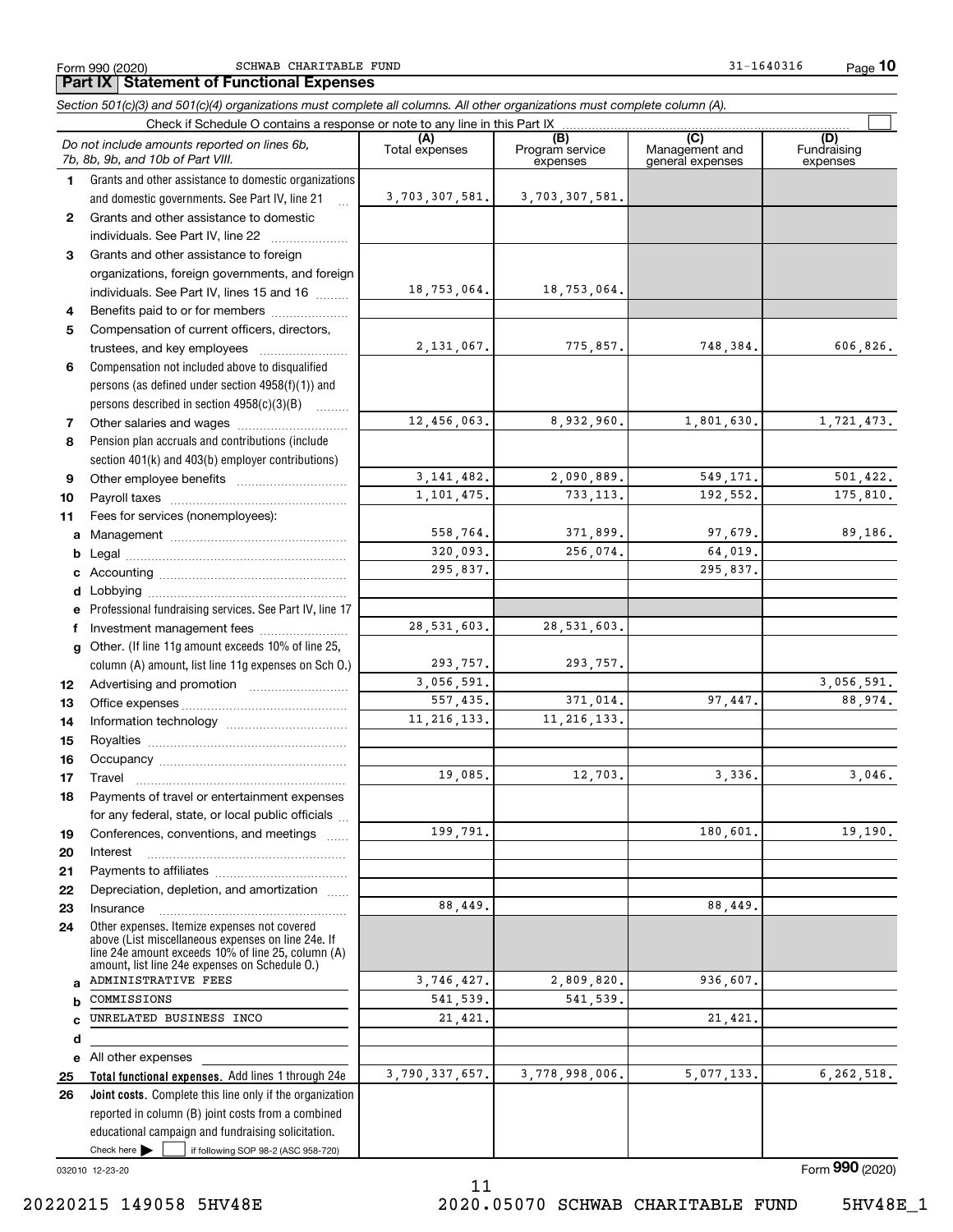**10**

#### **(A)**<br>Total expenses **(B) (C) (D) 1234567891011abcdefg121314151617181920212223***Section 501(c)(3) and 501(c)(4) organizations must complete all columns. All other organizations must complete column (A).* Grants and other assistance to domestic organizations and domestic governments. See Part IV, line 21 Compensation not included above to disqualified persons (as defined under section 4958(f)(1)) and persons described in section 4958(c)(3)(B)  $\quad \ldots \ldots \ldots$ Pension plan accruals and contributions (include section 401(k) and 403(b) employer contributions) Professional fundraising services. See Part IV, line 17 Other. (If line 11g amount exceeds 10% of line 25, column (A) amount, list line 11g expenses on Sch O.) Form 990 (2020) Page SCHWAB CHARITABLE FUND 31-1640316 Check if Schedule O contains a response or note to any line in this Part IX (C) (C) (C) (C) (C) (C) Program service expensesManagement and general expenses Fundraising expensesGrants and other assistance to domestic  $individuals. See Part IV, line 22$  .......... Grants and other assistance to foreign organizations, foreign governments, and foreign individuals. See Part IV, lines 15 and 16  $\ldots$ Benefits paid to or for members .................... Compensation of current officers, directors, trustees, and key employees  $\ldots$   $\ldots$   $\ldots$   $\ldots$   $\ldots$ Other salaries and wages ............................. Other employee benefits ~~~~~~~~~~ Payroll taxes ~~~~~~~~~~~~~~~~ Fees for services (nonemployees): Management ~~~~~~~~~~~~~~~~ Legal ~~~~~~~~~~~~~~~~~~~~Accounting ~~~~~~~~~~~~~~~~~ Lobbying ~~~~~~~~~~~~~~~~~~ lnvestment management fees ....................... Advertising and promotion www.communication Office expenses ~~~~~~~~~~~~~~~ Information technology ~~~~~~~~~~~ Royalties ~~~~~~~~~~~~~~~~~~ Occupancy ~~~~~~~~~~~~~~~~~ Travel ……………………………………………… Payments of travel or entertainment expenses for any federal, state, or local public officials ... Conferences, conventions, and meetings InterestPayments to affiliates ~~~~~~~~~~~~ Depreciation, depletion, and amortization  $\,\,\ldots\,\,$ Insurance~~~~~~~~~~~~~~~~~*Do not include amounts reported on lines 6b, 7b, 8b, 9b, and 10b of Part VIII.* **Part IX Statement of Functional Expenses**  $\mathcal{L}^{\text{max}}$ 3,703,307,581. 18,753,064. 2,131,067. 12,456,063. 3,141,482. 1,101,475. 558,764. 320,093. 295,837. 293,757. 3,056,591. 557,435. 11,216,133. 19,085. 199,791. 88,449. 28,531,603. 3,703,307,581. 18,753,064. 775,857**.** 748,384**.** 606,826**.** 8,932,960. 1,801,630. 1,721,473. 2,090,889. 549,171. 501,422.<br>733.113. 102.552. 175.810. 733,113**.** 192,552**.** 175,810**.** 371,899. 97,679. 89,186. 256,074. 64,019. 295,837. 28,531,603. 293,757. 3,056,591. 371,014. 97,447. 88,974. 11,216,133. 12,703. 3,336. 3,046. 180,601. 19,190. 88,449.

3,746,427. 541,539. 21,421.

3,790,337,657.

11

Check here  $\bullet$  if following SOP 98-2 (ASC 958-720) reported in column (B) joint costs from a combined educational campaign and fundraising solicitation. Check here  $\blacktriangleright$ 

**Total functional expenses.**  Add lines 1 through 24e **Joint costs.** Complete this line only if the organization

Other expenses. Itemize expenses not covered above (List miscellaneous expenses on line 24e. If line 24e amount exceeds 10% of line 25, column (A) amount, list line 24e expenses on Schedule O.)

032010 12-23-20

**24**

**abcde2526**

Form (2020) **990**

All other expenses

COMMISSIONS

ADMINISTRATIVE FEES

UNRELATED BUSINESS INCO

2,809,820. 936,607.

21,421.

3,778,998,006. 5,077,133. 6,262,518.

541,539.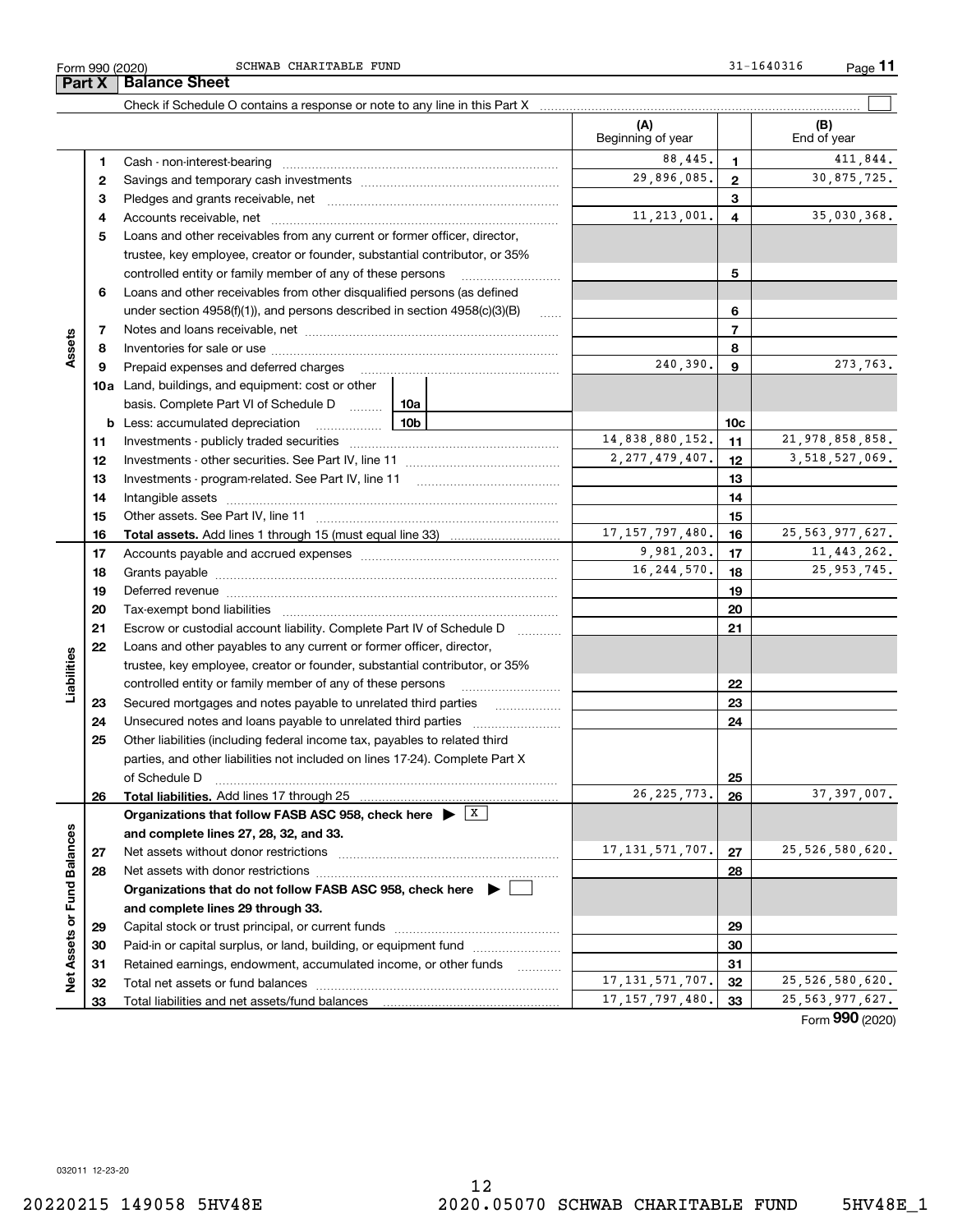12

|  | $G \left( T \right)$ |  |
|--|----------------------|--|
|  |                      |  |
|  |                      |  |
|  |                      |  |
|  |                      |  |
|  |                      |  |

|                      |    |                                                                                               |  | (A)<br>Beginning of year |                | (B)<br>End of year                               |
|----------------------|----|-----------------------------------------------------------------------------------------------|--|--------------------------|----------------|--------------------------------------------------|
|                      | 1  |                                                                                               |  | 88.445.                  | 1              | 411,844.                                         |
|                      | 2  |                                                                                               |  | 29,896,085.              | 2              | 30,875,725.                                      |
|                      | з  |                                                                                               |  |                          | 3              |                                                  |
|                      | 4  |                                                                                               |  | 11, 213, 001.            | 4              | 35,030,368.                                      |
|                      | 5  | Loans and other receivables from any current or former officer, director,                     |  |                          |                |                                                  |
|                      |    | trustee, key employee, creator or founder, substantial contributor, or 35%                    |  |                          |                |                                                  |
|                      |    | controlled entity or family member of any of these persons                                    |  |                          | 5              |                                                  |
|                      | 6  | Loans and other receivables from other disqualified persons (as defined                       |  |                          |                |                                                  |
|                      |    | under section $4958(f)(1)$ , and persons described in section $4958(c)(3)(B)$                 |  |                          | 6              |                                                  |
|                      | 7  |                                                                                               |  |                          | $\overline{7}$ |                                                  |
| Assets               | 8  |                                                                                               |  |                          | 8              |                                                  |
|                      | 9  | Prepaid expenses and deferred charges                                                         |  | 240,390.                 | 9              | 273,763.                                         |
|                      |    | <b>10a</b> Land, buildings, and equipment: cost or other                                      |  |                          |                |                                                  |
|                      |    | basis. Complete Part VI of Schedule D    10a                                                  |  |                          |                |                                                  |
|                      |    | Less: accumulated depreciation                                                                |  |                          |                |                                                  |
|                      | b  | <u>10b</u>                                                                                    |  | 14,838,880,152.          | 10c            | 21,978,858,858.                                  |
|                      | 11 |                                                                                               |  | 2, 277, 479, 407.        | 11             | 3,518,527,069.                                   |
|                      | 12 |                                                                                               |  | 12                       |                |                                                  |
|                      | 13 |                                                                                               |  | 13                       |                |                                                  |
|                      | 14 |                                                                                               |  |                          | 14             |                                                  |
|                      | 15 |                                                                                               |  |                          | 15             |                                                  |
|                      | 16 |                                                                                               |  | 17, 157, 797, 480.       | 16             | 25, 563, 977, 627.                               |
|                      | 17 |                                                                                               |  | 9,981,203.               | 17             | 11, 443, 262.                                    |
|                      | 18 |                                                                                               |  | 16, 244, 570.            | 18             | 25, 953, 745.                                    |
|                      | 19 |                                                                                               |  |                          | 19             |                                                  |
|                      | 20 |                                                                                               |  | 20                       |                |                                                  |
|                      | 21 | Escrow or custodial account liability. Complete Part IV of Schedule D                         |  | 21                       |                |                                                  |
|                      | 22 | Loans and other payables to any current or former officer, director,                          |  |                          |                |                                                  |
| abilities            |    | trustee, key employee, creator or founder, substantial contributor, or 35%                    |  |                          |                |                                                  |
|                      |    | controlled entity or family member of any of these persons                                    |  |                          | 22             |                                                  |
|                      | 23 | Secured mortgages and notes payable to unrelated third parties                                |  |                          | 23             |                                                  |
|                      | 24 |                                                                                               |  |                          | 24             |                                                  |
|                      | 25 | Other liabilities (including federal income tax, payables to related third                    |  |                          |                |                                                  |
|                      |    | parties, and other liabilities not included on lines 17-24). Complete Part X                  |  |                          |                |                                                  |
|                      |    | of Schedule D                                                                                 |  |                          | 25             |                                                  |
|                      | 26 |                                                                                               |  | 26, 225, 773.            | 26             | 37, 397, 007.                                    |
|                      |    | Organizations that follow FASB ASC 958, check here $\blacktriangleright \boxed{\overline{X}}$ |  |                          |                |                                                  |
|                      |    | and complete lines 27, 28, 32, and 33.                                                        |  |                          |                |                                                  |
|                      | 27 | Net assets without donor restrictions                                                         |  | 17, 131, 571, 707.       | 27             | 25,526,580,620.                                  |
| <b>Fund Balances</b> | 28 | Net assets with donor restrictions                                                            |  |                          | 28             |                                                  |
|                      |    | Organizations that do not follow FASB ASC 958, check here $\blacktriangleright$               |  |                          |                |                                                  |
|                      |    | and complete lines 29 through 33.                                                             |  |                          |                |                                                  |
|                      | 29 |                                                                                               |  |                          | 29             |                                                  |
|                      | 30 | Paid-in or capital surplus, or land, building, or equipment fund                              |  |                          | 30             |                                                  |
| Net Assets or        | 31 | Retained earnings, endowment, accumulated income, or other funds                              |  |                          | 31             |                                                  |
|                      | 32 | Total net assets or fund balances                                                             |  | 17, 131, 571, 707.       | 32             | 25,526,580,620.                                  |
|                      | 33 | Total liabilities and net assets/fund balances                                                |  | 17, 157, 797, 480.       | 33             | 25, 563, 977, 627.<br>$F_{\text{arm}}$ 990 (2020 |

Check if Schedule O contains a response or note to any line in this Part X

 $\mathcal{L}^{\text{max}}$ 

Form (2020) **990**

**Part X Balance Sheet**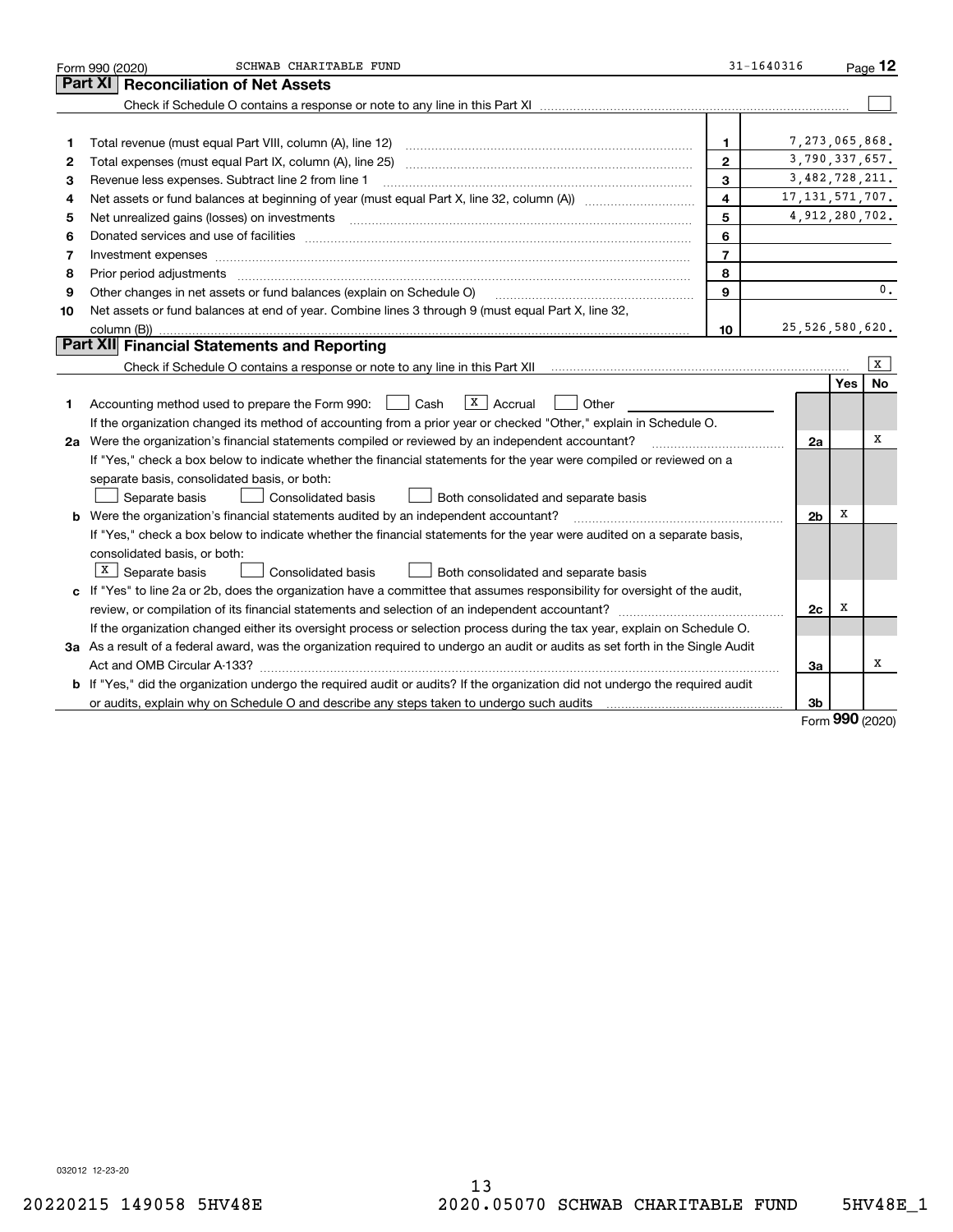|    | SCHWAB CHARITABLE FUND<br>Form 990 (2020)                                                                                       | 31-1640316     |                   |            | Page $12$ |  |  |
|----|---------------------------------------------------------------------------------------------------------------------------------|----------------|-------------------|------------|-----------|--|--|
|    | Part XI<br><b>Reconciliation of Net Assets</b>                                                                                  |                |                   |            |           |  |  |
|    |                                                                                                                                 |                |                   |            |           |  |  |
|    |                                                                                                                                 |                |                   |            |           |  |  |
| 1  | Total revenue (must equal Part VIII, column (A), line 12)                                                                       | 1              | 7,273,065,868.    |            |           |  |  |
| 2  |                                                                                                                                 | $\overline{2}$ | 3,790,337,657.    |            |           |  |  |
| 3  | Revenue less expenses. Subtract line 2 from line 1                                                                              | 3              | 3,482,728,211.    |            |           |  |  |
| 4  | 4                                                                                                                               |                |                   |            |           |  |  |
| 5  |                                                                                                                                 | 5              | 4, 912, 280, 702. |            |           |  |  |
| 6  |                                                                                                                                 | 6              |                   |            |           |  |  |
| 7  | Investment expenses www.communication.communication.com/www.communication.com/www.communication.com                             | $\overline{7}$ |                   |            |           |  |  |
| 8  | Prior period adjustments                                                                                                        | 8              |                   |            |           |  |  |
| 9  | Other changes in net assets or fund balances (explain on Schedule O)                                                            | 9              |                   |            | 0.        |  |  |
| 10 | Net assets or fund balances at end of year. Combine lines 3 through 9 (must equal Part X, line 32,                              |                |                   |            |           |  |  |
|    | column (B))                                                                                                                     | 10             | 25,526,580,620.   |            |           |  |  |
|    | Part XII Financial Statements and Reporting                                                                                     |                |                   |            |           |  |  |
|    |                                                                                                                                 |                |                   |            | X         |  |  |
|    |                                                                                                                                 |                |                   | Yes        | No        |  |  |
| 1. | $X \vert$ Accrual<br>Cash<br>Other<br>Accounting method used to prepare the Form 990:                                           |                |                   |            |           |  |  |
|    | If the organization changed its method of accounting from a prior year or checked "Other," explain in Schedule O.               |                |                   |            |           |  |  |
|    | 2a Were the organization's financial statements compiled or reviewed by an independent accountant?                              |                | 2a                |            | x         |  |  |
|    | If "Yes," check a box below to indicate whether the financial statements for the year were compiled or reviewed on a            |                |                   |            |           |  |  |
|    | separate basis, consolidated basis, or both:                                                                                    |                |                   |            |           |  |  |
|    | Separate basis<br><b>Consolidated basis</b><br>Both consolidated and separate basis                                             |                |                   |            |           |  |  |
|    | <b>b</b> Were the organization's financial statements audited by an independent accountant?                                     |                | 2 <sub>b</sub>    | х          |           |  |  |
|    | If "Yes," check a box below to indicate whether the financial statements for the year were audited on a separate basis,         |                |                   |            |           |  |  |
|    | consolidated basis, or both:                                                                                                    |                |                   |            |           |  |  |
|    | $X$ Separate basis<br>Consolidated basis<br>Both consolidated and separate basis                                                |                |                   |            |           |  |  |
|    | c If "Yes" to line 2a or 2b, does the organization have a committee that assumes responsibility for oversight of the audit,     |                |                   |            |           |  |  |
|    |                                                                                                                                 |                | 2c                | х          |           |  |  |
|    | If the organization changed either its oversight process or selection process during the tax year, explain on Schedule O.       |                |                   |            |           |  |  |
|    | 3a As a result of a federal award, was the organization required to undergo an audit or audits as set forth in the Single Audit |                |                   |            |           |  |  |
|    |                                                                                                                                 |                | 3a                |            | х         |  |  |
|    | b If "Yes," did the organization undergo the required audit or audits? If the organization did not undergo the required audit   |                |                   |            |           |  |  |
|    |                                                                                                                                 |                | 3b                | <u>nnn</u> |           |  |  |

Form (2020) **990**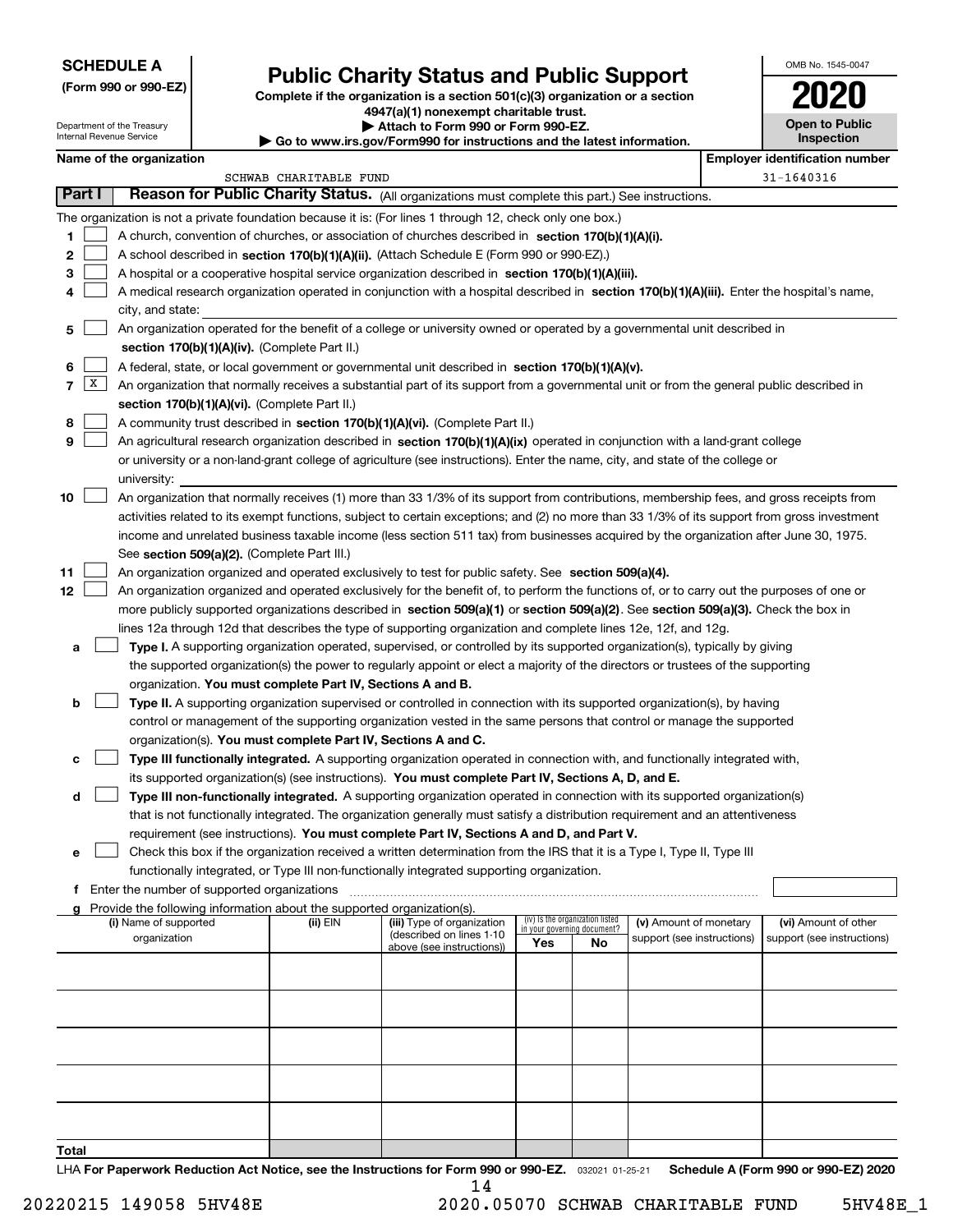## **SCHEDULE A**

**(Form 990 or 990-EZ)**

# **Public Charity Status and Public Support**

**Complete if the organization is a section 501(c)(3) organization or a section 4947(a)(1) nonexempt charitable trust.**

| OMB No. 1545-0047     |
|-----------------------|
|                       |
| <b>Open to Public</b> |

| Department of the Treasury<br>Internal Revenue Service |               |                                                                                                  |  | Attach to Form 990 or Form 990-EZ.<br>$\blacktriangleright$ Go to www.irs.gov/Form990 for instructions and the latest information. | <b>Open to Public</b><br>Inspection                                                                                                          |     |                                   |                            |  |                                       |
|--------------------------------------------------------|---------------|--------------------------------------------------------------------------------------------------|--|------------------------------------------------------------------------------------------------------------------------------------|----------------------------------------------------------------------------------------------------------------------------------------------|-----|-----------------------------------|----------------------------|--|---------------------------------------|
|                                                        |               | Name of the organization                                                                         |  |                                                                                                                                    |                                                                                                                                              |     |                                   |                            |  | <b>Employer identification number</b> |
|                                                        |               |                                                                                                  |  | SCHWAB CHARITABLE FUND                                                                                                             |                                                                                                                                              |     |                                   |                            |  | 31-1640316                            |
|                                                        | <b>Part I</b> |                                                                                                  |  |                                                                                                                                    | Reason for Public Charity Status. (All organizations must complete this part.) See instructions.                                             |     |                                   |                            |  |                                       |
|                                                        |               |                                                                                                  |  |                                                                                                                                    | The organization is not a private foundation because it is: (For lines 1 through 12, check only one box.)                                    |     |                                   |                            |  |                                       |
| 1                                                      |               |                                                                                                  |  |                                                                                                                                    | A church, convention of churches, or association of churches described in section 170(b)(1)(A)(i).                                           |     |                                   |                            |  |                                       |
| 2                                                      |               |                                                                                                  |  |                                                                                                                                    | A school described in section 170(b)(1)(A)(ii). (Attach Schedule E (Form 990 or 990-EZ).)                                                    |     |                                   |                            |  |                                       |
| з                                                      |               |                                                                                                  |  |                                                                                                                                    | A hospital or a cooperative hospital service organization described in section 170(b)(1)(A)(iii).                                            |     |                                   |                            |  |                                       |
| 4                                                      |               |                                                                                                  |  |                                                                                                                                    | A medical research organization operated in conjunction with a hospital described in section 170(b)(1)(A)(iii). Enter the hospital's name,   |     |                                   |                            |  |                                       |
|                                                        |               | city, and state:                                                                                 |  |                                                                                                                                    |                                                                                                                                              |     |                                   |                            |  |                                       |
| 5                                                      |               |                                                                                                  |  |                                                                                                                                    | An organization operated for the benefit of a college or university owned or operated by a governmental unit described in                    |     |                                   |                            |  |                                       |
|                                                        |               |                                                                                                  |  | section 170(b)(1)(A)(iv). (Complete Part II.)                                                                                      |                                                                                                                                              |     |                                   |                            |  |                                       |
| 6                                                      |               | A federal, state, or local government or governmental unit described in section 170(b)(1)(A)(v). |  |                                                                                                                                    |                                                                                                                                              |     |                                   |                            |  |                                       |
| $\overline{7}$                                         | X             |                                                                                                  |  |                                                                                                                                    | An organization that normally receives a substantial part of its support from a governmental unit or from the general public described in    |     |                                   |                            |  |                                       |
|                                                        |               |                                                                                                  |  | section 170(b)(1)(A)(vi). (Complete Part II.)                                                                                      |                                                                                                                                              |     |                                   |                            |  |                                       |
| 8                                                      |               |                                                                                                  |  |                                                                                                                                    | A community trust described in section 170(b)(1)(A)(vi). (Complete Part II.)                                                                 |     |                                   |                            |  |                                       |
| 9                                                      |               |                                                                                                  |  |                                                                                                                                    | An agricultural research organization described in section 170(b)(1)(A)(ix) operated in conjunction with a land-grant college                |     |                                   |                            |  |                                       |
|                                                        |               |                                                                                                  |  |                                                                                                                                    | or university or a non-land-grant college of agriculture (see instructions). Enter the name, city, and state of the college or               |     |                                   |                            |  |                                       |
|                                                        |               | university:                                                                                      |  |                                                                                                                                    |                                                                                                                                              |     |                                   |                            |  |                                       |
| 10                                                     |               |                                                                                                  |  |                                                                                                                                    | An organization that normally receives (1) more than 33 1/3% of its support from contributions, membership fees, and gross receipts from     |     |                                   |                            |  |                                       |
|                                                        |               |                                                                                                  |  |                                                                                                                                    | activities related to its exempt functions, subject to certain exceptions; and (2) no more than 33 1/3% of its support from gross investment |     |                                   |                            |  |                                       |
|                                                        |               |                                                                                                  |  |                                                                                                                                    | income and unrelated business taxable income (less section 511 tax) from businesses acquired by the organization after June 30, 1975.        |     |                                   |                            |  |                                       |
|                                                        |               |                                                                                                  |  | See section 509(a)(2). (Complete Part III.)                                                                                        |                                                                                                                                              |     |                                   |                            |  |                                       |
| 11                                                     |               |                                                                                                  |  |                                                                                                                                    | An organization organized and operated exclusively to test for public safety. See section 509(a)(4).                                         |     |                                   |                            |  |                                       |
| 12                                                     |               |                                                                                                  |  |                                                                                                                                    | An organization organized and operated exclusively for the benefit of, to perform the functions of, or to carry out the purposes of one or   |     |                                   |                            |  |                                       |
|                                                        |               |                                                                                                  |  |                                                                                                                                    | more publicly supported organizations described in section 509(a)(1) or section 509(a)(2). See section 509(a)(3). Check the box in           |     |                                   |                            |  |                                       |
|                                                        |               |                                                                                                  |  |                                                                                                                                    | lines 12a through 12d that describes the type of supporting organization and complete lines 12e, 12f, and 12g.                               |     |                                   |                            |  |                                       |
| а                                                      |               |                                                                                                  |  |                                                                                                                                    | Type I. A supporting organization operated, supervised, or controlled by its supported organization(s), typically by giving                  |     |                                   |                            |  |                                       |
|                                                        |               |                                                                                                  |  |                                                                                                                                    | the supported organization(s) the power to regularly appoint or elect a majority of the directors or trustees of the supporting              |     |                                   |                            |  |                                       |
|                                                        |               |                                                                                                  |  | organization. You must complete Part IV, Sections A and B.                                                                         |                                                                                                                                              |     |                                   |                            |  |                                       |
| b                                                      |               |                                                                                                  |  |                                                                                                                                    | Type II. A supporting organization supervised or controlled in connection with its supported organization(s), by having                      |     |                                   |                            |  |                                       |
|                                                        |               |                                                                                                  |  |                                                                                                                                    | control or management of the supporting organization vested in the same persons that control or manage the supported                         |     |                                   |                            |  |                                       |
|                                                        |               |                                                                                                  |  | organization(s). You must complete Part IV, Sections A and C.                                                                      |                                                                                                                                              |     |                                   |                            |  |                                       |
| с                                                      |               |                                                                                                  |  |                                                                                                                                    | Type III functionally integrated. A supporting organization operated in connection with, and functionally integrated with,                   |     |                                   |                            |  |                                       |
|                                                        |               |                                                                                                  |  |                                                                                                                                    | its supported organization(s) (see instructions). You must complete Part IV, Sections A, D, and E.                                           |     |                                   |                            |  |                                       |
| d                                                      |               |                                                                                                  |  |                                                                                                                                    | Type III non-functionally integrated. A supporting organization operated in connection with its supported organization(s)                    |     |                                   |                            |  |                                       |
|                                                        |               |                                                                                                  |  |                                                                                                                                    | that is not functionally integrated. The organization generally must satisfy a distribution requirement and an attentiveness                 |     |                                   |                            |  |                                       |
|                                                        |               |                                                                                                  |  |                                                                                                                                    | requirement (see instructions). You must complete Part IV, Sections A and D, and Part V.                                                     |     |                                   |                            |  |                                       |
| е                                                      |               |                                                                                                  |  |                                                                                                                                    | Check this box if the organization received a written determination from the IRS that it is a Type I, Type II, Type III                      |     |                                   |                            |  |                                       |
|                                                        |               |                                                                                                  |  |                                                                                                                                    | functionally integrated, or Type III non-functionally integrated supporting organization.                                                    |     |                                   |                            |  |                                       |
|                                                        |               | f Enter the number of supported organizations                                                    |  |                                                                                                                                    |                                                                                                                                              |     |                                   |                            |  |                                       |
|                                                        |               | (i) Name of supported                                                                            |  | Provide the following information about the supported organization(s).<br>(ii) EIN                                                 | (iii) Type of organization                                                                                                                   |     | (iv) Is the organization listed   | (v) Amount of monetary     |  | (vi) Amount of other                  |
|                                                        |               | organization                                                                                     |  |                                                                                                                                    | (described on lines 1-10                                                                                                                     | Yes | in your governing document?<br>No | support (see instructions) |  | support (see instructions)            |
|                                                        |               |                                                                                                  |  |                                                                                                                                    | above (see instructions))                                                                                                                    |     |                                   |                            |  |                                       |
|                                                        |               |                                                                                                  |  |                                                                                                                                    |                                                                                                                                              |     |                                   |                            |  |                                       |
|                                                        |               |                                                                                                  |  |                                                                                                                                    |                                                                                                                                              |     |                                   |                            |  |                                       |
|                                                        |               |                                                                                                  |  |                                                                                                                                    |                                                                                                                                              |     |                                   |                            |  |                                       |
|                                                        |               |                                                                                                  |  |                                                                                                                                    |                                                                                                                                              |     |                                   |                            |  |                                       |
|                                                        |               |                                                                                                  |  |                                                                                                                                    |                                                                                                                                              |     |                                   |                            |  |                                       |
|                                                        |               |                                                                                                  |  |                                                                                                                                    |                                                                                                                                              |     |                                   |                            |  |                                       |
|                                                        |               |                                                                                                  |  |                                                                                                                                    |                                                                                                                                              |     |                                   |                            |  |                                       |
|                                                        |               |                                                                                                  |  |                                                                                                                                    |                                                                                                                                              |     |                                   |                            |  |                                       |
|                                                        |               |                                                                                                  |  |                                                                                                                                    |                                                                                                                                              |     |                                   |                            |  |                                       |

**Total**

LHA For Paperwork Reduction Act Notice, see the Instructions for Form 990 or 990-EZ. <sub>032021</sub> o1-25-21 Schedule A (Form 990 or 990-EZ) 2020 14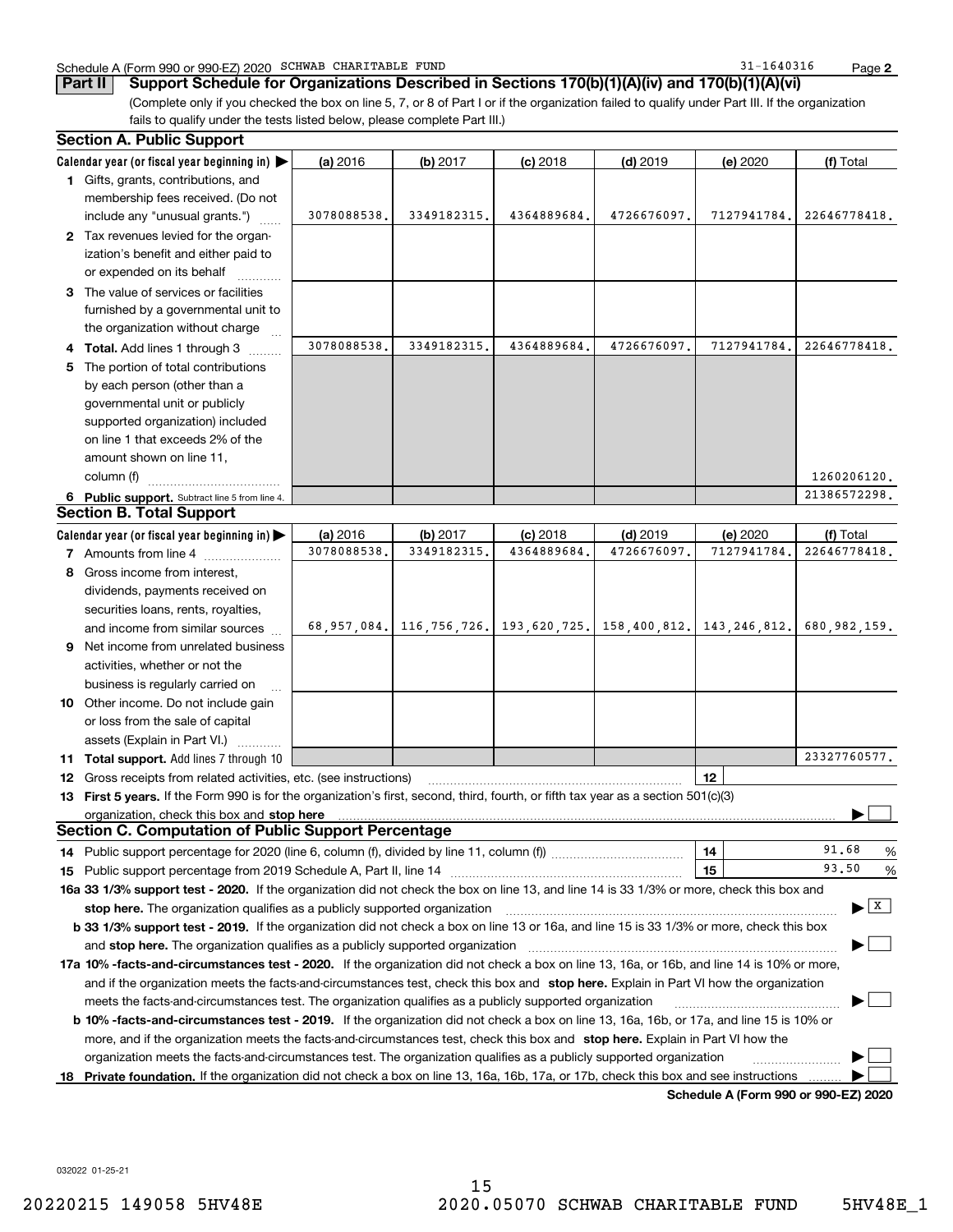#### Schedule A (Form 990 or 990-EZ) 2020 Page SCHWAB CHARITABLE FUND 31-1640316

**2**

**Part II Support Schedule for Organizations Described in Sections 170(b)(1)(A)(iv) and 170(b)(1)(A)(vi)**

(Complete only if you checked the box on line 5, 7, or 8 of Part I or if the organization failed to qualify under Part III. If the organization fails to qualify under the tests listed below, please complete Part III.) **Section A. Public Support**

|    | əecuvii A. Fubiic əuppull                                                                                                                       |                         |                                                                 |                          |                          |                                      |                           |  |  |  |
|----|-------------------------------------------------------------------------------------------------------------------------------------------------|-------------------------|-----------------------------------------------------------------|--------------------------|--------------------------|--------------------------------------|---------------------------|--|--|--|
|    | Calendar year (or fiscal year beginning in) $\blacktriangleright$                                                                               | (a) 2016                | (b) $2017$                                                      | $(c)$ 2018               | $(d)$ 2019               | (e) 2020                             | (f) Total                 |  |  |  |
|    | 1 Gifts, grants, contributions, and                                                                                                             |                         |                                                                 |                          |                          |                                      |                           |  |  |  |
|    | membership fees received. (Do not                                                                                                               |                         |                                                                 |                          |                          |                                      |                           |  |  |  |
|    | include any "unusual grants.")                                                                                                                  | 3078088538.             | 3349182315.                                                     | 4364889684.              | 4726676097.              | 7127941784.                          | 22646778418.              |  |  |  |
|    | 2 Tax revenues levied for the organ-                                                                                                            |                         |                                                                 |                          |                          |                                      |                           |  |  |  |
|    | ization's benefit and either paid to                                                                                                            |                         |                                                                 |                          |                          |                                      |                           |  |  |  |
|    | or expended on its behalf                                                                                                                       |                         |                                                                 |                          |                          |                                      |                           |  |  |  |
|    | 3 The value of services or facilities                                                                                                           |                         |                                                                 |                          |                          |                                      |                           |  |  |  |
|    | furnished by a governmental unit to                                                                                                             |                         |                                                                 |                          |                          |                                      |                           |  |  |  |
|    | the organization without charge                                                                                                                 |                         |                                                                 |                          |                          |                                      |                           |  |  |  |
|    | 4 Total. Add lines 1 through 3                                                                                                                  | 3078088538.             | 3349182315.                                                     | 4364889684.              | 4726676097               | 7127941784                           | 22646778418.              |  |  |  |
|    | 5 The portion of total contributions                                                                                                            |                         |                                                                 |                          |                          |                                      |                           |  |  |  |
|    | by each person (other than a                                                                                                                    |                         |                                                                 |                          |                          |                                      |                           |  |  |  |
|    | governmental unit or publicly                                                                                                                   |                         |                                                                 |                          |                          |                                      |                           |  |  |  |
|    | supported organization) included                                                                                                                |                         |                                                                 |                          |                          |                                      |                           |  |  |  |
|    | on line 1 that exceeds 2% of the                                                                                                                |                         |                                                                 |                          |                          |                                      |                           |  |  |  |
|    | amount shown on line 11,                                                                                                                        |                         |                                                                 |                          |                          |                                      |                           |  |  |  |
|    | column (f)                                                                                                                                      |                         |                                                                 |                          |                          |                                      | 1260206120.               |  |  |  |
|    | 6 Public support. Subtract line 5 from line 4.                                                                                                  |                         |                                                                 |                          |                          |                                      | 21386572298.              |  |  |  |
|    | <b>Section B. Total Support</b>                                                                                                                 |                         |                                                                 |                          |                          |                                      |                           |  |  |  |
|    | Calendar year (or fiscal year beginning in) $\blacktriangleright$                                                                               | (a) 2016<br>3078088538. | (b) $2017$<br>3349182315                                        | $(c)$ 2018<br>4364889684 | $(d)$ 2019<br>4726676097 | <b>(e)</b> 2020<br>7127941784.       | (f) Total<br>22646778418. |  |  |  |
|    | 7 Amounts from line 4                                                                                                                           |                         |                                                                 |                          |                          |                                      |                           |  |  |  |
|    | 8 Gross income from interest,                                                                                                                   |                         |                                                                 |                          |                          |                                      |                           |  |  |  |
|    | dividends, payments received on                                                                                                                 |                         |                                                                 |                          |                          |                                      |                           |  |  |  |
|    | securities loans, rents, royalties,                                                                                                             |                         | 68,957,084. 116,756,726. 193,620,725. 158,400,812. 143,246,812. |                          |                          |                                      | 680, 982, 159.            |  |  |  |
|    | and income from similar sources                                                                                                                 |                         |                                                                 |                          |                          |                                      |                           |  |  |  |
| 9  | Net income from unrelated business                                                                                                              |                         |                                                                 |                          |                          |                                      |                           |  |  |  |
|    | activities, whether or not the                                                                                                                  |                         |                                                                 |                          |                          |                                      |                           |  |  |  |
|    | business is regularly carried on                                                                                                                |                         |                                                                 |                          |                          |                                      |                           |  |  |  |
|    | 10 Other income. Do not include gain                                                                                                            |                         |                                                                 |                          |                          |                                      |                           |  |  |  |
|    | or loss from the sale of capital                                                                                                                |                         |                                                                 |                          |                          |                                      |                           |  |  |  |
|    | assets (Explain in Part VI.)<br><b>11 Total support.</b> Add lines 7 through 10                                                                 |                         |                                                                 |                          |                          |                                      | 23327760577.              |  |  |  |
|    | 12 Gross receipts from related activities, etc. (see instructions)                                                                              |                         |                                                                 |                          |                          | 12                                   |                           |  |  |  |
|    | 13 First 5 years. If the Form 990 is for the organization's first, second, third, fourth, or fifth tax year as a section 501(c)(3)              |                         |                                                                 |                          |                          |                                      |                           |  |  |  |
|    | organization, check this box and stop here                                                                                                      |                         |                                                                 |                          |                          |                                      |                           |  |  |  |
|    | <b>Section C. Computation of Public Support Percentage</b>                                                                                      |                         |                                                                 |                          |                          |                                      |                           |  |  |  |
|    |                                                                                                                                                 |                         |                                                                 |                          |                          | 14                                   | 91.68<br>$\frac{0}{6}$    |  |  |  |
|    |                                                                                                                                                 |                         |                                                                 |                          |                          | 15                                   | 93.50<br>%                |  |  |  |
|    | 16a 33 1/3% support test - 2020. If the organization did not check the box on line 13, and line 14 is 33 1/3% or more, check this box and       |                         |                                                                 |                          |                          |                                      |                           |  |  |  |
|    |                                                                                                                                                 |                         |                                                                 |                          |                          |                                      | x                         |  |  |  |
|    | <b>b 33 1/3% support test - 2019.</b> If the organization did not check a box on line 13 or 16a, and line 15 is 33 1/3% or more, check this box |                         |                                                                 |                          |                          |                                      |                           |  |  |  |
|    |                                                                                                                                                 |                         |                                                                 |                          |                          |                                      |                           |  |  |  |
|    | 17a 10% -facts-and-circumstances test - 2020. If the organization did not check a box on line 13, 16a, or 16b, and line 14 is 10% or more,      |                         |                                                                 |                          |                          |                                      |                           |  |  |  |
|    | and if the organization meets the facts-and-circumstances test, check this box and stop here. Explain in Part VI how the organization           |                         |                                                                 |                          |                          |                                      |                           |  |  |  |
|    | meets the facts-and-circumstances test. The organization qualifies as a publicly supported organization                                         |                         |                                                                 |                          |                          |                                      |                           |  |  |  |
|    | <b>b 10% -facts-and-circumstances test - 2019.</b> If the organization did not check a box on line 13, 16a, 16b, or 17a, and line 15 is 10% or  |                         |                                                                 |                          |                          |                                      |                           |  |  |  |
|    | more, and if the organization meets the facts-and-circumstances test, check this box and stop here. Explain in Part VI how the                  |                         |                                                                 |                          |                          |                                      |                           |  |  |  |
|    | organization meets the facts-and-circumstances test. The organization qualifies as a publicly supported organization                            |                         |                                                                 |                          |                          |                                      |                           |  |  |  |
| 18 | Private foundation. If the organization did not check a box on line 13, 16a, 16b, 17a, or 17b, check this box and see instructions              |                         |                                                                 |                          |                          |                                      |                           |  |  |  |
|    |                                                                                                                                                 |                         |                                                                 |                          |                          | Schedule A (Form 990 or 990-EZ) 2020 |                           |  |  |  |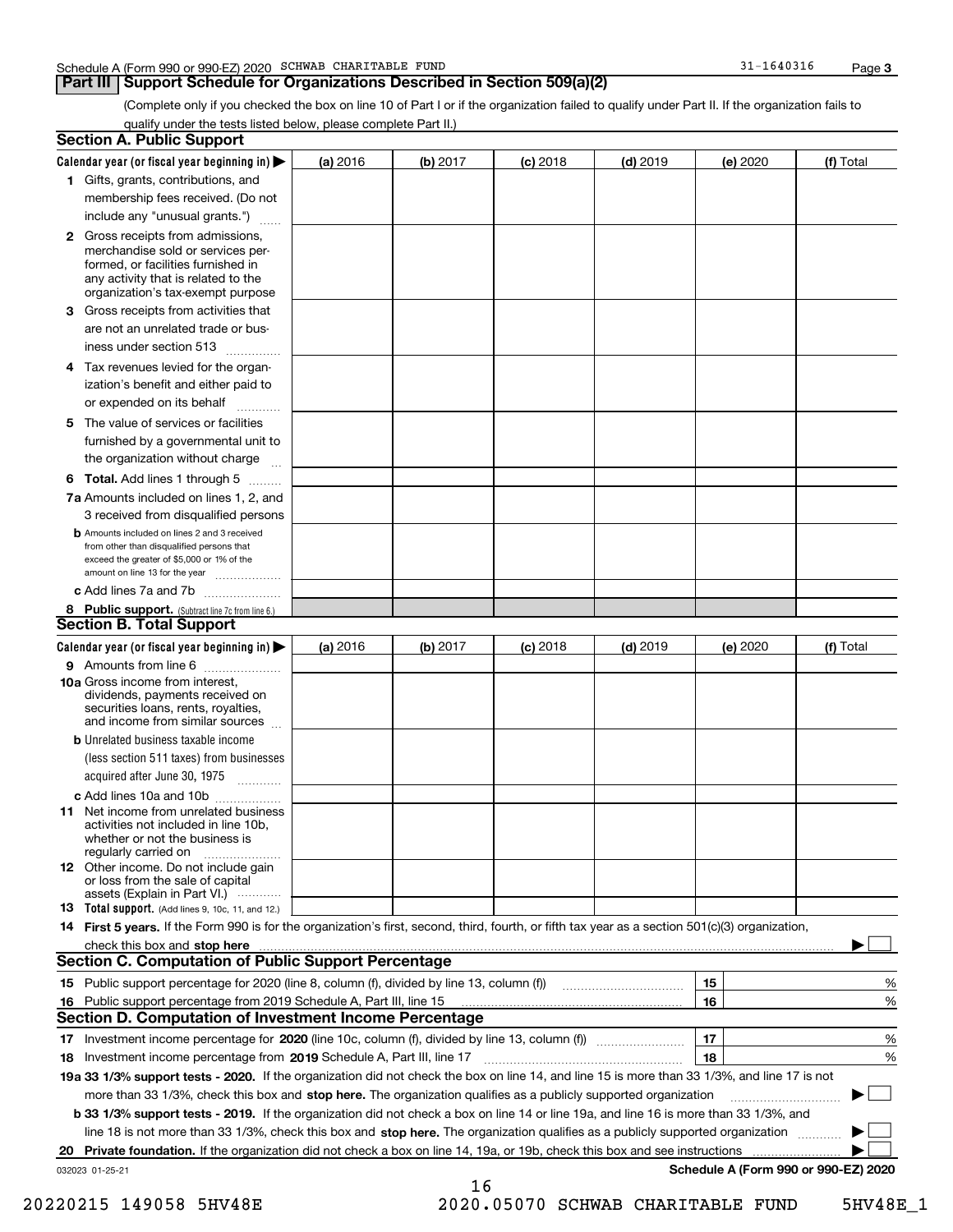### **Part III** | Support Schedule for Organizations Described in Section 509(a)(2)

**3**

(Complete only if you checked the box on line 10 of Part I or if the organization failed to qualify under Part II. If the organization fails to qualify under the tests listed below, please complete Part II.)

|    | <b>Section A. Public Support</b>                                                                                                                                                                                                                                                             |          |          |            |            |          |                                      |
|----|----------------------------------------------------------------------------------------------------------------------------------------------------------------------------------------------------------------------------------------------------------------------------------------------|----------|----------|------------|------------|----------|--------------------------------------|
|    | Calendar year (or fiscal year beginning in) $\blacktriangleright$                                                                                                                                                                                                                            | (a) 2016 | (b) 2017 | $(c)$ 2018 | $(d)$ 2019 | (e) 2020 | (f) Total                            |
|    | 1 Gifts, grants, contributions, and                                                                                                                                                                                                                                                          |          |          |            |            |          |                                      |
|    | membership fees received. (Do not                                                                                                                                                                                                                                                            |          |          |            |            |          |                                      |
|    | include any "unusual grants.")                                                                                                                                                                                                                                                               |          |          |            |            |          |                                      |
|    | <b>2</b> Gross receipts from admissions,<br>merchandise sold or services per-<br>formed, or facilities furnished in<br>any activity that is related to the<br>organization's tax-exempt purpose                                                                                              |          |          |            |            |          |                                      |
|    | 3 Gross receipts from activities that<br>are not an unrelated trade or bus-                                                                                                                                                                                                                  |          |          |            |            |          |                                      |
|    | iness under section 513                                                                                                                                                                                                                                                                      |          |          |            |            |          |                                      |
|    | 4 Tax revenues levied for the organ-<br>ization's benefit and either paid to<br>or expended on its behalf<br>.                                                                                                                                                                               |          |          |            |            |          |                                      |
|    | 5 The value of services or facilities<br>furnished by a governmental unit to<br>the organization without charge                                                                                                                                                                              |          |          |            |            |          |                                      |
|    | <b>6 Total.</b> Add lines 1 through 5                                                                                                                                                                                                                                                        |          |          |            |            |          |                                      |
|    | 7a Amounts included on lines 1, 2, and<br>3 received from disqualified persons                                                                                                                                                                                                               |          |          |            |            |          |                                      |
|    | <b>b</b> Amounts included on lines 2 and 3 received<br>from other than disqualified persons that<br>exceed the greater of \$5,000 or 1% of the<br>amount on line 13 for the year                                                                                                             |          |          |            |            |          |                                      |
|    | c Add lines 7a and 7b                                                                                                                                                                                                                                                                        |          |          |            |            |          |                                      |
|    | 8 Public support. (Subtract line 7c from line 6.)                                                                                                                                                                                                                                            |          |          |            |            |          |                                      |
|    | <b>Section B. Total Support</b>                                                                                                                                                                                                                                                              |          |          |            |            |          |                                      |
|    | Calendar year (or fiscal year beginning in) $\blacktriangleright$                                                                                                                                                                                                                            | (a) 2016 | (b) 2017 | $(c)$ 2018 | $(d)$ 2019 | (e) 2020 | (f) Total                            |
|    | 9 Amounts from line 6<br><b>10a</b> Gross income from interest,<br>dividends, payments received on<br>securities loans, rents, royalties,<br>and income from similar sources                                                                                                                 |          |          |            |            |          |                                      |
|    | <b>b</b> Unrelated business taxable income<br>(less section 511 taxes) from businesses<br>acquired after June 30, 1975                                                                                                                                                                       |          |          |            |            |          |                                      |
|    | c Add lines 10a and 10b                                                                                                                                                                                                                                                                      |          |          |            |            |          |                                      |
|    | 11 Net income from unrelated business<br>activities not included in line 10b,<br>whether or not the business is<br>regularly carried on                                                                                                                                                      |          |          |            |            |          |                                      |
|    | <b>12</b> Other income. Do not include gain<br>or loss from the sale of capital<br>assets (Explain in Part VI.)                                                                                                                                                                              |          |          |            |            |          |                                      |
|    | <b>13</b> Total support. (Add lines 9, 10c, 11, and 12.)                                                                                                                                                                                                                                     |          |          |            |            |          |                                      |
|    | 14 First 5 years. If the Form 990 is for the organization's first, second, third, fourth, or fifth tax year as a section 501(c)(3) organization,                                                                                                                                             |          |          |            |            |          |                                      |
|    | check this box and stop here measured and contained a state of the state of the state of the state of the state of the state of the state of the state of the state of the state of the state of the state of the state of the<br><b>Section C. Computation of Public Support Percentage</b> |          |          |            |            |          |                                      |
|    |                                                                                                                                                                                                                                                                                              |          |          |            |            |          |                                      |
|    |                                                                                                                                                                                                                                                                                              |          |          |            |            | 15       | %                                    |
| 16 | Public support percentage from 2019 Schedule A, Part III, line 15<br><b>Section D. Computation of Investment Income Percentage</b>                                                                                                                                                           |          |          |            |            | 16       | %                                    |
|    |                                                                                                                                                                                                                                                                                              |          |          |            |            |          |                                      |
|    |                                                                                                                                                                                                                                                                                              |          |          |            |            | 17<br>18 | %                                    |
|    | 18 Investment income percentage from 2019 Schedule A, Part III, line 17<br>19a 33 1/3% support tests - 2020. If the organization did not check the box on line 14, and line 15 is more than 33 1/3%, and line 17 is not                                                                      |          |          |            |            |          | %                                    |
|    |                                                                                                                                                                                                                                                                                              |          |          |            |            |          | $\sim$                               |
|    | more than 33 1/3%, check this box and stop here. The organization qualifies as a publicly supported organization                                                                                                                                                                             |          |          |            |            |          | ▶                                    |
|    | b 33 1/3% support tests - 2019. If the organization did not check a box on line 14 or line 19a, and line 16 is more than 33 1/3%, and<br>line 18 is not more than 33 1/3%, check this box and stop here. The organization qualifies as a publicly supported organization                     |          |          |            |            |          |                                      |
|    | Private foundation. If the organization did not check a box on line 14, 19a, or 19b, check this box and see instructions                                                                                                                                                                     |          |          |            |            |          |                                      |
| 20 | 032023 01-25-21                                                                                                                                                                                                                                                                              |          |          |            |            |          | Schedule A (Form 990 or 990-EZ) 2020 |
|    |                                                                                                                                                                                                                                                                                              |          | 16       |            |            |          |                                      |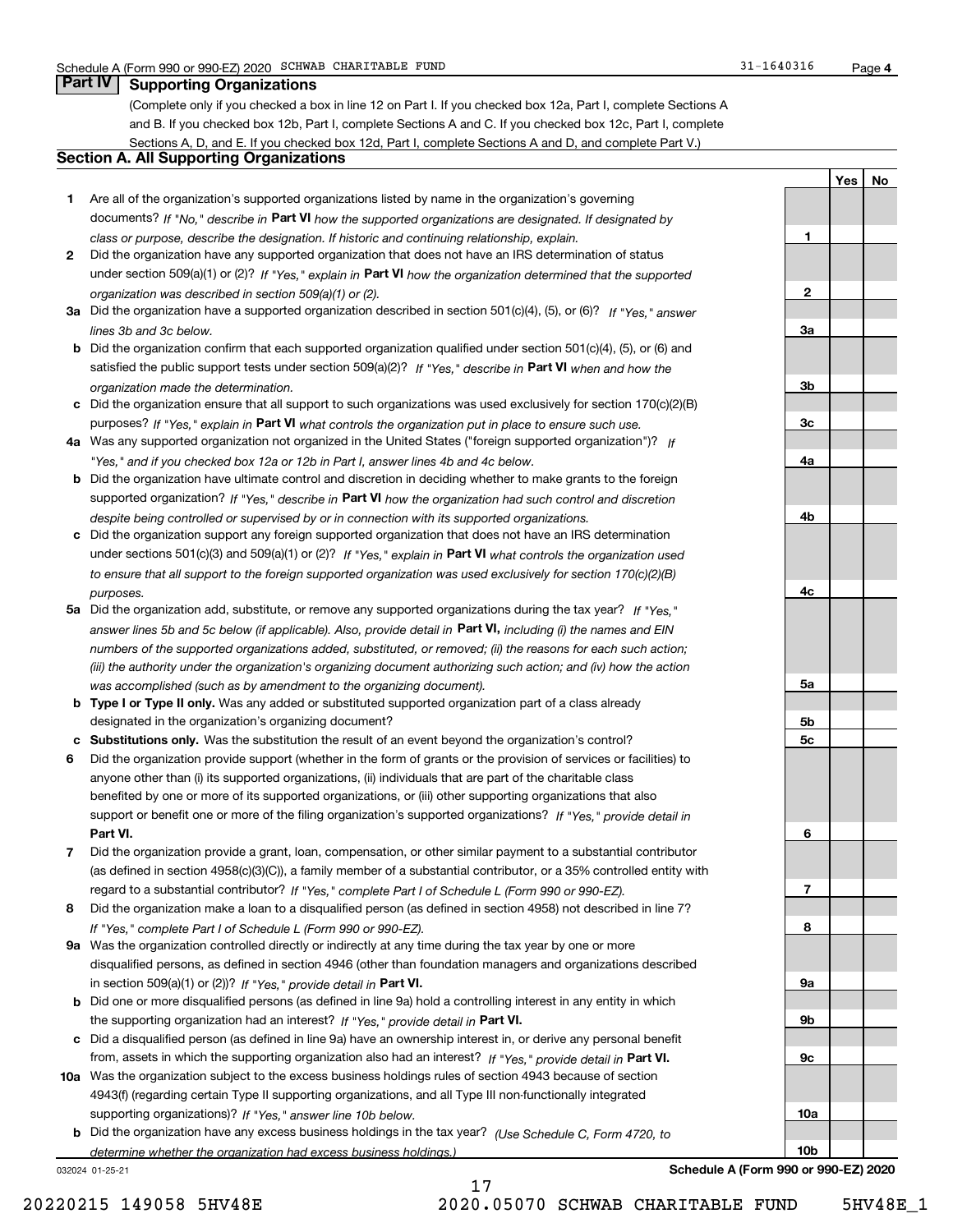**1**

**2**

**3a**

**3b**

**3c**

**4a**

**4b**

**4c**

**5a**

**5b5c**

**6**

**7**

**8**

**9a**

**9b**

**9c**

**10a**

**10b**

**Yes No**

## **Part IV Supporting Organizations**

(Complete only if you checked a box in line 12 on Part I. If you checked box 12a, Part I, complete Sections A and B. If you checked box 12b, Part I, complete Sections A and C. If you checked box 12c, Part I, complete Sections A, D, and E. If you checked box 12d, Part I, complete Sections A and D, and complete Part V.)

## **Section A. All Supporting Organizations**

- **1** Are all of the organization's supported organizations listed by name in the organization's governing documents? If "No," describe in **Part VI** how the supported organizations are designated. If designated by *class or purpose, describe the designation. If historic and continuing relationship, explain.*
- **2** Did the organization have any supported organization that does not have an IRS determination of status under section 509(a)(1) or (2)? If "Yes," explain in Part VI how the organization determined that the supported *organization was described in section 509(a)(1) or (2).*
- **3a** Did the organization have a supported organization described in section 501(c)(4), (5), or (6)? If "Yes," answer *lines 3b and 3c below.*
- **b** Did the organization confirm that each supported organization qualified under section 501(c)(4), (5), or (6) and satisfied the public support tests under section 509(a)(2)? If "Yes," describe in **Part VI** when and how the *organization made the determination.*
- **c**Did the organization ensure that all support to such organizations was used exclusively for section 170(c)(2)(B) purposes? If "Yes," explain in **Part VI** what controls the organization put in place to ensure such use.
- **4a***If* Was any supported organization not organized in the United States ("foreign supported organization")? *"Yes," and if you checked box 12a or 12b in Part I, answer lines 4b and 4c below.*
- **b** Did the organization have ultimate control and discretion in deciding whether to make grants to the foreign supported organization? If "Yes," describe in **Part VI** how the organization had such control and discretion *despite being controlled or supervised by or in connection with its supported organizations.*
- **c** Did the organization support any foreign supported organization that does not have an IRS determination under sections 501(c)(3) and 509(a)(1) or (2)? If "Yes," explain in **Part VI** what controls the organization used *to ensure that all support to the foreign supported organization was used exclusively for section 170(c)(2)(B) purposes.*
- **5a** Did the organization add, substitute, or remove any supported organizations during the tax year? If "Yes," answer lines 5b and 5c below (if applicable). Also, provide detail in **Part VI,** including (i) the names and EIN *numbers of the supported organizations added, substituted, or removed; (ii) the reasons for each such action; (iii) the authority under the organization's organizing document authorizing such action; and (iv) how the action was accomplished (such as by amendment to the organizing document).*
- **b** Type I or Type II only. Was any added or substituted supported organization part of a class already designated in the organization's organizing document?
- **cSubstitutions only.**  Was the substitution the result of an event beyond the organization's control?
- **6** Did the organization provide support (whether in the form of grants or the provision of services or facilities) to **Part VI.** *If "Yes," provide detail in* support or benefit one or more of the filing organization's supported organizations? anyone other than (i) its supported organizations, (ii) individuals that are part of the charitable class benefited by one or more of its supported organizations, or (iii) other supporting organizations that also
- **7**Did the organization provide a grant, loan, compensation, or other similar payment to a substantial contributor *If "Yes," complete Part I of Schedule L (Form 990 or 990-EZ).* regard to a substantial contributor? (as defined in section 4958(c)(3)(C)), a family member of a substantial contributor, or a 35% controlled entity with
- **8** Did the organization make a loan to a disqualified person (as defined in section 4958) not described in line 7? *If "Yes," complete Part I of Schedule L (Form 990 or 990-EZ).*
- **9a** Was the organization controlled directly or indirectly at any time during the tax year by one or more in section 509(a)(1) or (2))? If "Yes," *provide detail in* <code>Part VI.</code> disqualified persons, as defined in section 4946 (other than foundation managers and organizations described
- **b** Did one or more disqualified persons (as defined in line 9a) hold a controlling interest in any entity in which the supporting organization had an interest? If "Yes," provide detail in P**art VI**.
- **c**Did a disqualified person (as defined in line 9a) have an ownership interest in, or derive any personal benefit from, assets in which the supporting organization also had an interest? If "Yes," provide detail in P**art VI.**
- **10a** Was the organization subject to the excess business holdings rules of section 4943 because of section supporting organizations)? If "Yes," answer line 10b below. 4943(f) (regarding certain Type II supporting organizations, and all Type III non-functionally integrated
- **b** Did the organization have any excess business holdings in the tax year? (Use Schedule C, Form 4720, to *determine whether the organization had excess business holdings.)*

17

032024 01-25-21

**Schedule A (Form 990 or 990-EZ) 2020**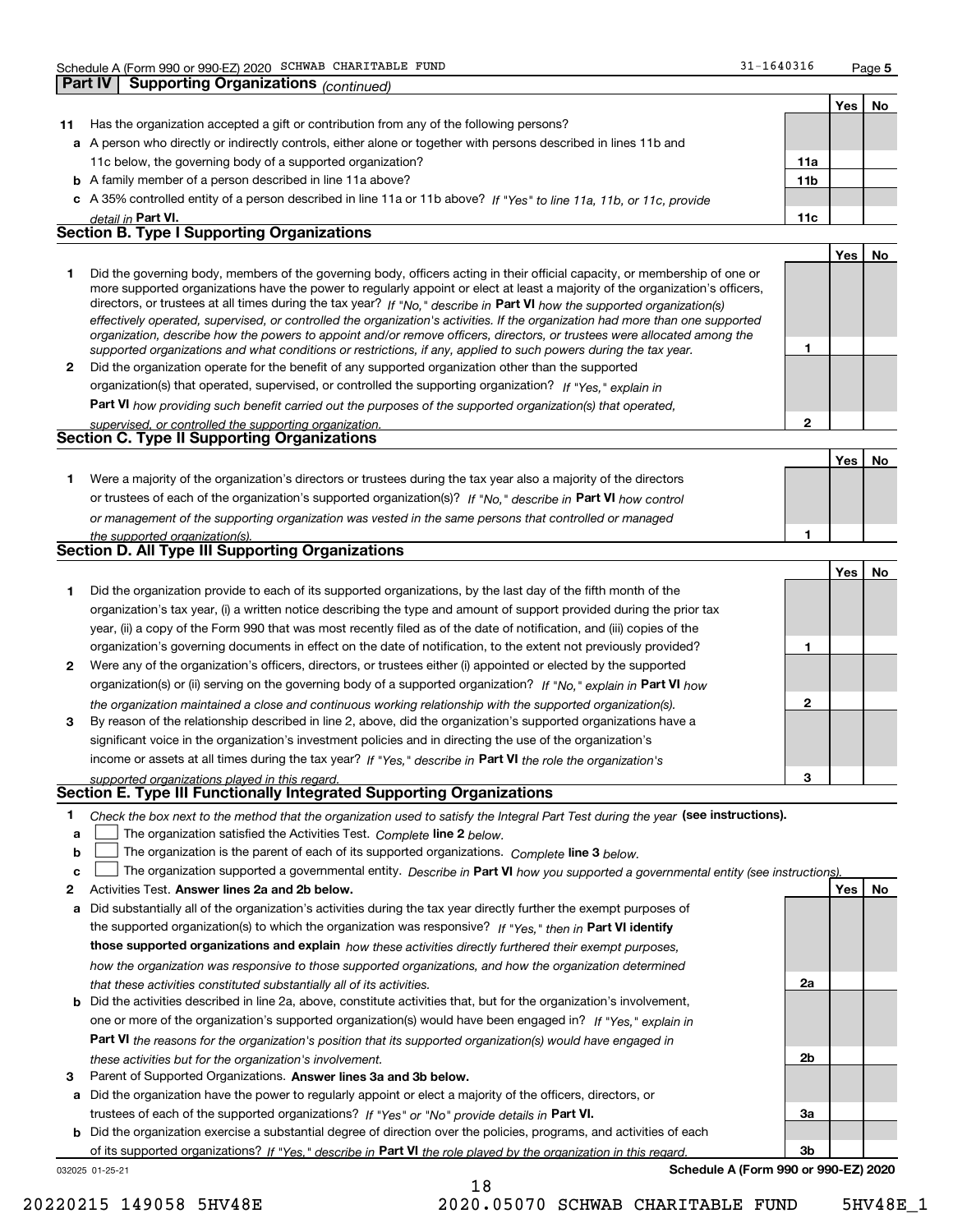**Part IV Supporting Organizations** *(continued)*

**2**

 **No**

**Yes**

|    |                                                                                                                          |                 | Yes | No. |
|----|--------------------------------------------------------------------------------------------------------------------------|-----------------|-----|-----|
| 11 | Has the organization accepted a gift or contribution from any of the following persons?                                  |                 |     |     |
|    | a A person who directly or indirectly controls, either alone or together with persons described in lines 11b and         |                 |     |     |
|    | 11c below, the governing body of a supported organization?                                                               | 11a             |     |     |
|    | <b>b</b> A family member of a person described in line 11a above?                                                        | 11 <sub>b</sub> |     |     |
|    | c A 35% controlled entity of a person described in line 11a or 11b above? If "Yes" to line 11a, 11b, or 11c, provide     |                 |     |     |
|    | detail in Part VI.                                                                                                       | 11c             |     |     |
|    | <b>Section B. Type I Supporting Organizations</b>                                                                        |                 |     |     |
|    |                                                                                                                          |                 | Yes | No  |
|    | Did the governing body members of the governing body officers esting in their official conseity, ar membership of ans ar |                 |     |     |

| Did the governing body, members of the governing body, officers acting in their official capacity, or membership of one or<br>more supported organizations have the power to regularly appoint or elect at least a majority of the organization's officers,<br>directors, or trustees at all times during the tax year? If "No," describe in Part VI how the supported organization(s)<br>effectively operated, supervised, or controlled the organization's activities. If the organization had more than one supported |                                                                                                                                                                                                                                              |  |  |  |  |
|--------------------------------------------------------------------------------------------------------------------------------------------------------------------------------------------------------------------------------------------------------------------------------------------------------------------------------------------------------------------------------------------------------------------------------------------------------------------------------------------------------------------------|----------------------------------------------------------------------------------------------------------------------------------------------------------------------------------------------------------------------------------------------|--|--|--|--|
|                                                                                                                                                                                                                                                                                                                                                                                                                                                                                                                          | organization, describe how the powers to appoint and/or remove officers, directors, or trustees were allocated among the<br>supported organizations and what conditions or restrictions, if any, applied to such powers during the tax year. |  |  |  |  |
| 2                                                                                                                                                                                                                                                                                                                                                                                                                                                                                                                        | Did the organization operate for the benefit of any supported organization other than the supported                                                                                                                                          |  |  |  |  |
|                                                                                                                                                                                                                                                                                                                                                                                                                                                                                                                          | organization(s) that operated, supervised, or controlled the supporting organization? If "Yes," explain in                                                                                                                                   |  |  |  |  |

**Part VI**  *how providing such benefit carried out the purposes of the supported organization(s) that operated,*

*supervised, or controlled the supporting organization.*

| <b>Section C. Type II Supporting Organizations</b> |  |
|----------------------------------------------------|--|
|                                                    |  |

**Yes1**or trustees of each of the organization's supported organization(s)? If "No," describe in **Part VI** how control **1***or management of the supporting organization was vested in the same persons that controlled or managed the supported organization(s).* Were a majority of the organization's directors or trustees during the tax year also a majority of the directors

| Section D. All Type III Supporting Organizations |  |
|--------------------------------------------------|--|
|                                                  |  |

|              |                                                                                                                        |   | Yes I | No |
|--------------|------------------------------------------------------------------------------------------------------------------------|---|-------|----|
|              | Did the organization provide to each of its supported organizations, by the last day of the fifth month of the         |   |       |    |
|              | organization's tax year, (i) a written notice describing the type and amount of support provided during the prior tax  |   |       |    |
|              | year, (ii) a copy of the Form 990 that was most recently filed as of the date of notification, and (iii) copies of the |   |       |    |
|              | organization's governing documents in effect on the date of notification, to the extent not previously provided?       |   |       |    |
| $\mathbf{2}$ | Were any of the organization's officers, directors, or trustees either (i) appointed or elected by the supported       |   |       |    |
|              | organization(s) or (ii) serving on the governing body of a supported organization? If "No," explain in Part VI how     |   |       |    |
|              | the organization maintained a close and continuous working relationship with the supported organization(s).            | 2 |       |    |
| 3            | By reason of the relationship described in line 2, above, did the organization's supported organizations have a        |   |       |    |
|              | significant voice in the organization's investment policies and in directing the use of the organization's             |   |       |    |
|              | income or assets at all times during the tax year? If "Yes," describe in Part VI the role the organization's           |   |       |    |
|              | supported organizations played in this regard                                                                          | з |       |    |

# *supported organizations played in this regard.* **Section E. Type III Functionally Integrated Supporting Organizations**

- **1**Check the box next to the method that the organization used to satisfy the Integral Part Test during the year (see instructions).
- **alinupy** The organization satisfied the Activities Test. Complete line 2 below.
- **b**The organization is the parent of each of its supported organizations. *Complete* line 3 below.<br>The state of the state of the state of the state of the state of the state of the state of the state of the state of the state  $\mathcal{L}^{\text{max}}$

|  |  |  | $\mathbf{c}$ $\Box$ The organization supported a governmental entity. Describe in Part VI how you supported a governmental entity (see instructions). |  |
|--|--|--|-------------------------------------------------------------------------------------------------------------------------------------------------------|--|
|--|--|--|-------------------------------------------------------------------------------------------------------------------------------------------------------|--|

18

- **2**Activities Test.
- **Activities Test. Answer lines 2a and 2b below.**<br>**a** Did substantially all of the organization's activities during the tax year directly further the exempt purposes of the supported organization(s) to which the organization was responsive? If "Yes," then in **Part VI identify those supported organizations and explain**  *how these activities directly furthered their exempt purposes, how the organization was responsive to those supported organizations, and how the organization determined that these activities constituted substantially all of its activities.*
- **b** Did the activities described in line 2a, above, constitute activities that, but for the organization's involvement, **Part VI**  *the reasons for the organization's position that its supported organization(s) would have engaged in* one or more of the organization's supported organization(s) would have been engaged in? If "Yes," e*xplain in these activities but for the organization's involvement.*
- **3** Parent of Supported Organizations. Answer lines 3a and 3b below.

**a** Did the organization have the power to regularly appoint or elect a majority of the officers, directors, or trustees of each of the supported organizations? If "Yes" or "No" provide details in **Part VI.** 

**b** Did the organization exercise a substantial degree of direction over the policies, programs, and activities of each **Part VI**  *If "Yes," describe in the role played by the organization in this regard.* of its supported organizations?

032025 01-25-21

**Schedule A (Form 990 or 990-EZ) 2020**

**2a**

**2b**

**3a**

**3b**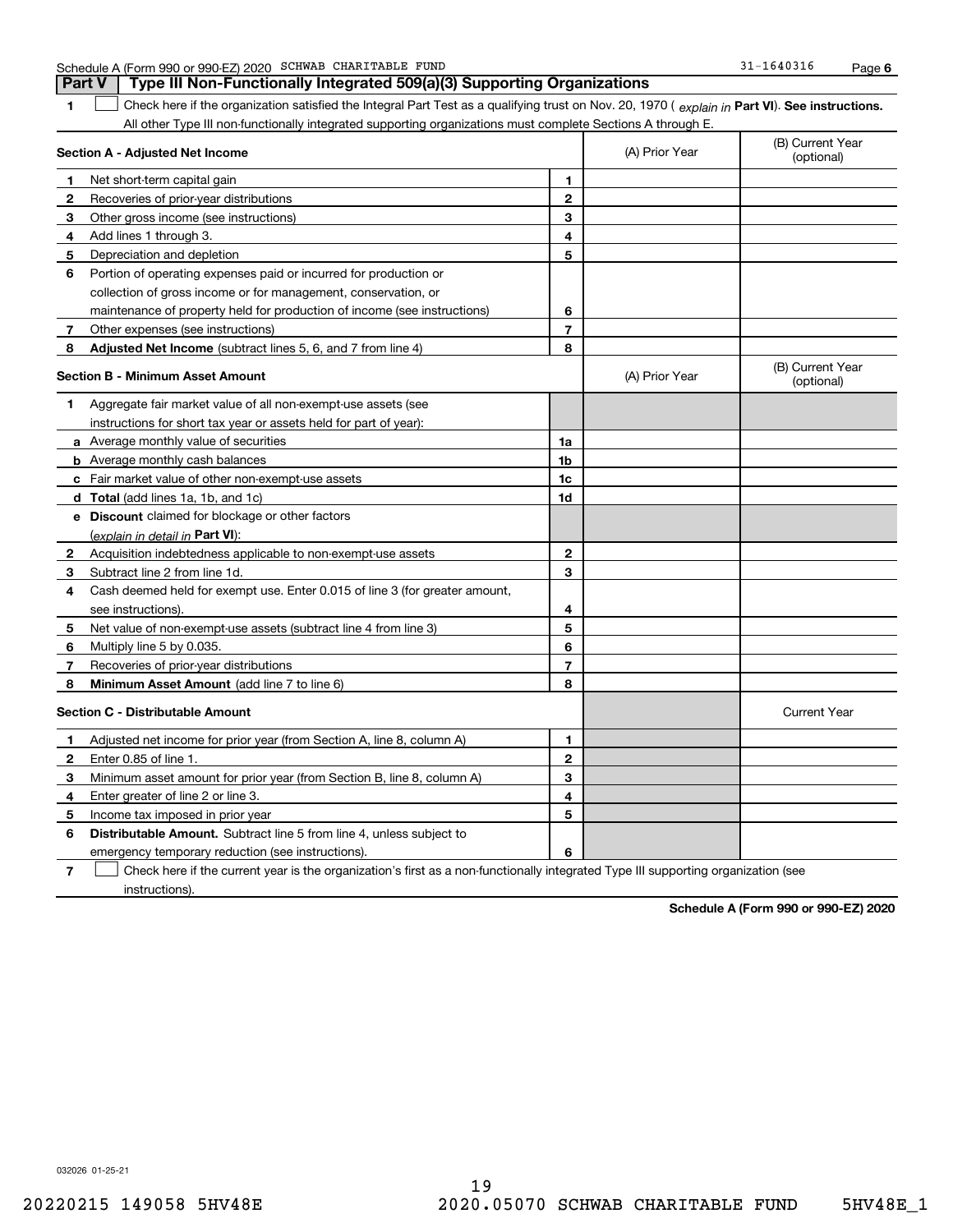|  | Schedule A (Form 990 or 990-EZ) 2020 |  | SCHWAB CHARITABLE | FUND | 1640316<br>⊥ ت | Page |  |
|--|--------------------------------------|--|-------------------|------|----------------|------|--|
|--|--------------------------------------|--|-------------------|------|----------------|------|--|

**1Part VI** Check here if the organization satisfied the Integral Part Test as a qualifying trust on Nov. 20, 1970 ( *explain in* Part **VI**). See instructions. All other Type III non-functionally integrated supporting organizations must complete Sections A through E. **Part V Type III Non-Functionally Integrated 509(a)(3) Supporting Organizations**   $\overline{\phantom{0}}$ 

|              | Section A - Adjusted Net Income                                                                                                   | (A) Prior Year | (B) Current Year<br>(optional) |                                |
|--------------|-----------------------------------------------------------------------------------------------------------------------------------|----------------|--------------------------------|--------------------------------|
| 1            | Net short-term capital gain                                                                                                       | 1              |                                |                                |
| 2            | Recoveries of prior-year distributions                                                                                            | $\mathbf{2}$   |                                |                                |
| 3            | Other gross income (see instructions)                                                                                             | 3              |                                |                                |
| 4            | Add lines 1 through 3.                                                                                                            | 4              |                                |                                |
| 5            | Depreciation and depletion                                                                                                        | 5              |                                |                                |
| 6            | Portion of operating expenses paid or incurred for production or                                                                  |                |                                |                                |
|              | collection of gross income or for management, conservation, or                                                                    |                |                                |                                |
|              | maintenance of property held for production of income (see instructions)                                                          | 6              |                                |                                |
| 7            | Other expenses (see instructions)                                                                                                 | $\overline{7}$ |                                |                                |
| 8            | Adjusted Net Income (subtract lines 5, 6, and 7 from line 4)                                                                      | 8              |                                |                                |
|              | <b>Section B - Minimum Asset Amount</b>                                                                                           |                | (A) Prior Year                 | (B) Current Year<br>(optional) |
| 1            | Aggregate fair market value of all non-exempt-use assets (see                                                                     |                |                                |                                |
|              | instructions for short tax year or assets held for part of year):                                                                 |                |                                |                                |
|              | <b>a</b> Average monthly value of securities                                                                                      | 1a             |                                |                                |
|              | <b>b</b> Average monthly cash balances                                                                                            | 1b             |                                |                                |
|              | c Fair market value of other non-exempt-use assets                                                                                | 1c             |                                |                                |
|              | d Total (add lines 1a, 1b, and 1c)                                                                                                | 1d             |                                |                                |
|              | e Discount claimed for blockage or other factors                                                                                  |                |                                |                                |
|              | (explain in detail in Part VI):                                                                                                   |                |                                |                                |
| $\mathbf{2}$ | Acquisition indebtedness applicable to non-exempt-use assets                                                                      | $\mathbf{2}$   |                                |                                |
| 3            | Subtract line 2 from line 1d.                                                                                                     | 3              |                                |                                |
| 4            | Cash deemed held for exempt use. Enter 0.015 of line 3 (for greater amount,                                                       |                |                                |                                |
|              | see instructions)                                                                                                                 | 4              |                                |                                |
| 5            | Net value of non-exempt-use assets (subtract line 4 from line 3)                                                                  | 5              |                                |                                |
| 6            | Multiply line 5 by 0.035.                                                                                                         | 6              |                                |                                |
| 7            | Recoveries of prior-year distributions                                                                                            | $\overline{7}$ |                                |                                |
| 8            | Minimum Asset Amount (add line 7 to line 6)                                                                                       | 8              |                                |                                |
|              | <b>Section C - Distributable Amount</b>                                                                                           |                |                                | <b>Current Year</b>            |
| 1            | Adjusted net income for prior year (from Section A, line 8, column A)                                                             | 1              |                                |                                |
| 2            | Enter 0.85 of line 1.                                                                                                             | $\overline{2}$ |                                |                                |
| 3            | Minimum asset amount for prior year (from Section B, line 8, column A)                                                            | 3              |                                |                                |
| 4            | Enter greater of line 2 or line 3.                                                                                                | 4              |                                |                                |
| 5            | Income tax imposed in prior year                                                                                                  | 5              |                                |                                |
| 6            | <b>Distributable Amount.</b> Subtract line 5 from line 4, unless subject to                                                       |                |                                |                                |
|              | emergency temporary reduction (see instructions).                                                                                 | 6              |                                |                                |
| 7            | Check here if the current year is the organization's first as a non-functionally integrated Type III supporting organization (see |                |                                |                                |

instructions).

**Schedule A (Form 990 or 990-EZ) 2020**

032026 01-25-21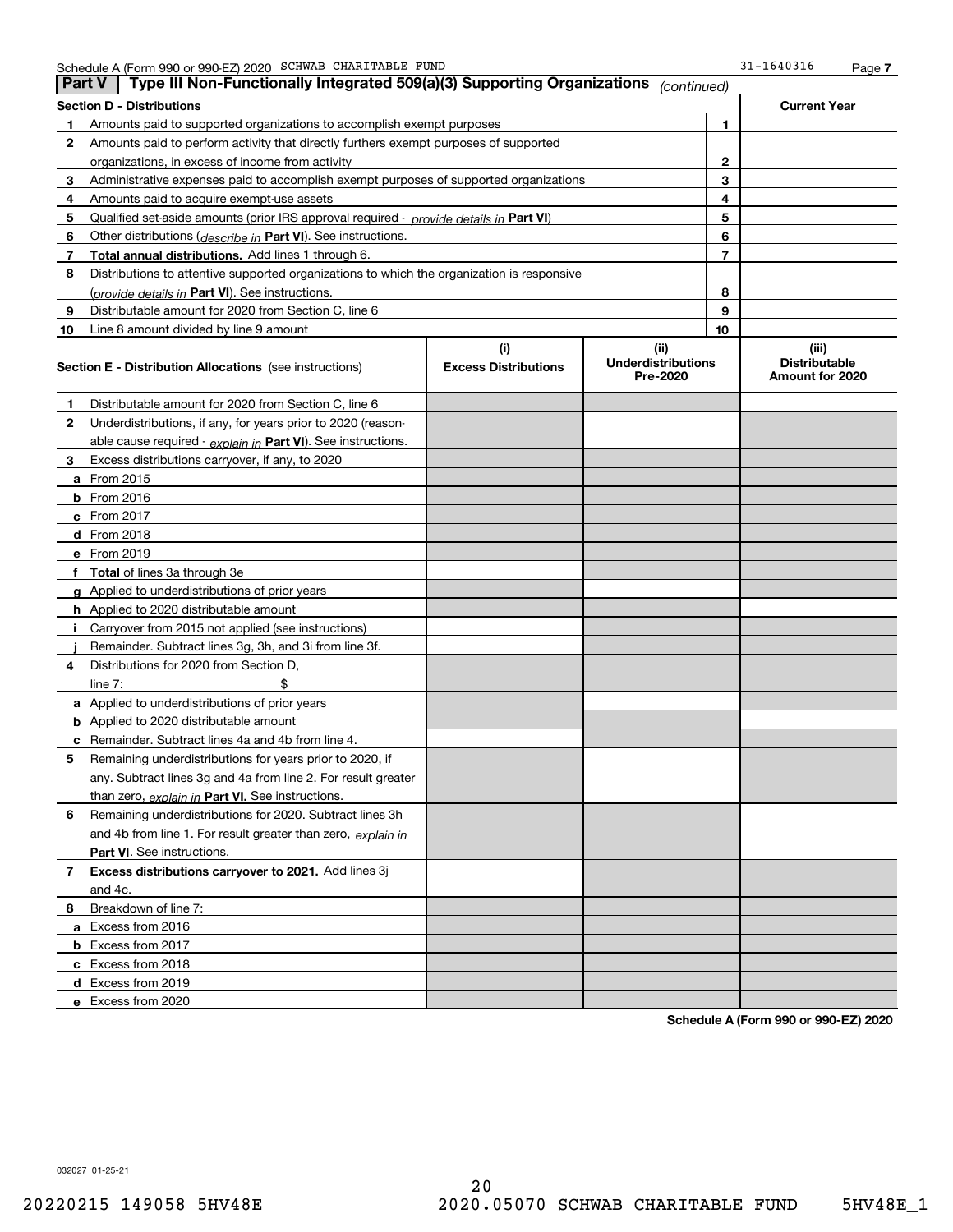| <b>Part V</b> | Type III Non-Functionally Integrated 509(a)(3) Supporting Organizations                    |                             | (continued)                           |                |                                         |
|---------------|--------------------------------------------------------------------------------------------|-----------------------------|---------------------------------------|----------------|-----------------------------------------|
|               | <b>Section D - Distributions</b>                                                           |                             |                                       |                | <b>Current Year</b>                     |
| 1             | Amounts paid to supported organizations to accomplish exempt purposes                      |                             |                                       | 1              |                                         |
| 2             | Amounts paid to perform activity that directly furthers exempt purposes of supported       |                             |                                       |                |                                         |
|               | organizations, in excess of income from activity                                           |                             | $\mathbf{2}$                          |                |                                         |
| 3             | Administrative expenses paid to accomplish exempt purposes of supported organizations      |                             | 3                                     |                |                                         |
| 4             | Amounts paid to acquire exempt-use assets                                                  |                             |                                       | 4              |                                         |
| 5             | Qualified set-aside amounts (prior IRS approval required - provide details in Part VI)     |                             |                                       | 5              |                                         |
| 6             | Other distributions ( <i>describe in</i> Part VI). See instructions.                       |                             |                                       | 6              |                                         |
| 7             | Total annual distributions. Add lines 1 through 6.                                         |                             |                                       | $\overline{7}$ |                                         |
| 8             | Distributions to attentive supported organizations to which the organization is responsive |                             |                                       |                |                                         |
|               | (provide details in Part VI). See instructions.                                            |                             |                                       | 8              |                                         |
| 9             | Distributable amount for 2020 from Section C, line 6                                       |                             |                                       | 9              |                                         |
| 10            | Line 8 amount divided by line 9 amount                                                     |                             |                                       | 10             |                                         |
|               |                                                                                            | (i)                         | (ii)                                  |                | (iii)                                   |
|               | <b>Section E - Distribution Allocations</b> (see instructions)                             | <b>Excess Distributions</b> | <b>Underdistributions</b><br>Pre-2020 |                | <b>Distributable</b><br>Amount for 2020 |
| 1             | Distributable amount for 2020 from Section C, line 6                                       |                             |                                       |                |                                         |
| 2             | Underdistributions, if any, for years prior to 2020 (reason-                               |                             |                                       |                |                                         |
|               | able cause required - explain in Part VI). See instructions.                               |                             |                                       |                |                                         |
| 3             | Excess distributions carryover, if any, to 2020                                            |                             |                                       |                |                                         |
|               | a From 2015                                                                                |                             |                                       |                |                                         |
|               | <b>b</b> From 2016                                                                         |                             |                                       |                |                                         |
|               | $c$ From 2017                                                                              |                             |                                       |                |                                         |
|               | d From 2018                                                                                |                             |                                       |                |                                         |
|               | e From 2019                                                                                |                             |                                       |                |                                         |
|               | f Total of lines 3a through 3e                                                             |                             |                                       |                |                                         |
|               | g Applied to underdistributions of prior years                                             |                             |                                       |                |                                         |
|               | <b>h</b> Applied to 2020 distributable amount                                              |                             |                                       |                |                                         |
|               | Carryover from 2015 not applied (see instructions)                                         |                             |                                       |                |                                         |
|               | Remainder. Subtract lines 3g, 3h, and 3i from line 3f.                                     |                             |                                       |                |                                         |
| 4             | Distributions for 2020 from Section D,                                                     |                             |                                       |                |                                         |
|               | line $7:$                                                                                  |                             |                                       |                |                                         |
|               | a Applied to underdistributions of prior years                                             |                             |                                       |                |                                         |
|               | <b>b</b> Applied to 2020 distributable amount                                              |                             |                                       |                |                                         |
|               | c Remainder. Subtract lines 4a and 4b from line 4.                                         |                             |                                       |                |                                         |
| 5.            | Remaining underdistributions for years prior to 2020, if                                   |                             |                                       |                |                                         |
|               | any. Subtract lines 3g and 4a from line 2. For result greater                              |                             |                                       |                |                                         |
|               | than zero, explain in Part VI. See instructions.                                           |                             |                                       |                |                                         |
| 6             | Remaining underdistributions for 2020. Subtract lines 3h                                   |                             |                                       |                |                                         |
|               | and 4b from line 1. For result greater than zero, explain in                               |                             |                                       |                |                                         |
|               | Part VI. See instructions.                                                                 |                             |                                       |                |                                         |
| 7             | Excess distributions carryover to 2021. Add lines 3j                                       |                             |                                       |                |                                         |
|               | and 4c.                                                                                    |                             |                                       |                |                                         |
| 8             | Breakdown of line 7:                                                                       |                             |                                       |                |                                         |
|               | a Excess from 2016                                                                         |                             |                                       |                |                                         |
|               | <b>b</b> Excess from 2017                                                                  |                             |                                       |                |                                         |
|               | c Excess from 2018                                                                         |                             |                                       |                |                                         |
|               | d Excess from 2019                                                                         |                             |                                       |                |                                         |
|               | e Excess from 2020                                                                         |                             |                                       |                |                                         |

**Schedule A (Form 990 or 990-EZ) 2020**

032027 01-25-21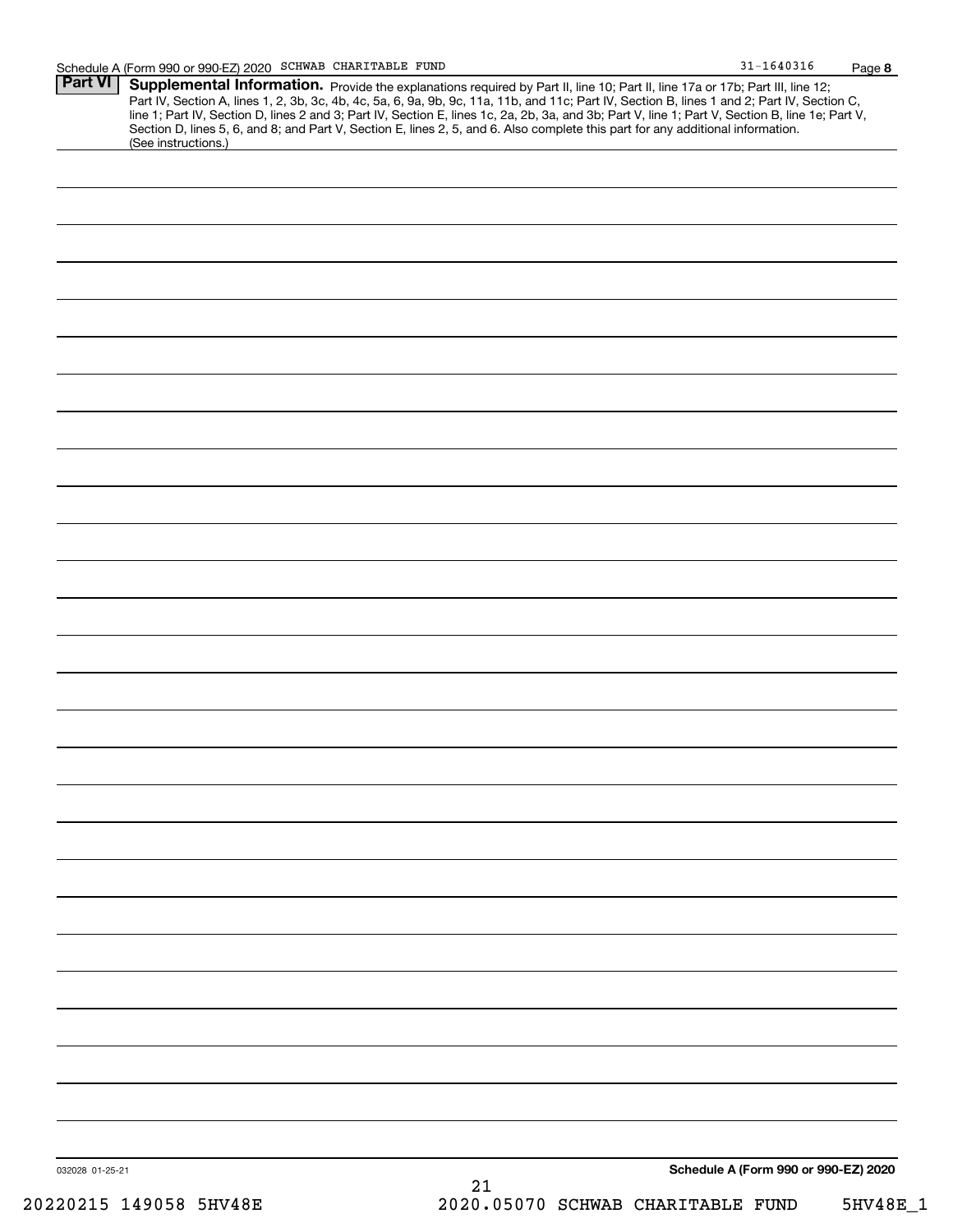**Part VI Supplemental Information.** 

|                 | (See instructions.)    |  | line 1; Part IV, Section D, lines 2 and 3; Part IV, Section E, lines 1c, 2a, 2b, 3a, and 3b; Part V, line 1; Part V, Section B, line 1e; Part V,<br>Section D, lines 5, 6, and 8; and Part V, Section E, lines 2, 5, and 6. Also |  |                                      |          |
|-----------------|------------------------|--|----------------------------------------------------------------------------------------------------------------------------------------------------------------------------------------------------------------------------------|--|--------------------------------------|----------|
|                 |                        |  |                                                                                                                                                                                                                                  |  |                                      |          |
|                 |                        |  |                                                                                                                                                                                                                                  |  |                                      |          |
|                 |                        |  |                                                                                                                                                                                                                                  |  |                                      |          |
|                 |                        |  |                                                                                                                                                                                                                                  |  |                                      |          |
|                 |                        |  |                                                                                                                                                                                                                                  |  |                                      |          |
|                 |                        |  |                                                                                                                                                                                                                                  |  |                                      |          |
|                 |                        |  |                                                                                                                                                                                                                                  |  |                                      |          |
|                 |                        |  |                                                                                                                                                                                                                                  |  |                                      |          |
|                 |                        |  |                                                                                                                                                                                                                                  |  |                                      |          |
|                 |                        |  |                                                                                                                                                                                                                                  |  |                                      |          |
|                 |                        |  |                                                                                                                                                                                                                                  |  |                                      |          |
|                 |                        |  |                                                                                                                                                                                                                                  |  |                                      |          |
|                 |                        |  |                                                                                                                                                                                                                                  |  |                                      |          |
|                 |                        |  |                                                                                                                                                                                                                                  |  |                                      |          |
|                 |                        |  |                                                                                                                                                                                                                                  |  |                                      |          |
|                 |                        |  |                                                                                                                                                                                                                                  |  |                                      |          |
|                 |                        |  |                                                                                                                                                                                                                                  |  |                                      |          |
|                 |                        |  |                                                                                                                                                                                                                                  |  |                                      |          |
|                 |                        |  |                                                                                                                                                                                                                                  |  |                                      |          |
|                 |                        |  |                                                                                                                                                                                                                                  |  |                                      |          |
|                 |                        |  |                                                                                                                                                                                                                                  |  |                                      |          |
|                 |                        |  |                                                                                                                                                                                                                                  |  |                                      |          |
|                 |                        |  |                                                                                                                                                                                                                                  |  |                                      |          |
|                 |                        |  |                                                                                                                                                                                                                                  |  |                                      |          |
|                 |                        |  |                                                                                                                                                                                                                                  |  |                                      |          |
|                 |                        |  |                                                                                                                                                                                                                                  |  |                                      |          |
|                 |                        |  |                                                                                                                                                                                                                                  |  |                                      |          |
|                 |                        |  |                                                                                                                                                                                                                                  |  |                                      |          |
|                 |                        |  |                                                                                                                                                                                                                                  |  |                                      |          |
|                 |                        |  |                                                                                                                                                                                                                                  |  |                                      |          |
|                 |                        |  |                                                                                                                                                                                                                                  |  |                                      |          |
|                 |                        |  |                                                                                                                                                                                                                                  |  |                                      |          |
| 032028 01-25-21 |                        |  | 21                                                                                                                                                                                                                               |  | Schedule A (Form 990 or 990-EZ) 2020 |          |
|                 | 20220215 149058 5HV48E |  | 2020.05070 SCHWAB CHARITABLE FUND                                                                                                                                                                                                |  |                                      | 5HV48E_1 |

Provide the explanations required by Part II, line 10; Part II, line 17a or 17b; Part III, line 12;

Part IV, Section A, lines 1, 2, 3b, 3c, 4b, 4c, 5a, 6, 9a, 9b, 9c, 11a, 11b, and 11c; Part IV, Section B, lines 1 and 2; Part IV, Section C,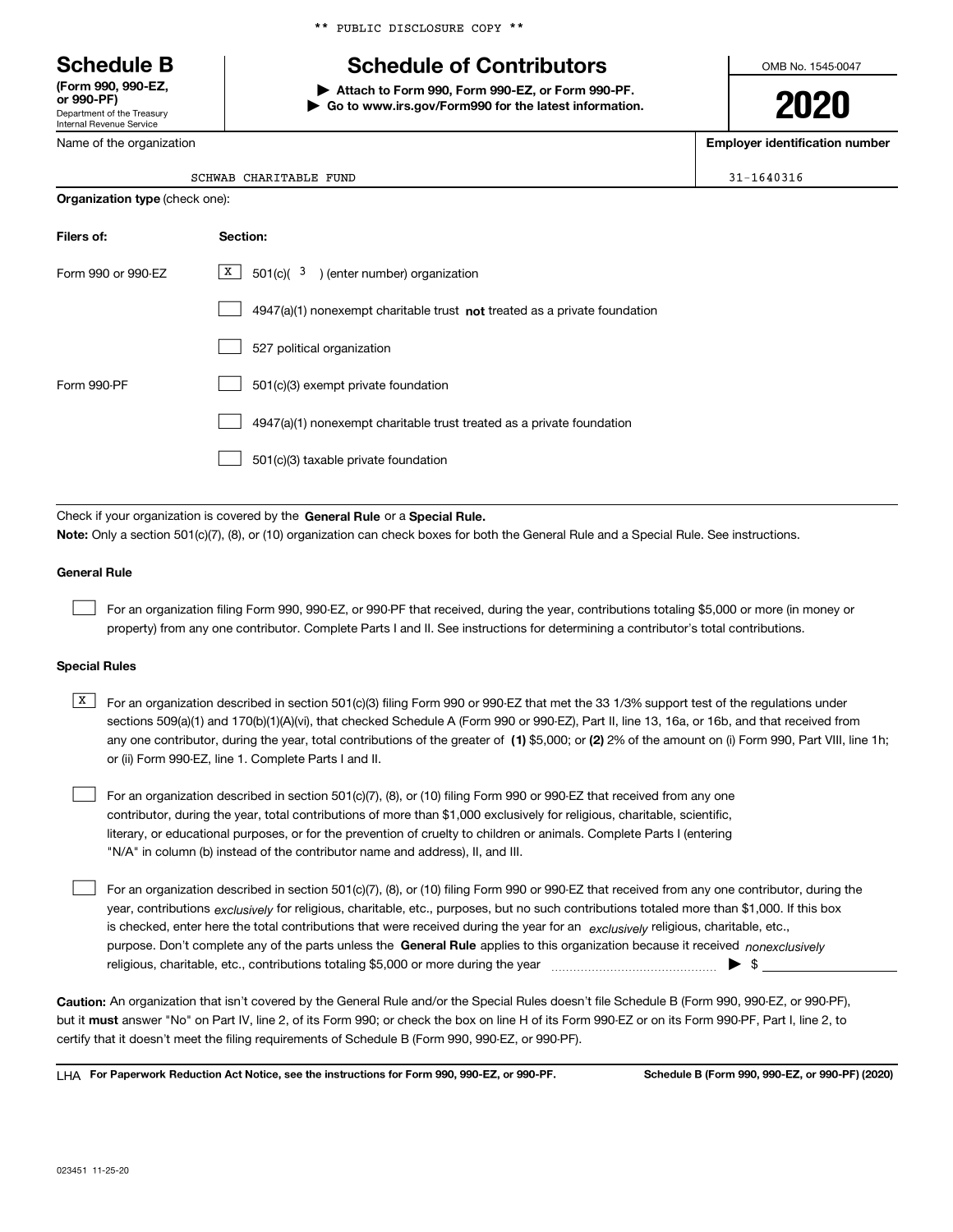Department of the Treasury Internal Revenue Service **(Form 990, 990-EZ, or 990-PF)**

Name of the organization

|  | ** PUBLIC DISCLOSURE COPY ** |  |
|--|------------------------------|--|
|  |                              |  |

# **Schedule B Schedule of Contributors**

**| Attach to Form 990, Form 990-EZ, or Form 990-PF. | Go to www.irs.gov/Form990 for the latest information.** OMB No. 1545-0047

**2020**

**Employer identification number**

|  |  |  |  | 1-1640316 |  |
|--|--|--|--|-----------|--|
|  |  |  |  |           |  |

| SCHWAB CHARITABLE | FUND | $31 - 1640316$ |
|-------------------|------|----------------|
|                   |      |                |

| <b>Organization type (check one):</b> |                                                                                    |  |  |  |  |
|---------------------------------------|------------------------------------------------------------------------------------|--|--|--|--|
| Filers of:                            | Section:                                                                           |  |  |  |  |
| Form 990 or 990-EZ                    | $X$ 501(c)( 3) (enter number) organization                                         |  |  |  |  |
|                                       | $4947(a)(1)$ nonexempt charitable trust <b>not</b> treated as a private foundation |  |  |  |  |
|                                       | 527 political organization                                                         |  |  |  |  |
| Form 990-PF                           | 501(c)(3) exempt private foundation                                                |  |  |  |  |
|                                       | 4947(a)(1) nonexempt charitable trust treated as a private foundation              |  |  |  |  |
|                                       | 501(c)(3) taxable private foundation                                               |  |  |  |  |

Check if your organization is covered by the **General Rule** or a **Special Rule.**<br>Nota: Only a section 501(c)(7), (8), or (10) erganization can chock boxes for be **Note:**  Only a section 501(c)(7), (8), or (10) organization can check boxes for both the General Rule and a Special Rule. See instructions.

### **General Rule**

 $\mathcal{L}^{\text{max}}$ 

For an organization filing Form 990, 990-EZ, or 990-PF that received, during the year, contributions totaling \$5,000 or more (in money or property) from any one contributor. Complete Parts I and II. See instructions for determining a contributor's total contributions.

#### **Special Rules**

any one contributor, during the year, total contributions of the greater of  $\,$  (1) \$5,000; or **(2)** 2% of the amount on (i) Form 990, Part VIII, line 1h;  $\overline{X}$  For an organization described in section 501(c)(3) filing Form 990 or 990-EZ that met the 33 1/3% support test of the regulations under sections 509(a)(1) and 170(b)(1)(A)(vi), that checked Schedule A (Form 990 or 990-EZ), Part II, line 13, 16a, or 16b, and that received from or (ii) Form 990-EZ, line 1. Complete Parts I and II.

For an organization described in section 501(c)(7), (8), or (10) filing Form 990 or 990-EZ that received from any one contributor, during the year, total contributions of more than \$1,000 exclusively for religious, charitable, scientific, literary, or educational purposes, or for the prevention of cruelty to children or animals. Complete Parts I (entering "N/A" in column (b) instead of the contributor name and address), II, and III.  $\mathcal{L}^{\text{max}}$ 

purpose. Don't complete any of the parts unless the **General Rule** applies to this organization because it received *nonexclusively* year, contributions <sub>exclusively</sub> for religious, charitable, etc., purposes, but no such contributions totaled more than \$1,000. If this box is checked, enter here the total contributions that were received during the year for an  $\;$ exclusively religious, charitable, etc., For an organization described in section 501(c)(7), (8), or (10) filing Form 990 or 990-EZ that received from any one contributor, during the religious, charitable, etc., contributions totaling \$5,000 or more during the year  $\Box$ — $\Box$   $\Box$  $\mathcal{L}^{\text{max}}$ 

**Caution:**  An organization that isn't covered by the General Rule and/or the Special Rules doesn't file Schedule B (Form 990, 990-EZ, or 990-PF), but it **must** answer "No" on Part IV, line 2, of its Form 990; or check the box on line H of its Form 990-EZ or on its Form 990-PF, Part I, line 2, to<br>cortify that it doesn't meet the filipe requirements of Schodule B (Fer certify that it doesn't meet the filing requirements of Schedule B (Form 990, 990-EZ, or 990-PF).

**For Paperwork Reduction Act Notice, see the instructions for Form 990, 990-EZ, or 990-PF. Schedule B (Form 990, 990-EZ, or 990-PF) (2020)** LHA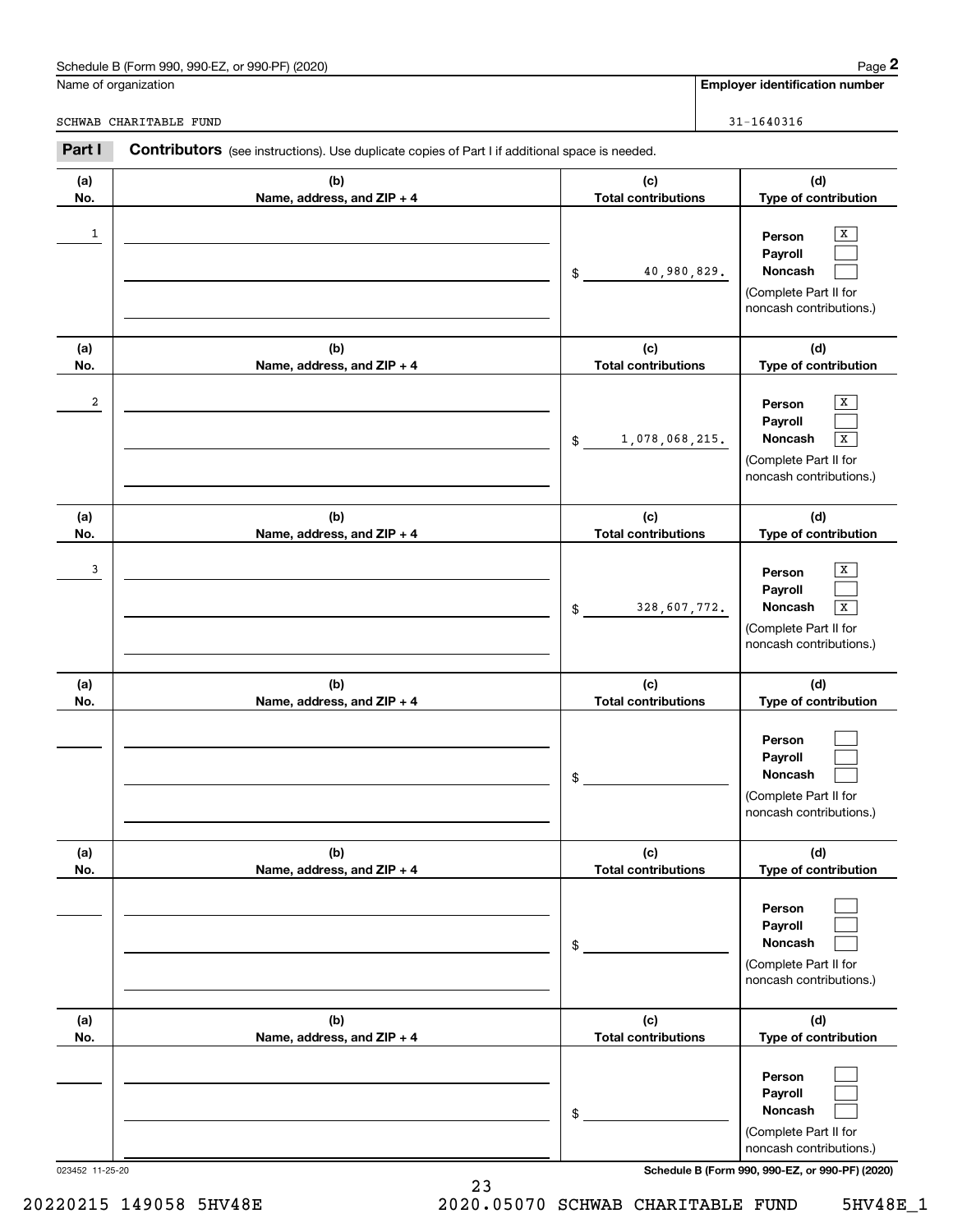## Schedule B (Form 990, 990-EZ, or 990-PF) (2020) Page 2

|                      | Schedule B (Form 990, 990-EZ, or 990-PF) (2020)                                                       |                                   | Page 2                                                                                                           |
|----------------------|-------------------------------------------------------------------------------------------------------|-----------------------------------|------------------------------------------------------------------------------------------------------------------|
| Name of organization |                                                                                                       |                                   | <b>Employer identification number</b>                                                                            |
|                      | SCHWAB CHARITABLE FUND                                                                                |                                   | $31 - 1640316$                                                                                                   |
| Part I               | <b>Contributors</b> (see instructions). Use duplicate copies of Part I if additional space is needed. |                                   |                                                                                                                  |
| (a)<br>No.           | (b)<br>Name, address, and ZIP + 4                                                                     | (c)<br><b>Total contributions</b> | (d)<br>Type of contribution                                                                                      |
| 1                    |                                                                                                       | 40,980,829.<br>\$                 | X<br>Person<br>Payroll<br>Noncash<br>(Complete Part II for<br>noncash contributions.)                            |
| (a)<br>No.           | (b)<br>Name, address, and ZIP + 4                                                                     | (c)<br><b>Total contributions</b> | (d)<br>Type of contribution                                                                                      |
| 2                    |                                                                                                       | 1,078,068,215.<br>\$              | X<br>Person<br>Payroll<br>Noncash<br>X<br>(Complete Part II for<br>noncash contributions.)                       |
| (a)<br>No.           | (b)<br>Name, address, and ZIP + 4                                                                     | (c)<br><b>Total contributions</b> | (d)<br>Type of contribution                                                                                      |
| 3                    |                                                                                                       | 328,607,772.<br>\$                | X<br>Person<br>Payroll<br>Noncash<br>$\overline{\textbf{X}}$<br>(Complete Part II for<br>noncash contributions.) |
| (a)<br>No.           | (b)<br>Name, address, and ZIP + 4                                                                     | (c)<br><b>Total contributions</b> | (d)<br>Type of contribution                                                                                      |
|                      |                                                                                                       | \$                                | Person<br>Payroll<br>Noncash<br>(Complete Part II for<br>noncash contributions.)                                 |
| (a)<br>No.           | (b)<br>Name, address, and ZIP + 4                                                                     | (c)<br><b>Total contributions</b> | (d)<br>Type of contribution                                                                                      |
|                      |                                                                                                       | \$                                | Person<br>Payroll<br>Noncash<br>(Complete Part II for<br>noncash contributions.)                                 |
| (a)<br>No.           | (b)<br>Name, address, and ZIP + 4                                                                     | (c)<br><b>Total contributions</b> | (d)<br>Type of contribution                                                                                      |
|                      |                                                                                                       | \$                                | Person<br>Payroll<br>Noncash<br>(Complete Part II for<br>noncash contributions.)                                 |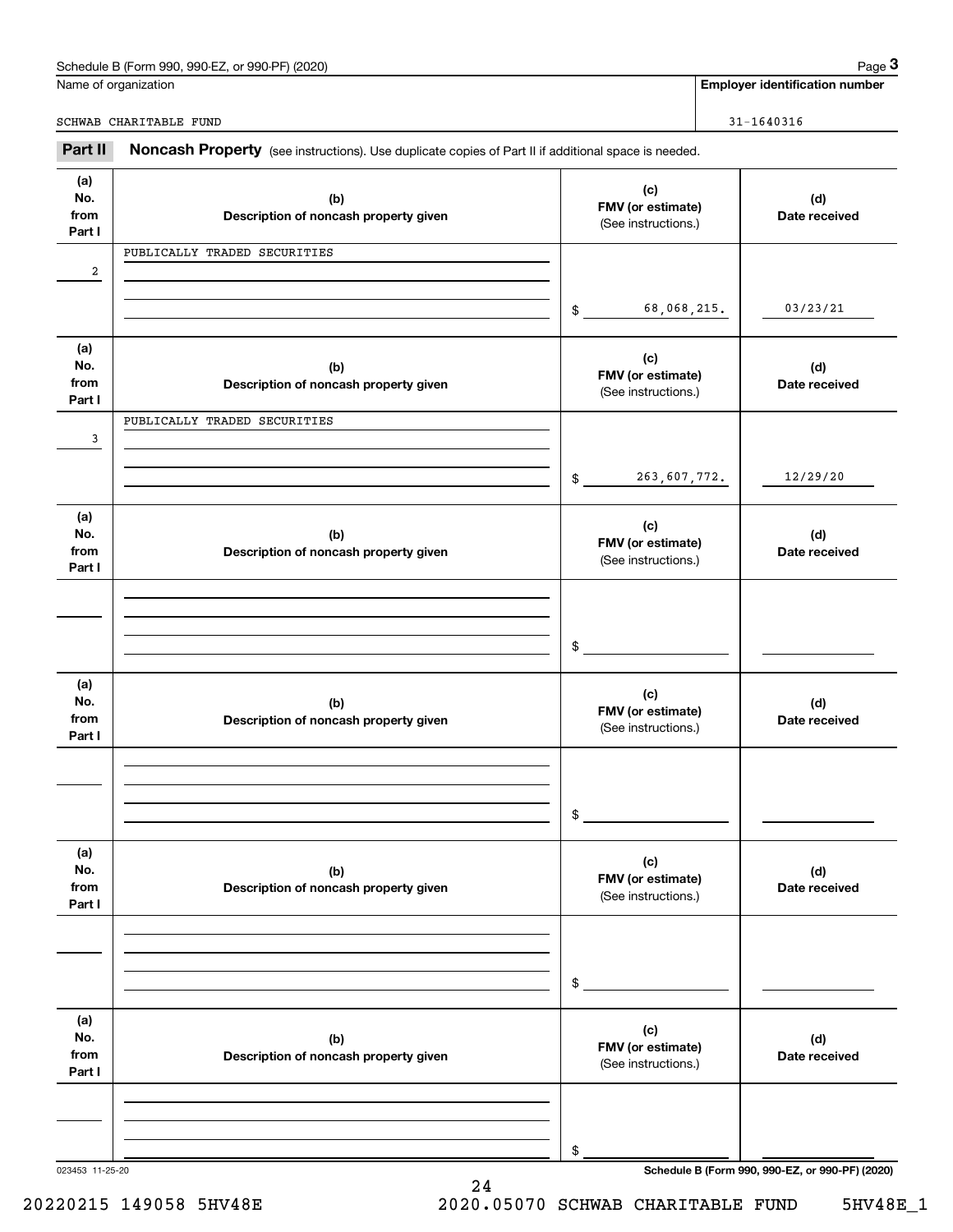| (2020)<br>Schedule<br>---<br>or 990-PF<br>990-F<br>990<br>$-2$<br>в (f<br>. | 12000<br>aue |
|-----------------------------------------------------------------------------|--------------|
|                                                                             |              |

|                              | Schedule B (Form 990, 990-EZ, or 990-PF) (2020)                                                     |                                                 | Page 3                                          |
|------------------------------|-----------------------------------------------------------------------------------------------------|-------------------------------------------------|-------------------------------------------------|
|                              | Name of organization                                                                                |                                                 | <b>Employer identification number</b>           |
|                              | SCHWAB CHARITABLE FUND                                                                              |                                                 | $31 - 1640316$                                  |
| Part II                      | Noncash Property (see instructions). Use duplicate copies of Part II if additional space is needed. |                                                 |                                                 |
| (a)<br>No.<br>from<br>Part I | (b)<br>Description of noncash property given                                                        | (c)<br>FMV (or estimate)<br>(See instructions.) | (d)<br>Date received                            |
| 2                            | PUBLICALLY TRADED SECURITIES                                                                        |                                                 |                                                 |
|                              |                                                                                                     | 68,068,215.<br>\$                               | 03/23/21                                        |
| (a)<br>No.<br>from<br>Part I | (b)<br>Description of noncash property given                                                        | (c)<br>FMV (or estimate)<br>(See instructions.) | (d)<br>Date received                            |
| 3                            | PUBLICALLY TRADED SECURITIES                                                                        |                                                 |                                                 |
|                              |                                                                                                     | 263,607,772.<br>\$                              | 12/29/20                                        |
| (a)<br>No.<br>from<br>Part I | (b)<br>Description of noncash property given                                                        | (c)<br>FMV (or estimate)<br>(See instructions.) | (d)<br>Date received                            |
|                              |                                                                                                     | \$                                              |                                                 |
| (a)<br>No.<br>from<br>Part I | (b)<br>Description of noncash property given                                                        | (c)<br>FMV (or estimate)<br>(See instructions.) | (d)<br>Date received                            |
|                              |                                                                                                     | \$                                              |                                                 |
| (a)<br>No.<br>from<br>Part I | (b)<br>Description of noncash property given                                                        | (c)<br>FMV (or estimate)<br>(See instructions.) | (d)<br>Date received                            |
|                              |                                                                                                     | \$                                              |                                                 |
| (a)<br>No.<br>from<br>Part I | (b)<br>Description of noncash property given                                                        | (c)<br>FMV (or estimate)<br>(See instructions.) | (d)<br>Date received                            |
|                              |                                                                                                     | \$                                              |                                                 |
| 023453 11-25-20              |                                                                                                     |                                                 | Schedule B (Form 990, 990-EZ, or 990-PF) (2020) |

24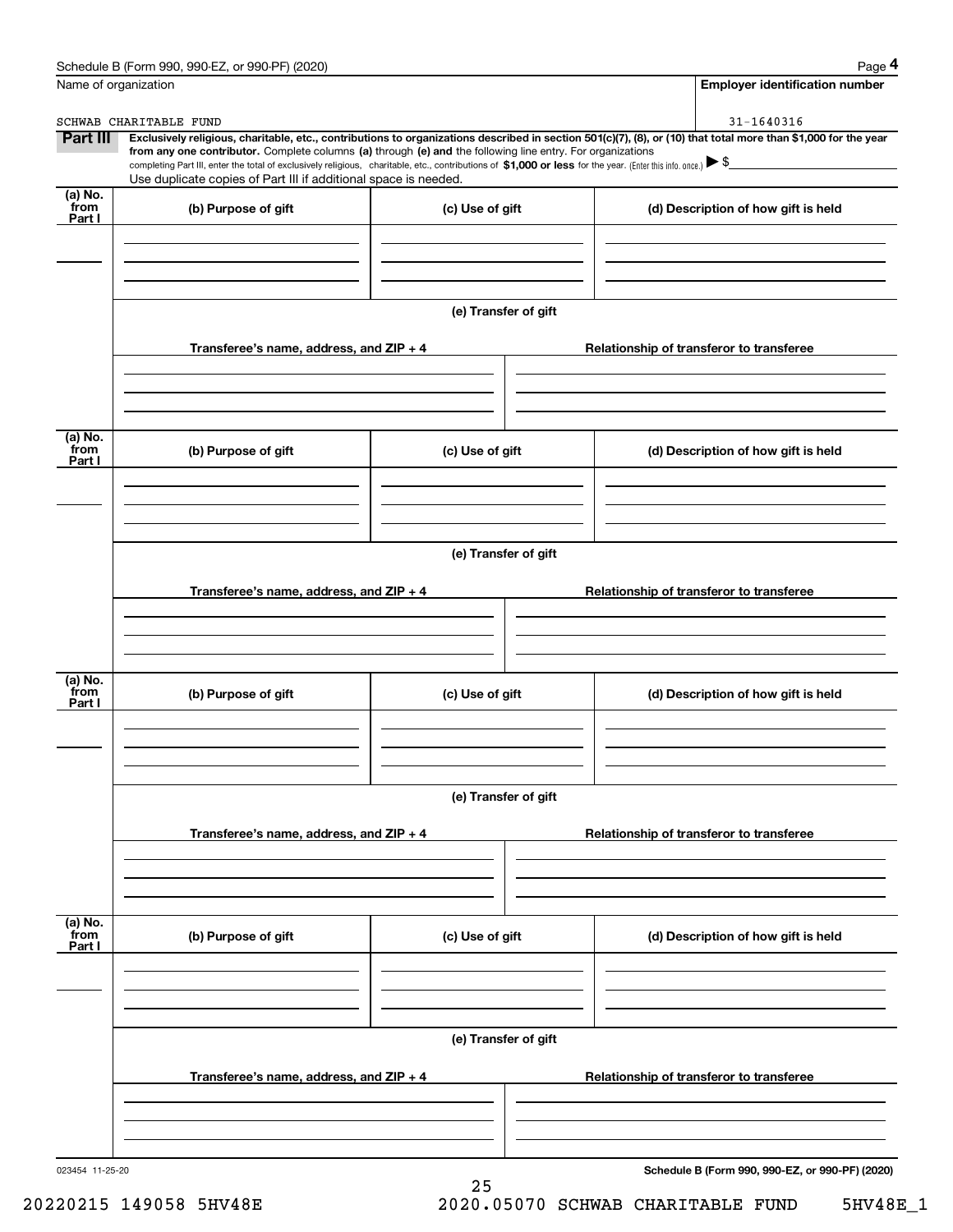|                              | Schedule B (Form 990, 990-EZ, or 990-PF) (2020)                                                                                                                                   |                      | Page 4                                                                                                                                                         |
|------------------------------|-----------------------------------------------------------------------------------------------------------------------------------------------------------------------------------|----------------------|----------------------------------------------------------------------------------------------------------------------------------------------------------------|
| Name of organization         |                                                                                                                                                                                   |                      | <b>Employer identification number</b>                                                                                                                          |
|                              | SCHWAB CHARITABLE FUND                                                                                                                                                            |                      | 31-1640316                                                                                                                                                     |
| Part III                     | from any one contributor. Complete columns (a) through (e) and the following line entry. For organizations                                                                        |                      | Exclusively religious, charitable, etc., contributions to organizations described in section 501(c)(7), (8), or (10) that total more than \$1,000 for the year |
|                              | completing Part III, enter the total of exclusively religious, charitable, etc., contributions of \$1,000 or less for the year. (Enter this info. once.) $\blacktriangleright$ \$ |                      |                                                                                                                                                                |
|                              | Use duplicate copies of Part III if additional space is needed.                                                                                                                   |                      |                                                                                                                                                                |
| $(a)$ No.<br>`from<br>Part I | (b) Purpose of gift                                                                                                                                                               | (c) Use of gift      | (d) Description of how gift is held                                                                                                                            |
|                              |                                                                                                                                                                                   | (e) Transfer of gift |                                                                                                                                                                |
|                              | Transferee's name, address, and ZIP + 4                                                                                                                                           |                      | Relationship of transferor to transferee                                                                                                                       |
|                              |                                                                                                                                                                                   |                      |                                                                                                                                                                |
| (a) No.<br>from              | (b) Purpose of gift                                                                                                                                                               | (c) Use of gift      | (d) Description of how gift is held                                                                                                                            |
| Part I                       |                                                                                                                                                                                   |                      |                                                                                                                                                                |
|                              |                                                                                                                                                                                   |                      |                                                                                                                                                                |
|                              |                                                                                                                                                                                   | (e) Transfer of gift |                                                                                                                                                                |
|                              | Transferee's name, address, and ZIP + 4                                                                                                                                           |                      | Relationship of transferor to transferee                                                                                                                       |
|                              |                                                                                                                                                                                   |                      |                                                                                                                                                                |
| (a) No.<br>from<br>Part I    | (b) Purpose of gift                                                                                                                                                               | (c) Use of gift      | (d) Description of how gift is held                                                                                                                            |
|                              |                                                                                                                                                                                   |                      |                                                                                                                                                                |
|                              |                                                                                                                                                                                   | (e) Transfer of gift |                                                                                                                                                                |
|                              | Transferee's name, address, and $ZIP + 4$                                                                                                                                         |                      | Relationship of transferor to transferee                                                                                                                       |
|                              |                                                                                                                                                                                   |                      |                                                                                                                                                                |
| (a) No.<br>from<br>Part I    | (b) Purpose of gift                                                                                                                                                               | (c) Use of gift      | (d) Description of how gift is held                                                                                                                            |
|                              |                                                                                                                                                                                   |                      |                                                                                                                                                                |
|                              |                                                                                                                                                                                   | (e) Transfer of gift |                                                                                                                                                                |
|                              | Transferee's name, address, and $ZIP + 4$                                                                                                                                         |                      | Relationship of transferor to transferee                                                                                                                       |
|                              |                                                                                                                                                                                   |                      |                                                                                                                                                                |
| 023454 11-25-20              |                                                                                                                                                                                   |                      | Schedule B (Form 990, 990-EZ, or 990-PF) (2020)                                                                                                                |
|                              |                                                                                                                                                                                   |                      |                                                                                                                                                                |

25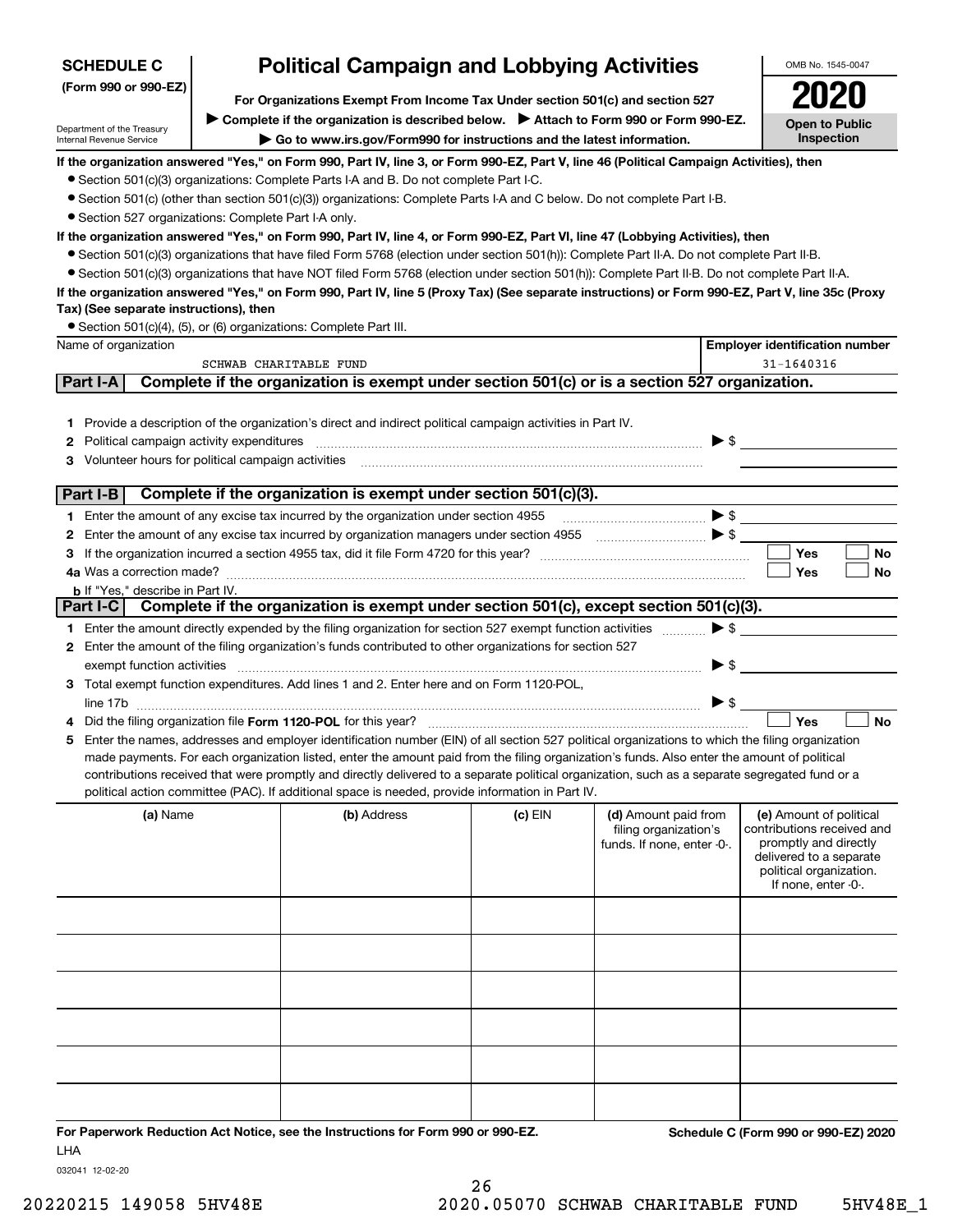| <b>SCHEDULE C</b>                                                                                        | <b>Political Campaign and Lobbying Activities</b>                                                                              |                                                                                                                                                                                                                                                                                                                                                                                                                                                                                                                                                                                      |           |                                                                                                                                                                                                                                                                                                                                                                     |                                                                                                                                                             |           |
|----------------------------------------------------------------------------------------------------------|--------------------------------------------------------------------------------------------------------------------------------|--------------------------------------------------------------------------------------------------------------------------------------------------------------------------------------------------------------------------------------------------------------------------------------------------------------------------------------------------------------------------------------------------------------------------------------------------------------------------------------------------------------------------------------------------------------------------------------|-----------|---------------------------------------------------------------------------------------------------------------------------------------------------------------------------------------------------------------------------------------------------------------------------------------------------------------------------------------------------------------------|-------------------------------------------------------------------------------------------------------------------------------------------------------------|-----------|
| (Form 990 or 990-EZ)                                                                                     | For Organizations Exempt From Income Tax Under section 501(c) and section 527                                                  |                                                                                                                                                                                                                                                                                                                                                                                                                                                                                                                                                                                      |           |                                                                                                                                                                                                                                                                                                                                                                     |                                                                                                                                                             |           |
| Department of the Treasury<br>Internal Revenue Service                                                   | > Complete if the organization is described below. > Attach to Form 990 or Form 990-EZ.<br><b>Open to Public</b><br>Inspection |                                                                                                                                                                                                                                                                                                                                                                                                                                                                                                                                                                                      |           |                                                                                                                                                                                                                                                                                                                                                                     |                                                                                                                                                             |           |
| • Section 527 organizations: Complete Part I-A only.                                                     |                                                                                                                                | If the organization answered "Yes," on Form 990, Part IV, line 3, or Form 990-EZ, Part V, line 46 (Political Campaign Activities), then<br>• Section 501(c)(3) organizations: Complete Parts I-A and B. Do not complete Part I-C.<br>• Section 501(c) (other than section 501(c)(3)) organizations: Complete Parts I-A and C below. Do not complete Part I-B.                                                                                                                                                                                                                        |           |                                                                                                                                                                                                                                                                                                                                                                     |                                                                                                                                                             |           |
| Tax) (See separate instructions), then                                                                   |                                                                                                                                | If the organization answered "Yes," on Form 990, Part IV, line 4, or Form 990-EZ, Part VI, line 47 (Lobbying Activities), then<br>• Section 501(c)(3) organizations that have filed Form 5768 (election under section 501(h)): Complete Part II-A. Do not complete Part II-B.<br>• Section 501(c)(3) organizations that have NOT filed Form 5768 (election under section 501(h)): Complete Part II-B. Do not complete Part II-A.<br>If the organization answered "Yes," on Form 990, Part IV, line 5 (Proxy Tax) (See separate instructions) or Form 990-EZ, Part V, line 35c (Proxy |           |                                                                                                                                                                                                                                                                                                                                                                     |                                                                                                                                                             |           |
|                                                                                                          |                                                                                                                                | • Section 501(c)(4), (5), or (6) organizations: Complete Part III.                                                                                                                                                                                                                                                                                                                                                                                                                                                                                                                   |           |                                                                                                                                                                                                                                                                                                                                                                     |                                                                                                                                                             |           |
| Name of organization                                                                                     |                                                                                                                                | SCHWAB CHARITABLE FUND                                                                                                                                                                                                                                                                                                                                                                                                                                                                                                                                                               |           |                                                                                                                                                                                                                                                                                                                                                                     | <b>Employer identification number</b><br>31-1640316                                                                                                         |           |
| Part I-A                                                                                                 |                                                                                                                                | Complete if the organization is exempt under section 501(c) or is a section 527 organization.                                                                                                                                                                                                                                                                                                                                                                                                                                                                                        |           |                                                                                                                                                                                                                                                                                                                                                                     |                                                                                                                                                             |           |
| <b>2</b> Political campaign activity expenditures<br>3 Volunteer hours for political campaign activities |                                                                                                                                | 1 Provide a description of the organization's direct and indirect political campaign activities in Part IV.                                                                                                                                                                                                                                                                                                                                                                                                                                                                          |           |                                                                                                                                                                                                                                                                                                                                                                     | $\triangleright$ \$                                                                                                                                         |           |
| Part I-B                                                                                                 |                                                                                                                                | Complete if the organization is exempt under section 501(c)(3).                                                                                                                                                                                                                                                                                                                                                                                                                                                                                                                      |           |                                                                                                                                                                                                                                                                                                                                                                     |                                                                                                                                                             |           |
|                                                                                                          |                                                                                                                                | 1 Enter the amount of any excise tax incurred by the organization under section 4955                                                                                                                                                                                                                                                                                                                                                                                                                                                                                                 |           | $\begin{picture}(20,10) \put(0,0){\vector(1,0){100}} \put(15,0){\vector(1,0){100}} \put(15,0){\vector(1,0){100}} \put(15,0){\vector(1,0){100}} \put(15,0){\vector(1,0){100}} \put(15,0){\vector(1,0){100}} \put(15,0){\vector(1,0){100}} \put(15,0){\vector(1,0){100}} \put(15,0){\vector(1,0){100}} \put(15,0){\vector(1,0){100}} \put(15,0){\vector(1,0){100}} \$ |                                                                                                                                                             |           |
|                                                                                                          |                                                                                                                                | 2 Enter the amount of any excise tax incurred by organization managers under section 4955                                                                                                                                                                                                                                                                                                                                                                                                                                                                                            |           |                                                                                                                                                                                                                                                                                                                                                                     |                                                                                                                                                             |           |
|                                                                                                          |                                                                                                                                |                                                                                                                                                                                                                                                                                                                                                                                                                                                                                                                                                                                      |           |                                                                                                                                                                                                                                                                                                                                                                     | Yes                                                                                                                                                         | No        |
|                                                                                                          |                                                                                                                                |                                                                                                                                                                                                                                                                                                                                                                                                                                                                                                                                                                                      |           |                                                                                                                                                                                                                                                                                                                                                                     | Yes                                                                                                                                                         | No        |
| <b>b</b> If "Yes," describe in Part IV.                                                                  |                                                                                                                                | Part I-C Complete if the organization is exempt under section 501(c), except section 501(c)(3).                                                                                                                                                                                                                                                                                                                                                                                                                                                                                      |           |                                                                                                                                                                                                                                                                                                                                                                     |                                                                                                                                                             |           |
|                                                                                                          |                                                                                                                                | 1 Enter the amount directly expended by the filing organization for section 527 exempt function activities                                                                                                                                                                                                                                                                                                                                                                                                                                                                           |           |                                                                                                                                                                                                                                                                                                                                                                     | $\blacktriangleright$ \$                                                                                                                                    |           |
| exempt function activities                                                                               |                                                                                                                                | 2 Enter the amount of the filing organization's funds contributed to other organizations for section 527                                                                                                                                                                                                                                                                                                                                                                                                                                                                             |           |                                                                                                                                                                                                                                                                                                                                                                     | $\blacktriangleright$ \$                                                                                                                                    |           |
|                                                                                                          |                                                                                                                                | 3 Total exempt function expenditures. Add lines 1 and 2. Enter here and on Form 1120-POL,                                                                                                                                                                                                                                                                                                                                                                                                                                                                                            |           |                                                                                                                                                                                                                                                                                                                                                                     | $\blacktriangleright$ \$                                                                                                                                    |           |
|                                                                                                          |                                                                                                                                | Did the filing organization file Form 1120-POL for this year?                                                                                                                                                                                                                                                                                                                                                                                                                                                                                                                        |           |                                                                                                                                                                                                                                                                                                                                                                     | Yes                                                                                                                                                         | <b>No</b> |
| 5                                                                                                        |                                                                                                                                | Enter the names, addresses and employer identification number (EIN) of all section 527 political organizations to which the filing organization<br>made payments. For each organization listed, enter the amount paid from the filing organization's funds. Also enter the amount of political<br>contributions received that were promptly and directly delivered to a separate political organization, such as a separate segregated fund or a<br>political action committee (PAC). If additional space is needed, provide information in Part IV.                                 |           |                                                                                                                                                                                                                                                                                                                                                                     |                                                                                                                                                             |           |
| (a) Name                                                                                                 |                                                                                                                                | (b) Address                                                                                                                                                                                                                                                                                                                                                                                                                                                                                                                                                                          | $(c)$ EIN | (d) Amount paid from<br>filing organization's<br>funds. If none, enter -0-.                                                                                                                                                                                                                                                                                         | (e) Amount of political<br>contributions received and<br>promptly and directly<br>delivered to a separate<br>political organization.<br>If none, enter -0-. |           |
|                                                                                                          |                                                                                                                                |                                                                                                                                                                                                                                                                                                                                                                                                                                                                                                                                                                                      |           |                                                                                                                                                                                                                                                                                                                                                                     |                                                                                                                                                             |           |
|                                                                                                          |                                                                                                                                |                                                                                                                                                                                                                                                                                                                                                                                                                                                                                                                                                                                      |           |                                                                                                                                                                                                                                                                                                                                                                     |                                                                                                                                                             |           |
|                                                                                                          |                                                                                                                                |                                                                                                                                                                                                                                                                                                                                                                                                                                                                                                                                                                                      |           |                                                                                                                                                                                                                                                                                                                                                                     |                                                                                                                                                             |           |
|                                                                                                          |                                                                                                                                |                                                                                                                                                                                                                                                                                                                                                                                                                                                                                                                                                                                      |           |                                                                                                                                                                                                                                                                                                                                                                     |                                                                                                                                                             |           |
|                                                                                                          |                                                                                                                                |                                                                                                                                                                                                                                                                                                                                                                                                                                                                                                                                                                                      |           |                                                                                                                                                                                                                                                                                                                                                                     |                                                                                                                                                             |           |

**For Paperwork Reduction Act Notice, see the Instructions for Form 990 or 990-EZ. Schedule C (Form 990 or 990-EZ) 2020** LHA

032041 12-02-20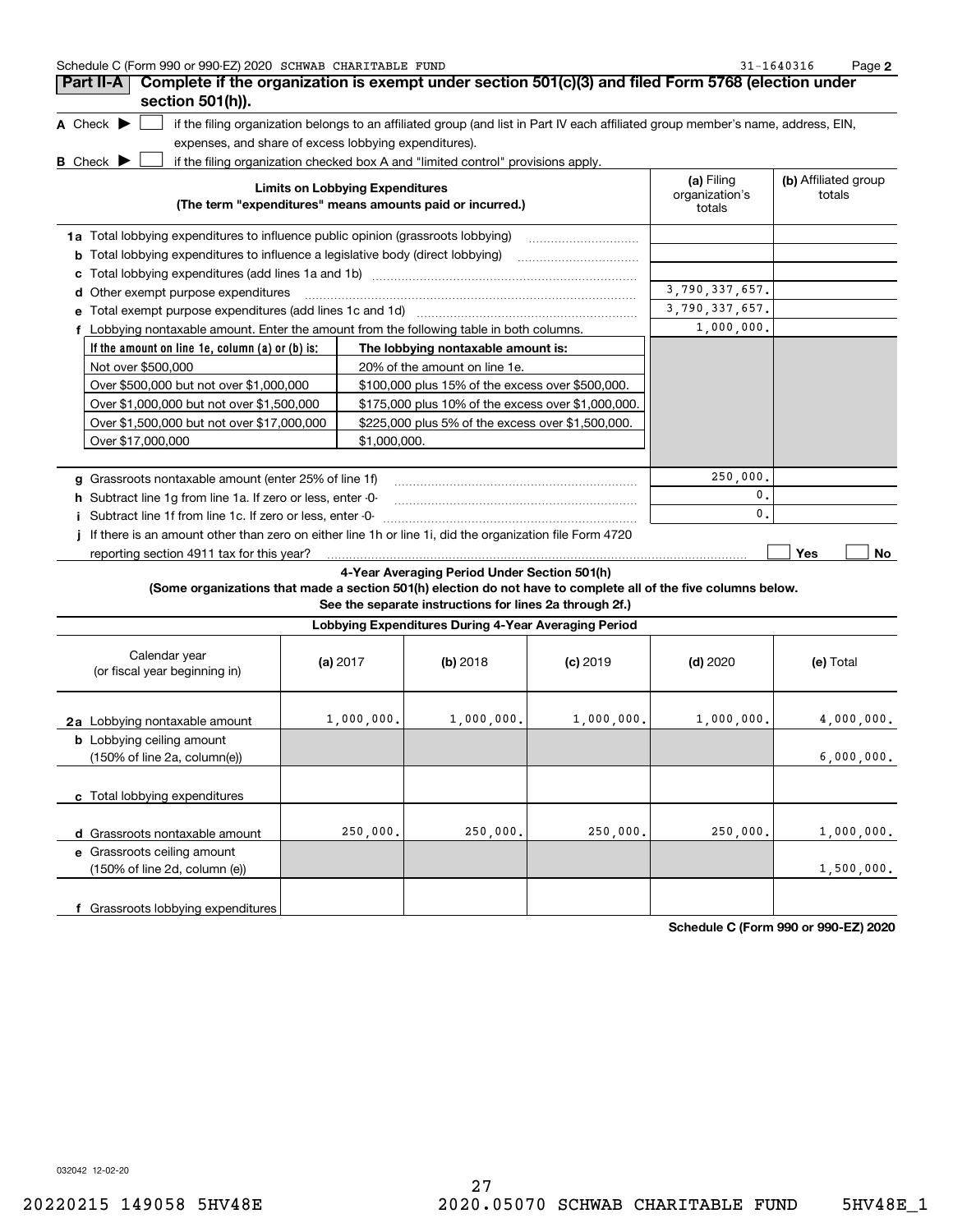| Schedule C (Form 990 or 990-EZ) 2020 SCHWAB CHARITABLE FUND | $-1640316$<br>Page |  |
|-------------------------------------------------------------|--------------------|--|
|-------------------------------------------------------------|--------------------|--|

| Part II-A                                                                                | Complete if the organization is exempt under section 501(c)(3) and filed Form 5768 (election under                                |                                        |                                |
|------------------------------------------------------------------------------------------|-----------------------------------------------------------------------------------------------------------------------------------|----------------------------------------|--------------------------------|
| section 501(h)).                                                                         |                                                                                                                                   |                                        |                                |
| A Check $\blacktriangleright$                                                            | if the filing organization belongs to an affiliated group (and list in Part IV each affiliated group member's name, address, EIN, |                                        |                                |
| expenses, and share of excess lobbying expenditures).                                    |                                                                                                                                   |                                        |                                |
| B Check $\blacktriangleright$                                                            | if the filing organization checked box A and "limited control" provisions apply.                                                  |                                        |                                |
|                                                                                          | <b>Limits on Lobbying Expenditures</b><br>(The term "expenditures" means amounts paid or incurred.)                               | (a) Filing<br>organization's<br>totals | (b) Affiliated group<br>totals |
| 1a Total lobbying expenditures to influence public opinion (grassroots lobbying)         |                                                                                                                                   |                                        |                                |
| Total lobbying expenditures to influence a legislative body (direct lobbying)<br>b       |                                                                                                                                   |                                        |                                |
|                                                                                          |                                                                                                                                   |                                        |                                |
| Other exempt purpose expenditures<br>d                                                   | 3,790,337,657.                                                                                                                    |                                        |                                |
| е                                                                                        |                                                                                                                                   | 3,790,337,657.                         |                                |
| f Lobbying nontaxable amount. Enter the amount from the following table in both columns. |                                                                                                                                   | 1,000,000.                             |                                |
| If the amount on line 1e, column $(a)$ or $(b)$ is:                                      | The lobbying nontaxable amount is:                                                                                                |                                        |                                |
| Not over \$500,000                                                                       | 20% of the amount on line 1e.                                                                                                     |                                        |                                |
| Over \$500,000 but not over \$1,000,000                                                  | \$100,000 plus 15% of the excess over \$500,000.                                                                                  |                                        |                                |
| Over \$1,000,000 but not over \$1,500,000                                                | \$175,000 plus 10% of the excess over \$1,000,000.                                                                                |                                        |                                |
| Over \$1,500,000 but not over \$17,000,000                                               | \$225,000 plus 5% of the excess over \$1,500,000.                                                                                 |                                        |                                |
| Over \$17,000,000                                                                        | \$1,000,000.                                                                                                                      |                                        |                                |
| Grassroots nontaxable amount (enter 25% of line 1f)<br>q                                 |                                                                                                                                   | 250,000.                               |                                |
| Subtract line 1g from line 1a. If zero or less, enter -0-<br>h.                          |                                                                                                                                   | 0.                                     |                                |
| Subtract line 1f from line 1c. If zero or less, enter -0-                                |                                                                                                                                   | $\mathbf{0}$                           |                                |
|                                                                                          | If there is an amount other than zero on either line 1h or line 1i, did the organization file Form 4720                           |                                        |                                |
| reporting section 4911 tax for this year?                                                |                                                                                                                                   |                                        | Yes<br>No                      |
|                                                                                          | 4-Year Averaging Period Under Section 501(h)                                                                                      |                                        |                                |

## **(Some organizations that made a section 501(h) election do not have to complete all of the five columns below.**

**See the separate instructions for lines 2a through 2f.)**

|                                                                                      | Lobbying Expenditures During 4-Year Averaging Period |            |            |            |            |  |
|--------------------------------------------------------------------------------------|------------------------------------------------------|------------|------------|------------|------------|--|
| Calendar year<br>(or fiscal year beginning in)                                       | (a) $2017$                                           | (b) 2018   | $(c)$ 2019 | $(d)$ 2020 | (e) Total  |  |
| 2a Lobbying nontaxable amount                                                        | 1,000,000.                                           | 1,000,000. | 1,000,000. | 1,000,000. | 4,000,000. |  |
| <b>b</b> Lobbying ceiling amount<br>$(150\% \text{ of line } 2a, \text{ column}(e))$ |                                                      |            |            |            | 6,000,000. |  |
| c Total lobbying expenditures                                                        |                                                      |            |            |            |            |  |
| d Grassroots nontaxable amount                                                       | 250,000.                                             | 250,000.   | 250,000.   | 250,000.   | 1,000,000. |  |
| e Grassroots ceiling amount<br>(150% of line 2d, column (e))                         |                                                      |            |            |            | 1,500,000. |  |
| Grassroots lobbying expenditures                                                     |                                                      |            |            |            |            |  |

**Schedule C (Form 990 or 990-EZ) 2020**

032042 12-02-20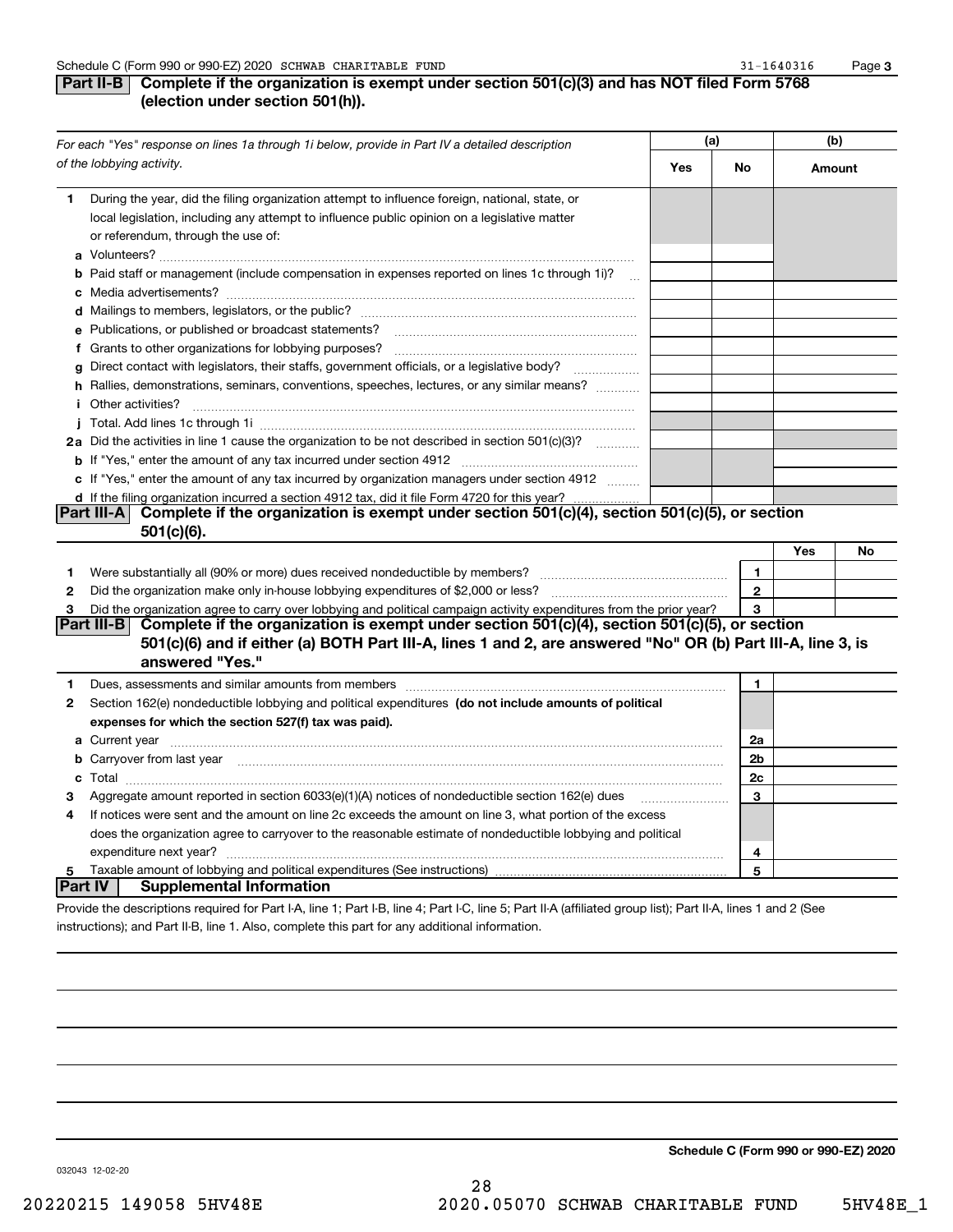## **Part II-B** Complete if the organization is exempt under section 501(c)(3) and has NOT filed Form 5768 **(election under section 501(h)).**

|              | For each "Yes" response on lines 1a through 1i below, provide in Part IV a detailed description                                                                                                                                      | (a) |              |        | (b) |  |
|--------------|--------------------------------------------------------------------------------------------------------------------------------------------------------------------------------------------------------------------------------------|-----|--------------|--------|-----|--|
|              | of the lobbying activity.                                                                                                                                                                                                            | Yes | No           | Amount |     |  |
| 1.           | During the year, did the filing organization attempt to influence foreign, national, state, or<br>local legislation, including any attempt to influence public opinion on a legislative matter<br>or referendum, through the use of: |     |              |        |     |  |
|              | <b>b</b> Paid staff or management (include compensation in expenses reported on lines 1c through 1i)?                                                                                                                                |     |              |        |     |  |
|              |                                                                                                                                                                                                                                      |     |              |        |     |  |
|              |                                                                                                                                                                                                                                      |     |              |        |     |  |
|              | e Publications, or published or broadcast statements?                                                                                                                                                                                |     |              |        |     |  |
|              |                                                                                                                                                                                                                                      |     |              |        |     |  |
|              | g Direct contact with legislators, their staffs, government officials, or a legislative body?                                                                                                                                        |     |              |        |     |  |
|              | h Rallies, demonstrations, seminars, conventions, speeches, lectures, or any similar means?<br><i>i</i> Other activities?                                                                                                            |     |              |        |     |  |
|              |                                                                                                                                                                                                                                      |     |              |        |     |  |
|              | 2a Did the activities in line 1 cause the organization to be not described in section 501(c)(3)?                                                                                                                                     |     |              |        |     |  |
|              |                                                                                                                                                                                                                                      |     |              |        |     |  |
|              | c If "Yes," enter the amount of any tax incurred by organization managers under section 4912                                                                                                                                         |     |              |        |     |  |
|              | d If the filing organization incurred a section 4912 tax, did it file Form 4720 for this year?                                                                                                                                       |     |              |        |     |  |
|              | Complete if the organization is exempt under section 501(c)(4), section 501(c)(5), or section<br> Part III-A                                                                                                                         |     |              |        |     |  |
|              | 501(c)(6).                                                                                                                                                                                                                           |     |              |        |     |  |
|              |                                                                                                                                                                                                                                      |     |              | Yes    | No  |  |
| 1            | Were substantially all (90% or more) dues received nondeductible by members?                                                                                                                                                         |     | $\mathbf{1}$ |        |     |  |
| $\mathbf{2}$ | Did the organization make only in house lobbying expenditures of \$2,000 or less?                                                                                                                                                    |     | $\mathbf{2}$ |        |     |  |
| 3            | Did the organization agree to carry over lobbying and political campaign activity expenditures from the prior year?                                                                                                                  |     | 3            |        |     |  |
|              | Complete if the organization is exempt under section 501(c)(4), section 501(c)(5), or section<br> Part III-B                                                                                                                         |     |              |        |     |  |
|              | 501(c)(6) and if either (a) BOTH Part III-A, lines 1 and 2, are answered "No" OR (b) Part III-A, line 3, is                                                                                                                          |     |              |        |     |  |
|              | answered "Yes."                                                                                                                                                                                                                      |     |              |        |     |  |
| 1            |                                                                                                                                                                                                                                      |     | 1            |        |     |  |
| 2            | Section 162(e) nondeductible lobbying and political expenditures (do not include amounts of political                                                                                                                                |     |              |        |     |  |
|              | expenses for which the section 527(f) tax was paid).                                                                                                                                                                                 |     |              |        |     |  |
|              |                                                                                                                                                                                                                                      |     | 2a           |        |     |  |
|              | b Carryover from last year manufactured and continuum contracts and contact the contract of the contract of the contract of the contract of the contract of the contract of the contract of the contract of the contract of th       |     | 2b           |        |     |  |
|              |                                                                                                                                                                                                                                      |     | 2c           |        |     |  |
| з            | Aggregate amount reported in section $6033(e)(1)(A)$ notices of nondeductible section $162(e)$ dues                                                                                                                                  |     | 3            |        |     |  |
| 4            | If notices were sent and the amount on line 2c exceeds the amount on line 3, what portion of the excess                                                                                                                              |     |              |        |     |  |
|              | does the organization agree to carryover to the reasonable estimate of nondeductible lobbying and political                                                                                                                          |     |              |        |     |  |
|              | expenditure next year?                                                                                                                                                                                                               |     | 4            |        |     |  |
| 5            |                                                                                                                                                                                                                                      |     | 5            |        |     |  |
|              | Part IV <br><b>Supplemental Information</b>                                                                                                                                                                                          |     |              |        |     |  |
|              | Provide the descriptions required for Part I-A, line 1; Part I-B, line 4; Part I-C, line 5; Part II-A (affiliated group list); Part II-A, lines 1 and 2 (See                                                                         |     |              |        |     |  |

28

instructions); and Part II-B, line 1. Also, complete this part for any additional information.

**Schedule C (Form 990 or 990-EZ) 2020**

032043 12-02-20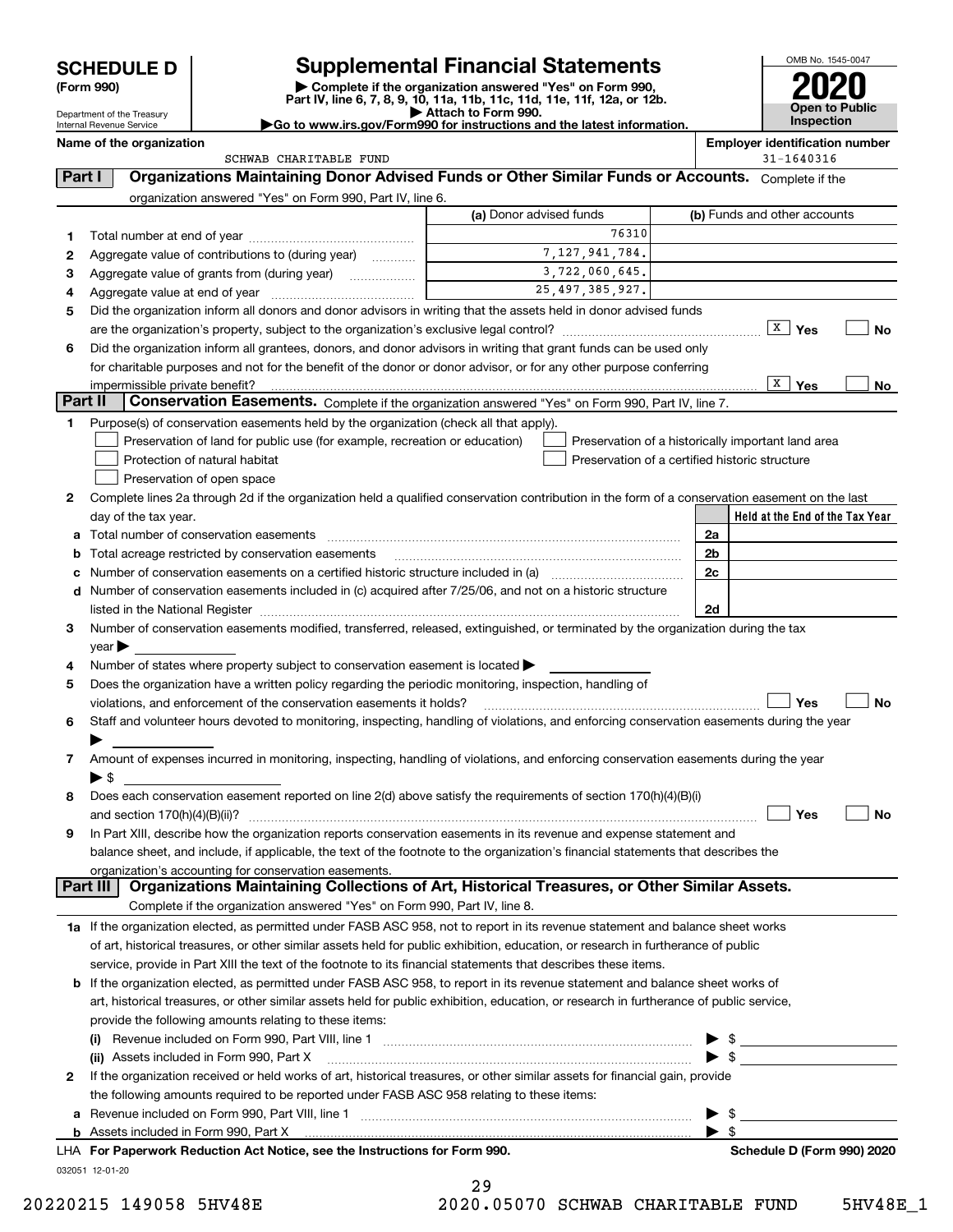| <b>SCHEDULE D</b> |  |
|-------------------|--|
|-------------------|--|

| (Form 990) |  |
|------------|--|
|------------|--|

#### Department of the Treasury Internal Revenue Service

# **SCHEDULE D Supplemental Financial Statements**

(Form 990)<br>
Pepartment of the Treasury<br>
Department of the Treasury<br>
Department of the Treasury<br>
Department of the Treasury<br> **Co to www.irs.gov/Form990 for instructions and the latest information.**<br> **Co to www.irs.gov/Form9** 



| Name of the organization    |                                                                                                          |                         | <b>Employer identification number</b> |
|-----------------------------|----------------------------------------------------------------------------------------------------------|-------------------------|---------------------------------------|
|                             | SCHWAB CHARITABLE FUND                                                                                   |                         | $31 - 1640316$                        |
| Part I                      | <b>Organizations Maintaining Donor Advised Funds or Other Similar Funds or Accounts.</b> Complete if the |                         |                                       |
|                             | organization answered "Yes" on Form 990, Part IV, line 6.                                                |                         |                                       |
|                             |                                                                                                          | (a) Donor advised funds | (b) Funds and other accounts          |
| Total number at end of year |                                                                                                          | 763101                  |                                       |
|                             |                                                                                                          |                         |                                       |

| 1       |                                                                                                                                                                                                                               |  | 76310                                              |    |                                 |           |  |  |  |  |  |
|---------|-------------------------------------------------------------------------------------------------------------------------------------------------------------------------------------------------------------------------------|--|----------------------------------------------------|----|---------------------------------|-----------|--|--|--|--|--|
| 2       | Aggregate value of contributions to (during year)                                                                                                                                                                             |  | 7, 127, 941, 784.                                  |    |                                 |           |  |  |  |  |  |
| З       |                                                                                                                                                                                                                               |  | 3,722,060,645.                                     |    |                                 |           |  |  |  |  |  |
| 4       | 25, 497, 385, 927.                                                                                                                                                                                                            |  |                                                    |    |                                 |           |  |  |  |  |  |
| 5       | Did the organization inform all donors and donor advisors in writing that the assets held in donor advised funds                                                                                                              |  |                                                    |    |                                 |           |  |  |  |  |  |
|         |                                                                                                                                                                                                                               |  |                                                    |    | $X$ Yes                         | No        |  |  |  |  |  |
| 6       | Did the organization inform all grantees, donors, and donor advisors in writing that grant funds can be used only                                                                                                             |  |                                                    |    |                                 |           |  |  |  |  |  |
|         | for charitable purposes and not for the benefit of the donor or donor advisor, or for any other purpose conferring                                                                                                            |  |                                                    |    |                                 |           |  |  |  |  |  |
|         | impermissible private benefit?                                                                                                                                                                                                |  |                                                    |    | X<br>Yes                        | No        |  |  |  |  |  |
| Part II | Conservation Easements. Complete if the organization answered "Yes" on Form 990, Part IV, line 7.                                                                                                                             |  |                                                    |    |                                 |           |  |  |  |  |  |
| 1       | Purpose(s) of conservation easements held by the organization (check all that apply).                                                                                                                                         |  |                                                    |    |                                 |           |  |  |  |  |  |
|         | Preservation of land for public use (for example, recreation or education)                                                                                                                                                    |  | Preservation of a historically important land area |    |                                 |           |  |  |  |  |  |
|         | Protection of natural habitat                                                                                                                                                                                                 |  | Preservation of a certified historic structure     |    |                                 |           |  |  |  |  |  |
|         | Preservation of open space                                                                                                                                                                                                    |  |                                                    |    |                                 |           |  |  |  |  |  |
| 2       | Complete lines 2a through 2d if the organization held a qualified conservation contribution in the form of a conservation easement on the last                                                                                |  |                                                    |    |                                 |           |  |  |  |  |  |
|         | day of the tax year.                                                                                                                                                                                                          |  |                                                    |    | Held at the End of the Tax Year |           |  |  |  |  |  |
| a       |                                                                                                                                                                                                                               |  |                                                    | 2a |                                 |           |  |  |  |  |  |
| b       | Total acreage restricted by conservation easements                                                                                                                                                                            |  |                                                    | 2b |                                 |           |  |  |  |  |  |
| c       | Number of conservation easements on a certified historic structure included in (a) <i>mummumumumum</i>                                                                                                                        |  |                                                    | 2c |                                 |           |  |  |  |  |  |
|         | d Number of conservation easements included in (c) acquired after 7/25/06, and not on a historic structure                                                                                                                    |  |                                                    |    |                                 |           |  |  |  |  |  |
|         | listed in the National Register [11, 1200] [12] The National Register [11, 1200] [12] The National Register [11, 1200] [12] The National Register [11, 1200] [12] The National Register [11, 1200] [12] The National Register |  |                                                    | 2d |                                 |           |  |  |  |  |  |
| 3       | Number of conservation easements modified, transferred, released, extinguished, or terminated by the organization during the tax                                                                                              |  |                                                    |    |                                 |           |  |  |  |  |  |
|         | year                                                                                                                                                                                                                          |  |                                                    |    |                                 |           |  |  |  |  |  |
| 4       | Number of states where property subject to conservation easement is located >                                                                                                                                                 |  |                                                    |    |                                 |           |  |  |  |  |  |
| 5       | Does the organization have a written policy regarding the periodic monitoring, inspection, handling of                                                                                                                        |  |                                                    |    |                                 |           |  |  |  |  |  |
|         | violations, and enforcement of the conservation easements it holds?                                                                                                                                                           |  |                                                    |    | Yes                             | <b>No</b> |  |  |  |  |  |
| 6       | Staff and volunteer hours devoted to monitoring, inspecting, handling of violations, and enforcing conservation easements during the year                                                                                     |  |                                                    |    |                                 |           |  |  |  |  |  |
|         |                                                                                                                                                                                                                               |  |                                                    |    |                                 |           |  |  |  |  |  |
| 7       | Amount of expenses incurred in monitoring, inspecting, handling of violations, and enforcing conservation easements during the year                                                                                           |  |                                                    |    |                                 |           |  |  |  |  |  |
|         | ▶\$                                                                                                                                                                                                                           |  |                                                    |    |                                 |           |  |  |  |  |  |
| 8       | Does each conservation easement reported on line 2(d) above satisfy the requirements of section 170(h)(4)(B)(i)                                                                                                               |  |                                                    |    |                                 |           |  |  |  |  |  |
|         |                                                                                                                                                                                                                               |  |                                                    |    | Yes                             | <b>No</b> |  |  |  |  |  |
| 9       | In Part XIII, describe how the organization reports conservation easements in its revenue and expense statement and                                                                                                           |  |                                                    |    |                                 |           |  |  |  |  |  |
|         | balance sheet, and include, if applicable, the text of the footnote to the organization's financial statements that describes the                                                                                             |  |                                                    |    |                                 |           |  |  |  |  |  |
|         | organization's accounting for conservation easements.<br>Organizations Maintaining Collections of Art, Historical Treasures, or Other Similar Assets.<br>Part III                                                             |  |                                                    |    |                                 |           |  |  |  |  |  |
|         | Complete if the organization answered "Yes" on Form 990, Part IV, line 8.                                                                                                                                                     |  |                                                    |    |                                 |           |  |  |  |  |  |
|         |                                                                                                                                                                                                                               |  |                                                    |    |                                 |           |  |  |  |  |  |
|         | 1a If the organization elected, as permitted under FASB ASC 958, not to report in its revenue statement and balance sheet works                                                                                               |  |                                                    |    |                                 |           |  |  |  |  |  |
|         | of art, historical treasures, or other similar assets held for public exhibition, education, or research in furtherance of public                                                                                             |  |                                                    |    |                                 |           |  |  |  |  |  |
|         | service, provide in Part XIII the text of the footnote to its financial statements that describes these items.                                                                                                                |  |                                                    |    |                                 |           |  |  |  |  |  |
|         | <b>b</b> If the organization elected, as permitted under FASB ASC 958, to report in its revenue statement and balance sheet works of                                                                                          |  |                                                    |    |                                 |           |  |  |  |  |  |
|         | art, historical treasures, or other similar assets held for public exhibition, education, or research in furtherance of public service,<br>da dha fallaccina consecuente calatina da dhanas itanas.                           |  |                                                    |    |                                 |           |  |  |  |  |  |

| LHA For Paperwork Reduction Act Notice, see the Instructions for Form 990.                                                   | Schedule D (Form 990) 202 |
|------------------------------------------------------------------------------------------------------------------------------|---------------------------|
|                                                                                                                              |                           |
| <b>a</b> Revenue included on Form 990, Part VIII, line 1                                                                     | $\blacktriangleright$ s   |
| the following amounts required to be reported under FASB ASC 958 relating to these items:                                    |                           |
| If the organization received or held works of art, historical treasures, or other similar assets for financial gain, provide |                           |
| (ii) Assets included in Form 990, Part X [11] [12] [12] [12] [12] [12] [13] Assets included in Form 990, Part X              |                           |
| $\blacktriangleright$ s                                                                                                      |                           |
| provide the following amounts relating to these items:                                                                       |                           |

032051 12-01-20

| Schedule D (Form 990) 2020 |  |  |
|----------------------------|--|--|
|                            |  |  |

29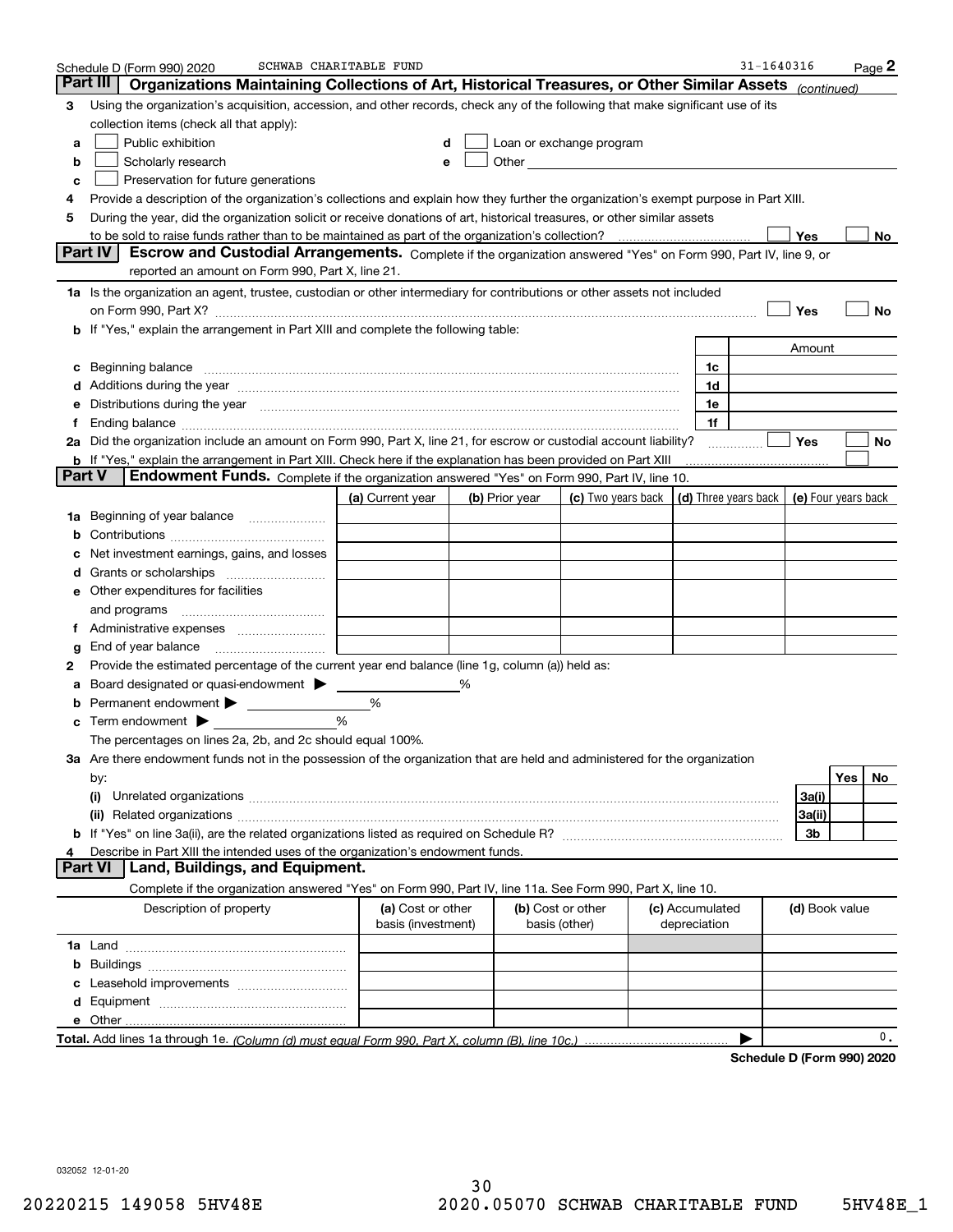|        | Schedule D (Form 990) 2020                                                                                                                                                                                                     | SCHWAB CHARITABLE FUND |   |                |                                                                                                                                                                                                                               |                      | $31 - 1640316$ |                            |     | Page <sup>2</sup> |
|--------|--------------------------------------------------------------------------------------------------------------------------------------------------------------------------------------------------------------------------------|------------------------|---|----------------|-------------------------------------------------------------------------------------------------------------------------------------------------------------------------------------------------------------------------------|----------------------|----------------|----------------------------|-----|-------------------|
|        | Part III<br>Organizations Maintaining Collections of Art, Historical Treasures, or Other Similar Assets (continued)                                                                                                            |                        |   |                |                                                                                                                                                                                                                               |                      |                |                            |     |                   |
| з      | Using the organization's acquisition, accession, and other records, check any of the following that make significant use of its                                                                                                |                        |   |                |                                                                                                                                                                                                                               |                      |                |                            |     |                   |
|        | collection items (check all that apply):                                                                                                                                                                                       |                        |   |                |                                                                                                                                                                                                                               |                      |                |                            |     |                   |
| a      | Public exhibition                                                                                                                                                                                                              | d                      |   |                | Loan or exchange program                                                                                                                                                                                                      |                      |                |                            |     |                   |
| b      | Scholarly research                                                                                                                                                                                                             | e                      |   |                | Other and the contract of the contract of the contract of the contract of the contract of the contract of the contract of the contract of the contract of the contract of the contract of the contract of the contract of the |                      |                |                            |     |                   |
| c      | Preservation for future generations                                                                                                                                                                                            |                        |   |                |                                                                                                                                                                                                                               |                      |                |                            |     |                   |
| 4      | Provide a description of the organization's collections and explain how they further the organization's exempt purpose in Part XIII.                                                                                           |                        |   |                |                                                                                                                                                                                                                               |                      |                |                            |     |                   |
| 5      | During the year, did the organization solicit or receive donations of art, historical treasures, or other similar assets                                                                                                       |                        |   |                |                                                                                                                                                                                                                               |                      |                |                            |     |                   |
|        | to be sold to raise funds rather than to be maintained as part of the organization's collection?                                                                                                                               |                        |   |                |                                                                                                                                                                                                                               |                      |                | Yes                        |     | No                |
|        | Part IV<br>Escrow and Custodial Arrangements. Complete if the organization answered "Yes" on Form 990, Part IV, line 9, or                                                                                                     |                        |   |                |                                                                                                                                                                                                                               |                      |                |                            |     |                   |
|        | reported an amount on Form 990, Part X, line 21.                                                                                                                                                                               |                        |   |                |                                                                                                                                                                                                                               |                      |                |                            |     |                   |
|        | 1a Is the organization an agent, trustee, custodian or other intermediary for contributions or other assets not included                                                                                                       |                        |   |                |                                                                                                                                                                                                                               |                      |                |                            |     |                   |
|        | on Form 990, Part X? [11] matter contracts and contracts and contracts are contracted as a function of the set of the set of the set of the set of the set of the set of the set of the set of the set of the set of the set o |                        |   |                |                                                                                                                                                                                                                               |                      |                | Yes                        |     | No                |
|        | b If "Yes," explain the arrangement in Part XIII and complete the following table:                                                                                                                                             |                        |   |                |                                                                                                                                                                                                                               |                      |                |                            |     |                   |
|        |                                                                                                                                                                                                                                |                        |   |                |                                                                                                                                                                                                                               |                      |                | Amount                     |     |                   |
| с      |                                                                                                                                                                                                                                |                        |   |                |                                                                                                                                                                                                                               | 1c                   |                |                            |     |                   |
|        | Additions during the year manufactured and an annual contract of the year manufactured and a set of the year manufactured and a set of the year manufactured and a set of the year manufactured and a set of the year manufact |                        |   |                |                                                                                                                                                                                                                               | 1d                   |                |                            |     |                   |
| е      | Distributions during the year manufactured and continuum and the year manufactured and the year manufactured and the year manufactured and the year manufactured and the year manufactured and the year manufactured and the y |                        |   |                |                                                                                                                                                                                                                               | 1e                   |                |                            |     |                   |
| f      |                                                                                                                                                                                                                                |                        |   |                |                                                                                                                                                                                                                               | 1f                   |                |                            |     |                   |
|        | 2a Did the organization include an amount on Form 990, Part X, line 21, for escrow or custodial account liability?                                                                                                             |                        |   |                |                                                                                                                                                                                                                               |                      |                | Yes                        |     | No                |
|        | <b>b</b> If "Yes," explain the arrangement in Part XIII. Check here if the explanation has been provided on Part XIII                                                                                                          |                        |   |                |                                                                                                                                                                                                                               |                      |                |                            |     |                   |
| Part V | Endowment Funds. Complete if the organization answered "Yes" on Form 990, Part IV, line 10.                                                                                                                                    |                        |   |                |                                                                                                                                                                                                                               |                      |                |                            |     |                   |
|        |                                                                                                                                                                                                                                | (a) Current year       |   | (b) Prior year | (c) Two years back                                                                                                                                                                                                            | (d) Three years back |                | (e) Four years back        |     |                   |
| 1a     | Beginning of year balance                                                                                                                                                                                                      |                        |   |                |                                                                                                                                                                                                                               |                      |                |                            |     |                   |
| b      |                                                                                                                                                                                                                                |                        |   |                |                                                                                                                                                                                                                               |                      |                |                            |     |                   |
|        | Net investment earnings, gains, and losses                                                                                                                                                                                     |                        |   |                |                                                                                                                                                                                                                               |                      |                |                            |     |                   |
| a      |                                                                                                                                                                                                                                |                        |   |                |                                                                                                                                                                                                                               |                      |                |                            |     |                   |
| е      | Other expenditures for facilities                                                                                                                                                                                              |                        |   |                |                                                                                                                                                                                                                               |                      |                |                            |     |                   |
|        | and programs                                                                                                                                                                                                                   |                        |   |                |                                                                                                                                                                                                                               |                      |                |                            |     |                   |
|        |                                                                                                                                                                                                                                |                        |   |                |                                                                                                                                                                                                                               |                      |                |                            |     |                   |
| g      | End of year balance                                                                                                                                                                                                            |                        |   |                |                                                                                                                                                                                                                               |                      |                |                            |     |                   |
| 2      | Provide the estimated percentage of the current year end balance (line 1g, column (a)) held as:                                                                                                                                |                        |   |                |                                                                                                                                                                                                                               |                      |                |                            |     |                   |
|        | Board designated or quasi-endowment > ____                                                                                                                                                                                     |                        | % |                |                                                                                                                                                                                                                               |                      |                |                            |     |                   |
|        |                                                                                                                                                                                                                                | %                      |   |                |                                                                                                                                                                                                                               |                      |                |                            |     |                   |
| с      | Term endowment $\blacktriangleright$                                                                                                                                                                                           | %                      |   |                |                                                                                                                                                                                                                               |                      |                |                            |     |                   |
|        | The percentages on lines 2a, 2b, and 2c should equal 100%.                                                                                                                                                                     |                        |   |                |                                                                                                                                                                                                                               |                      |                |                            |     |                   |
|        | 3a Are there endowment funds not in the possession of the organization that are held and administered for the organization                                                                                                     |                        |   |                |                                                                                                                                                                                                                               |                      |                |                            |     |                   |
|        | by:                                                                                                                                                                                                                            |                        |   |                |                                                                                                                                                                                                                               |                      |                |                            | Yes | No                |
|        | (i)                                                                                                                                                                                                                            |                        |   |                |                                                                                                                                                                                                                               |                      |                | 3a(i)                      |     |                   |
|        |                                                                                                                                                                                                                                |                        |   |                |                                                                                                                                                                                                                               |                      |                | 3a(ii)                     |     |                   |
|        |                                                                                                                                                                                                                                |                        |   |                |                                                                                                                                                                                                                               |                      |                | 3b                         |     |                   |
|        | Describe in Part XIII the intended uses of the organization's endowment funds.                                                                                                                                                 |                        |   |                |                                                                                                                                                                                                                               |                      |                |                            |     |                   |
|        | Land, Buildings, and Equipment.<br><b>Part VI</b>                                                                                                                                                                              |                        |   |                |                                                                                                                                                                                                                               |                      |                |                            |     |                   |
|        | Complete if the organization answered "Yes" on Form 990, Part IV, line 11a. See Form 990, Part X, line 10.                                                                                                                     |                        |   |                |                                                                                                                                                                                                                               |                      |                |                            |     |                   |
|        | Description of property                                                                                                                                                                                                        | (a) Cost or other      |   |                | (b) Cost or other                                                                                                                                                                                                             | (c) Accumulated      |                | (d) Book value             |     |                   |
|        |                                                                                                                                                                                                                                | basis (investment)     |   |                | basis (other)                                                                                                                                                                                                                 | depreciation         |                |                            |     |                   |
|        |                                                                                                                                                                                                                                |                        |   |                |                                                                                                                                                                                                                               |                      |                |                            |     |                   |
| b      |                                                                                                                                                                                                                                |                        |   |                |                                                                                                                                                                                                                               |                      |                |                            |     |                   |
|        |                                                                                                                                                                                                                                |                        |   |                |                                                                                                                                                                                                                               |                      |                |                            |     |                   |
| d      |                                                                                                                                                                                                                                |                        |   |                |                                                                                                                                                                                                                               |                      |                |                            |     |                   |
|        | e Other.                                                                                                                                                                                                                       |                        |   |                |                                                                                                                                                                                                                               |                      |                |                            |     |                   |
|        | Total. Add lines 1a through 1e. (Column (d) must equal Form 990. Part X, column (B), line 10c.).                                                                                                                               |                        |   |                |                                                                                                                                                                                                                               |                      |                |                            |     | 0.                |
|        |                                                                                                                                                                                                                                |                        |   |                |                                                                                                                                                                                                                               |                      |                | Schedule D (Form 990) 2020 |     |                   |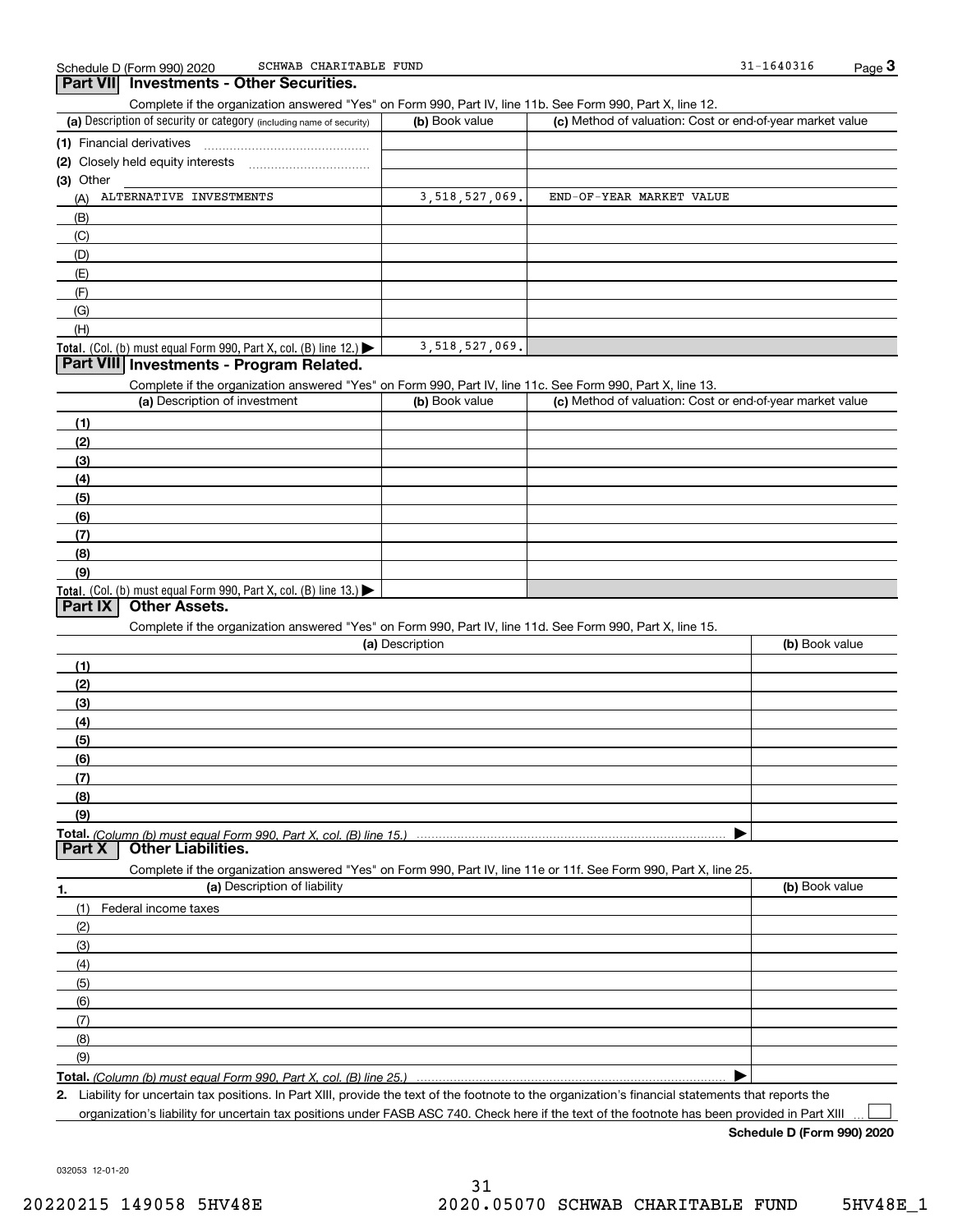| SCHWAB CHARITABLE FUND<br>Schedule D (Form 990) 2020                                                                                                 |                 |                                                           | 31-1640316     | $Page$ 3 |
|------------------------------------------------------------------------------------------------------------------------------------------------------|-----------------|-----------------------------------------------------------|----------------|----------|
| Part VII Investments - Other Securities.                                                                                                             |                 |                                                           |                |          |
| Complete if the organization answered "Yes" on Form 990, Part IV, line 11b. See Form 990, Part X, line 12.                                           |                 |                                                           |                |          |
| (a) Description of security or category (including name of security)                                                                                 | (b) Book value  | (c) Method of valuation: Cost or end-of-year market value |                |          |
| (1) Financial derivatives                                                                                                                            |                 |                                                           |                |          |
|                                                                                                                                                      |                 |                                                           |                |          |
| (3) Other                                                                                                                                            |                 |                                                           |                |          |
| (A) ALTERNATIVE INVESTMENTS                                                                                                                          | 3,518,527,069.  | END-OF-YEAR MARKET VALUE                                  |                |          |
| (B)                                                                                                                                                  |                 |                                                           |                |          |
| (C)                                                                                                                                                  |                 |                                                           |                |          |
|                                                                                                                                                      |                 |                                                           |                |          |
| (D)                                                                                                                                                  |                 |                                                           |                |          |
| (E)                                                                                                                                                  |                 |                                                           |                |          |
| (F)                                                                                                                                                  |                 |                                                           |                |          |
| (G)                                                                                                                                                  |                 |                                                           |                |          |
| (H)                                                                                                                                                  |                 |                                                           |                |          |
| Total. (Col. (b) must equal Form 990, Part X, col. (B) line $12$ .)                                                                                  | 3,518,527,069.  |                                                           |                |          |
| Part VIII Investments - Program Related.                                                                                                             |                 |                                                           |                |          |
| Complete if the organization answered "Yes" on Form 990, Part IV, line 11c. See Form 990, Part X, line 13.                                           |                 |                                                           |                |          |
| (a) Description of investment                                                                                                                        | (b) Book value  | (c) Method of valuation: Cost or end-of-year market value |                |          |
| (1)                                                                                                                                                  |                 |                                                           |                |          |
| (2)                                                                                                                                                  |                 |                                                           |                |          |
| (3)                                                                                                                                                  |                 |                                                           |                |          |
| (4)                                                                                                                                                  |                 |                                                           |                |          |
| (5)                                                                                                                                                  |                 |                                                           |                |          |
| (6)                                                                                                                                                  |                 |                                                           |                |          |
| (7)                                                                                                                                                  |                 |                                                           |                |          |
| (8)                                                                                                                                                  |                 |                                                           |                |          |
| (9)                                                                                                                                                  |                 |                                                           |                |          |
| <b>Total.</b> (Col. (b) must equal Form 990, Part X, col. (B) line $13.$                                                                             |                 |                                                           |                |          |
| <b>Other Assets.</b><br>Part IX                                                                                                                      |                 |                                                           |                |          |
| Complete if the organization answered "Yes" on Form 990, Part IV, line 11d. See Form 990, Part X, line 15.                                           |                 |                                                           |                |          |
|                                                                                                                                                      | (a) Description |                                                           | (b) Book value |          |
| (1)                                                                                                                                                  |                 |                                                           |                |          |
| (2)                                                                                                                                                  |                 |                                                           |                |          |
|                                                                                                                                                      |                 |                                                           |                |          |
| (3)                                                                                                                                                  |                 |                                                           |                |          |
| (4)                                                                                                                                                  |                 |                                                           |                |          |
| (5)                                                                                                                                                  |                 |                                                           |                |          |
| (6)                                                                                                                                                  |                 |                                                           |                |          |
| (7)                                                                                                                                                  |                 |                                                           |                |          |
| (8)                                                                                                                                                  |                 |                                                           |                |          |
| (9)                                                                                                                                                  |                 |                                                           |                |          |
| Total. (Column (b) must equal Form 990. Part X. col. (B) line 15.) ……………………………………………………………………                                                        |                 |                                                           |                |          |
| Part X<br><b>Other Liabilities.</b>                                                                                                                  |                 |                                                           |                |          |
| Complete if the organization answered "Yes" on Form 990, Part IV, line 11e or 11f. See Form 990, Part X, line 25.                                    |                 |                                                           |                |          |
| (a) Description of liability<br>1.                                                                                                                   |                 |                                                           | (b) Book value |          |
| Federal income taxes<br>(1)                                                                                                                          |                 |                                                           |                |          |
| (2)                                                                                                                                                  |                 |                                                           |                |          |
| (3)                                                                                                                                                  |                 |                                                           |                |          |
| (4)                                                                                                                                                  |                 |                                                           |                |          |
| (5)                                                                                                                                                  |                 |                                                           |                |          |
| (6)                                                                                                                                                  |                 |                                                           |                |          |
| (7)                                                                                                                                                  |                 |                                                           |                |          |
| (8)                                                                                                                                                  |                 |                                                           |                |          |
| (9)                                                                                                                                                  |                 |                                                           |                |          |
|                                                                                                                                                      |                 |                                                           |                |          |
| 2. Liability for uncertain tax positions. In Part XIII, provide the text of the footnote to the organization's financial statements that reports the |                 |                                                           |                |          |
|                                                                                                                                                      |                 |                                                           |                |          |

organization's liability for uncertain tax positions under FASB ASC 740. Check here if the text of the footnote has been provided in Part XIII

**Schedule D (Form 990) 2020**

 $\Box$ 

032053 12-01-20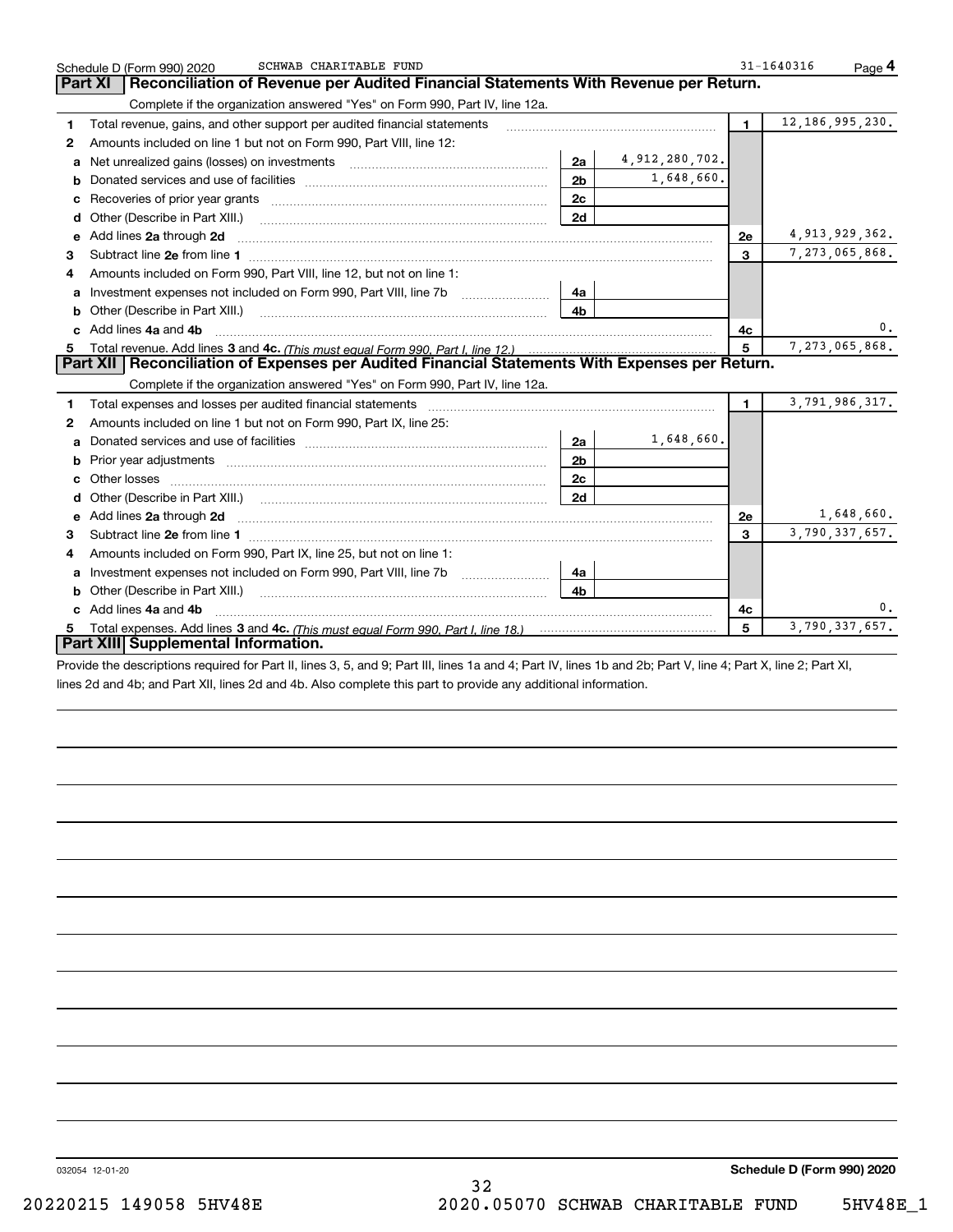| Reconciliation of Revenue per Audited Financial Statements With Revenue per Return.<br><b>Part XI</b><br>Complete if the organization answered "Yes" on Form 990, Part IV, line 12a.<br>Total revenue, gains, and other support per audited financial statements<br>1.<br>Amounts included on line 1 but not on Form 990, Part VIII, line 12:<br>$\mathbf{2}$<br>a<br>b<br>c<br>Other (Describe in Part XIII.) | 2a<br>2 <sub>b</sub><br>2c<br>2d | 4,912,280,702.<br>1,648,660. | $\blacksquare$ | 12, 186, 995, 230. |
|----------------------------------------------------------------------------------------------------------------------------------------------------------------------------------------------------------------------------------------------------------------------------------------------------------------------------------------------------------------------------------------------------------------|----------------------------------|------------------------------|----------------|--------------------|
|                                                                                                                                                                                                                                                                                                                                                                                                                |                                  |                              |                |                    |
|                                                                                                                                                                                                                                                                                                                                                                                                                |                                  |                              |                |                    |
|                                                                                                                                                                                                                                                                                                                                                                                                                |                                  |                              |                |                    |
|                                                                                                                                                                                                                                                                                                                                                                                                                |                                  |                              |                |                    |
|                                                                                                                                                                                                                                                                                                                                                                                                                |                                  |                              |                |                    |
|                                                                                                                                                                                                                                                                                                                                                                                                                |                                  |                              |                |                    |
|                                                                                                                                                                                                                                                                                                                                                                                                                |                                  |                              |                |                    |
|                                                                                                                                                                                                                                                                                                                                                                                                                |                                  |                              |                |                    |
| e Add lines 2a through 2d                                                                                                                                                                                                                                                                                                                                                                                      |                                  |                              | 2e             | 4,913,929,362.     |
| 3                                                                                                                                                                                                                                                                                                                                                                                                              |                                  |                              | 3              | 7,273,065,868.     |
| Amounts included on Form 990, Part VIII, line 12, but not on line 1:<br>4                                                                                                                                                                                                                                                                                                                                      |                                  |                              |                |                    |
|                                                                                                                                                                                                                                                                                                                                                                                                                | 4a                               |                              |                |                    |
|                                                                                                                                                                                                                                                                                                                                                                                                                | 4h                               |                              |                |                    |
| c Add lines 4a and 4b                                                                                                                                                                                                                                                                                                                                                                                          |                                  |                              | 4с             | 0.                 |
|                                                                                                                                                                                                                                                                                                                                                                                                                |                                  |                              | 5              | 7,273,065,868.     |
| Part XII   Reconciliation of Expenses per Audited Financial Statements With Expenses per Return.                                                                                                                                                                                                                                                                                                               |                                  |                              |                |                    |
| Complete if the organization answered "Yes" on Form 990, Part IV, line 12a.                                                                                                                                                                                                                                                                                                                                    |                                  |                              |                |                    |
| 1                                                                                                                                                                                                                                                                                                                                                                                                              |                                  |                              | $\blacksquare$ | 3,791,986,317.     |
| Amounts included on line 1 but not on Form 990, Part IX, line 25:<br>2                                                                                                                                                                                                                                                                                                                                         |                                  |                              |                |                    |
| a                                                                                                                                                                                                                                                                                                                                                                                                              | 2a                               | 1,648,660.                   |                |                    |
| b                                                                                                                                                                                                                                                                                                                                                                                                              | 2 <sub>b</sub>                   |                              |                |                    |
|                                                                                                                                                                                                                                                                                                                                                                                                                | 2c                               |                              |                |                    |
|                                                                                                                                                                                                                                                                                                                                                                                                                | 2d                               |                              |                |                    |
|                                                                                                                                                                                                                                                                                                                                                                                                                |                                  |                              | <b>2e</b>      | 1,648,660.         |
| 3                                                                                                                                                                                                                                                                                                                                                                                                              |                                  |                              | 3              | 3,790,337,657.     |
| Amounts included on Form 990, Part IX, line 25, but not on line 1:<br>4                                                                                                                                                                                                                                                                                                                                        |                                  |                              |                |                    |
| Investment expenses not included on Form 990, Part VIII, line 7b [11, 111, 111, 111]<br>a                                                                                                                                                                                                                                                                                                                      | 4a                               |                              |                |                    |
|                                                                                                                                                                                                                                                                                                                                                                                                                | 4b                               |                              |                |                    |
| Add lines 4a and 4b                                                                                                                                                                                                                                                                                                                                                                                            |                                  |                              | 4c             | 0.                 |
| 5.                                                                                                                                                                                                                                                                                                                                                                                                             |                                  |                              | 5              | 3,790,337,657.     |
| Part XIII Supplemental Information.<br>Provide the descriptions required for Part II, lines 3, 5, and 9; Part III, lines 1a and 4; Part IV, lines 1b and 2b; Part V, line 4; Part X, line 2; Part XI,                                                                                                                                                                                                          |                                  |                              |                |                    |

lines 2d and 4b; and Part XII, lines 2d and 4b. Also complete this part to provide any additional information.

032054 12-01-20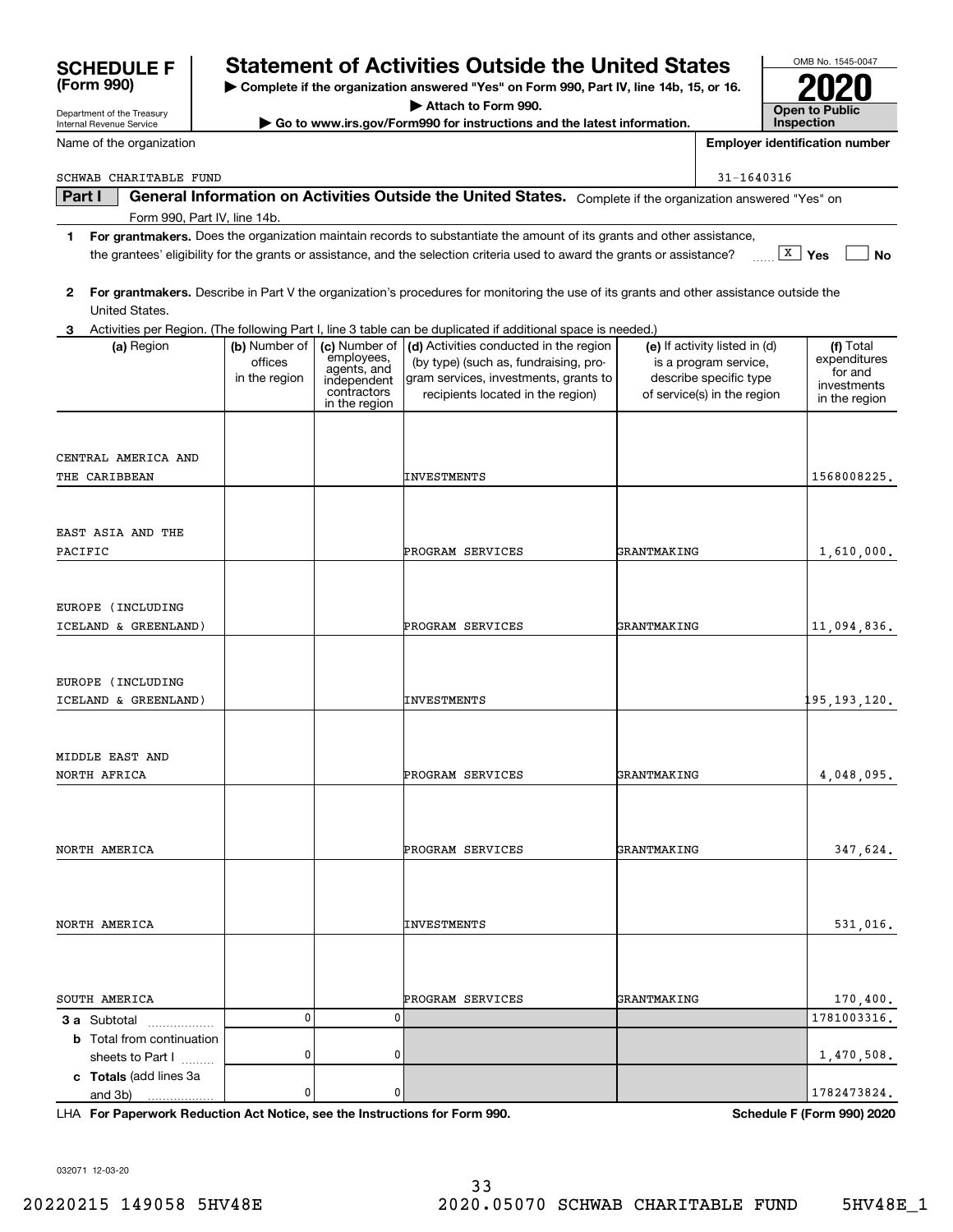|                                                                            |               |                            | 1 For grantmakers. Does the organization maintain records to substantiate the amount of its grants and other assistance,                  |                               |                                |
|----------------------------------------------------------------------------|---------------|----------------------------|-------------------------------------------------------------------------------------------------------------------------------------------|-------------------------------|--------------------------------|
|                                                                            |               |                            | the grantees' eligibility for the grants or assistance, and the selection criteria used to award the grants or assistance?                |                               | $\boxed{\texttt{X}}$ Yes<br>No |
|                                                                            |               |                            |                                                                                                                                           |                               |                                |
|                                                                            |               |                            | 2 For grantmakers. Describe in Part V the organization's procedures for monitoring the use of its grants and other assistance outside the |                               |                                |
| United States.                                                             |               |                            |                                                                                                                                           |                               |                                |
| 3                                                                          |               |                            | Activities per Region. (The following Part I, line 3 table can be duplicated if additional space is needed.)                              |                               |                                |
| (a) Region                                                                 | (b) Number of | (c) Number of              | (d) Activities conducted in the region                                                                                                    | (e) If activity listed in (d) | (f) Total                      |
|                                                                            | offices       | employees,<br>agents, and  | (by type) (such as, fundraising, pro-                                                                                                     | is a program service,         | expenditures<br>for and        |
|                                                                            | in the region | independent<br>contractors | gram services, investments, grants to                                                                                                     | describe specific type        | investments                    |
|                                                                            |               | in the region              | recipients located in the region)                                                                                                         | of service(s) in the region   | in the region                  |
|                                                                            |               |                            |                                                                                                                                           |                               |                                |
| CENTRAL AMERICA AND                                                        |               |                            |                                                                                                                                           |                               |                                |
| THE CARIBBEAN                                                              |               |                            | INVESTMENTS                                                                                                                               |                               | 1568008225.                    |
|                                                                            |               |                            |                                                                                                                                           |                               |                                |
|                                                                            |               |                            |                                                                                                                                           |                               |                                |
| EAST ASIA AND THE                                                          |               |                            |                                                                                                                                           |                               |                                |
| PACIFIC                                                                    |               |                            | PROGRAM SERVICES                                                                                                                          | GRANTMAKING                   | 1,610,000.                     |
|                                                                            |               |                            |                                                                                                                                           |                               |                                |
| EUROPE (INCLUDING                                                          |               |                            |                                                                                                                                           |                               |                                |
| ICELAND & GREENLAND)                                                       |               |                            | PROGRAM SERVICES                                                                                                                          | GRANTMAKING                   | 11,094,836.                    |
|                                                                            |               |                            |                                                                                                                                           |                               |                                |
| EUROPE (INCLUDING                                                          |               |                            |                                                                                                                                           |                               |                                |
| ICELAND & GREENLAND)                                                       |               |                            | INVESTMENTS                                                                                                                               |                               | 195,193,120.                   |
|                                                                            |               |                            |                                                                                                                                           |                               |                                |
|                                                                            |               |                            |                                                                                                                                           |                               |                                |
| MIDDLE EAST AND                                                            |               |                            |                                                                                                                                           |                               |                                |
| NORTH AFRICA                                                               |               |                            | PROGRAM SERVICES                                                                                                                          | GRANTMAKING                   | 4,048,095.                     |
|                                                                            |               |                            |                                                                                                                                           |                               |                                |
|                                                                            |               |                            |                                                                                                                                           |                               |                                |
| NORTH AMERICA                                                              |               |                            | PROGRAM SERVICES                                                                                                                          | GRANTMAKING                   | 347,624.                       |
|                                                                            |               |                            |                                                                                                                                           |                               |                                |
|                                                                            |               |                            |                                                                                                                                           |                               |                                |
| NORTH AMERICA                                                              |               |                            | INVESTMENTS                                                                                                                               |                               | 531,016.                       |
|                                                                            |               |                            |                                                                                                                                           |                               |                                |
|                                                                            |               |                            |                                                                                                                                           |                               |                                |
| SOUTH AMERICA                                                              |               |                            | PROGRAM SERVICES                                                                                                                          | GRANTMAKING                   | 170,400.                       |
| <b>3 a</b> Subtotal                                                        | 0             | 0                          |                                                                                                                                           |                               | 1781003316.                    |
| <b>b</b> Total from continuation                                           |               |                            |                                                                                                                                           |                               |                                |
| sheets to Part I                                                           | 0             | 0                          |                                                                                                                                           |                               | 1,470,508.                     |
| c Totals (add lines 3a                                                     |               |                            |                                                                                                                                           |                               |                                |
| and 3b)<br>.                                                               | 0             | 0                          |                                                                                                                                           |                               | 1782473824.                    |
| LHA For Paperwork Reduction Act Notice, see the Instructions for Form 990. |               |                            |                                                                                                                                           |                               | Schedule F (Form 990) 2020     |

## Name of the organization

Department of the Treasury Internal Revenue Service

**(Form 990)**

**Part I | General Information on Activities Outside the United States.** Complete if the organization answered "Yes" on<br>Form 990, Part IV, line 14b

SCHWAB CHARITABLE FUND 31-1640316

# **SCHEDULE F Statement of Activities Outside the United States**

**| Complete if the organization answered "Yes" on Form 990, Part IV, line 14b, 15, or 16.**

**| Attach to Form 990.**

**| Go to www.irs.gov/Form990 for instructions and the latest information.**

032071 12-03-20



**Employer identification number**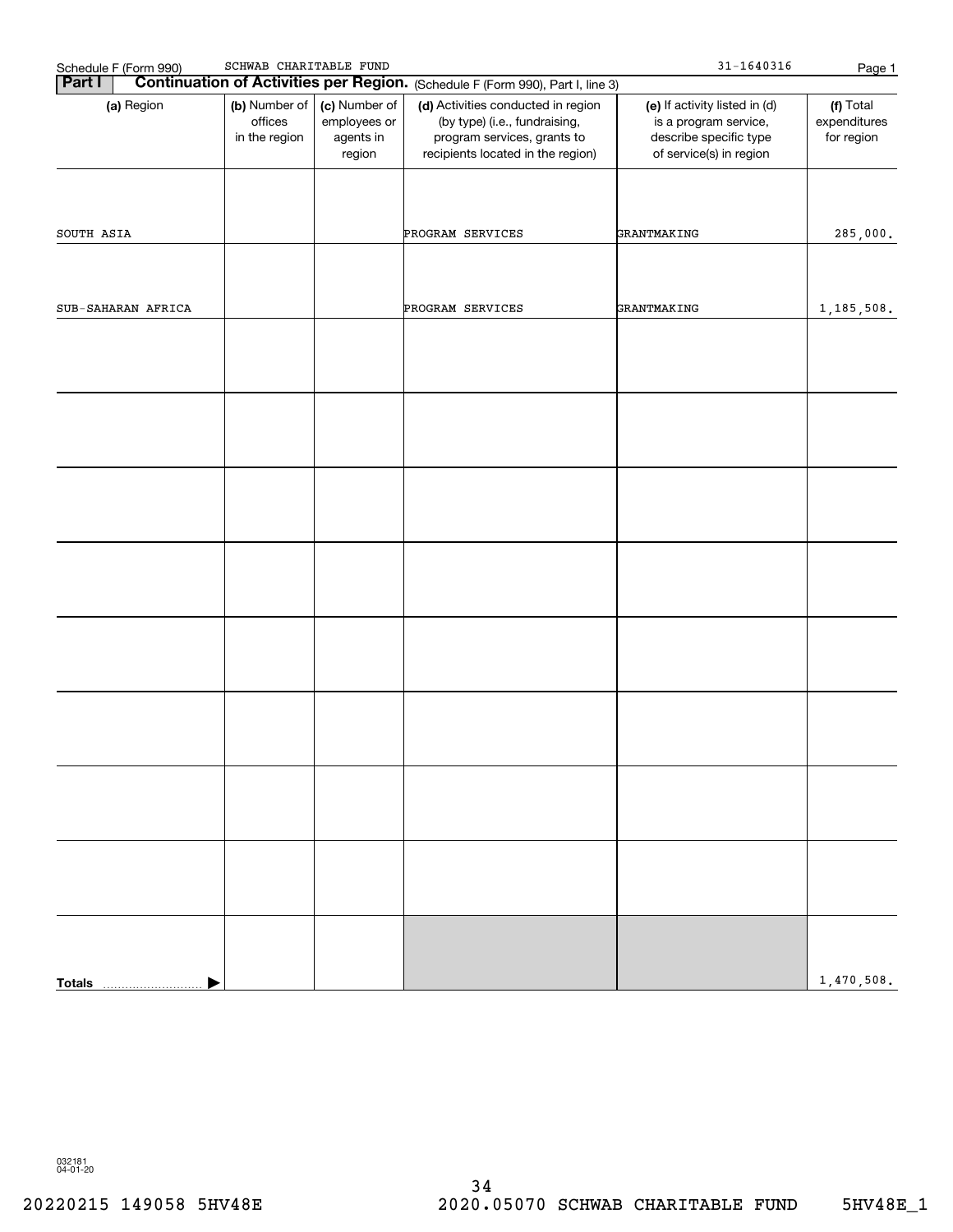| Schedule F (Form 990)<br><b>Part I</b> | SCHWAB CHARITABLE FUND                                                                            |  | Continuation of Activities per Region. (Schedule F (Form 990), Part I, line 3)                                                          | $31 - 1640316$                                                                                              | Page 1                                  |
|----------------------------------------|---------------------------------------------------------------------------------------------------|--|-----------------------------------------------------------------------------------------------------------------------------------------|-------------------------------------------------------------------------------------------------------------|-----------------------------------------|
| (a) Region                             | (b) Number of<br>(c) Number of<br>offices<br>employees or<br>in the region<br>agents in<br>region |  | (d) Activities conducted in region<br>(by type) (i.e., fundraising,<br>program services, grants to<br>recipients located in the region) | (e) If activity listed in (d)<br>is a program service,<br>describe specific type<br>of service(s) in region | (f) Total<br>expenditures<br>for region |
| SOUTH ASIA                             |                                                                                                   |  | PROGRAM SERVICES                                                                                                                        | GRANTMAKING                                                                                                 |                                         |
|                                        |                                                                                                   |  |                                                                                                                                         |                                                                                                             | 285,000.                                |
| SUB-SAHARAN AFRICA                     |                                                                                                   |  | PROGRAM SERVICES                                                                                                                        | GRANTMAKING                                                                                                 | 1,185,508.                              |
|                                        |                                                                                                   |  |                                                                                                                                         |                                                                                                             |                                         |
|                                        |                                                                                                   |  |                                                                                                                                         |                                                                                                             |                                         |
|                                        |                                                                                                   |  |                                                                                                                                         |                                                                                                             |                                         |
|                                        |                                                                                                   |  |                                                                                                                                         |                                                                                                             |                                         |
|                                        |                                                                                                   |  |                                                                                                                                         |                                                                                                             |                                         |
|                                        |                                                                                                   |  |                                                                                                                                         |                                                                                                             |                                         |
|                                        |                                                                                                   |  |                                                                                                                                         |                                                                                                             |                                         |
|                                        |                                                                                                   |  |                                                                                                                                         |                                                                                                             |                                         |
|                                        |                                                                                                   |  |                                                                                                                                         |                                                                                                             |                                         |
|                                        |                                                                                                   |  |                                                                                                                                         |                                                                                                             |                                         |
| <b>Totals</b>                          |                                                                                                   |  |                                                                                                                                         |                                                                                                             | 1,470,508.                              |

032181 04-01-20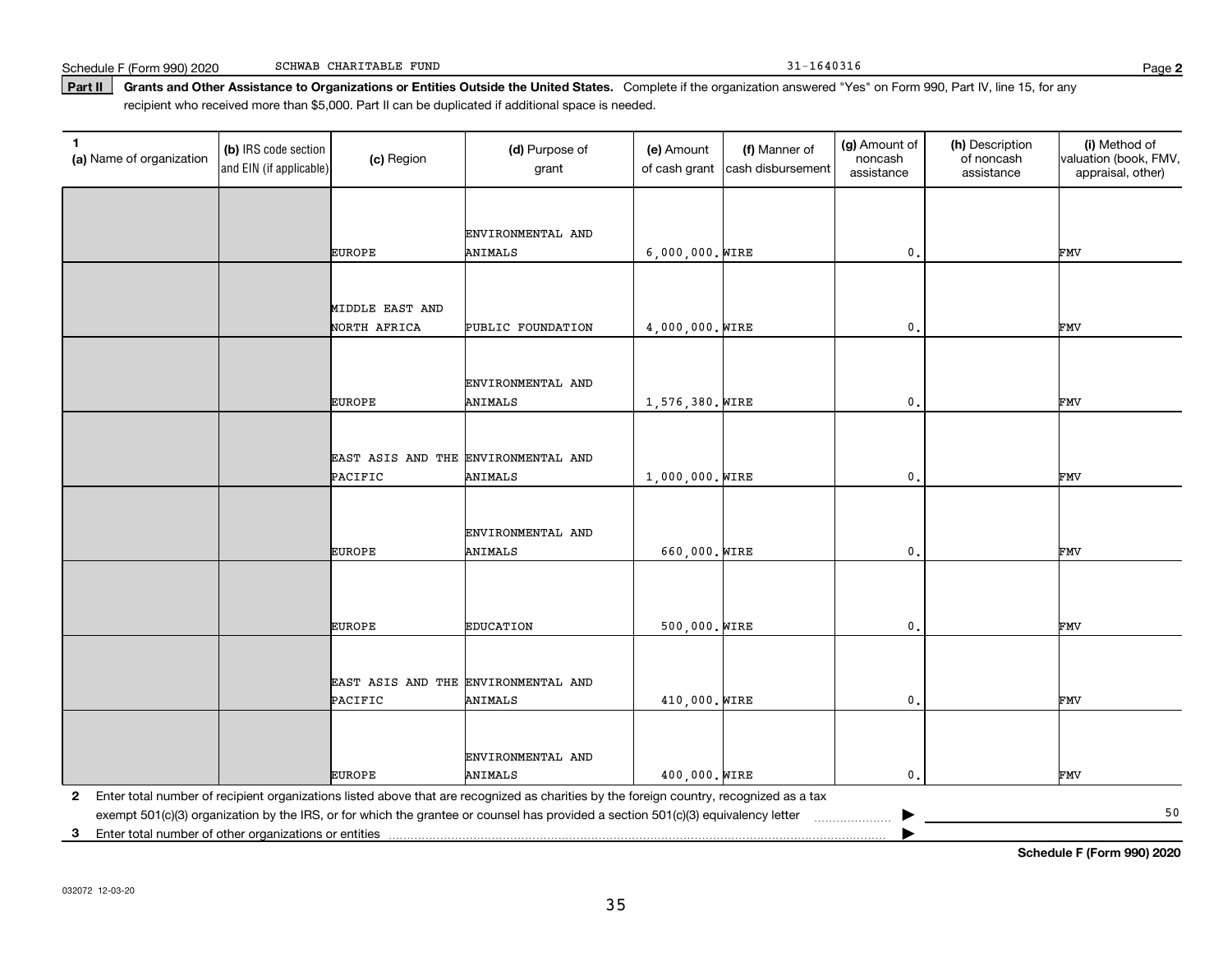Schedule F (Form 990) 2020 SCHWAB CHARITABLE FUND 31 - 1640316 SCHWAB CHARITABLE FUND

**Part II** Grants and Other Assistance to Organizations or Entities Outside the United States. Complete if the organization answered "Yes" on Form 990, Part IV, line 15, for any<br>recisiont who received more than \$5,000. Part recipient who received more than \$5,000. Part II can be duplicated if additional space is needed.

| 1<br>(a) Name of organization                              | (b) IRS code section<br>and EIN (if applicable) | (c) Region                          | (d) Purpose of<br>grant                                                                                                                 | (e) Amount<br>of cash grant | (f) Manner of<br>cash disbursement | (g) Amount of<br>noncash<br>assistance | (h) Description<br>of noncash<br>assistance | (i) Method of<br>valuation (book, FMV,<br>appraisal, other) |
|------------------------------------------------------------|-------------------------------------------------|-------------------------------------|-----------------------------------------------------------------------------------------------------------------------------------------|-----------------------------|------------------------------------|----------------------------------------|---------------------------------------------|-------------------------------------------------------------|
|                                                            |                                                 |                                     |                                                                                                                                         |                             |                                    |                                        |                                             |                                                             |
|                                                            |                                                 |                                     | ENVIRONMENTAL AND                                                                                                                       |                             |                                    |                                        |                                             |                                                             |
|                                                            |                                                 | <b>EUROPE</b>                       | ANIMALS                                                                                                                                 | 6,000,000. WIRE             |                                    | 0.                                     |                                             | FMV                                                         |
|                                                            |                                                 |                                     |                                                                                                                                         |                             |                                    |                                        |                                             |                                                             |
|                                                            |                                                 | MIDDLE EAST AND                     |                                                                                                                                         |                             |                                    |                                        |                                             |                                                             |
|                                                            |                                                 | NORTH AFRICA                        | PUBLIC FOUNDATION                                                                                                                       | 4,000,000. WIRE             |                                    | $\mathbf{0}$ .                         |                                             | FMV                                                         |
|                                                            |                                                 |                                     |                                                                                                                                         |                             |                                    |                                        |                                             |                                                             |
|                                                            |                                                 |                                     | ENVIRONMENTAL AND                                                                                                                       |                             |                                    |                                        |                                             |                                                             |
|                                                            |                                                 | <b>EUROPE</b>                       | <b>ANIMALS</b>                                                                                                                          | 1,576,380. WIRE             |                                    | 0.                                     |                                             | FMV                                                         |
|                                                            |                                                 |                                     |                                                                                                                                         |                             |                                    |                                        |                                             |                                                             |
|                                                            |                                                 | EAST ASIS AND THE ENVIRONMENTAL AND |                                                                                                                                         |                             |                                    |                                        |                                             |                                                             |
|                                                            |                                                 | PACIFIC                             | ANIMALS                                                                                                                                 | 1,000,000. WIRE             |                                    | $\mathbf{0}$ .                         |                                             | FMV                                                         |
|                                                            |                                                 |                                     |                                                                                                                                         |                             |                                    |                                        |                                             |                                                             |
|                                                            |                                                 |                                     | ENVIRONMENTAL AND                                                                                                                       |                             |                                    |                                        |                                             |                                                             |
|                                                            |                                                 | <b>EUROPE</b>                       | <b>ANIMALS</b>                                                                                                                          | 660,000. WIRE               |                                    | 0.                                     |                                             | FMV                                                         |
|                                                            |                                                 |                                     |                                                                                                                                         |                             |                                    |                                        |                                             |                                                             |
|                                                            |                                                 |                                     |                                                                                                                                         |                             |                                    |                                        |                                             |                                                             |
|                                                            |                                                 | <b>EUROPE</b>                       | <b>EDUCATION</b>                                                                                                                        | 500,000. WIRE               |                                    | 0.                                     |                                             | FMV                                                         |
|                                                            |                                                 |                                     |                                                                                                                                         |                             |                                    |                                        |                                             |                                                             |
|                                                            |                                                 | EAST ASIS AND THE ENVIRONMENTAL AND |                                                                                                                                         |                             |                                    |                                        |                                             |                                                             |
|                                                            |                                                 | PACIFIC                             | <b>ANIMALS</b>                                                                                                                          | 410,000. WIRE               |                                    | 0.                                     |                                             | FMV                                                         |
|                                                            |                                                 |                                     |                                                                                                                                         |                             |                                    |                                        |                                             |                                                             |
|                                                            |                                                 |                                     |                                                                                                                                         |                             |                                    |                                        |                                             |                                                             |
|                                                            |                                                 | <b>EUROPE</b>                       | ENVIRONMENTAL AND<br>ANIMALS                                                                                                            | 400,000. WIRE               |                                    | 0.                                     |                                             | FMV                                                         |
| $\mathbf{2}$                                               |                                                 |                                     | Enter total number of recipient organizations listed above that are recognized as charities by the foreign country, recognized as a tax |                             |                                    |                                        |                                             |                                                             |
|                                                            |                                                 |                                     | exempt 501(c)(3) organization by the IRS, or for which the grantee or counsel has provided a section 501(c)(3) equivalency letter       |                             |                                    |                                        |                                             | 50                                                          |
| Enter total number of other organizations or entities<br>3 |                                                 |                                     |                                                                                                                                         |                             |                                    |                                        |                                             | Cabadula E (Fauna 000) 0000                                 |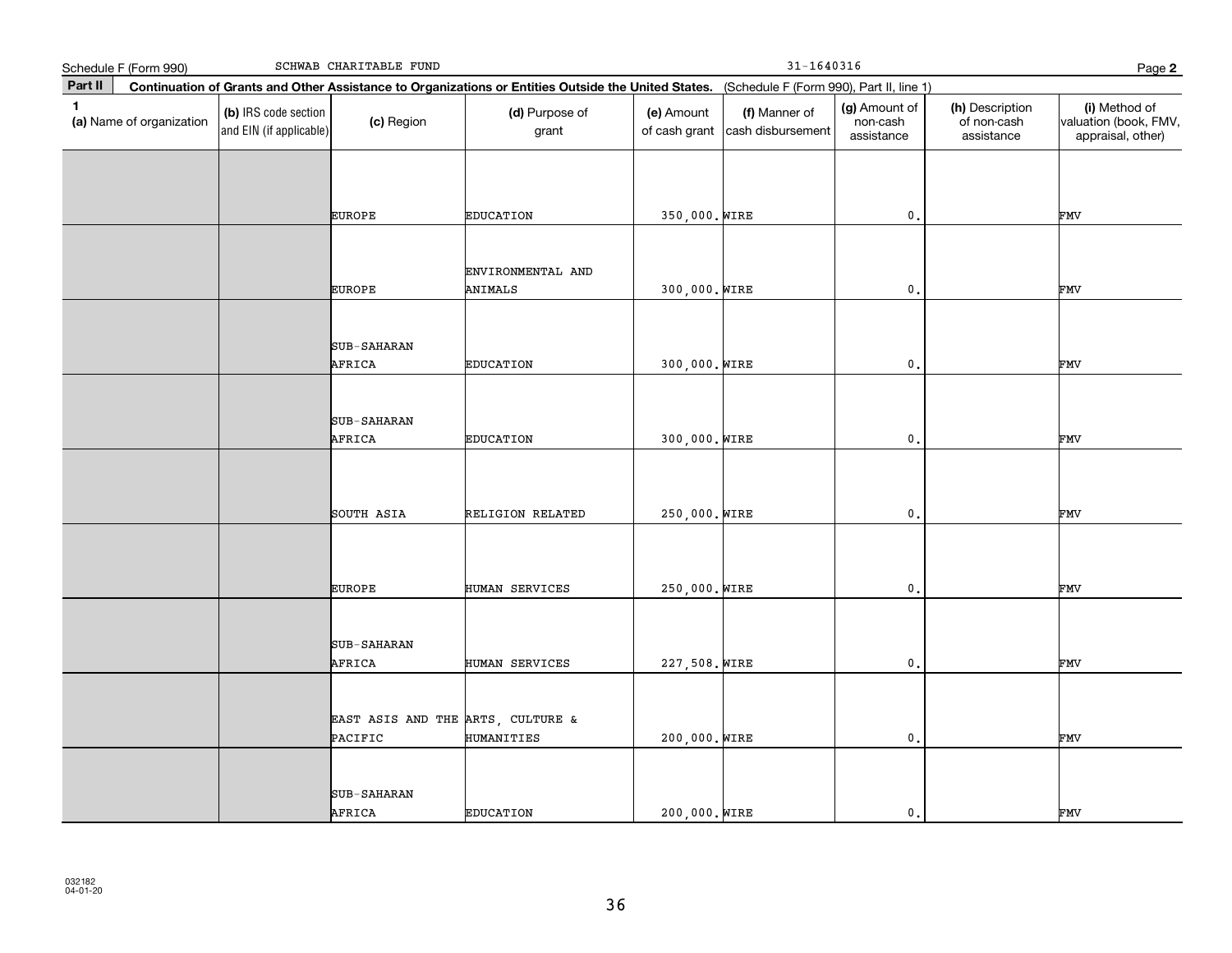|              | SCHWAB CHARITABLE FUND<br>Schedule F (Form 990) |                                                 |                                              |                                                                                                                                              |                             | $31 - 1640316$                     |                                         |                                              |                                                             |  |
|--------------|-------------------------------------------------|-------------------------------------------------|----------------------------------------------|----------------------------------------------------------------------------------------------------------------------------------------------|-----------------------------|------------------------------------|-----------------------------------------|----------------------------------------------|-------------------------------------------------------------|--|
| Part II      |                                                 |                                                 |                                              | Continuation of Grants and Other Assistance to Organizations or Entities Outside the United States. (Schedule F (Form 990), Part II, line 1) |                             |                                    | Page 2                                  |                                              |                                                             |  |
| $\mathbf{1}$ | (a) Name of organization                        | (b) IRS code section<br>and EIN (if applicable) | (c) Region                                   | (d) Purpose of<br>grant                                                                                                                      | (e) Amount<br>of cash grant | (f) Manner of<br>cash disbursement | (g) Amount of<br>non-cash<br>assistance | (h) Description<br>of non-cash<br>assistance | (i) Method of<br>valuation (book, FMV,<br>appraisal, other) |  |
|              |                                                 |                                                 |                                              |                                                                                                                                              |                             |                                    |                                         |                                              |                                                             |  |
|              |                                                 |                                                 | <b>EUROPE</b>                                | <b>EDUCATION</b>                                                                                                                             | 350,000. WIRE               |                                    | $\mathbf{0}$ .                          |                                              | FMV                                                         |  |
|              |                                                 |                                                 | <b>EUROPE</b>                                | ENVIRONMENTAL AND<br><b>ANIMALS</b>                                                                                                          | 300,000. WIRE               |                                    | $\mathbf 0$ .                           |                                              | FMV                                                         |  |
|              |                                                 |                                                 | SUB-SAHARAN<br>AFRICA                        | <b>EDUCATION</b>                                                                                                                             | 300,000. WIRE               |                                    | $\mathbf{0}$ .                          |                                              | FMV                                                         |  |
|              |                                                 |                                                 |                                              |                                                                                                                                              |                             |                                    |                                         |                                              |                                                             |  |
|              |                                                 |                                                 | SUB-SAHARAN<br>AFRICA                        | <b>EDUCATION</b>                                                                                                                             | 300,000. WIRE               |                                    | $\mathbf{0}$                            |                                              | FMV                                                         |  |
|              |                                                 |                                                 |                                              |                                                                                                                                              |                             |                                    |                                         |                                              |                                                             |  |
|              |                                                 |                                                 | SOUTH ASIA                                   | RELIGION RELATED                                                                                                                             | 250,000. WIRE               |                                    | $\mathbf 0$ .                           |                                              | FMV                                                         |  |
|              |                                                 |                                                 | <b>EUROPE</b>                                | HUMAN SERVICES                                                                                                                               | 250,000. WIRE               |                                    | $\mathbf{0}$ .                          |                                              | FMV                                                         |  |
|              |                                                 |                                                 |                                              |                                                                                                                                              |                             |                                    |                                         |                                              |                                                             |  |
|              |                                                 |                                                 | SUB-SAHARAN<br>AFRICA                        | HUMAN SERVICES                                                                                                                               | 227,508. WIRE               |                                    | $\mathfrak o$ .                         |                                              | FMV                                                         |  |
|              |                                                 |                                                 | EAST ASIS AND THE ARTS, CULTURE &<br>PACIFIC | HUMANITIES                                                                                                                                   | 200,000. WIRE               |                                    | $\mathfrak o$ .                         |                                              | FMV                                                         |  |
|              |                                                 |                                                 | SUB-SAHARAN<br>AFRICA                        | <b>EDUCATION</b>                                                                                                                             | 200,000. WIRE               |                                    | $\mathbf{0}$ .                          |                                              | FMV                                                         |  |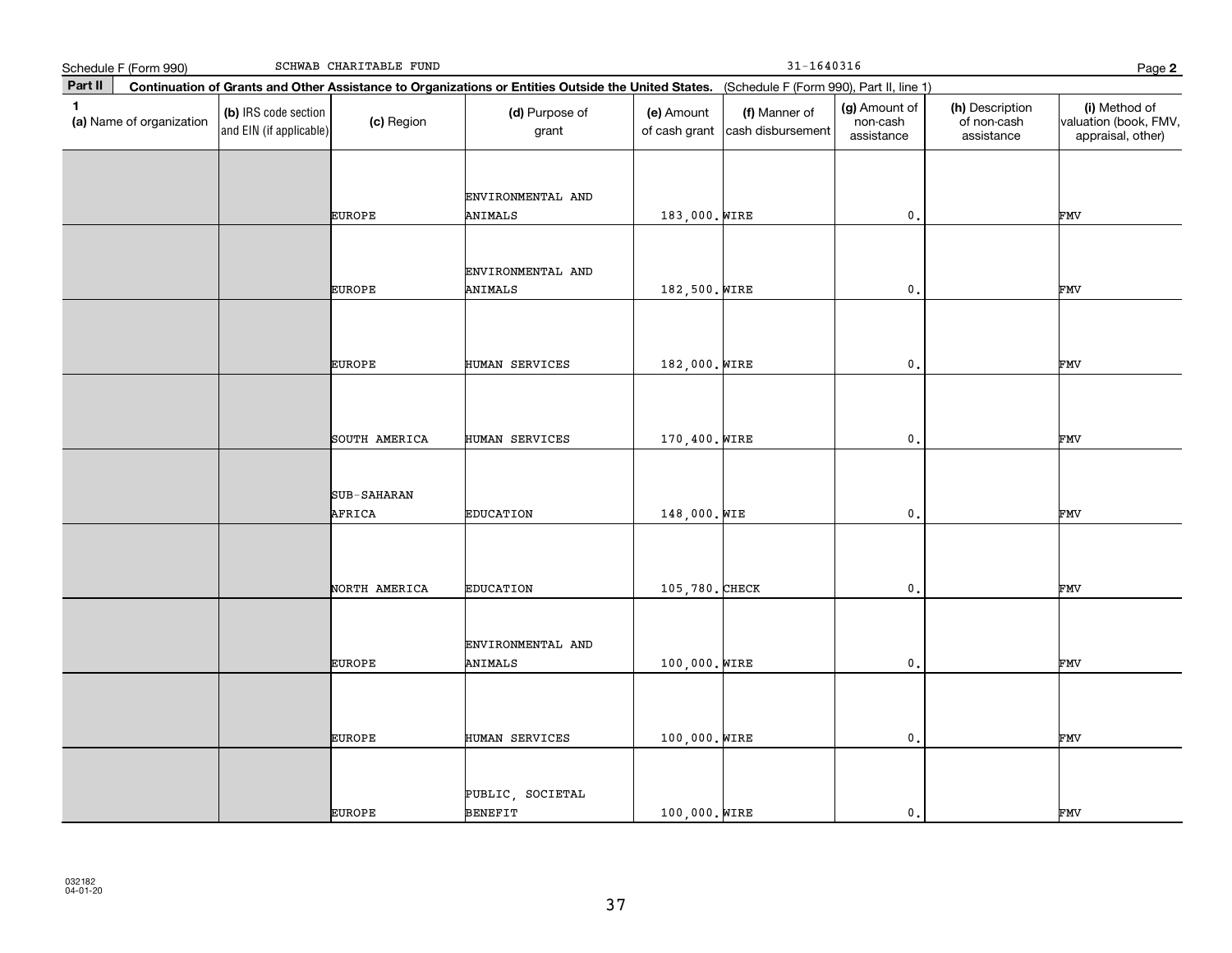|              | Schedule F (Form 990)    |                                                 | SCHWAB CHARITABLE FUND |                                                                                                                                              |                             | $31 - 1640316$                     |                                         |                                              | Page 2                                                      |
|--------------|--------------------------|-------------------------------------------------|------------------------|----------------------------------------------------------------------------------------------------------------------------------------------|-----------------------------|------------------------------------|-----------------------------------------|----------------------------------------------|-------------------------------------------------------------|
| Part II      |                          |                                                 |                        | Continuation of Grants and Other Assistance to Organizations or Entities Outside the United States. (Schedule F (Form 990), Part II, line 1) |                             |                                    |                                         |                                              |                                                             |
| $\mathbf{1}$ | (a) Name of organization | (b) IRS code section<br>and EIN (if applicable) | (c) Region             | (d) Purpose of<br>grant                                                                                                                      | (e) Amount<br>of cash grant | (f) Manner of<br>cash disbursement | (g) Amount of<br>non-cash<br>assistance | (h) Description<br>of non-cash<br>assistance | (i) Method of<br>valuation (book, FMV,<br>appraisal, other) |
|              |                          |                                                 | EUROPE                 | ENVIRONMENTAL AND<br>ANIMALS                                                                                                                 | 183,000. WIRE               |                                    | $\mathfrak o$ .                         |                                              | FMV                                                         |
|              |                          |                                                 | EUROPE                 | ENVIRONMENTAL AND<br>ANIMALS                                                                                                                 | 182,500. WIRE               |                                    | $\mathbf 0$ .                           |                                              | FMV                                                         |
|              |                          |                                                 | EUROPE                 | HUMAN SERVICES                                                                                                                               | 182,000. WIRE               |                                    | $\mathfrak o$ .                         |                                              | FMV                                                         |
|              |                          |                                                 | SOUTH AMERICA          | HUMAN SERVICES                                                                                                                               | 170,400. WIRE               |                                    | $\mathbf 0$ .                           |                                              | FMV                                                         |
|              |                          |                                                 | SUB-SAHARAN<br>AFRICA  | <b>EDUCATION</b>                                                                                                                             | 148,000. WIE                |                                    | $\mathbf 0$ .                           |                                              | FMV                                                         |
|              |                          |                                                 | NORTH AMERICA          | <b>EDUCATION</b>                                                                                                                             | 105,780. CHECK              |                                    | $\mathfrak{o}$ .                        |                                              | FMV                                                         |
|              |                          |                                                 | EUROPE                 | ENVIRONMENTAL AND<br><b>ANIMALS</b>                                                                                                          | 100,000. WIRE               |                                    | $\mathfrak o$ .                         |                                              | FMV                                                         |
|              |                          |                                                 | EUROPE                 | HUMAN SERVICES                                                                                                                               | 100,000. WIRE               |                                    | $\mathfrak o$ .                         |                                              | FMV                                                         |
|              |                          |                                                 | EUROPE                 | PUBLIC, SOCIETAL<br><b>BENEFIT</b>                                                                                                           | 100,000. WIRE               |                                    | $\mathbf{0}$ .                          |                                              | FMV                                                         |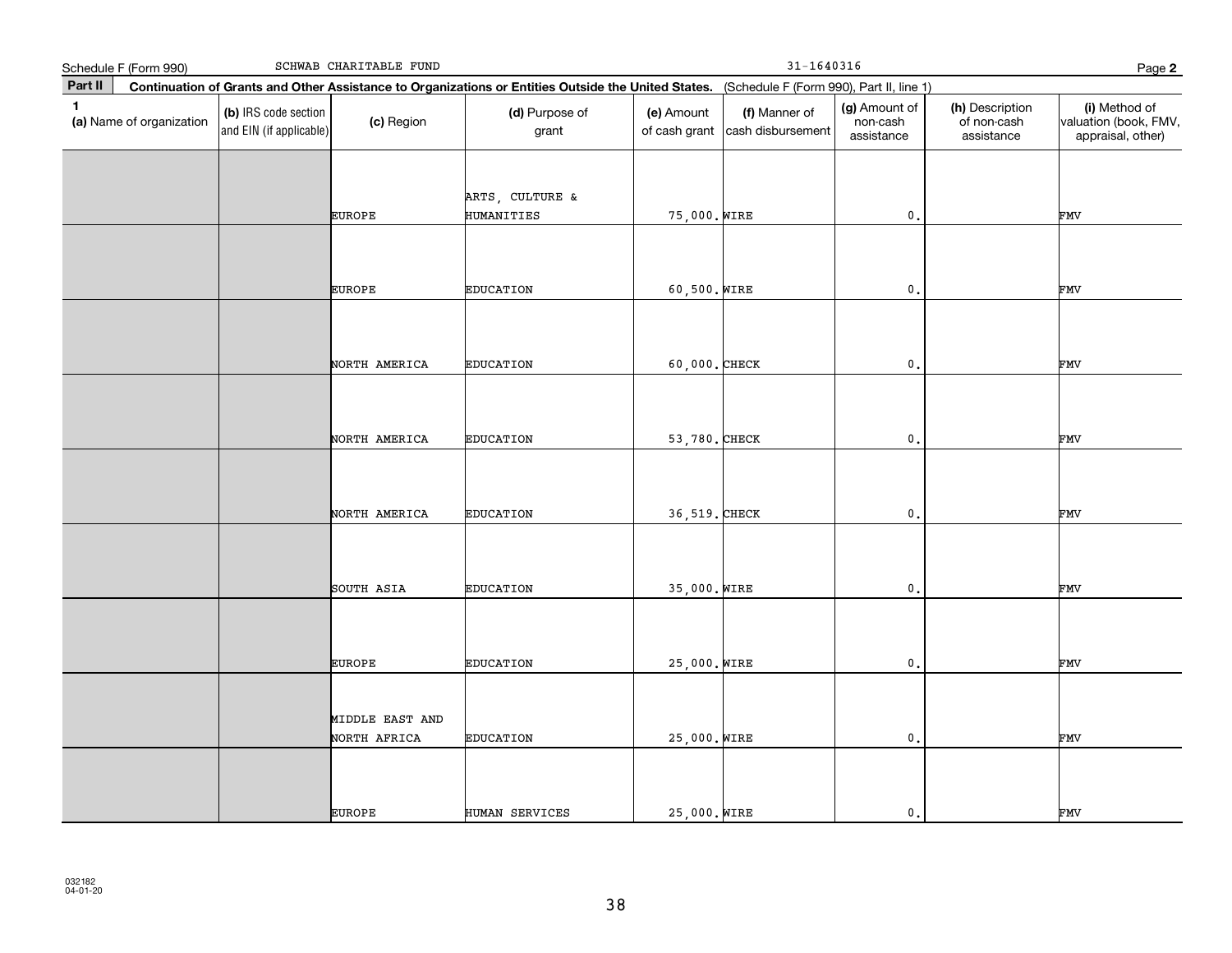|              | SCHWAB CHARITABLE FUND<br>Schedule F (Form 990)                                                                                              |                                                 |                                 |                                      |                             | $31 - 1640316$                     |                                         |                                              |                                                             |  |
|--------------|----------------------------------------------------------------------------------------------------------------------------------------------|-------------------------------------------------|---------------------------------|--------------------------------------|-----------------------------|------------------------------------|-----------------------------------------|----------------------------------------------|-------------------------------------------------------------|--|
| Part II      | Continuation of Grants and Other Assistance to Organizations or Entities Outside the United States. (Schedule F (Form 990), Part II, line 1) |                                                 |                                 |                                      |                             | Page 2                             |                                         |                                              |                                                             |  |
| $\mathbf{1}$ | (a) Name of organization                                                                                                                     | (b) IRS code section<br>and EIN (if applicable) | (c) Region                      | (d) Purpose of<br>grant              | (e) Amount<br>of cash grant | (f) Manner of<br>cash disbursement | (g) Amount of<br>non-cash<br>assistance | (h) Description<br>of non-cash<br>assistance | (i) Method of<br>valuation (book, FMV,<br>appraisal, other) |  |
|              |                                                                                                                                              |                                                 | EUROPE                          | ARTS, CULTURE &<br><b>HUMANITIES</b> | 75,000. WIRE                |                                    | $\mathfrak o$ .                         |                                              | FMV                                                         |  |
|              |                                                                                                                                              |                                                 | EUROPE                          | <b>EDUCATION</b>                     | 60,500. WIRE                |                                    | $\mathbf 0$ .                           |                                              | FMV                                                         |  |
|              |                                                                                                                                              |                                                 | NORTH AMERICA                   | <b>EDUCATION</b>                     | 60,000. CHECK               |                                    | $\mathbf 0$ .                           |                                              | FMV                                                         |  |
|              |                                                                                                                                              |                                                 | NORTH AMERICA                   | <b>EDUCATION</b>                     | 53,780. CHECK               |                                    | $\mathfrak{o}$ .                        |                                              | FMV                                                         |  |
|              |                                                                                                                                              |                                                 | NORTH AMERICA                   | <b>EDUCATION</b>                     | 36,519. CHECK               |                                    | $\mathbf 0$ .                           |                                              | FMV                                                         |  |
|              |                                                                                                                                              |                                                 | SOUTH ASIA                      | <b>EDUCATION</b>                     | 35,000. WIRE                |                                    | $\mathfrak{o}$ .                        |                                              | FMV                                                         |  |
|              |                                                                                                                                              |                                                 | EUROPE                          | <b>EDUCATION</b>                     | 25,000. WIRE                |                                    | $\mathfrak o$ .                         |                                              | FMV                                                         |  |
|              |                                                                                                                                              |                                                 | MIDDLE EAST AND<br>NORTH AFRICA | <b>EDUCATION</b>                     | 25,000. WIRE                |                                    | $\mathfrak o$ .                         |                                              | FMV                                                         |  |
|              |                                                                                                                                              |                                                 | EUROPE                          | HUMAN SERVICES                       | 25,000. WIRE                |                                    | 0.                                      |                                              | FMV                                                         |  |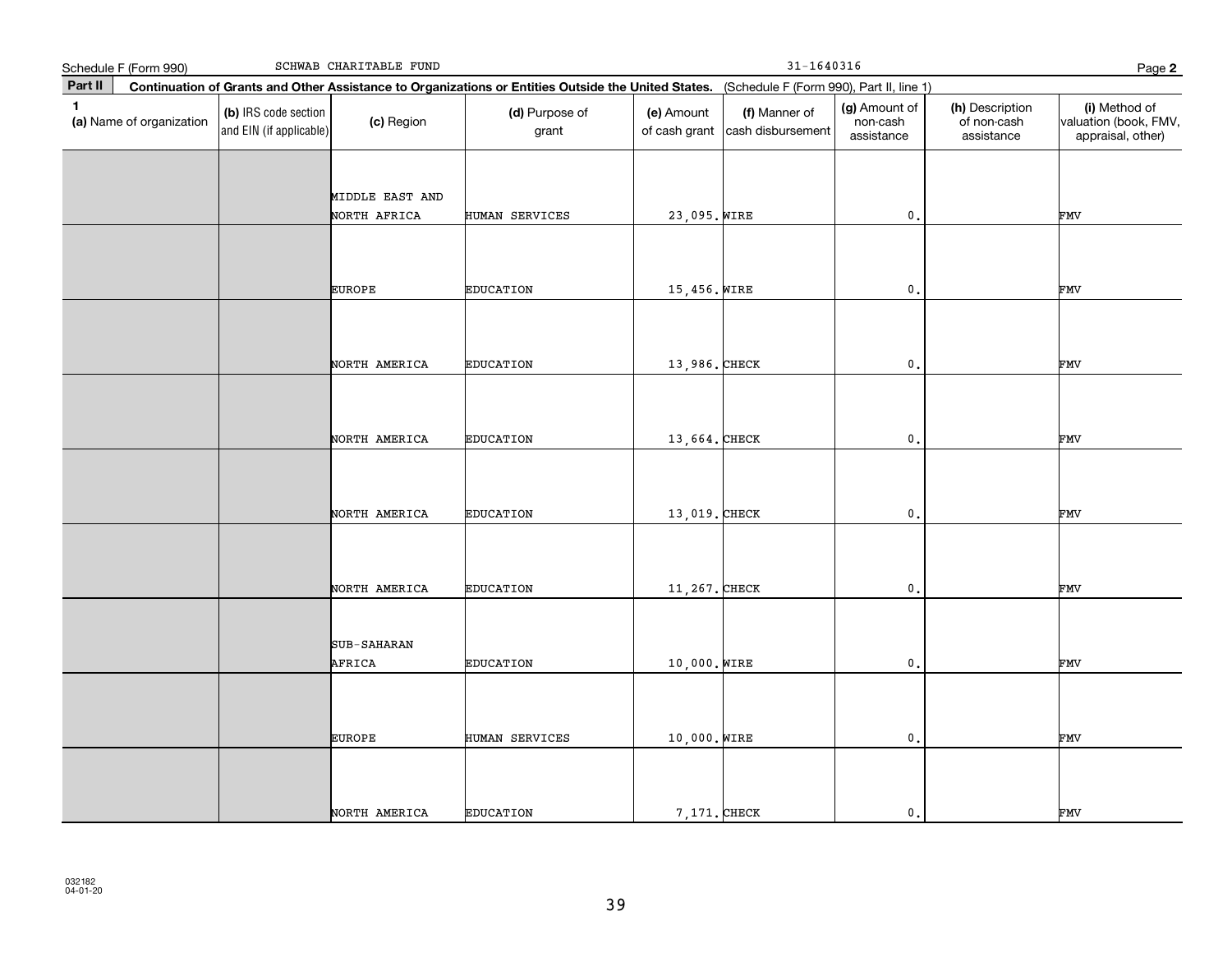|              | Schedule F (Form 990)    |                                                 | SCHWAB CHARITABLE FUND          |                                                                                                                                              |                             | $31 - 1640316$                     |                                         |                                              | Page 2                                                      |  |  |
|--------------|--------------------------|-------------------------------------------------|---------------------------------|----------------------------------------------------------------------------------------------------------------------------------------------|-----------------------------|------------------------------------|-----------------------------------------|----------------------------------------------|-------------------------------------------------------------|--|--|
| Part II      |                          |                                                 |                                 | Continuation of Grants and Other Assistance to Organizations or Entities Outside the United States. (Schedule F (Form 990), Part II, line 1) |                             |                                    |                                         |                                              |                                                             |  |  |
| $\mathbf{1}$ | (a) Name of organization | (b) IRS code section<br>and EIN (if applicable) | (c) Region                      | (d) Purpose of<br>grant                                                                                                                      | (e) Amount<br>of cash grant | (f) Manner of<br>cash disbursement | (g) Amount of<br>non-cash<br>assistance | (h) Description<br>of non-cash<br>assistance | (i) Method of<br>valuation (book, FMV,<br>appraisal, other) |  |  |
|              |                          |                                                 | MIDDLE EAST AND<br>NORTH AFRICA | HUMAN SERVICES                                                                                                                               | 23,095. WIRE                |                                    | $\mathbf{0}$ .                          |                                              | FMV                                                         |  |  |
|              |                          |                                                 | <b>EUROPE</b>                   | <b>EDUCATION</b>                                                                                                                             | 15,456. WIRE                |                                    | $\mathbf 0$ .                           |                                              | FMV                                                         |  |  |
|              |                          |                                                 | NORTH AMERICA                   | <b>EDUCATION</b>                                                                                                                             | 13,986. CHECK               |                                    | $\mathbf 0$ .                           |                                              | FMV                                                         |  |  |
|              |                          |                                                 | NORTH AMERICA                   | <b>EDUCATION</b>                                                                                                                             | 13,664. CHECK               |                                    | $\mathsf{0}$ .                          |                                              | FMV                                                         |  |  |
|              |                          |                                                 | NORTH AMERICA                   | <b>EDUCATION</b>                                                                                                                             | 13,019. CHECK               |                                    | $\mathbf{0}$                            |                                              | FMV                                                         |  |  |
|              |                          |                                                 | NORTH AMERICA                   | <b>EDUCATION</b>                                                                                                                             | 11, 267. CHECK              |                                    | $\mathsf{0}$ .                          |                                              | FMV                                                         |  |  |
|              |                          |                                                 | SUB-SAHARAN<br>AFRICA           | <b>EDUCATION</b>                                                                                                                             | 10,000. WIRE                |                                    | $\mathbf{0}$ .                          |                                              | FMV                                                         |  |  |
|              |                          |                                                 | <b>EUROPE</b>                   | HUMAN SERVICES                                                                                                                               | 10,000. WIRE                |                                    | $\mathfrak o$ .                         |                                              | FMV                                                         |  |  |
|              |                          |                                                 | NORTH AMERICA                   | <b>EDUCATION</b>                                                                                                                             | 7,171. CHECK                |                                    | $\mathbf{0}$ .                          |                                              | FMV                                                         |  |  |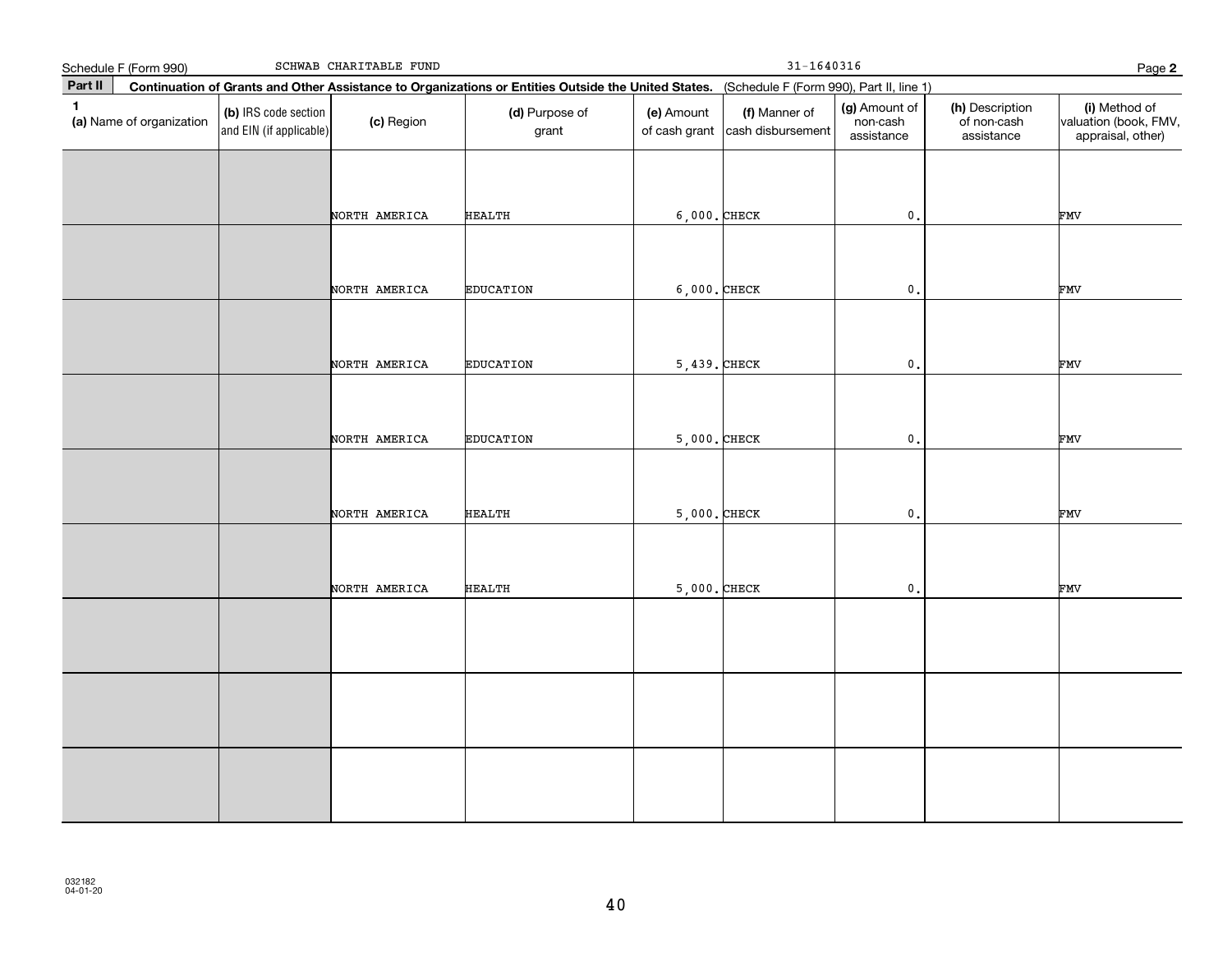|              | Schedule F (Form 990)    |                                                 | SCHWAB CHARITABLE FUND |                                                                                                                                              |                             | $31 - 1640316$                     |                                         |                                              | Page 2                                                      |
|--------------|--------------------------|-------------------------------------------------|------------------------|----------------------------------------------------------------------------------------------------------------------------------------------|-----------------------------|------------------------------------|-----------------------------------------|----------------------------------------------|-------------------------------------------------------------|
| Part II      |                          |                                                 |                        | Continuation of Grants and Other Assistance to Organizations or Entities Outside the United States. (Schedule F (Form 990), Part II, line 1) |                             |                                    |                                         |                                              |                                                             |
| $\mathbf{1}$ | (a) Name of organization | (b) IRS code section<br>and EIN (if applicable) | (c) Region             | (d) Purpose of<br>grant                                                                                                                      | (e) Amount<br>of cash grant | (f) Manner of<br>cash disbursement | (g) Amount of<br>non-cash<br>assistance | (h) Description<br>of non-cash<br>assistance | (i) Method of<br>valuation (book, FMV,<br>appraisal, other) |
|              |                          |                                                 |                        |                                                                                                                                              |                             |                                    |                                         |                                              |                                                             |
|              |                          |                                                 | NORTH AMERICA          | HEALTH                                                                                                                                       | $6,000$ . CHECK             |                                    | $\mathfrak o$ .                         |                                              | FMV                                                         |
|              |                          |                                                 | NORTH AMERICA          | <b>EDUCATION</b>                                                                                                                             | $6,000$ . CHECK             |                                    | $\mathfrak o$ .                         |                                              | FMV                                                         |
|              |                          |                                                 |                        |                                                                                                                                              |                             |                                    |                                         |                                              |                                                             |
|              |                          |                                                 | NORTH AMERICA          | <b>EDUCATION</b>                                                                                                                             | $5,439.$ CHECK              |                                    | $\mathfrak o$ .                         |                                              | FMV                                                         |
|              |                          |                                                 | NORTH AMERICA          | <b>EDUCATION</b>                                                                                                                             | $5,000$ . CHECK             |                                    | $\mathbf{0}$ .                          |                                              | FMV                                                         |
|              |                          |                                                 |                        |                                                                                                                                              |                             |                                    |                                         |                                              |                                                             |
|              |                          |                                                 | NORTH AMERICA          | <b>HEALTH</b>                                                                                                                                | $5,000$ . CHECK             |                                    | $\mathbf{0}$ .                          |                                              | FMV                                                         |
|              |                          |                                                 |                        |                                                                                                                                              |                             |                                    |                                         |                                              |                                                             |
|              |                          |                                                 | NORTH AMERICA          | <b>HEALTH</b>                                                                                                                                | $5,000$ . CHECK             |                                    | $\mathbf 0$ .                           |                                              | FMV                                                         |
|              |                          |                                                 |                        |                                                                                                                                              |                             |                                    |                                         |                                              |                                                             |
|              |                          |                                                 |                        |                                                                                                                                              |                             |                                    |                                         |                                              |                                                             |
|              |                          |                                                 |                        |                                                                                                                                              |                             |                                    |                                         |                                              |                                                             |
|              |                          |                                                 |                        |                                                                                                                                              |                             |                                    |                                         |                                              |                                                             |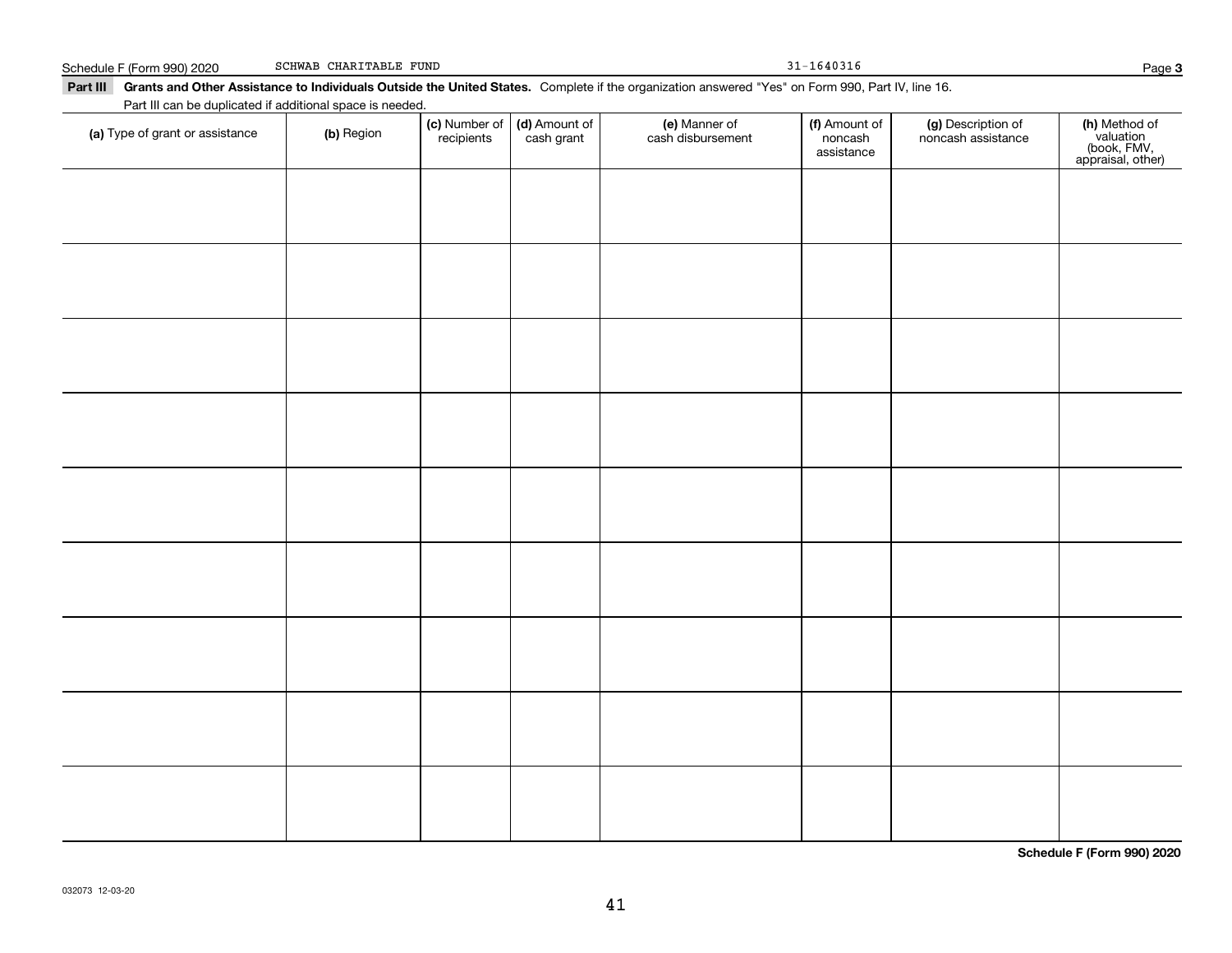## **Part III Grants and Other Assistance to Individuals Outside the United States.**  Complete if the organization answered "Yes" on Form 990, Part IV, line 16. Schedule F (Form 990) 2020 SCHWAB CHARITABLE FUND 31 - 1640316 Part III can be duplicated if additional space is needed.

(c) Number of recipients

(d) Amount of cash grant

**(a)** Type of grant or assistance  $\qquad$  **(b)** Region

(f) Amount of noncashassistance

noncash assistance

**(c)** Number of **| (d)** Amount of **| (e)** Manner of **| (f)** Amount of **| (g)** Description of **| (h)** 

(e) Manner of cash disbursement

**(h)** Method of<br>valuation<br>(book, FMV,<br>appraisal, other)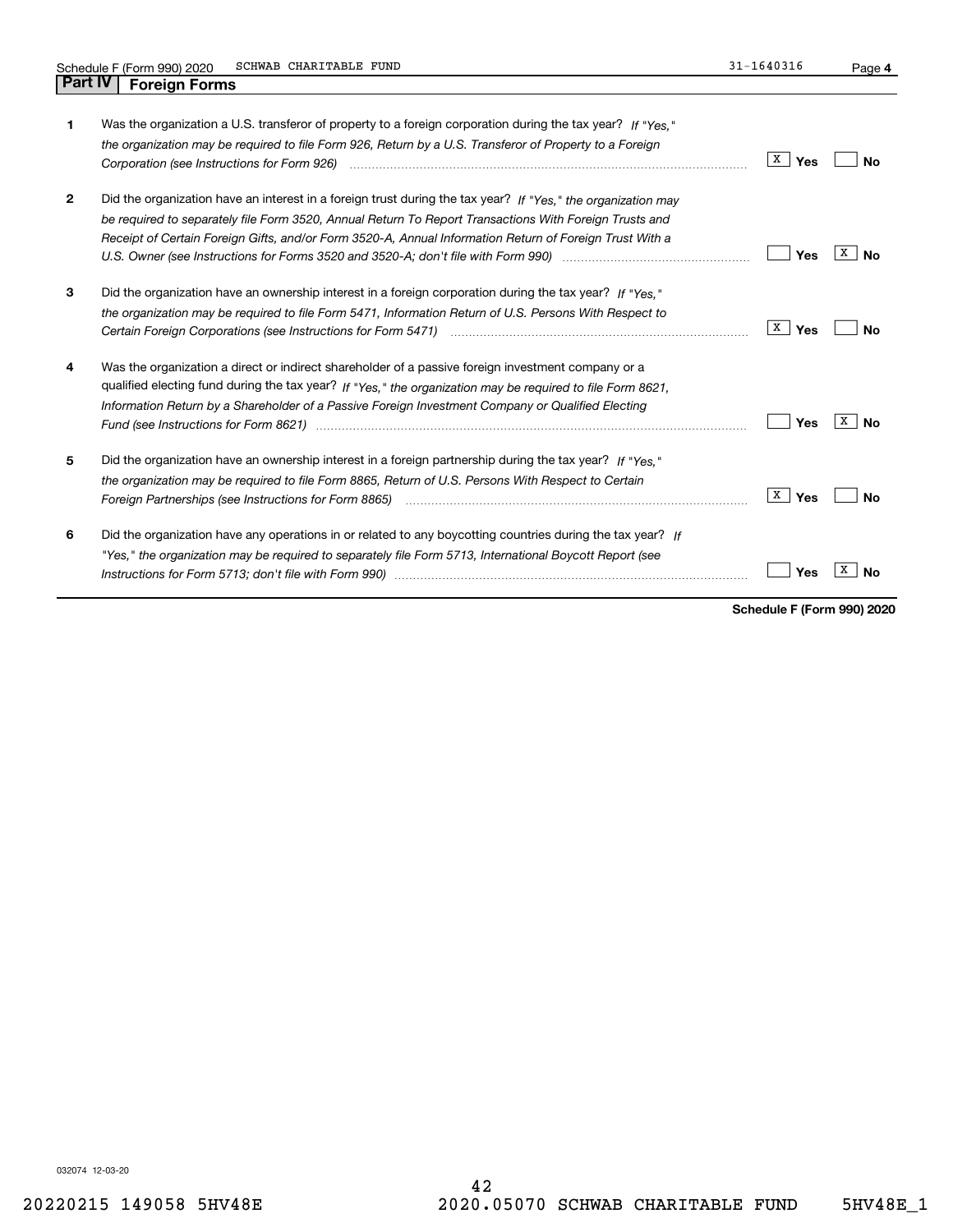| 1            | Was the organization a U.S. transferor of property to a foreign corporation during the tax year? If "Yes."<br>the organization may be required to file Form 926, Return by a U.S. Transferor of Property to a Foreign<br>Corporation (see Instructions for Form 926) manufactured control control control of the Instruction of the Uni                                                                                                 | X<br>Yes   | No             |
|--------------|-----------------------------------------------------------------------------------------------------------------------------------------------------------------------------------------------------------------------------------------------------------------------------------------------------------------------------------------------------------------------------------------------------------------------------------------|------------|----------------|
| $\mathbf{2}$ | Did the organization have an interest in a foreign trust during the tax year? If "Yes." the organization may<br>be required to separately file Form 3520, Annual Return To Report Transactions With Foreign Trusts and<br>Receipt of Certain Foreign Gifts, and/or Form 3520-A, Annual Information Return of Foreign Trust With a                                                                                                       | Yes        | x<br>Nο        |
| 3            | Did the organization have an ownership interest in a foreign corporation during the tax year? If "Yes,"<br>the organization may be required to file Form 5471, Information Return of U.S. Persons With Respect to                                                                                                                                                                                                                       | X  <br>Yes | Nο             |
| 4            | Was the organization a direct or indirect shareholder of a passive foreign investment company or a<br>qualified electing fund during the tax year? If "Yes," the organization may be required to file Form 8621,<br>Information Return by a Shareholder of a Passive Foreign Investment Company or Qualified Electing<br>Fund (see Instructions for Form 8621) manufactured control to the control of the control of the control of the | Yes        | х<br><b>No</b> |
| 5            | Did the organization have an ownership interest in a foreign partnership during the tax year? If "Yes."<br>the organization may be required to file Form 8865, Return of U.S. Persons With Respect to Certain                                                                                                                                                                                                                           | X  <br>Yes | No             |
| 6            | Did the organization have any operations in or related to any boycotting countries during the tax year? If<br>"Yes," the organization may be required to separately file Form 5713, International Boycott Report (see                                                                                                                                                                                                                   | Yes        |                |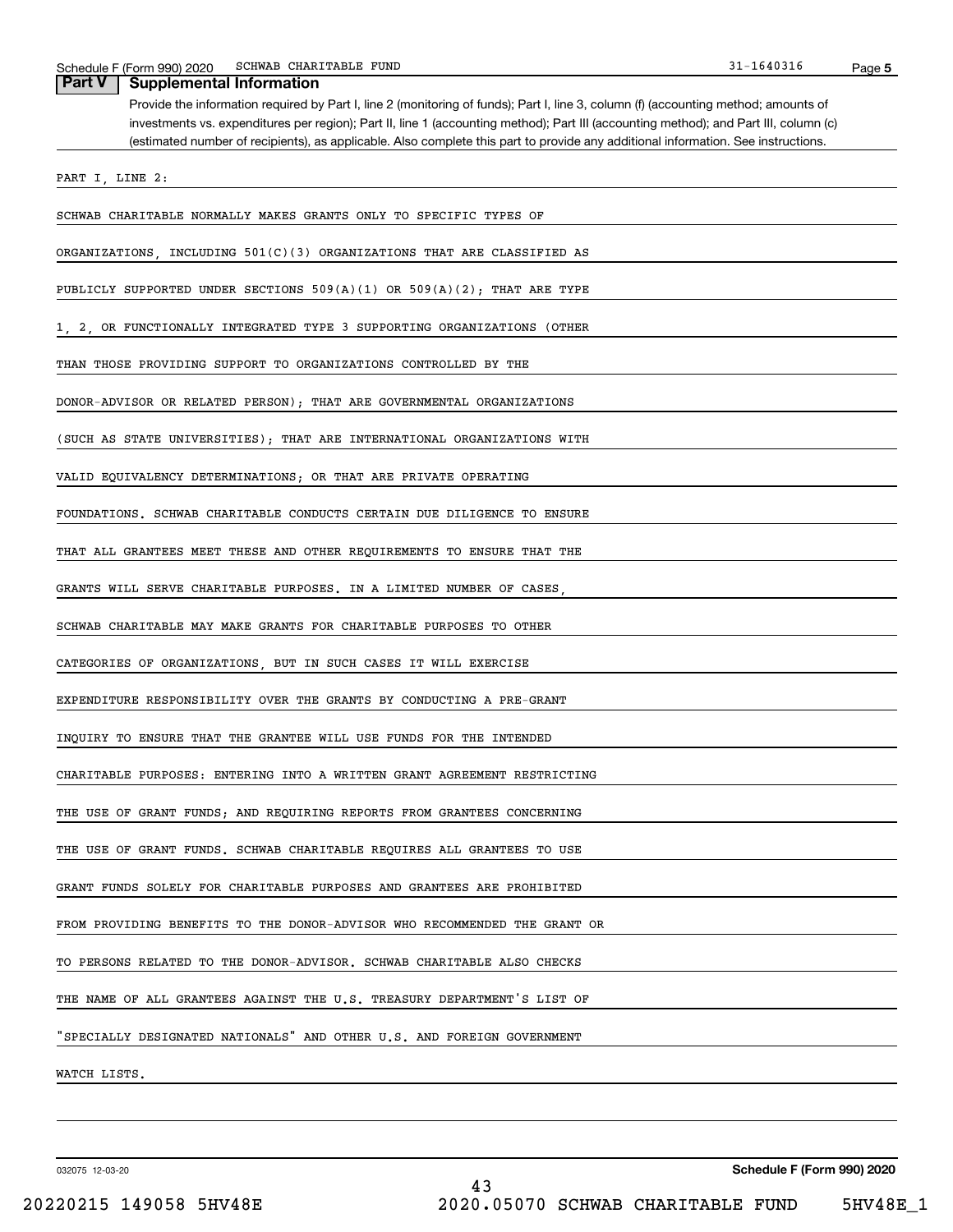|  | Part V   Supplemental Information |
|--|-----------------------------------|
|--|-----------------------------------|

Provide the information required by Part I, line 2 (monitoring of funds); Part I, line 3, column (f) (accounting method; amounts of investments vs. expenditures per region); Part II, line 1 (accounting method); Part III (accounting method); and Part III, column (c) (estimated number of recipients), as applicable. Also complete this part to provide any additional information. See instructions.

PART I, LINE 2:

SCHWAB CHARITABLE NORMALLY MAKES GRANTS ONLY TO SPECIFIC TYPES OF

ORGANIZATIONS, INCLUDING 501(C)(3) ORGANIZATIONS THAT ARE CLASSIFIED AS

PUBLICLY SUPPORTED UNDER SECTIONS 509(A)(1) OR 509(A)(2); THAT ARE TYPE

1, 2, OR FUNCTIONALLY INTEGRATED TYPE 3 SUPPORTING ORGANIZATIONS (OTHER

THAN THOSE PROVIDING SUPPORT TO ORGANIZATIONS CONTROLLED BY THE

DONOR-ADVISOR OR RELATED PERSON); THAT ARE GOVERNMENTAL ORGANIZATIONS

(SUCH AS STATE UNIVERSITIES); THAT ARE INTERNATIONAL ORGANIZATIONS WITH

VALID EQUIVALENCY DETERMINATIONS; OR THAT ARE PRIVATE OPERATING

FOUNDATIONS. SCHWAB CHARITABLE CONDUCTS CERTAIN DUE DILIGENCE TO ENSURE

THAT ALL GRANTEES MEET THESE AND OTHER REQUIREMENTS TO ENSURE THAT THE

GRANTS WILL SERVE CHARITABLE PURPOSES. IN A LIMITED NUMBER OF CASES

SCHWAB CHARITABLE MAY MAKE GRANTS FOR CHARITABLE PURPOSES TO OTHER

CATEGORIES OF ORGANIZATIONS, BUT IN SUCH CASES IT WILL EXERCISE

EXPENDITURE RESPONSIBILITY OVER THE GRANTS BY CONDUCTING A PRE-GRANT

INQUIRY TO ENSURE THAT THE GRANTEE WILL USE FUNDS FOR THE INTENDED

CHARITABLE PURPOSES: ENTERING INTO A WRITTEN GRANT AGREEMENT RESTRICTING

THE USE OF GRANT FUNDS; AND REQUIRING REPORTS FROM GRANTEES CONCERNING

THE USE OF GRANT FUNDS. SCHWAB CHARITABLE REQUIRES ALL GRANTEES TO USE

GRANT FUNDS SOLELY FOR CHARITABLE PURPOSES AND GRANTEES ARE PROHIBITED

FROM PROVIDING BENEFITS TO THE DONOR-ADVISOR WHO RECOMMENDED THE GRANT OR

TO PERSONS RELATED TO THE DONOR-ADVISOR. SCHWAB CHARITABLE ALSO CHECKS

THE NAME OF ALL GRANTEES AGAINST THE U.S. TREASURY DEPARTMENT'S LIST OF

"SPECIALLY DESIGNATED NATIONALS" AND OTHER U.S. AND FOREIGN GOVERNMENT

WATCH LISTS.

032075 12-03-20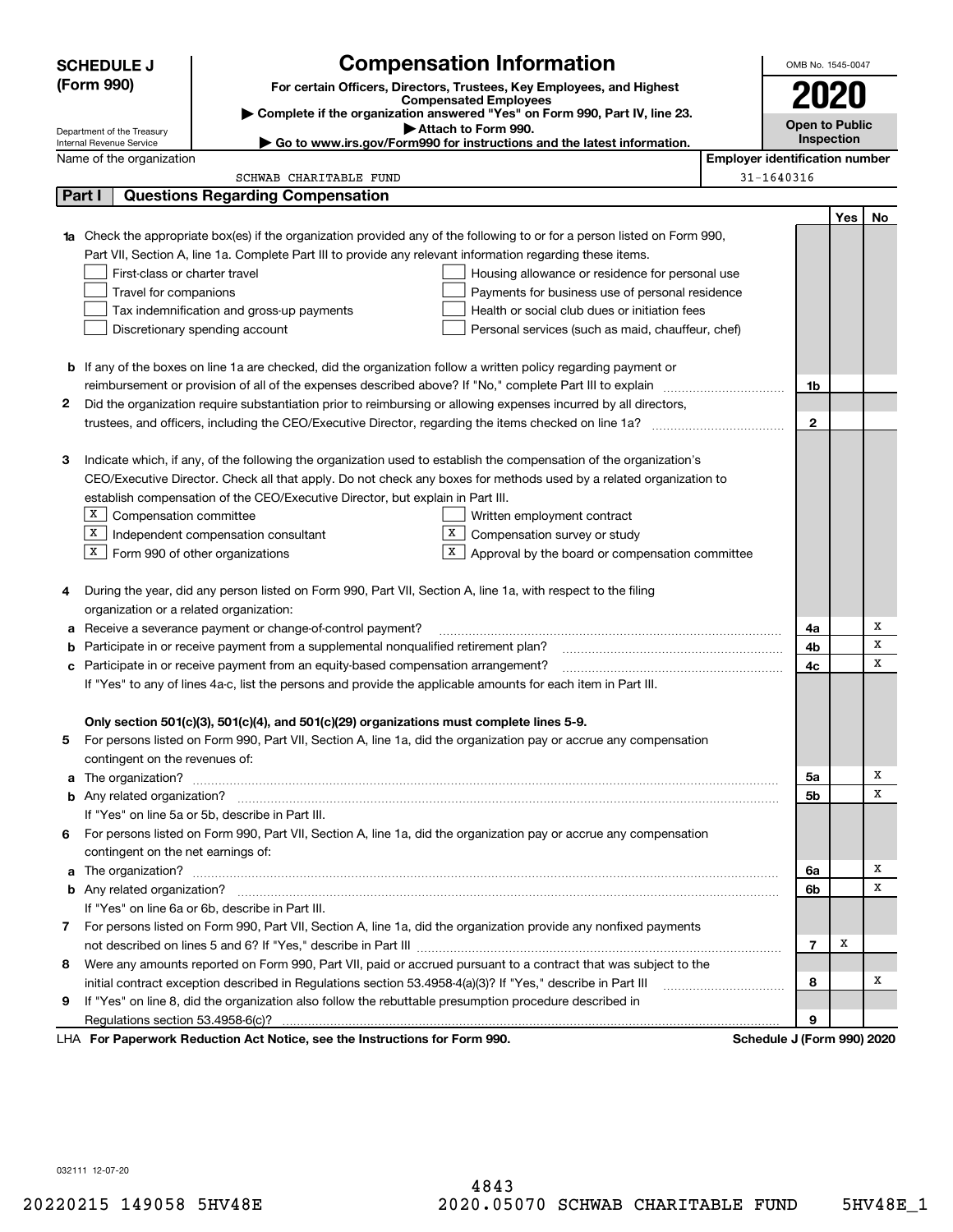|        | <b>Compensation Information</b><br><b>SCHEDULE J</b>                                       |                                                                                                                        |                                                                                                                        |  |                            |                                       |    |  |
|--------|--------------------------------------------------------------------------------------------|------------------------------------------------------------------------------------------------------------------------|------------------------------------------------------------------------------------------------------------------------|--|----------------------------|---------------------------------------|----|--|
|        | (Form 990)                                                                                 |                                                                                                                        | For certain Officers, Directors, Trustees, Key Employees, and Highest                                                  |  |                            |                                       |    |  |
|        |                                                                                            |                                                                                                                        | <b>Compensated Employees</b>                                                                                           |  | 2020                       |                                       |    |  |
|        | Department of the Treasury                                                                 |                                                                                                                        | Complete if the organization answered "Yes" on Form 990, Part IV, line 23.<br>Attach to Form 990.                      |  | <b>Open to Public</b>      |                                       |    |  |
|        | Internal Revenue Service                                                                   |                                                                                                                        | Go to www.irs.gov/Form990 for instructions and the latest information.                                                 |  |                            | Inspection                            |    |  |
|        | Name of the organization                                                                   |                                                                                                                        |                                                                                                                        |  |                            | <b>Employer identification number</b> |    |  |
|        |                                                                                            | SCHWAB CHARITABLE FUND                                                                                                 |                                                                                                                        |  | 31-1640316                 |                                       |    |  |
|        | Part I                                                                                     | <b>Questions Regarding Compensation</b>                                                                                |                                                                                                                        |  |                            |                                       |    |  |
|        |                                                                                            |                                                                                                                        |                                                                                                                        |  |                            | Yes                                   | No |  |
| 1a     |                                                                                            |                                                                                                                        | Check the appropriate box(es) if the organization provided any of the following to or for a person listed on Form 990, |  |                            |                                       |    |  |
|        |                                                                                            | Part VII, Section A, line 1a. Complete Part III to provide any relevant information regarding these items.             |                                                                                                                        |  |                            |                                       |    |  |
|        | First-class or charter travel                                                              |                                                                                                                        | Housing allowance or residence for personal use                                                                        |  |                            |                                       |    |  |
|        | Travel for companions                                                                      |                                                                                                                        | Payments for business use of personal residence                                                                        |  |                            |                                       |    |  |
|        | Tax indemnification and gross-up payments<br>Health or social club dues or initiation fees |                                                                                                                        |                                                                                                                        |  |                            |                                       |    |  |
|        |                                                                                            | Discretionary spending account                                                                                         | Personal services (such as maid, chauffeur, chef)                                                                      |  |                            |                                       |    |  |
|        |                                                                                            |                                                                                                                        |                                                                                                                        |  |                            |                                       |    |  |
|        |                                                                                            | <b>b</b> If any of the boxes on line 1a are checked, did the organization follow a written policy regarding payment or |                                                                                                                        |  |                            |                                       |    |  |
|        |                                                                                            |                                                                                                                        |                                                                                                                        |  | 1b                         |                                       |    |  |
| 2      |                                                                                            |                                                                                                                        | Did the organization require substantiation prior to reimbursing or allowing expenses incurred by all directors,       |  |                            |                                       |    |  |
|        |                                                                                            |                                                                                                                        |                                                                                                                        |  | $\mathbf{2}$               |                                       |    |  |
|        |                                                                                            |                                                                                                                        |                                                                                                                        |  |                            |                                       |    |  |
| З      |                                                                                            |                                                                                                                        | Indicate which, if any, of the following the organization used to establish the compensation of the organization's     |  |                            |                                       |    |  |
|        |                                                                                            |                                                                                                                        | CEO/Executive Director. Check all that apply. Do not check any boxes for methods used by a related organization to     |  |                            |                                       |    |  |
|        |                                                                                            | establish compensation of the CEO/Executive Director, but explain in Part III.                                         |                                                                                                                        |  |                            |                                       |    |  |
|        | $X$ Compensation committee                                                                 |                                                                                                                        | Written employment contract                                                                                            |  |                            |                                       |    |  |
|        |                                                                                            | $X$ Independent compensation consultant                                                                                | X  <br>Compensation survey or study                                                                                    |  |                            |                                       |    |  |
|        | $X$ Form 990 of other organizations                                                        |                                                                                                                        | X  <br>Approval by the board or compensation committee                                                                 |  |                            |                                       |    |  |
| 4      |                                                                                            | During the year, did any person listed on Form 990, Part VII, Section A, line 1a, with respect to the filing           |                                                                                                                        |  |                            |                                       |    |  |
|        | organization or a related organization:                                                    |                                                                                                                        |                                                                                                                        |  |                            |                                       |    |  |
|        |                                                                                            | Receive a severance payment or change-of-control payment?                                                              |                                                                                                                        |  | 4a                         |                                       | х  |  |
| а<br>b |                                                                                            | Participate in or receive payment from a supplemental nonqualified retirement plan?                                    |                                                                                                                        |  | 4b                         |                                       | х  |  |
| с      |                                                                                            | Participate in or receive payment from an equity-based compensation arrangement?                                       |                                                                                                                        |  | 4с                         |                                       | X  |  |
|        |                                                                                            | If "Yes" to any of lines 4a-c, list the persons and provide the applicable amounts for each item in Part III.          |                                                                                                                        |  |                            |                                       |    |  |
|        |                                                                                            |                                                                                                                        |                                                                                                                        |  |                            |                                       |    |  |
|        |                                                                                            | Only section 501(c)(3), 501(c)(4), and 501(c)(29) organizations must complete lines 5-9.                               |                                                                                                                        |  |                            |                                       |    |  |
|        |                                                                                            |                                                                                                                        | For persons listed on Form 990, Part VII, Section A, line 1a, did the organization pay or accrue any compensation      |  |                            |                                       |    |  |
|        | contingent on the revenues of:                                                             |                                                                                                                        |                                                                                                                        |  |                            |                                       |    |  |
|        |                                                                                            |                                                                                                                        |                                                                                                                        |  | 5a                         |                                       | х  |  |
|        |                                                                                            |                                                                                                                        |                                                                                                                        |  | 5b                         |                                       | х  |  |
|        |                                                                                            | If "Yes" on line 5a or 5b, describe in Part III.                                                                       |                                                                                                                        |  |                            |                                       |    |  |
|        |                                                                                            |                                                                                                                        | 6 For persons listed on Form 990, Part VII, Section A, line 1a, did the organization pay or accrue any compensation    |  |                            |                                       |    |  |
|        | contingent on the net earnings of:                                                         |                                                                                                                        |                                                                                                                        |  |                            |                                       |    |  |
|        |                                                                                            |                                                                                                                        |                                                                                                                        |  | 6a                         |                                       | х  |  |
|        |                                                                                            |                                                                                                                        |                                                                                                                        |  | 6b                         |                                       | x  |  |
|        |                                                                                            | If "Yes" on line 6a or 6b, describe in Part III.                                                                       |                                                                                                                        |  |                            |                                       |    |  |
|        |                                                                                            |                                                                                                                        | 7 For persons listed on Form 990, Part VII, Section A, line 1a, did the organization provide any nonfixed payments     |  |                            |                                       |    |  |
|        |                                                                                            |                                                                                                                        |                                                                                                                        |  | $\overline{7}$             | х                                     |    |  |
| 8      |                                                                                            |                                                                                                                        | Were any amounts reported on Form 990, Part VII, paid or accrued pursuant to a contract that was subject to the        |  |                            |                                       |    |  |
|        |                                                                                            | initial contract exception described in Regulations section 53.4958-4(a)(3)? If "Yes," describe in Part III            |                                                                                                                        |  | 8                          |                                       | х  |  |
| 9      |                                                                                            | If "Yes" on line 8, did the organization also follow the rebuttable presumption procedure described in                 |                                                                                                                        |  |                            |                                       |    |  |
|        |                                                                                            |                                                                                                                        |                                                                                                                        |  | 9                          |                                       |    |  |
|        |                                                                                            | LHA For Paperwork Reduction Act Notice, see the Instructions for Form 990.                                             |                                                                                                                        |  | Schedule J (Form 990) 2020 |                                       |    |  |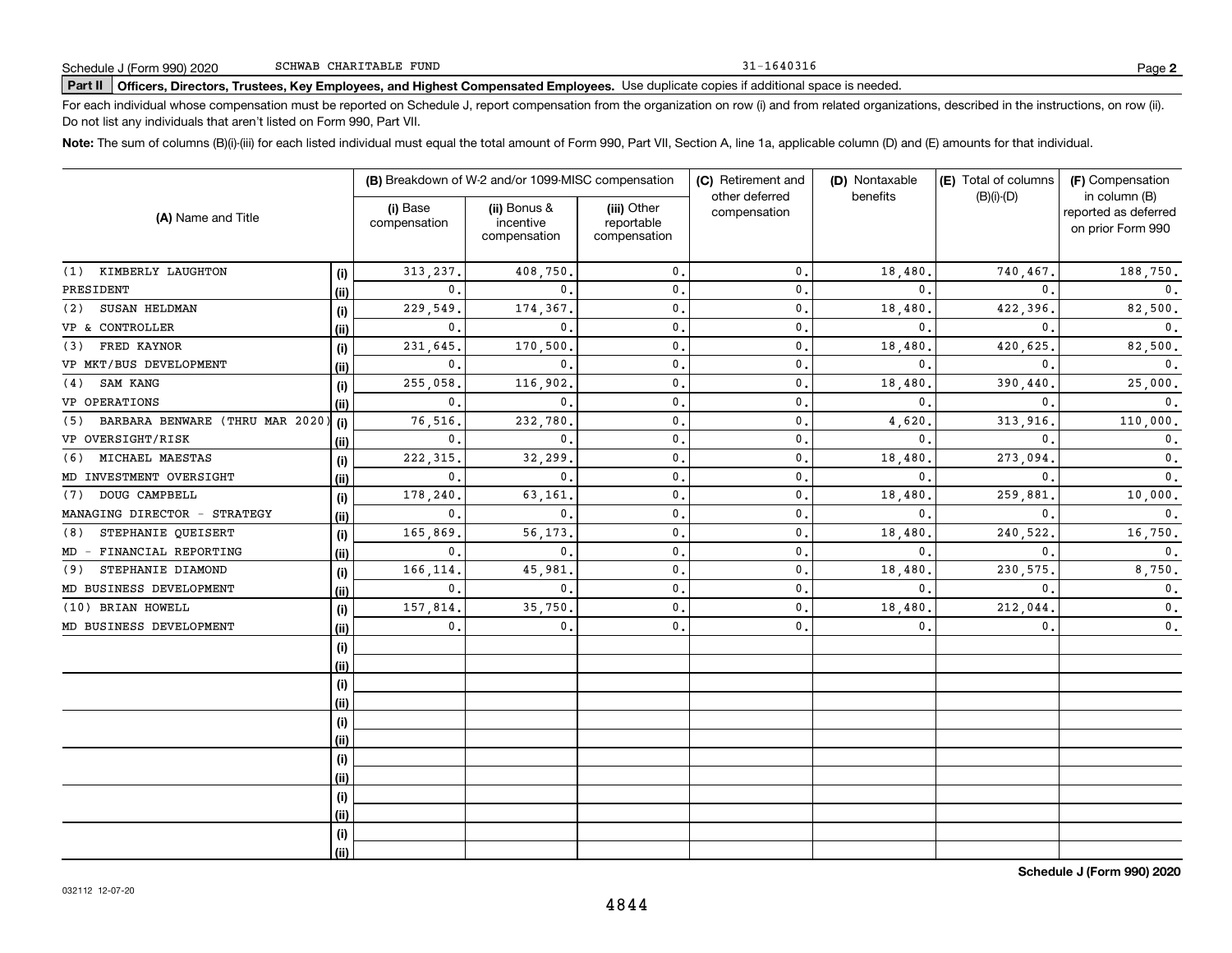31-1640316

# **Part II Officers, Directors, Trustees, Key Employees, and Highest Compensated Employees.**  Schedule J (Form 990) 2020 Page Use duplicate copies if additional space is needed.

For each individual whose compensation must be reported on Schedule J, report compensation from the organization on row (i) and from related organizations, described in the instructions, on row (ii). Do not list any individuals that aren't listed on Form 990, Part VII.

**Note:**  The sum of columns (B)(i)-(iii) for each listed individual must equal the total amount of Form 990, Part VII, Section A, line 1a, applicable column (D) and (E) amounts for that individual.

|                                        |      | (B) Breakdown of W-2 and/or 1099-MISC compensation |                                           |                                           | (C) Retirement and             | (D) Nontaxable | (E) Total of columns | (F) Compensation                                           |  |
|----------------------------------------|------|----------------------------------------------------|-------------------------------------------|-------------------------------------------|--------------------------------|----------------|----------------------|------------------------------------------------------------|--|
| (A) Name and Title                     |      | (i) Base<br>compensation                           | (ii) Bonus &<br>incentive<br>compensation | (iii) Other<br>reportable<br>compensation | other deferred<br>compensation | benefits       | $(B)(i)-(D)$         | in column (B)<br>reported as deferred<br>on prior Form 990 |  |
| (1) KIMBERLY LAUGHTON                  | (i)  | 313, 237.                                          | 408,750.                                  | $\mathbf{0}$ .                            | $\mathbf 0$ .                  | 18,480.        | 740,467.             | 188,750.                                                   |  |
| PRESIDENT                              | (i)  | 0.                                                 | $0$ .                                     | $\mathbf{0}$ .                            | $\mathbf{0}$                   | $\mathbf{0}$ . | $\mathbf{0}$ .       | $\mathbf{0}$ .                                             |  |
| SUSAN HELDMAN<br>(2)                   | (i)  | 229,549.                                           | 174,367.                                  | $\mathbf{0}$ .                            | $\mathsf{0}$ .                 | 18,480         | 422,396.             | 82,500.                                                    |  |
| VP & CONTROLLER                        | (ii) | 0.                                                 | $\mathbf{0}$ .                            | $\mathbf{0}$ .                            | $\mathbf 0$ .                  | $\mathbf{0}$   | $\Omega$             | $\mathbf{0}$ .                                             |  |
| FRED KAYNOR<br>(3)                     | (i)  | 231,645.                                           | 170,500.                                  | $\mathbf{0}$ .                            | $\mathbf{0}$                   | 18,480         | 420,625              | 82,500.                                                    |  |
| VP MKT/BUS DEVELOPMENT                 | (ii) | 0.                                                 | $\mathbf{0}$ .                            | $\mathbf{0}$ .                            | $\mathbf 0$ .                  | $\mathbf{0}$   | $\Omega$             | 0.                                                         |  |
| SAM KANG<br>(4)                        | (i)  | 255,058                                            | 116,902.                                  | $\mathbf 0$ .                             | $\mathbf 0$ .                  | 18,480         | 390,440              | 25,000.                                                    |  |
| VP OPERATIONS                          | (ii) | $\mathbf{0}$ .                                     | $\mathbf{0}$ .                            | $\mathbf 0$ .                             | $\mathbf 0$ .                  | $\mathbf{0}$ . | $\mathbf{0}$         | $\mathbf{0}$ .                                             |  |
| BARBARA BENWARE (THRU MAR 2020)<br>(5) | (i)  | 76,516                                             | 232,780                                   | $\mathbf 0$ .                             | $\mathbf{0}$                   | 4,620          | 313,916              | 110,000.                                                   |  |
| VP OVERSIGHT/RISK                      | (ii) | $\mathbf{0}$ .                                     | $\mathbf{0}$ .                            | $\mathbf 0$ .                             | $\mathbf{0}$                   | $\mathbf{0}$ . | $\mathbf{0}$         | $\mathbf 0$ .                                              |  |
| MICHAEL MAESTAS<br>(6)                 | (i)  | 222, 315.                                          | 32,299                                    | $\mathbf 0$ .                             | $\mathbf{0}$                   | 18,480         | 273,094              | 0.                                                         |  |
| MD INVESTMENT OVERSIGHT                | (i)  | 0.                                                 | $\mathbf{0}$ .                            | $\mathbf 0$ .                             | 0.                             | $\mathbf{0}$ . | $\mathbf{0}$         | $\mathbf{0}$ .                                             |  |
| DOUG CAMPBELL<br>(7)                   | (i)  | 178,240                                            | 63,161                                    | $\mathbf 0$ .                             | $\mathbf{0}$ .                 | 18,480         | 259,881              | 10,000.                                                    |  |
| MANAGING DIRECTOR - STRATEGY           | (ii) | 0.                                                 | $\mathbf{0}$ .                            | $\mathbf 0$ .                             | $\mathbf{0}$ .                 | $\mathbf{0}$ . | $\mathbf{0}$ .       | 0.                                                         |  |
| STEPHANIE QUEISERT<br>(8)              | (i)  | 165,869.                                           | 56,173                                    | $\mathbf 0$ .                             | $\mathbf 0$ .                  | 18,480         | 240,522              | 16,750.                                                    |  |
| FINANCIAL REPORTING<br>$MD -$          | (ii) | 0.                                                 | $\mathbf 0$ .                             | $\mathbf 0$ .                             | 0.                             | $\mathbf 0$ .  | $\mathbf{0}$         | 0.                                                         |  |
| STEPHANIE DIAMOND<br>(9)               | (i)  | 166,114                                            | 45,981                                    | $\mathbf 0$ .                             | $\mathbf{0}$ .                 | 18,480         | 230,575.             | 8,750.                                                     |  |
| MD BUSINESS DEVELOPMENT                | (ii) | 0.                                                 | $\mathbf{0}$ .                            | $\mathbf 0$ .                             | $\mathbf{0}$ .                 | $\mathbf{0}$ . | $\mathbf{0}$         | 0.                                                         |  |
| (10) BRIAN HOWELL                      | (i)  | 157,814                                            | 35,750                                    | $\mathbf 0$ .                             | $\mathbf{0}$ .                 | 18,480         | 212,044              | 0.                                                         |  |
| MD BUSINESS DEVELOPMENT                | (ii) | 0.                                                 | 0.                                        | $\mathbf{0}$ .                            | $\mathbf{0}$ .                 | $\mathbf{0}$ . | $\mathbf 0$ .        | 0.                                                         |  |
|                                        | (i)  |                                                    |                                           |                                           |                                |                |                      |                                                            |  |
|                                        | (ii) |                                                    |                                           |                                           |                                |                |                      |                                                            |  |
|                                        | (i)  |                                                    |                                           |                                           |                                |                |                      |                                                            |  |
|                                        | (ii) |                                                    |                                           |                                           |                                |                |                      |                                                            |  |
|                                        | (i)  |                                                    |                                           |                                           |                                |                |                      |                                                            |  |
|                                        | (ii) |                                                    |                                           |                                           |                                |                |                      |                                                            |  |
|                                        | (i)  |                                                    |                                           |                                           |                                |                |                      |                                                            |  |
|                                        | (ii) |                                                    |                                           |                                           |                                |                |                      |                                                            |  |
|                                        | (i)  |                                                    |                                           |                                           |                                |                |                      |                                                            |  |
|                                        | (ii) |                                                    |                                           |                                           |                                |                |                      |                                                            |  |
|                                        | (i)  |                                                    |                                           |                                           |                                |                |                      |                                                            |  |
|                                        | (ii) |                                                    |                                           |                                           |                                |                |                      |                                                            |  |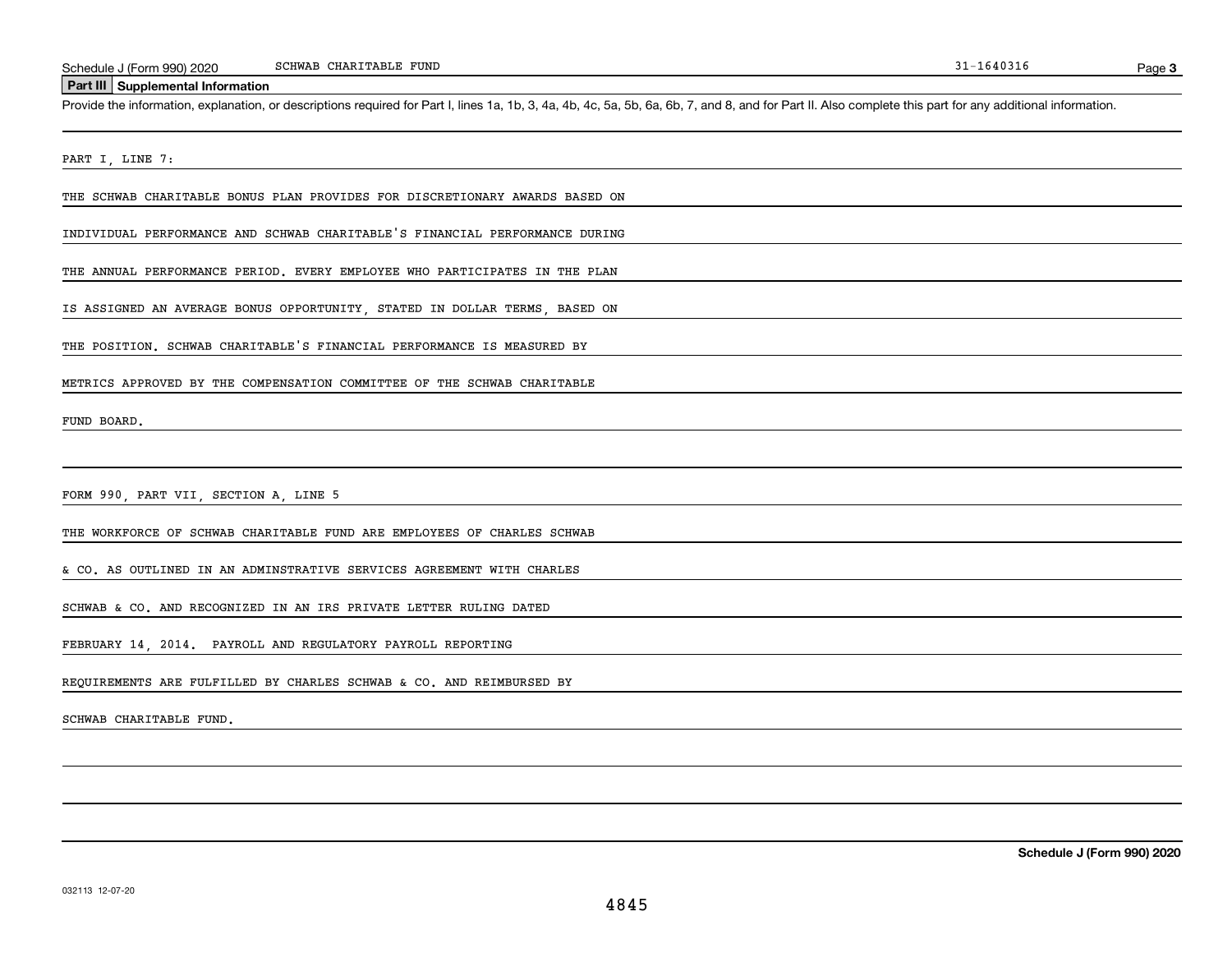#### SCHWAB CHARITABLE FUND

#### **Part III Supplemental Information**

Schedule J (Form 990) 2020 SCHWAB CHARITABLE FUND<br>Part III Supplemental Information<br>Provide the information, explanation, or descriptions required for Part I, lines 1a, 1b, 3, 4a, 4b, 4c, 5a, 5b, 6a, 6b, 7, and 8, and for

PART I, LINE 7:

THE SCHWAB CHARITABLE BONUS PLAN PROVIDES FOR DISCRETIONARY AWARDS BASED ON

INDIVIDUAL PERFORMANCE AND SCHWAB CHARITABLE'S FINANCIAL PERFORMANCE DURING

THE ANNUAL PERFORMANCE PERIOD. EVERY EMPLOYEE WHO PARTICIPATES IN THE PLAN

IS ASSIGNED AN AVERAGE BONUS OPPORTUNITY, STATED IN DOLLAR TERMS, BASED ON

THE POSITION. SCHWAB CHARITABLE'S FINANCIAL PERFORMANCE IS MEASURED BY

METRICS APPROVED BY THE COMPENSATION COMMITTEE OF THE SCHWAB CHARITABLE

FUND BOARD.

FORM 990, PART VII, SECTION A, LINE 5

THE WORKFORCE OF SCHWAB CHARITABLE FUND ARE EMPLOYEES OF CHARLES SCHWAB

& CO. AS OUTLINED IN AN ADMINSTRATIVE SERVICES AGREEMENT WITH CHARLES

SCHWAB & CO. AND RECOGNIZED IN AN IRS PRIVATE LETTER RULING DATED

FEBRUARY 14, 2014. PAYROLL AND REGULATORY PAYROLL REPORTING

REQUIREMENTS ARE FULFILLED BY CHARLES SCHWAB & CO. AND REIMBURSED BY

SCHWAB CHARITABLE FUND.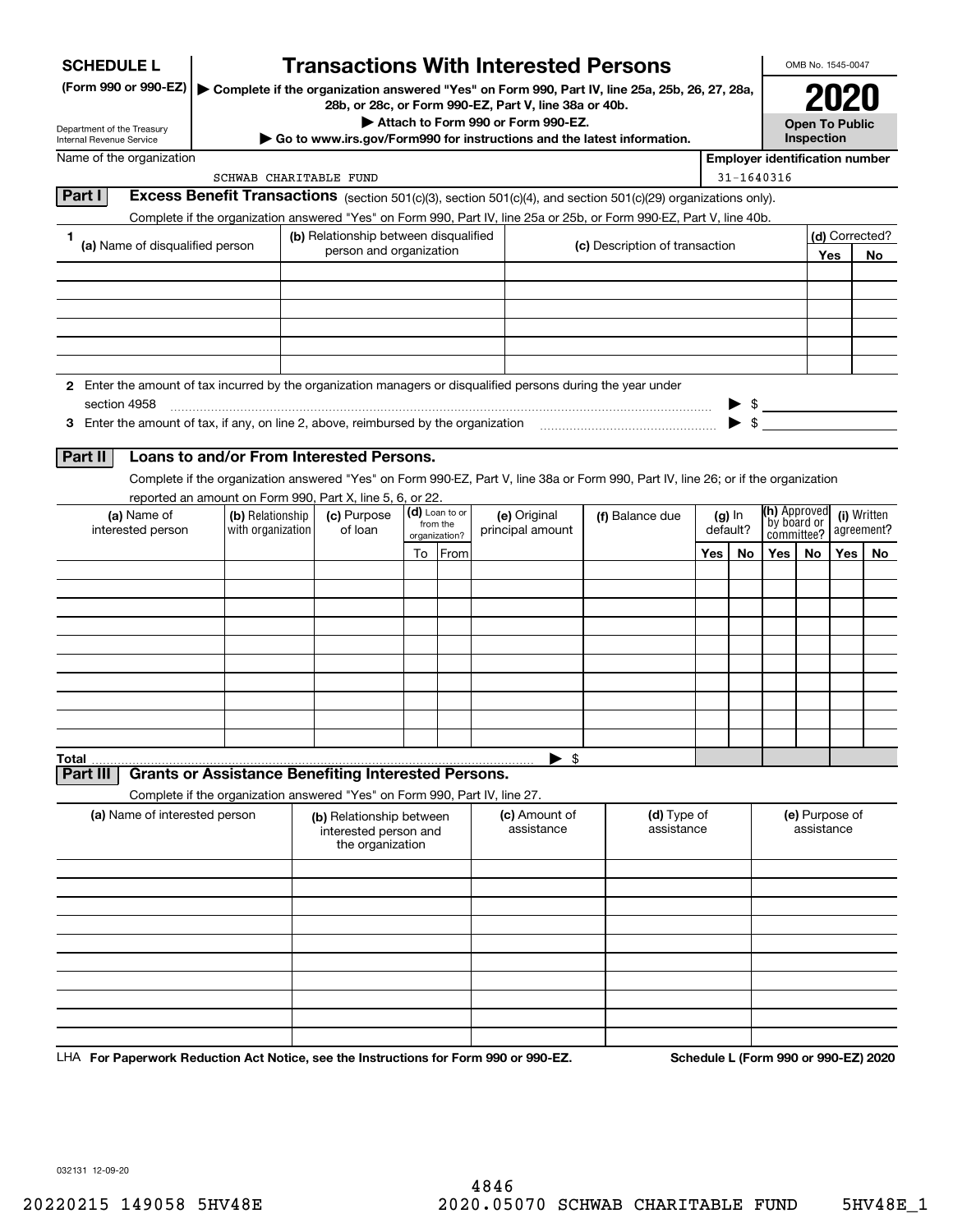| (Form 990 or 990-EZ)<br>Complete if the organization answered "Yes" on Form 990, Part IV, line 25a, 25b, 26, 27, 28a,<br>28b, or 28c, or Form 990-EZ, Part V, line 38a or 40b.<br>Attach to Form 990 or Form 990-EZ.<br><b>Open To Public</b><br>Department of the Treasury<br>Inspection<br>Go to www.irs.gov/Form990 for instructions and the latest information.<br><b>Internal Revenue Service</b><br>Name of the organization<br><b>Employer identification number</b><br>31-1640316<br>SCHWAB CHARITABLE FUND<br>Part I<br>Excess Benefit Transactions (section 501(c)(3), section 501(c)(4), and section 501(c)(29) organizations only).<br>Complete if the organization answered "Yes" on Form 990, Part IV, line 25a or 25b, or Form 990-EZ, Part V, line 40b.<br>(d) Corrected?<br>(b) Relationship between disqualified<br>1 |
|-----------------------------------------------------------------------------------------------------------------------------------------------------------------------------------------------------------------------------------------------------------------------------------------------------------------------------------------------------------------------------------------------------------------------------------------------------------------------------------------------------------------------------------------------------------------------------------------------------------------------------------------------------------------------------------------------------------------------------------------------------------------------------------------------------------------------------------------|
|                                                                                                                                                                                                                                                                                                                                                                                                                                                                                                                                                                                                                                                                                                                                                                                                                                         |
|                                                                                                                                                                                                                                                                                                                                                                                                                                                                                                                                                                                                                                                                                                                                                                                                                                         |
|                                                                                                                                                                                                                                                                                                                                                                                                                                                                                                                                                                                                                                                                                                                                                                                                                                         |
|                                                                                                                                                                                                                                                                                                                                                                                                                                                                                                                                                                                                                                                                                                                                                                                                                                         |
|                                                                                                                                                                                                                                                                                                                                                                                                                                                                                                                                                                                                                                                                                                                                                                                                                                         |
|                                                                                                                                                                                                                                                                                                                                                                                                                                                                                                                                                                                                                                                                                                                                                                                                                                         |
|                                                                                                                                                                                                                                                                                                                                                                                                                                                                                                                                                                                                                                                                                                                                                                                                                                         |
| (a) Name of disqualified person<br>(c) Description of transaction<br>person and organization<br>Yes<br>No                                                                                                                                                                                                                                                                                                                                                                                                                                                                                                                                                                                                                                                                                                                               |
|                                                                                                                                                                                                                                                                                                                                                                                                                                                                                                                                                                                                                                                                                                                                                                                                                                         |
|                                                                                                                                                                                                                                                                                                                                                                                                                                                                                                                                                                                                                                                                                                                                                                                                                                         |
|                                                                                                                                                                                                                                                                                                                                                                                                                                                                                                                                                                                                                                                                                                                                                                                                                                         |
|                                                                                                                                                                                                                                                                                                                                                                                                                                                                                                                                                                                                                                                                                                                                                                                                                                         |
|                                                                                                                                                                                                                                                                                                                                                                                                                                                                                                                                                                                                                                                                                                                                                                                                                                         |
| 2 Enter the amount of tax incurred by the organization managers or disqualified persons during the year under                                                                                                                                                                                                                                                                                                                                                                                                                                                                                                                                                                                                                                                                                                                           |
| $$\overbrace{\hspace{2.5cm}}$<br>section 4958                                                                                                                                                                                                                                                                                                                                                                                                                                                                                                                                                                                                                                                                                                                                                                                           |
| 3 Enter the amount of tax, if any, on line 2, above, reimbursed by the organization                                                                                                                                                                                                                                                                                                                                                                                                                                                                                                                                                                                                                                                                                                                                                     |
| Loans to and/or From Interested Persons.<br>Part II                                                                                                                                                                                                                                                                                                                                                                                                                                                                                                                                                                                                                                                                                                                                                                                     |
| Complete if the organization answered "Yes" on Form 990-EZ, Part V, line 38a or Form 990, Part IV, line 26; or if the organization                                                                                                                                                                                                                                                                                                                                                                                                                                                                                                                                                                                                                                                                                                      |
| reported an amount on Form 990, Part X, line 5, 6, or 22.<br>(h) Approved                                                                                                                                                                                                                                                                                                                                                                                                                                                                                                                                                                                                                                                                                                                                                               |
| (d) Loan to or<br>(c) Purpose<br>(a) Name of<br>(b) Relationship<br>(e) Original<br>(i) Written<br>(f) Balance due<br>$(g)$ In<br>by board or<br>from the<br>of loan<br>agreement?<br>interested person<br>with organization<br>default?<br>principal amount<br>committee?                                                                                                                                                                                                                                                                                                                                                                                                                                                                                                                                                              |
| organization?<br>To From<br>Yes<br>Yes $ $<br>Yes $ $<br>No<br>No.<br>No                                                                                                                                                                                                                                                                                                                                                                                                                                                                                                                                                                                                                                                                                                                                                                |
|                                                                                                                                                                                                                                                                                                                                                                                                                                                                                                                                                                                                                                                                                                                                                                                                                                         |
|                                                                                                                                                                                                                                                                                                                                                                                                                                                                                                                                                                                                                                                                                                                                                                                                                                         |
|                                                                                                                                                                                                                                                                                                                                                                                                                                                                                                                                                                                                                                                                                                                                                                                                                                         |
|                                                                                                                                                                                                                                                                                                                                                                                                                                                                                                                                                                                                                                                                                                                                                                                                                                         |
|                                                                                                                                                                                                                                                                                                                                                                                                                                                                                                                                                                                                                                                                                                                                                                                                                                         |
|                                                                                                                                                                                                                                                                                                                                                                                                                                                                                                                                                                                                                                                                                                                                                                                                                                         |
|                                                                                                                                                                                                                                                                                                                                                                                                                                                                                                                                                                                                                                                                                                                                                                                                                                         |
|                                                                                                                                                                                                                                                                                                                                                                                                                                                                                                                                                                                                                                                                                                                                                                                                                                         |
| - \$<br><b>Total</b>                                                                                                                                                                                                                                                                                                                                                                                                                                                                                                                                                                                                                                                                                                                                                                                                                    |
| <b>Grants or Assistance Benefiting Interested Persons.</b><br>Part III                                                                                                                                                                                                                                                                                                                                                                                                                                                                                                                                                                                                                                                                                                                                                                  |
| Complete if the organization answered "Yes" on Form 990, Part IV, line 27.                                                                                                                                                                                                                                                                                                                                                                                                                                                                                                                                                                                                                                                                                                                                                              |
| (a) Name of interested person<br>(d) Type of<br>(e) Purpose of<br>(c) Amount of<br>(b) Relationship between<br>assistance<br>assistance<br>assistance<br>interested person and<br>the organization                                                                                                                                                                                                                                                                                                                                                                                                                                                                                                                                                                                                                                      |
|                                                                                                                                                                                                                                                                                                                                                                                                                                                                                                                                                                                                                                                                                                                                                                                                                                         |
|                                                                                                                                                                                                                                                                                                                                                                                                                                                                                                                                                                                                                                                                                                                                                                                                                                         |
|                                                                                                                                                                                                                                                                                                                                                                                                                                                                                                                                                                                                                                                                                                                                                                                                                                         |
|                                                                                                                                                                                                                                                                                                                                                                                                                                                                                                                                                                                                                                                                                                                                                                                                                                         |
|                                                                                                                                                                                                                                                                                                                                                                                                                                                                                                                                                                                                                                                                                                                                                                                                                                         |
|                                                                                                                                                                                                                                                                                                                                                                                                                                                                                                                                                                                                                                                                                                                                                                                                                                         |
|                                                                                                                                                                                                                                                                                                                                                                                                                                                                                                                                                                                                                                                                                                                                                                                                                                         |
|                                                                                                                                                                                                                                                                                                                                                                                                                                                                                                                                                                                                                                                                                                                                                                                                                                         |

LHA For Paperwork Reduction Act Notice, see the Instructions for Form 990 or 990-EZ. Schedule L (Form 990 or 990-EZ) 2020

032131 12-09-20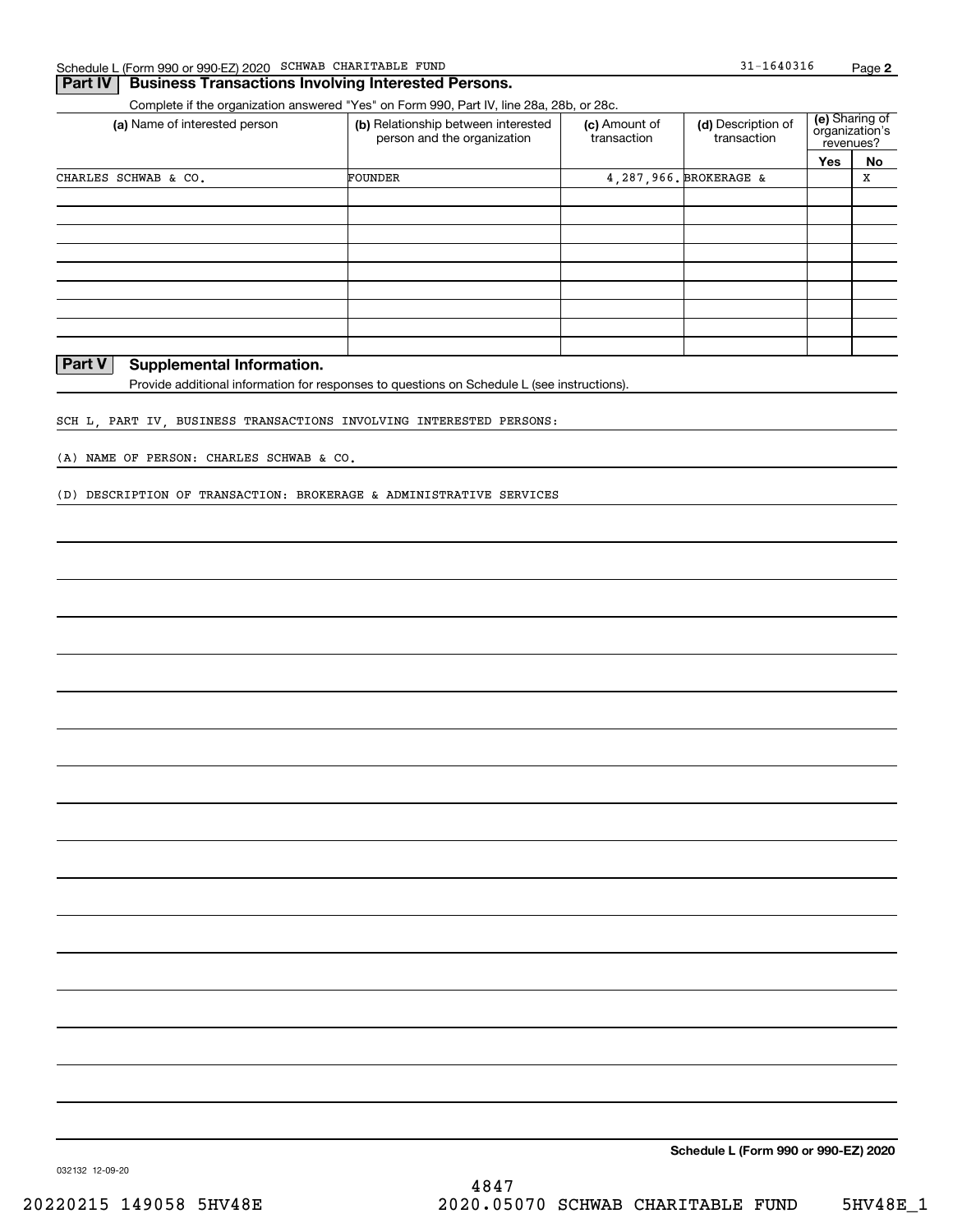### **Part IV** Business Transactions Involving Interested Persons.

Complete if the organization answered "Yes" on Form 990, Part IV, line 28a, 28b, or 28c.

| (a) Name of interested person | (b) Relationship between interested<br>person and the organization | (c) Amount of<br>transaction | (d) Description of<br>transaction | (e) Sharing of<br>organization's<br>revenues? |    |  |
|-------------------------------|--------------------------------------------------------------------|------------------------------|-----------------------------------|-----------------------------------------------|----|--|
|                               |                                                                    |                              |                                   | Yes                                           | No |  |
| CHARLES SCHWAB & CO.          | FOUNDER                                                            |                              | 4, 287, 966. BROKERAGE &          |                                               | X  |  |
|                               |                                                                    |                              |                                   |                                               |    |  |
|                               |                                                                    |                              |                                   |                                               |    |  |
|                               |                                                                    |                              |                                   |                                               |    |  |
|                               |                                                                    |                              |                                   |                                               |    |  |
|                               |                                                                    |                              |                                   |                                               |    |  |
|                               |                                                                    |                              |                                   |                                               |    |  |
|                               |                                                                    |                              |                                   |                                               |    |  |
|                               |                                                                    |                              |                                   |                                               |    |  |
|                               |                                                                    |                              |                                   |                                               |    |  |

### **Part V Supplemental Information.**

Provide additional information for responses to questions on Schedule L (see instructions).

SCH L, PART IV, BUSINESS TRANSACTIONS INVOLVING INTERESTED PERSONS:

(A) NAME OF PERSON: CHARLES SCHWAB & CO.

(D) DESCRIPTION OF TRANSACTION: BROKERAGE & ADMINISTRATIVE SERVICES

**Schedule L (Form 990 or 990-EZ) 2020**

032132 12-09-20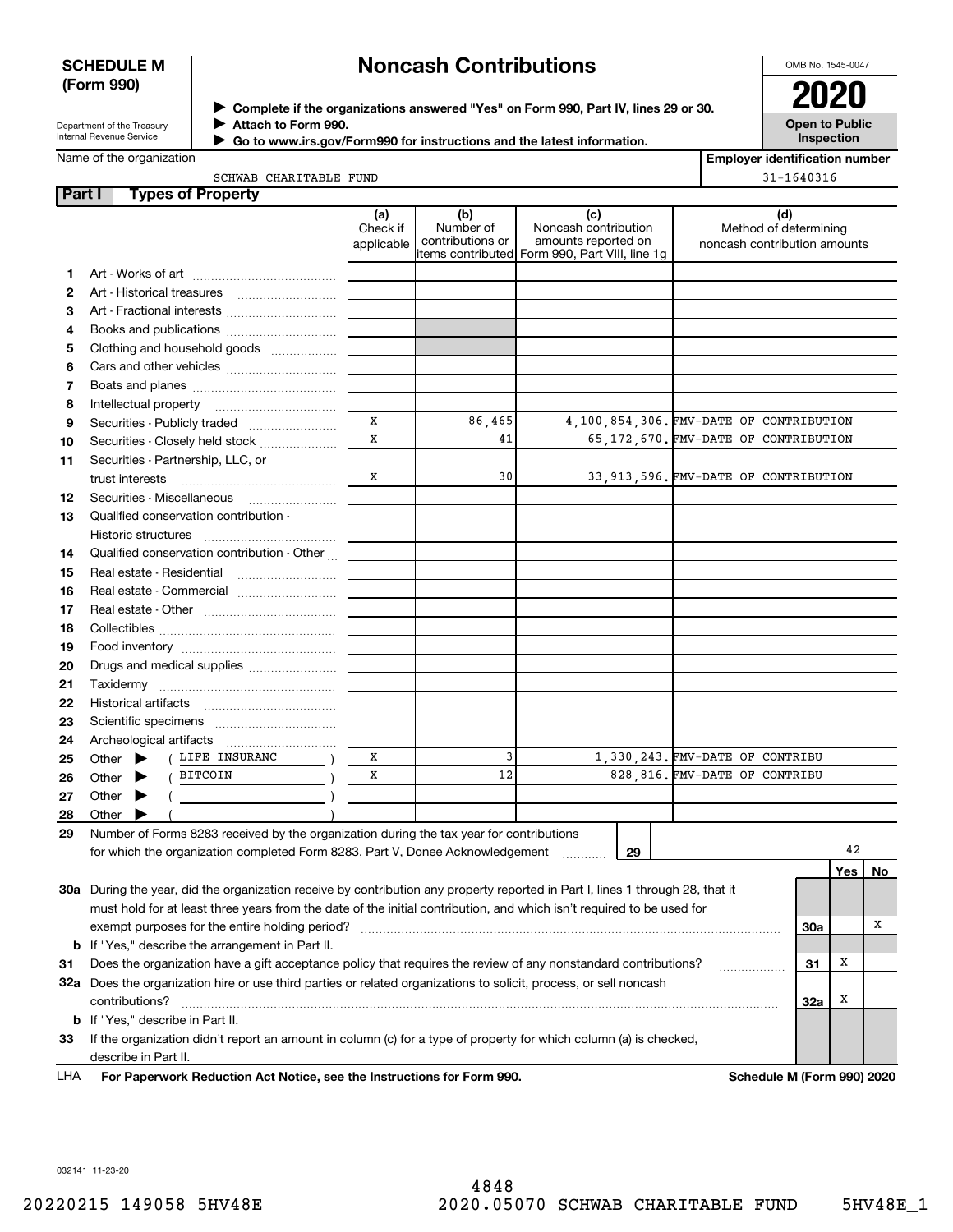### **SCHEDULE M (Form 990)**

# **Noncash Contributions**

OMB No. 1545-0047

Department of the Treasury Internal Revenue Service

**Complete if the organizations answered "Yes" on Form 990, Part IV, lines 29 or 30.** <sup>J</sup>**2020 Attach to Form 990.** J

 **Go to www.irs.gov/Form990 for instructions and the latest information.** J

**Open to Public Inspection**

| SCHWAB CHARITABLE FUND |  |
|------------------------|--|

| <b>Employer identification number</b> |
|---------------------------------------|
| $31 - 1640316$                        |

| Part I | <b>Types of Property</b>                                                                                                                                                                                                                                                                                                                                                                                                                     |                               |                                      |                                                                                                      |                                                              |     |     |         |
|--------|----------------------------------------------------------------------------------------------------------------------------------------------------------------------------------------------------------------------------------------------------------------------------------------------------------------------------------------------------------------------------------------------------------------------------------------------|-------------------------------|--------------------------------------|------------------------------------------------------------------------------------------------------|--------------------------------------------------------------|-----|-----|---------|
|        |                                                                                                                                                                                                                                                                                                                                                                                                                                              | (a)<br>Check if<br>applicable | (b)<br>Number of<br>contributions or | (c)<br>Noncash contribution<br>amounts reported on<br>items contributed Form 990, Part VIII, line 1g | (d)<br>Method of determining<br>noncash contribution amounts |     |     |         |
| 1.     |                                                                                                                                                                                                                                                                                                                                                                                                                                              |                               |                                      |                                                                                                      |                                                              |     |     |         |
| 2      |                                                                                                                                                                                                                                                                                                                                                                                                                                              |                               |                                      |                                                                                                      |                                                              |     |     |         |
| 3      | Art - Fractional interests                                                                                                                                                                                                                                                                                                                                                                                                                   |                               |                                      |                                                                                                      |                                                              |     |     |         |
| 4      | Books and publications                                                                                                                                                                                                                                                                                                                                                                                                                       |                               |                                      |                                                                                                      |                                                              |     |     |         |
| 5      | Clothing and household goods                                                                                                                                                                                                                                                                                                                                                                                                                 |                               |                                      |                                                                                                      |                                                              |     |     |         |
| 6      |                                                                                                                                                                                                                                                                                                                                                                                                                                              |                               |                                      |                                                                                                      |                                                              |     |     |         |
| 7      |                                                                                                                                                                                                                                                                                                                                                                                                                                              |                               |                                      |                                                                                                      |                                                              |     |     |         |
| 8      | Intellectual property                                                                                                                                                                                                                                                                                                                                                                                                                        |                               |                                      |                                                                                                      |                                                              |     |     |         |
| 9      |                                                                                                                                                                                                                                                                                                                                                                                                                                              | x                             | 86,465                               |                                                                                                      | 4,100,854,306. FMV-DATE OF CONTRIBUTION                      |     |     |         |
| 10     | Securities - Closely held stock                                                                                                                                                                                                                                                                                                                                                                                                              | $\mathbf x$                   | 41                                   |                                                                                                      | 65, 172, 670. FMV-DATE OF CONTRIBUTION                       |     |     |         |
| 11     | Securities - Partnership, LLC, or                                                                                                                                                                                                                                                                                                                                                                                                            |                               |                                      |                                                                                                      |                                                              |     |     |         |
|        | trust interests                                                                                                                                                                                                                                                                                                                                                                                                                              | х                             | 30                                   |                                                                                                      | 33, 913, 596. FMV-DATE OF CONTRIBUTION                       |     |     |         |
| 12     |                                                                                                                                                                                                                                                                                                                                                                                                                                              |                               |                                      |                                                                                                      |                                                              |     |     |         |
| 13     | Qualified conservation contribution -                                                                                                                                                                                                                                                                                                                                                                                                        |                               |                                      |                                                                                                      |                                                              |     |     |         |
|        | Historic structures                                                                                                                                                                                                                                                                                                                                                                                                                          |                               |                                      |                                                                                                      |                                                              |     |     |         |
| 14     | Qualified conservation contribution - Other                                                                                                                                                                                                                                                                                                                                                                                                  |                               |                                      |                                                                                                      |                                                              |     |     |         |
| 15     | Real estate - Residential                                                                                                                                                                                                                                                                                                                                                                                                                    |                               |                                      |                                                                                                      |                                                              |     |     |         |
| 16     | Real estate - Commercial                                                                                                                                                                                                                                                                                                                                                                                                                     |                               |                                      |                                                                                                      |                                                              |     |     |         |
| 17     |                                                                                                                                                                                                                                                                                                                                                                                                                                              |                               |                                      |                                                                                                      |                                                              |     |     |         |
| 18     |                                                                                                                                                                                                                                                                                                                                                                                                                                              |                               |                                      |                                                                                                      |                                                              |     |     |         |
| 19     |                                                                                                                                                                                                                                                                                                                                                                                                                                              |                               |                                      |                                                                                                      |                                                              |     |     |         |
| 20     | Drugs and medical supplies                                                                                                                                                                                                                                                                                                                                                                                                                   |                               |                                      |                                                                                                      |                                                              |     |     |         |
| 21     |                                                                                                                                                                                                                                                                                                                                                                                                                                              |                               |                                      |                                                                                                      |                                                              |     |     |         |
| 22     |                                                                                                                                                                                                                                                                                                                                                                                                                                              |                               |                                      |                                                                                                      |                                                              |     |     |         |
| 23     |                                                                                                                                                                                                                                                                                                                                                                                                                                              |                               |                                      |                                                                                                      |                                                              |     |     |         |
| 24     |                                                                                                                                                                                                                                                                                                                                                                                                                                              |                               |                                      |                                                                                                      |                                                              |     |     |         |
| 25     | ( LIFE INSURANC<br>Other $\blacktriangleright$                                                                                                                                                                                                                                                                                                                                                                                               | х                             | 3                                    |                                                                                                      | 1,330,243. FMV-DATE OF CONTRIBU                              |     |     |         |
| 26     | BITCOIN<br>Other $\blacktriangleright$                                                                                                                                                                                                                                                                                                                                                                                                       | х                             | 12                                   |                                                                                                      | 828,816. FMV-DATE OF CONTRIBU                                |     |     |         |
| 27     | Other $\blacktriangleright$<br>$\left(\begin{array}{ccc}\n\frac{1}{2} & \frac{1}{2} & \frac{1}{2} & \frac{1}{2} & \frac{1}{2} & \frac{1}{2} & \frac{1}{2} & \frac{1}{2} & \frac{1}{2} & \frac{1}{2} & \frac{1}{2} & \frac{1}{2} & \frac{1}{2} & \frac{1}{2} & \frac{1}{2} & \frac{1}{2} & \frac{1}{2} & \frac{1}{2} & \frac{1}{2} & \frac{1}{2} & \frac{1}{2} & \frac{1}{2} & \frac{1}{2} & \frac{1}{2} & \frac{1}{2} & \frac{1}{2} & \frac$ |                               |                                      |                                                                                                      |                                                              |     |     |         |
| 28     | Other                                                                                                                                                                                                                                                                                                                                                                                                                                        |                               |                                      |                                                                                                      |                                                              |     |     |         |
| 29     | Number of Forms 8283 received by the organization during the tax year for contributions                                                                                                                                                                                                                                                                                                                                                      |                               |                                      |                                                                                                      |                                                              |     |     |         |
|        | for which the organization completed Form 8283, Part V, Donee Acknowledgement                                                                                                                                                                                                                                                                                                                                                                |                               |                                      | 29                                                                                                   |                                                              |     | 42  |         |
|        |                                                                                                                                                                                                                                                                                                                                                                                                                                              |                               |                                      |                                                                                                      |                                                              |     | Yes | $N_{0}$ |
|        | 30a During the year, did the organization receive by contribution any property reported in Part I, lines 1 through 28, that it                                                                                                                                                                                                                                                                                                               |                               |                                      |                                                                                                      |                                                              |     |     |         |
|        | must hold for at least three years from the date of the initial contribution, and which isn't required to be used for                                                                                                                                                                                                                                                                                                                        |                               |                                      |                                                                                                      |                                                              |     |     |         |
|        | exempt purposes for the entire holding period?                                                                                                                                                                                                                                                                                                                                                                                               |                               |                                      |                                                                                                      |                                                              | 30a |     | х       |
|        | <b>b</b> If "Yes," describe the arrangement in Part II.                                                                                                                                                                                                                                                                                                                                                                                      |                               |                                      |                                                                                                      |                                                              |     |     |         |
| 31     | Does the organization have a gift acceptance policy that requires the review of any nonstandard contributions?                                                                                                                                                                                                                                                                                                                               |                               |                                      |                                                                                                      |                                                              | 31  | x   |         |
|        | 32a Does the organization hire or use third parties or related organizations to solicit, process, or sell noncash                                                                                                                                                                                                                                                                                                                            |                               |                                      |                                                                                                      |                                                              |     |     |         |
|        | contributions?                                                                                                                                                                                                                                                                                                                                                                                                                               |                               |                                      |                                                                                                      |                                                              | 32a | x   |         |
|        | <b>b</b> If "Yes," describe in Part II.                                                                                                                                                                                                                                                                                                                                                                                                      |                               |                                      |                                                                                                      |                                                              |     |     |         |
| 33     | If the organization didn't report an amount in column (c) for a type of property for which column (a) is checked,                                                                                                                                                                                                                                                                                                                            |                               |                                      |                                                                                                      |                                                              |     |     |         |
|        | describe in Part II.                                                                                                                                                                                                                                                                                                                                                                                                                         |                               |                                      |                                                                                                      |                                                              |     |     |         |
|        |                                                                                                                                                                                                                                                                                                                                                                                                                                              |                               |                                      |                                                                                                      |                                                              |     |     |         |

**For Paperwork Reduction Act Notice, see the Instructions for Form 990. Schedule M (Form 990) 2020** LHA

032141 11-23-20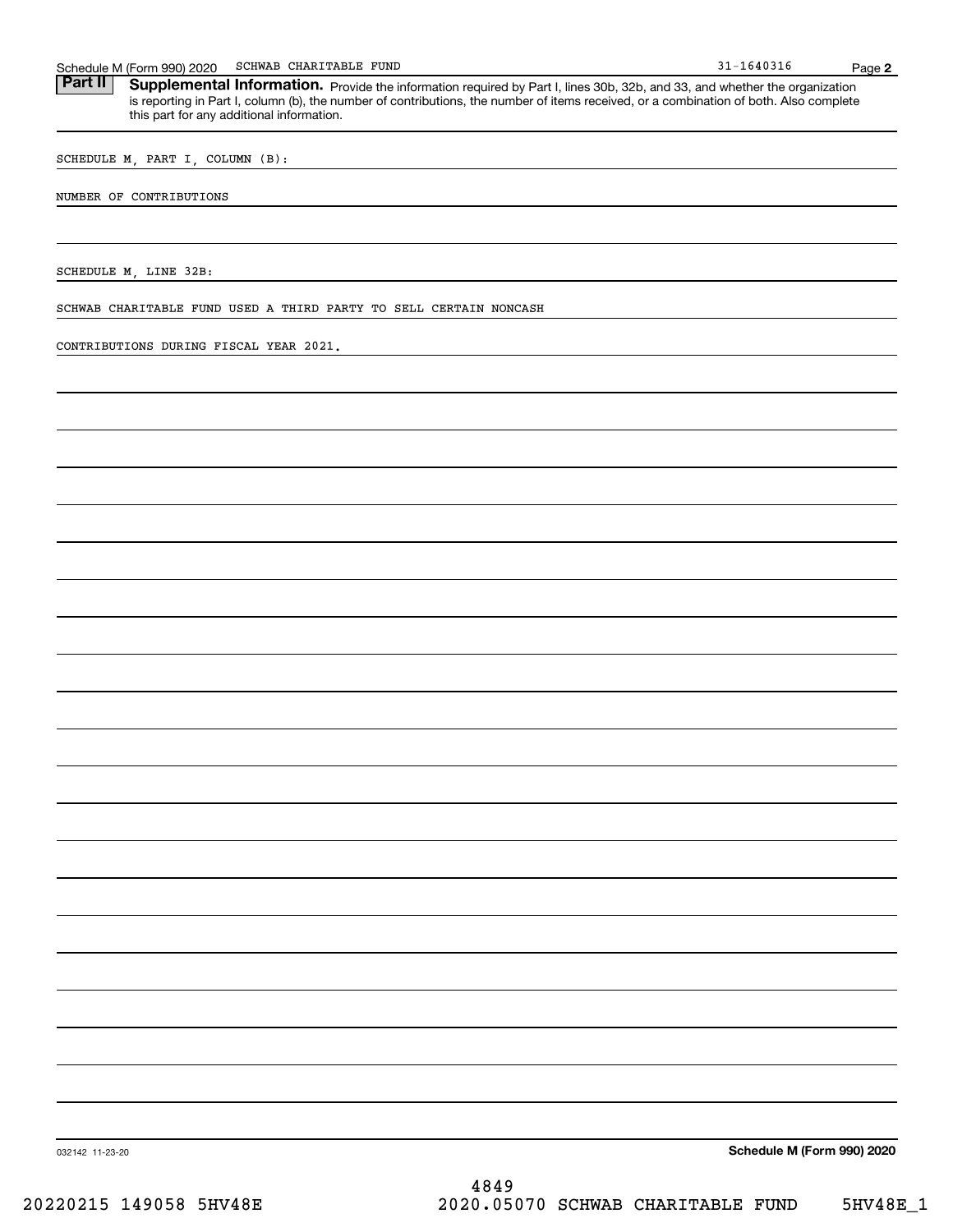Schedule M (Form 990) 2020 SCHWAB CHARITABLE FUND<br>**Part II** Supplemental Information. Provide the information required by Part I. lines 30b. 32b. and 33. and whether the c Part II | Supplemental Information. Provide the information required by Part I, lines 30b, 32b, and 33, and whether the organization is reporting in Part I, column (b), the number of contributions, the number of items received, or a combination of both. Also complete this part for any additional information.

SCHEDULE M, PART I, COLUMN (B):

NUMBER OF CONTRIBUTIONS

SCHEDULE M, LINE 32B:

SCHWAB CHARITABLE FUND USED A THIRD PARTY TO SELL CERTAIN NONCASH

CONTRIBUTIONS DURING FISCAL YEAR 2021.

032142 11-23-20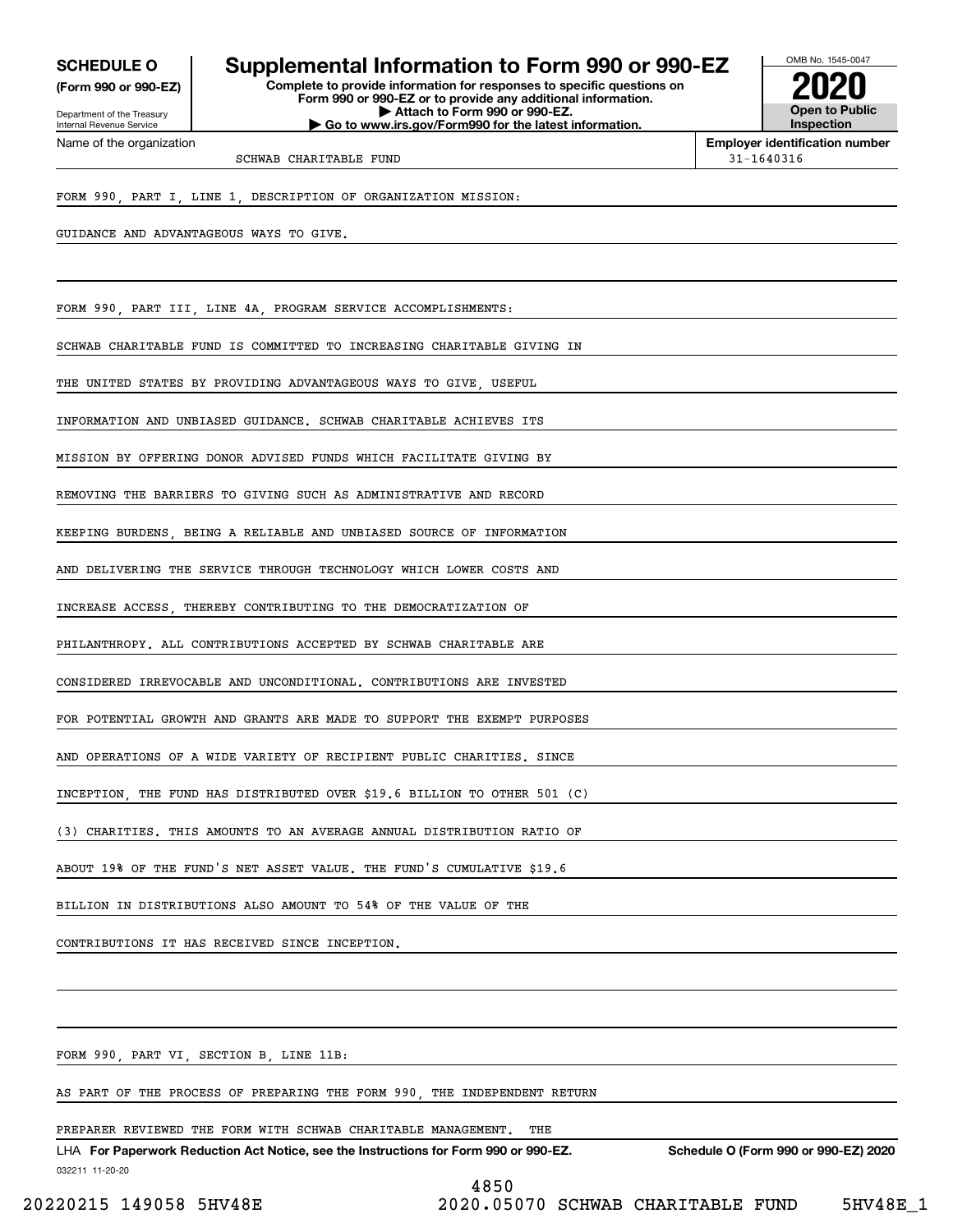**(Form 990 or 990-EZ)**

Department of the Treasury Internal Revenue Service Name of the organization

## **SCHEDULE O Supplemental Information to Form 990 or 990-EZ**

**Complete to provide information for responses to specific questions on Form 990 or 990-EZ or to provide any additional information. | Attach to Form 990 or 990-EZ. | Go to www.irs.gov/Form990 for the latest information.**



**Employer identification number**

SCHWAB CHARITABLE FUND 31-1640316

FORM 990, PART I, LINE 1, DESCRIPTION OF ORGANIZATION MISSION:

GUIDANCE AND ADVANTAGEOUS WAYS TO GIVE.

FORM 990, PART III, LINE 4A, PROGRAM SERVICE ACCOMPLISHMENTS:

SCHWAB CHARITABLE FUND IS COMMITTED TO INCREASING CHARITABLE GIVING IN

THE UNITED STATES BY PROVIDING ADVANTAGEOUS WAYS TO GIVE, USEFUL

INFORMATION AND UNBIASED GUIDANCE. SCHWAB CHARITABLE ACHIEVES ITS

MISSION BY OFFERING DONOR ADVISED FUNDS WHICH FACILITATE GIVING BY

REMOVING THE BARRIERS TO GIVING SUCH AS ADMINISTRATIVE AND RECORD

KEEPING BURDENS, BEING A RELIABLE AND UNBIASED SOURCE OF INFORMATION

AND DELIVERING THE SERVICE THROUGH TECHNOLOGY WHICH LOWER COSTS AND

INCREASE ACCESS, THEREBY CONTRIBUTING TO THE DEMOCRATIZATION OF

PHILANTHROPY. ALL CONTRIBUTIONS ACCEPTED BY SCHWAB CHARITABLE ARE

CONSIDERED IRREVOCABLE AND UNCONDITIONAL. CONTRIBUTIONS ARE INVESTED

FOR POTENTIAL GROWTH AND GRANTS ARE MADE TO SUPPORT THE EXEMPT PURPOSES

AND OPERATIONS OF A WIDE VARIETY OF RECIPIENT PUBLIC CHARITIES. SINCE

INCEPTION, THE FUND HAS DISTRIBUTED OVER \$19.6 BILLION TO OTHER 501 (C)

(3) CHARITIES. THIS AMOUNTS TO AN AVERAGE ANNUAL DISTRIBUTION RATIO OF

ABOUT 19% OF THE FUND'S NET ASSET VALUE. THE FUND'S CUMULATIVE \$19.6

BILLION IN DISTRIBUTIONS ALSO AMOUNT TO 54% OF THE VALUE OF THE

CONTRIBUTIONS IT HAS RECEIVED SINCE INCEPTION.

FORM 990, PART VI, SECTION B, LINE 11B:

AS PART OF THE PROCESS OF PREPARING THE FORM 990, THE INDEPENDENT RETURN

PREPARER REVIEWED THE FORM WITH SCHWAB CHARITABLE MANAGEMENT. THE

032211 11-20-20 LHA For Paperwork Reduction Act Notice, see the Instructions for Form 990 or 990-EZ. Schedule O (Form 990 or 990-EZ) 2020 4850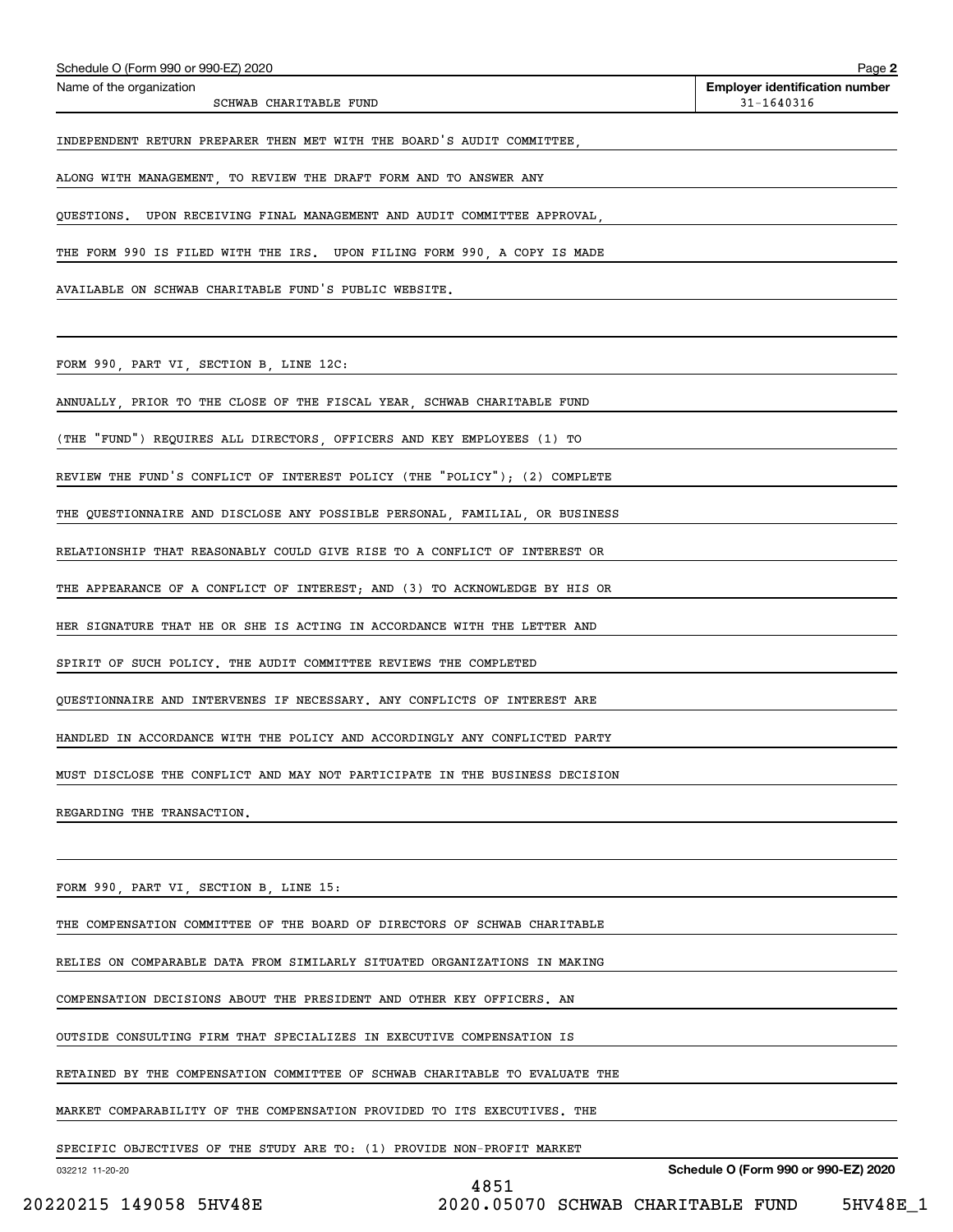| AVAILABLE ON SCHWAB CHARITABLE FUND'S PUBLIC WEBSITE.                       |                                              |
|-----------------------------------------------------------------------------|----------------------------------------------|
|                                                                             |                                              |
| FORM 990, PART VI, SECTION B, LINE 12C:                                     |                                              |
| ANNUALLY, PRIOR TO THE CLOSE OF THE FISCAL YEAR, SCHWAB CHARITABLE FUND     |                                              |
| (THE "FUND") REQUIRES ALL DIRECTORS, OFFICERS AND KEY EMPLOYEES (1) TO      |                                              |
| REVIEW THE FUND'S CONFLICT OF INTEREST POLICY (THE "POLICY"); (2) COMPLETE  |                                              |
| THE QUESTIONNAIRE AND DISCLOSE ANY POSSIBLE PERSONAL, FAMILIAL, OR BUSINESS |                                              |
| RELATIONSHIP THAT REASONABLY COULD GIVE RISE TO A CONFLICT OF INTEREST OR   |                                              |
| THE APPEARANCE OF A CONFLICT OF INTEREST; AND (3) TO ACKNOWLEDGE BY HIS OR  |                                              |
| HER SIGNATURE THAT HE OR SHE IS ACTING IN ACCORDANCE WITH THE LETTER AND    |                                              |
| SPIRIT OF SUCH POLICY. THE AUDIT COMMITTEE REVIEWS THE COMPLETED            |                                              |
| QUESTIONNAIRE AND INTERVENES IF NECESSARY. ANY CONFLICTS OF INTEREST ARE    |                                              |
| HANDLED IN ACCORDANCE WITH THE POLICY AND ACCORDINGLY ANY CONFLICTED PARTY  |                                              |
| MUST DISCLOSE THE CONFLICT AND MAY NOT PARTICIPATE IN THE BUSINESS DECISION |                                              |
| REGARDING THE TRANSACTION.                                                  |                                              |
|                                                                             |                                              |
| FORM 990, PART VI, SECTION B, LINE 15:                                      |                                              |
| THE COMPENSATION COMMITTEE OF THE BOARD OF DIRECTORS OF SCHWAB CHARITABLE   |                                              |
| RELIES ON COMPARABLE DATA FROM SIMILARLY SITUATED ORGANIZATIONS IN MAKING   |                                              |
| COMPENSATION DECISIONS ABOUT THE PRESIDENT AND OTHER KEY OFFICERS. AN       |                                              |
| OUTSIDE CONSULTING FIRM THAT SPECIALIZES IN EXECUTIVE COMPENSATION IS       |                                              |
| RETAINED BY THE COMPENSATION COMMITTEE OF SCHWAB CHARITABLE TO EVALUATE THE |                                              |
| MARKET COMPARABILITY OF THE COMPENSATION PROVIDED TO ITS EXECUTIVES. THE    |                                              |
|                                                                             |                                              |
| SPECIFIC OBJECTIVES OF THE STUDY ARE TO: (1) PROVIDE NON-PROFIT MARKET      |                                              |
| 032212 11-20-20                                                             | Schedule O (Form 990 or 990-EZ) 2020<br>4851 |

Schedule O (Form 990 or 990-EZ) 2020<br>Name of the organization

SCHWAB CHARITABLE FUND

**2**

**Employer identification number**<br> $31 - 1640316$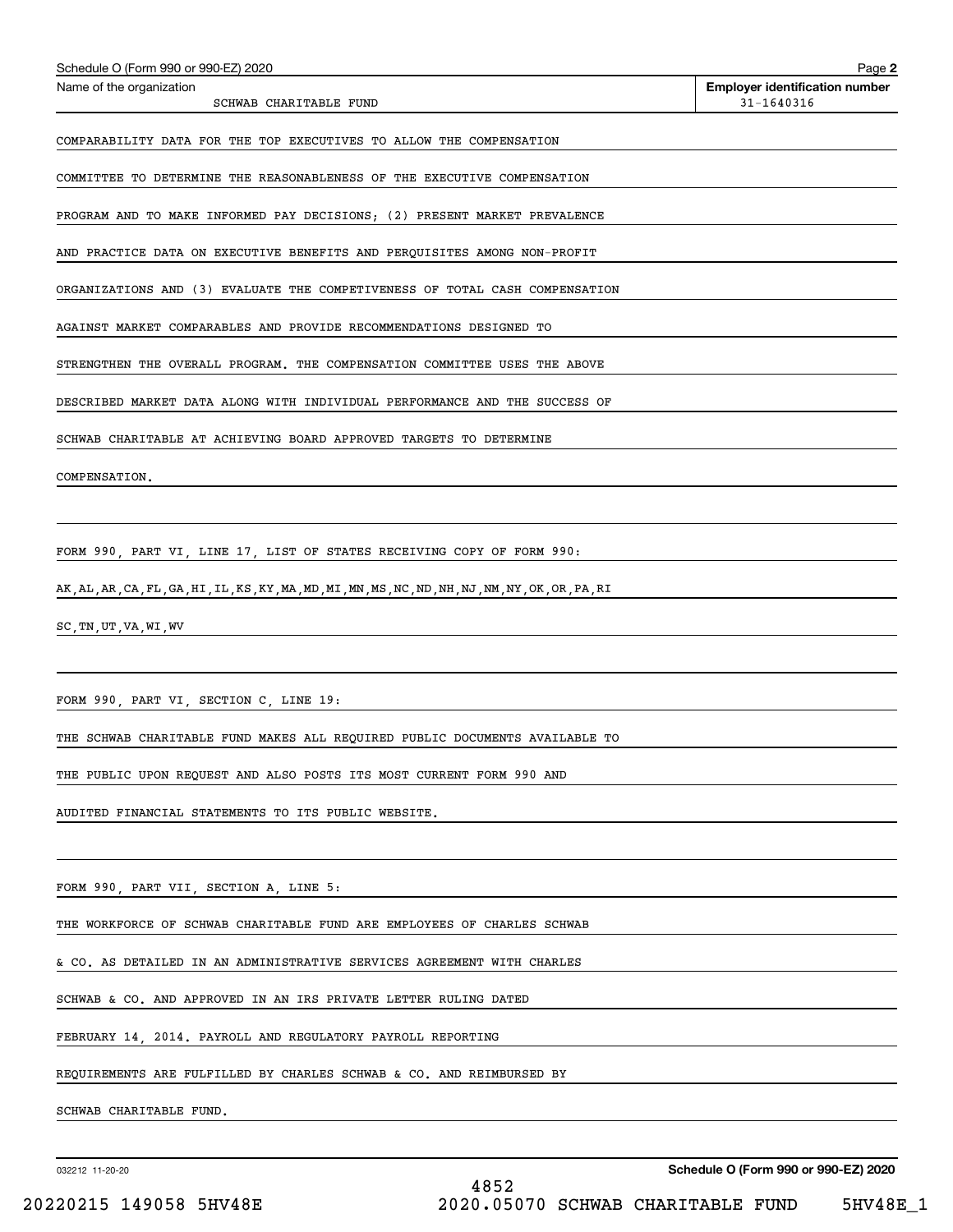| Schedule O (Form 990 or 990-EZ) 2020                                                               | Page 2                                              |
|----------------------------------------------------------------------------------------------------|-----------------------------------------------------|
| Name of the organization<br>SCHWAB CHARITABLE FUND                                                 | <b>Employer identification number</b><br>31-1640316 |
| COMPARABILITY DATA FOR THE TOP EXECUTIVES TO ALLOW THE COMPENSATION                                |                                                     |
| COMMITTEE TO DETERMINE THE REASONABLENESS OF THE EXECUTIVE COMPENSATION                            |                                                     |
| PROGRAM AND TO MAKE INFORMED PAY DECISIONS; (2) PRESENT MARKET PREVALENCE                          |                                                     |
| AND PRACTICE DATA ON EXECUTIVE BENEFITS AND PERQUISITES AMONG NON-PROFIT                           |                                                     |
| ORGANIZATIONS AND (3) EVALUATE THE COMPETIVENESS OF TOTAL CASH COMPENSATION                        |                                                     |
| AGAINST MARKET COMPARABLES AND PROVIDE RECOMMENDATIONS DESIGNED TO                                 |                                                     |
| STRENGTHEN THE OVERALL PROGRAM. THE COMPENSATION COMMITTEE USES THE ABOVE                          |                                                     |
| DESCRIBED MARKET DATA ALONG WITH INDIVIDUAL PERFORMANCE AND THE SUCCESS OF                         |                                                     |
| SCHWAB CHARITABLE AT ACHIEVING BOARD APPROVED TARGETS TO DETERMINE                                 |                                                     |
| COMPENSATION.                                                                                      |                                                     |
|                                                                                                    |                                                     |
| FORM 990, PART VI, LINE 17, LIST OF STATES RECEIVING COPY OF FORM 990:                             |                                                     |
| AK, AL, AR, CA, FL, GA, HI, IL, KS, KY, MA, MD, MI, MN, MS, NC, ND, NH, NJ, NM, NY, OK, OR, PA, RI |                                                     |
| SC, TN, UT, VA, WI, WV                                                                             |                                                     |
|                                                                                                    |                                                     |
| FORM 990, PART VI, SECTION C, LINE 19:                                                             |                                                     |
| THE SCHWAB CHARITABLE FUND MAKES ALL REQUIRED PUBLIC DOCUMENTS AVAILABLE TO                        |                                                     |
| THE PUBLIC UPON REQUEST AND ALSO POSTS ITS MOST CURRENT FORM 990 AND                               |                                                     |
| AUDITED FINANCIAL STATEMENTS TO ITS PUBLIC WEBSITE.                                                |                                                     |
|                                                                                                    |                                                     |
| FORM 990, PART VII, SECTION A, LINE 5:                                                             |                                                     |
| THE WORKFORCE OF SCHWAB CHARITABLE FUND ARE EMPLOYEES OF CHARLES SCHWAB                            |                                                     |
| & CO. AS DETAILED IN AN ADMINISTRATIVE SERVICES AGREEMENT WITH CHARLES                             |                                                     |
| SCHWAB & CO. AND APPROVED IN AN IRS PRIVATE LETTER RULING DATED                                    |                                                     |
| FEBRUARY 14, 2014. PAYROLL AND REGULATORY PAYROLL REPORTING                                        |                                                     |
| REQUIREMENTS ARE FULFILLED BY CHARLES SCHWAB & CO. AND REIMBURSED BY                               |                                                     |
| SCHWAB CHARITABLE FUND.                                                                            |                                                     |
|                                                                                                    |                                                     |

032212 11-20-20